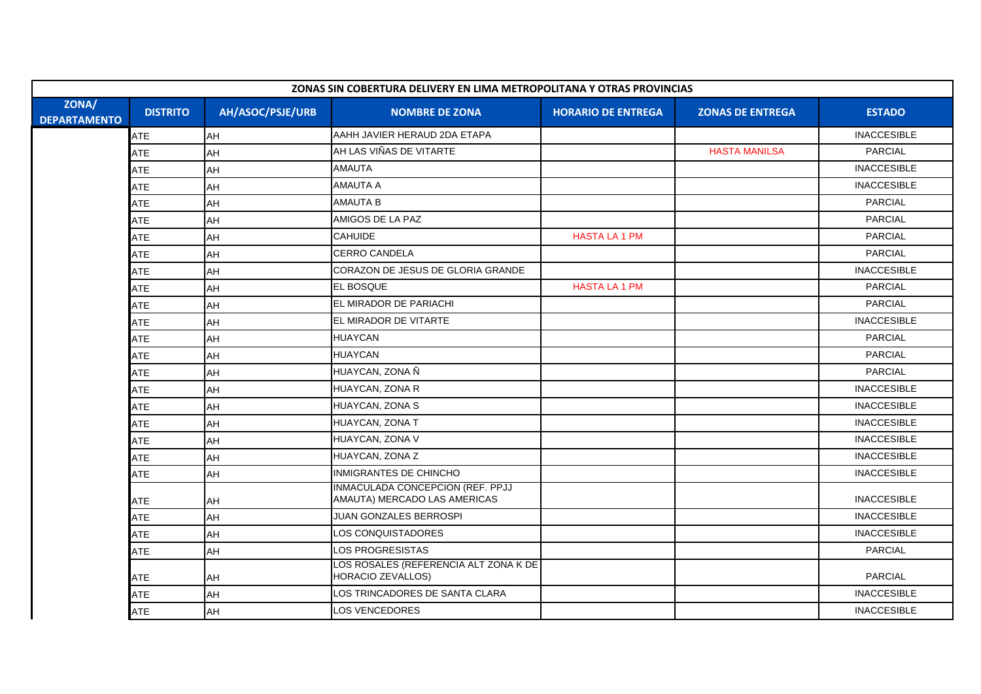| ZONAS SIN COBERTURA DELIVERY EN LIMA METROPOLITANA Y OTRAS PROVINCIAS |                 |                  |                                                                  |                           |                         |                    |
|-----------------------------------------------------------------------|-----------------|------------------|------------------------------------------------------------------|---------------------------|-------------------------|--------------------|
| ZONA/<br><b>DEPARTAMENTO</b>                                          | <b>DISTRITO</b> | AH/ASOC/PSJE/URB | <b>NOMBRE DE ZONA</b>                                            | <b>HORARIO DE ENTREGA</b> | <b>ZONAS DE ENTREGA</b> | <b>ESTADO</b>      |
|                                                                       | ATE             | AH               | AAHH JAVIER HERAUD 2DA ETAPA                                     |                           |                         | <b>INACCESIBLE</b> |
|                                                                       | ATE             | AH               | AH LAS VIÑAS DE VITARTE                                          |                           | <b>HASTA MANILSA</b>    | <b>PARCIAL</b>     |
|                                                                       | ATE             | AH               | <b>AMAUTA</b>                                                    |                           |                         | <b>INACCESIBLE</b> |
|                                                                       | <b>ATE</b>      | AH               | <b>AMAUTA A</b>                                                  |                           |                         | <b>INACCESIBLE</b> |
|                                                                       | <b>ATE</b>      | AH               | <b>AMAUTA B</b>                                                  |                           |                         | <b>PARCIAL</b>     |
|                                                                       | <b>ATE</b>      | AH               | AMIGOS DE LA PAZ                                                 |                           |                         | <b>PARCIAL</b>     |
|                                                                       | <b>ATE</b>      | AH               | <b>CAHUIDE</b>                                                   | <b>HASTA LA 1 PM</b>      |                         | <b>PARCIAL</b>     |
|                                                                       | ATE             | AH               | <b>CERRO CANDELA</b>                                             |                           |                         | <b>PARCIAL</b>     |
|                                                                       | ATE             | AH               | CORAZON DE JESUS DE GLORIA GRANDE                                |                           |                         | <b>INACCESIBLE</b> |
|                                                                       | <b>ATE</b>      | AH               | <b>EL BOSQUE</b>                                                 | <b>HASTA LA 1 PM</b>      |                         | <b>PARCIAL</b>     |
|                                                                       | <b>ATE</b>      | AH               | EL MIRADOR DE PARIACHI                                           |                           |                         | <b>PARCIAL</b>     |
|                                                                       | ATE             | AH               | EL MIRADOR DE VITARTE                                            |                           |                         | <b>INACCESIBLE</b> |
|                                                                       | <b>ATE</b>      | AH               | <b>HUAYCAN</b>                                                   |                           |                         | <b>PARCIAL</b>     |
|                                                                       | ATE             | AH               | <b>HUAYCAN</b>                                                   |                           |                         | <b>PARCIAL</b>     |
|                                                                       | ATE             | AH               | HUAYCAN, ZONA Ñ                                                  |                           |                         | <b>PARCIAL</b>     |
|                                                                       | <b>ATE</b>      | AH               | HUAYCAN, ZONA R                                                  |                           |                         | <b>INACCESIBLE</b> |
|                                                                       | <b>ATE</b>      | AH               | HUAYCAN, ZONA S                                                  |                           |                         | <b>INACCESIBLE</b> |
|                                                                       | ATE             | AH               | HUAYCAN, ZONA T                                                  |                           |                         | <b>INACCESIBLE</b> |
|                                                                       | ATE             | AH               | HUAYCAN, ZONA V                                                  |                           |                         | <b>INACCESIBLE</b> |
|                                                                       | ATE             | AH               | HUAYCAN, ZONA Z                                                  |                           |                         | <b>INACCESIBLE</b> |
|                                                                       | ATE             | AH               | INMIGRANTES DE CHINCHO                                           |                           |                         | <b>INACCESIBLE</b> |
|                                                                       | ATE             | AH               | INMACULADA CONCEPCION (REF. PPJJ<br>AMAUTA) MERCADO LAS AMERICAS |                           |                         | <b>INACCESIBLE</b> |
|                                                                       | ATE             | AH               | JUAN GONZALES BERROSPI                                           |                           |                         | <b>INACCESIBLE</b> |
|                                                                       | ATE             | AH               | <b>LOS CONQUISTADORES</b>                                        |                           |                         | <b>INACCESIBLE</b> |
|                                                                       | <b>ATE</b>      | AH               | <b>LOS PROGRESISTAS</b>                                          |                           |                         | <b>PARCIAL</b>     |
|                                                                       | ATE             | AH               | LOS ROSALES (REFERENCIA ALT ZONA K DE<br>HORACIO ZEVALLOS)       |                           |                         | <b>PARCIAL</b>     |
|                                                                       | ATE             | AH               | LOS TRINCADORES DE SANTA CLARA                                   |                           |                         | <b>INACCESIBLE</b> |
|                                                                       | <b>ATE</b>      | AH               | <b>LOS VENCEDORES</b>                                            |                           |                         | <b>INACCESIBLE</b> |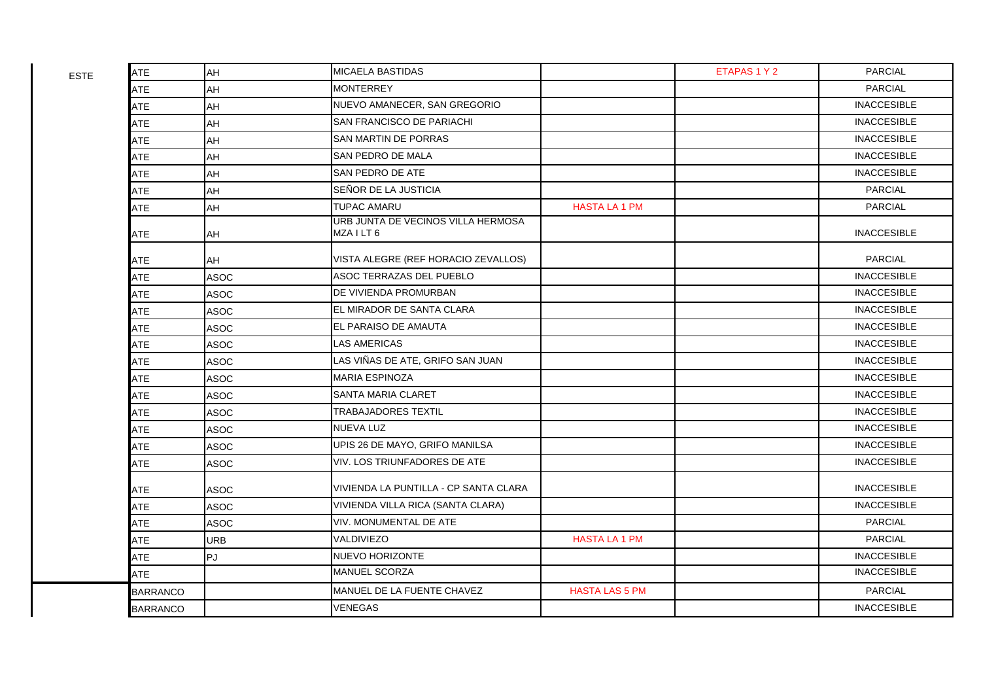| <b>ATE</b>      | AH          | <b>MICAELA BASTIDAS</b>                          |                       | ETAPAS 1 Y 2 | <b>PARCIAL</b>     |
|-----------------|-------------|--------------------------------------------------|-----------------------|--------------|--------------------|
| <b>ATE</b>      | AH          | <b>MONTERREY</b>                                 |                       |              | <b>PARCIAL</b>     |
| <b>ATE</b>      | AH          | NUEVO AMANECER, SAN GREGORIO                     |                       |              | <b>INACCESIBLE</b> |
| <b>ATE</b>      | AH          | SAN FRANCISCO DE PARIACHI                        |                       |              | <b>INACCESIBLE</b> |
| ATE             | AH          | SAN MARTIN DE PORRAS                             |                       |              | <b>INACCESIBLE</b> |
| <b>ATE</b>      | AH          | SAN PEDRO DE MALA                                |                       |              | <b>INACCESIBLE</b> |
| <b>ATE</b>      | AH          | SAN PEDRO DE ATE                                 |                       |              | <b>INACCESIBLE</b> |
| ATE             | AH          | SEÑOR DE LA JUSTICIA                             |                       |              | <b>PARCIAL</b>     |
| <b>ATE</b>      | AH          | <b>TUPAC AMARU</b>                               | <b>HASTA LA 1 PM</b>  |              | <b>PARCIAL</b>     |
| ATE             | AH          | URB JUNTA DE VECINOS VILLA HERMOSA<br>MZA I LT 6 |                       |              | <b>INACCESIBLE</b> |
| <b>ATE</b>      | AH          | VISTA ALEGRE (REF HORACIO ZEVALLOS)              |                       |              | <b>PARCIAL</b>     |
| <b>ATE</b>      | <b>ASOC</b> | ASOC TERRAZAS DEL PUEBLO                         |                       |              | <b>INACCESIBLE</b> |
| <b>ATE</b>      | <b>ASOC</b> | DE VIVIENDA PROMURBAN                            |                       |              | <b>INACCESIBLE</b> |
| <b>ATE</b>      | <b>ASOC</b> | EL MIRADOR DE SANTA CLARA                        |                       |              | <b>INACCESIBLE</b> |
| ATE             | <b>ASOC</b> | EL PARAISO DE AMAUTA                             |                       |              | <b>INACCESIBLE</b> |
| <b>ATE</b>      | <b>ASOC</b> | LAS AMERICAS                                     |                       |              | <b>INACCESIBLE</b> |
| <b>ATE</b>      | <b>ASOC</b> | LAS VIÑAS DE ATE, GRIFO SAN JUAN                 |                       |              | <b>INACCESIBLE</b> |
| <b>ATE</b>      | <b>ASOC</b> | <b>MARIA ESPINOZA</b>                            |                       |              | <b>INACCESIBLE</b> |
| <b>ATE</b>      | <b>ASOC</b> | SANTA MARIA CLARET                               |                       |              | <b>INACCESIBLE</b> |
| ATE             | <b>ASOC</b> | <b>TRABAJADORES TEXTIL</b>                       |                       |              | <b>INACCESIBLE</b> |
| <b>ATE</b>      | <b>ASOC</b> | <b>NUEVA LUZ</b>                                 |                       |              | <b>INACCESIBLE</b> |
| <b>ATE</b>      | <b>ASOC</b> | UPIS 26 DE MAYO, GRIFO MANILSA                   |                       |              | <b>INACCESIBLE</b> |
| <b>ATE</b>      | <b>ASOC</b> | VIV. LOS TRIUNFADORES DE ATE                     |                       |              | <b>INACCESIBLE</b> |
| <b>ATE</b>      | <b>ASOC</b> | VIVIENDA LA PUNTILLA - CP SANTA CLARA            |                       |              | <b>INACCESIBLE</b> |
| ATE             | <b>ASOC</b> | VIVIENDA VILLA RICA (SANTA CLARA)                |                       |              | <b>INACCESIBLE</b> |
| ATE             | <b>ASOC</b> | VIV. MONUMENTAL DE ATE                           |                       |              | <b>PARCIAL</b>     |
| <b>ATE</b>      | <b>URB</b>  | VALDIVIEZO                                       | <b>HASTA LA 1 PM</b>  |              | <b>PARCIAL</b>     |
| <b>ATE</b>      | PJ          | NUEVO HORIZONTE                                  |                       |              | <b>INACCESIBLE</b> |
| <b>ATE</b>      |             | <b>MANUEL SCORZA</b>                             |                       |              | <b>INACCESIBLE</b> |
| <b>BARRANCO</b> |             | MANUEL DE LA FUENTE CHAVEZ                       | <b>HASTA LAS 5 PM</b> |              | <b>PARCIAL</b>     |
| <b>BARRANCO</b> |             | <b>VENEGAS</b>                                   |                       |              | <b>INACCESIBLE</b> |

ESTE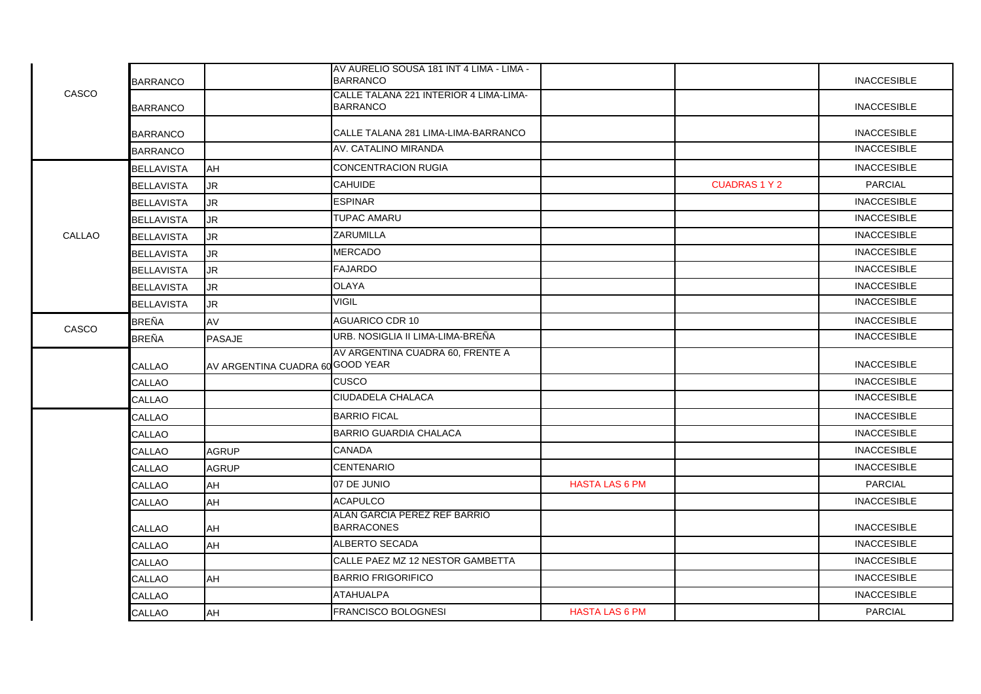|        | <b>BARRANCO</b>   |                                  | AV AURELIO SOUSA 181 INT 4 LIMA - LIMA -<br><b>BARRANCO</b> |                       |                      | <b>INACCESIBLE</b> |
|--------|-------------------|----------------------------------|-------------------------------------------------------------|-----------------------|----------------------|--------------------|
| CASCO  | <b>BARRANCO</b>   |                                  | CALLE TALANA 221 INTERIOR 4 LIMA-LIMA-<br><b>BARRANCO</b>   |                       |                      | <b>INACCESIBLE</b> |
|        | <b>BARRANCO</b>   |                                  | CALLE TALANA 281 LIMA-LIMA-BARRANCO                         |                       |                      | <b>INACCESIBLE</b> |
|        | <b>BARRANCO</b>   |                                  | AV. CATALINO MIRANDA                                        |                       |                      | <b>INACCESIBLE</b> |
|        | <b>BELLAVISTA</b> | AH                               | <b>CONCENTRACION RUGIA</b>                                  |                       |                      | <b>INACCESIBLE</b> |
|        | <b>BELLAVISTA</b> | JR.                              | <b>CAHUIDE</b>                                              |                       | <b>CUADRAS 1 Y 2</b> | <b>PARCIAL</b>     |
|        | <b>BELLAVISTA</b> | JR.                              | <b>ESPINAR</b>                                              |                       |                      | <b>INACCESIBLE</b> |
|        | <b>BELLAVISTA</b> | JR.                              | <b>TUPAC AMARU</b>                                          |                       |                      | <b>INACCESIBLE</b> |
| CALLAO | <b>BELLAVISTA</b> | JR.                              | <b>ZARUMILLA</b>                                            |                       |                      | <b>INACCESIBLE</b> |
|        | <b>BELLAVISTA</b> | JR.                              | <b>MERCADO</b>                                              |                       |                      | <b>INACCESIBLE</b> |
|        | <b>BELLAVISTA</b> | <b>JR</b>                        | <b>FAJARDO</b>                                              |                       |                      | <b>INACCESIBLE</b> |
|        | <b>BELLAVISTA</b> | JR.                              | <b>OLAYA</b>                                                |                       |                      | <b>INACCESIBLE</b> |
|        | <b>BELLAVISTA</b> | <b>JR</b>                        | <b>VIGIL</b>                                                |                       |                      | <b>INACCESIBLE</b> |
|        | <b>BREÑA</b>      | AV                               | <b>AGUARICO CDR 10</b>                                      |                       |                      | <b>INACCESIBLE</b> |
| CASCO  | <b>BREÑA</b>      | <b>PASAJE</b>                    | URB. NOSIGLIA II LIMA-LIMA-BREÑA                            |                       |                      | <b>INACCESIBLE</b> |
|        | CALLAO            | AV ARGENTINA CUADRA 60 GOOD YEAR | AV ARGENTINA CUADRA 60, FRENTE A                            |                       |                      | <b>INACCESIBLE</b> |
|        | CALLAO            |                                  | <b>CUSCO</b>                                                |                       |                      | <b>INACCESIBLE</b> |
|        | CALLAO            |                                  | CIUDADELA CHALACA                                           |                       |                      | <b>INACCESIBLE</b> |
|        | CALLAO            |                                  | <b>BARRIO FICAL</b>                                         |                       |                      | <b>INACCESIBLE</b> |
|        | CALLAO            |                                  | <b>BARRIO GUARDIA CHALACA</b>                               |                       |                      | <b>INACCESIBLE</b> |
|        | CALLAO            | <b>AGRUP</b>                     | <b>CANADA</b>                                               |                       |                      | <b>INACCESIBLE</b> |
|        | CALLAO            | <b>AGRUP</b>                     | <b>CENTENARIO</b>                                           |                       |                      | <b>INACCESIBLE</b> |
|        | CALLAO            | AH                               | 07 DE JUNIO                                                 | <b>HASTA LAS 6 PM</b> |                      | <b>PARCIAL</b>     |
|        | <b>CALLAO</b>     | AH                               | <b>ACAPULCO</b>                                             |                       |                      | <b>INACCESIBLE</b> |
|        | <b>CALLAO</b>     | <b>AH</b>                        | ALAN GARCIA PEREZ REF BARRIO<br><b>BARRACONES</b>           |                       |                      | <b>INACCESIBLE</b> |
|        | CALLAO            | AH                               | ALBERTO SECADA                                              |                       |                      | <b>INACCESIBLE</b> |
|        | CALLAO            |                                  | CALLE PAEZ MZ 12 NESTOR GAMBETTA                            |                       |                      | <b>INACCESIBLE</b> |
|        | CALLAO            | AH                               | <b>BARRIO FRIGORIFICO</b>                                   |                       |                      | <b>INACCESIBLE</b> |
|        | CALLAO            |                                  | <b>ATAHUALPA</b>                                            |                       |                      | <b>INACCESIBLE</b> |
|        | <b>CALLAO</b>     | <b>AH</b>                        | <b>FRANCISCO BOLOGNESI</b>                                  | <b>HASTA LAS 6 PM</b> |                      | <b>PARCIAL</b>     |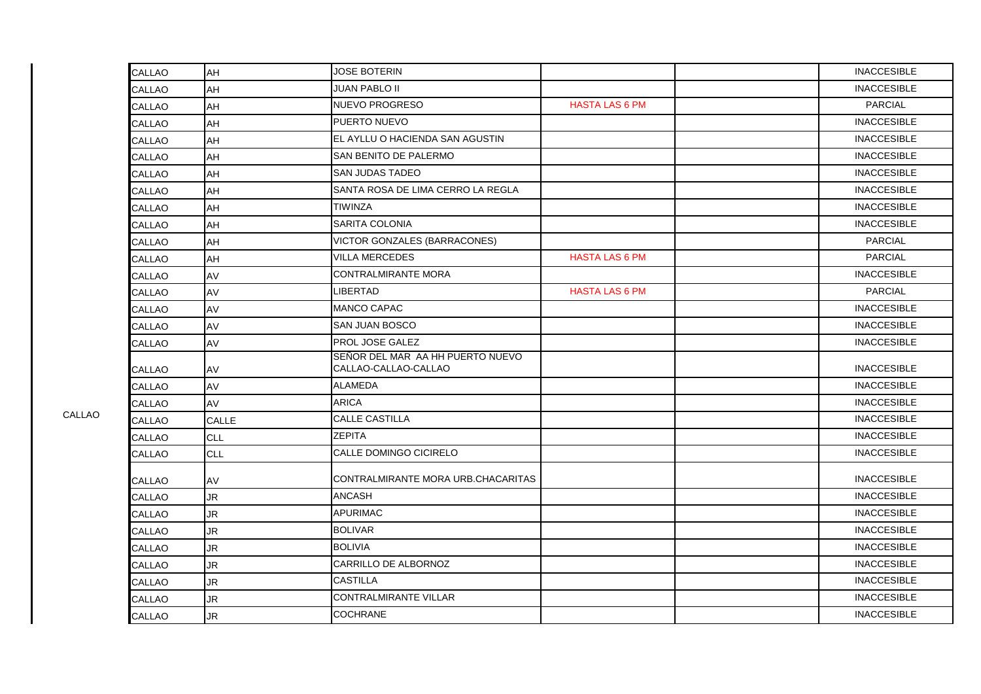| <b>JUAN PABLO II</b><br><b>INACCESIBLE</b><br>CALLAO<br>AH<br>NUEVO PROGRESO<br><b>HASTA LAS 6 PM</b><br><b>PARCIAL</b><br>CALLAO<br>AH<br>PUERTO NUEVO<br><b>INACCESIBLE</b><br>AH<br>CALLAO<br>EL AYLLU O HACIENDA SAN AGUSTIN<br><b>INACCESIBLE</b><br>AH<br>CALLAO<br>SAN BENITO DE PALERMO<br><b>INACCESIBLE</b><br>AH<br>CALLAO<br><b>SAN JUDAS TADEO</b><br><b>INACCESIBLE</b><br>AH<br>CALLAO<br>SANTA ROSA DE LIMA CERRO LA REGLA<br><b>INACCESIBLE</b><br>AH<br>CALLAO<br><b>TIWINZA</b><br><b>INACCESIBLE</b><br>AH<br>CALLAO<br><b>INACCESIBLE</b><br>SARITA COLONIA<br>CALLAO<br>AH<br>VICTOR GONZALES (BARRACONES)<br><b>PARCIAL</b><br><b>CALLAO</b><br>AH<br><b>VILLA MERCEDES</b><br><b>HASTA LAS 6 PM</b><br><b>PARCIAL</b><br>CALLAO<br>AH<br><b>INACCESIBLE</b><br><b>CONTRALMIRANTE MORA</b><br>CALLAO<br>AV<br><b>LIBERTAD</b><br><b>HASTA LAS 6 PM</b><br><b>PARCIAL</b><br>CALLAO<br>AV<br><b>MANCO CAPAC</b><br><b>INACCESIBLE</b><br>AV<br><b>CALLAO</b><br><b>SAN JUAN BOSCO</b><br><b>INACCESIBLE</b><br>AV<br>CALLAO<br>PROL JOSE GALEZ<br><b>INACCESIBLE</b><br><b>CALLAO</b><br>AV<br>SEÑOR DEL MAR AA HH PUERTO NUEVO<br><b>INACCESIBLE</b><br>CALLAO-CALLAO-CALLAO<br><b>CALLAO</b><br>AV<br><b>ALAMEDA</b><br><b>INACCESIBLE</b><br>AV<br>CALLAO<br>ARICA<br><b>INACCESIBLE</b><br><b>CALLAO</b><br>AV<br><b>CALLE CASTILLA</b><br><b>INACCESIBLE</b><br>CALLAO<br>CALLE<br><b>INACCESIBLE</b><br>ZEPITA<br><b>CLL</b><br><b>CALLAO</b><br>CALLE DOMINGO CICIRELO<br><b>INACCESIBLE</b><br><b>CLL</b><br>CALLAO<br>CONTRALMIRANTE MORA URB.CHACARITAS<br><b>INACCESIBLE</b><br>CALLAO<br>AV |  |
|-------------------------------------------------------------------------------------------------------------------------------------------------------------------------------------------------------------------------------------------------------------------------------------------------------------------------------------------------------------------------------------------------------------------------------------------------------------------------------------------------------------------------------------------------------------------------------------------------------------------------------------------------------------------------------------------------------------------------------------------------------------------------------------------------------------------------------------------------------------------------------------------------------------------------------------------------------------------------------------------------------------------------------------------------------------------------------------------------------------------------------------------------------------------------------------------------------------------------------------------------------------------------------------------------------------------------------------------------------------------------------------------------------------------------------------------------------------------------------------------------------------------------------------------------------------------------------------------------------------------------------|--|
|                                                                                                                                                                                                                                                                                                                                                                                                                                                                                                                                                                                                                                                                                                                                                                                                                                                                                                                                                                                                                                                                                                                                                                                                                                                                                                                                                                                                                                                                                                                                                                                                                               |  |
|                                                                                                                                                                                                                                                                                                                                                                                                                                                                                                                                                                                                                                                                                                                                                                                                                                                                                                                                                                                                                                                                                                                                                                                                                                                                                                                                                                                                                                                                                                                                                                                                                               |  |
|                                                                                                                                                                                                                                                                                                                                                                                                                                                                                                                                                                                                                                                                                                                                                                                                                                                                                                                                                                                                                                                                                                                                                                                                                                                                                                                                                                                                                                                                                                                                                                                                                               |  |
|                                                                                                                                                                                                                                                                                                                                                                                                                                                                                                                                                                                                                                                                                                                                                                                                                                                                                                                                                                                                                                                                                                                                                                                                                                                                                                                                                                                                                                                                                                                                                                                                                               |  |
|                                                                                                                                                                                                                                                                                                                                                                                                                                                                                                                                                                                                                                                                                                                                                                                                                                                                                                                                                                                                                                                                                                                                                                                                                                                                                                                                                                                                                                                                                                                                                                                                                               |  |
|                                                                                                                                                                                                                                                                                                                                                                                                                                                                                                                                                                                                                                                                                                                                                                                                                                                                                                                                                                                                                                                                                                                                                                                                                                                                                                                                                                                                                                                                                                                                                                                                                               |  |
|                                                                                                                                                                                                                                                                                                                                                                                                                                                                                                                                                                                                                                                                                                                                                                                                                                                                                                                                                                                                                                                                                                                                                                                                                                                                                                                                                                                                                                                                                                                                                                                                                               |  |
|                                                                                                                                                                                                                                                                                                                                                                                                                                                                                                                                                                                                                                                                                                                                                                                                                                                                                                                                                                                                                                                                                                                                                                                                                                                                                                                                                                                                                                                                                                                                                                                                                               |  |
|                                                                                                                                                                                                                                                                                                                                                                                                                                                                                                                                                                                                                                                                                                                                                                                                                                                                                                                                                                                                                                                                                                                                                                                                                                                                                                                                                                                                                                                                                                                                                                                                                               |  |
|                                                                                                                                                                                                                                                                                                                                                                                                                                                                                                                                                                                                                                                                                                                                                                                                                                                                                                                                                                                                                                                                                                                                                                                                                                                                                                                                                                                                                                                                                                                                                                                                                               |  |
|                                                                                                                                                                                                                                                                                                                                                                                                                                                                                                                                                                                                                                                                                                                                                                                                                                                                                                                                                                                                                                                                                                                                                                                                                                                                                                                                                                                                                                                                                                                                                                                                                               |  |
|                                                                                                                                                                                                                                                                                                                                                                                                                                                                                                                                                                                                                                                                                                                                                                                                                                                                                                                                                                                                                                                                                                                                                                                                                                                                                                                                                                                                                                                                                                                                                                                                                               |  |
|                                                                                                                                                                                                                                                                                                                                                                                                                                                                                                                                                                                                                                                                                                                                                                                                                                                                                                                                                                                                                                                                                                                                                                                                                                                                                                                                                                                                                                                                                                                                                                                                                               |  |
|                                                                                                                                                                                                                                                                                                                                                                                                                                                                                                                                                                                                                                                                                                                                                                                                                                                                                                                                                                                                                                                                                                                                                                                                                                                                                                                                                                                                                                                                                                                                                                                                                               |  |
|                                                                                                                                                                                                                                                                                                                                                                                                                                                                                                                                                                                                                                                                                                                                                                                                                                                                                                                                                                                                                                                                                                                                                                                                                                                                                                                                                                                                                                                                                                                                                                                                                               |  |
|                                                                                                                                                                                                                                                                                                                                                                                                                                                                                                                                                                                                                                                                                                                                                                                                                                                                                                                                                                                                                                                                                                                                                                                                                                                                                                                                                                                                                                                                                                                                                                                                                               |  |
|                                                                                                                                                                                                                                                                                                                                                                                                                                                                                                                                                                                                                                                                                                                                                                                                                                                                                                                                                                                                                                                                                                                                                                                                                                                                                                                                                                                                                                                                                                                                                                                                                               |  |
|                                                                                                                                                                                                                                                                                                                                                                                                                                                                                                                                                                                                                                                                                                                                                                                                                                                                                                                                                                                                                                                                                                                                                                                                                                                                                                                                                                                                                                                                                                                                                                                                                               |  |
|                                                                                                                                                                                                                                                                                                                                                                                                                                                                                                                                                                                                                                                                                                                                                                                                                                                                                                                                                                                                                                                                                                                                                                                                                                                                                                                                                                                                                                                                                                                                                                                                                               |  |
|                                                                                                                                                                                                                                                                                                                                                                                                                                                                                                                                                                                                                                                                                                                                                                                                                                                                                                                                                                                                                                                                                                                                                                                                                                                                                                                                                                                                                                                                                                                                                                                                                               |  |
|                                                                                                                                                                                                                                                                                                                                                                                                                                                                                                                                                                                                                                                                                                                                                                                                                                                                                                                                                                                                                                                                                                                                                                                                                                                                                                                                                                                                                                                                                                                                                                                                                               |  |
|                                                                                                                                                                                                                                                                                                                                                                                                                                                                                                                                                                                                                                                                                                                                                                                                                                                                                                                                                                                                                                                                                                                                                                                                                                                                                                                                                                                                                                                                                                                                                                                                                               |  |
|                                                                                                                                                                                                                                                                                                                                                                                                                                                                                                                                                                                                                                                                                                                                                                                                                                                                                                                                                                                                                                                                                                                                                                                                                                                                                                                                                                                                                                                                                                                                                                                                                               |  |
| <b>ANCASH</b><br><b>INACCESIBLE</b><br>JR.<br>CALLAO                                                                                                                                                                                                                                                                                                                                                                                                                                                                                                                                                                                                                                                                                                                                                                                                                                                                                                                                                                                                                                                                                                                                                                                                                                                                                                                                                                                                                                                                                                                                                                          |  |
| <b>APURIMAC</b><br><b>INACCESIBLE</b><br>JR.<br>CALLAO                                                                                                                                                                                                                                                                                                                                                                                                                                                                                                                                                                                                                                                                                                                                                                                                                                                                                                                                                                                                                                                                                                                                                                                                                                                                                                                                                                                                                                                                                                                                                                        |  |
| <b>INACCESIBLE</b><br><b>BOLIVAR</b><br>CALLAO<br>JR.                                                                                                                                                                                                                                                                                                                                                                                                                                                                                                                                                                                                                                                                                                                                                                                                                                                                                                                                                                                                                                                                                                                                                                                                                                                                                                                                                                                                                                                                                                                                                                         |  |
| <b>INACCESIBLE</b><br><b>BOLIVIA</b><br>JR.<br><b>CALLAO</b>                                                                                                                                                                                                                                                                                                                                                                                                                                                                                                                                                                                                                                                                                                                                                                                                                                                                                                                                                                                                                                                                                                                                                                                                                                                                                                                                                                                                                                                                                                                                                                  |  |
| CARRILLO DE ALBORNOZ<br><b>INACCESIBLE</b><br><b>CALLAO</b><br>JR.                                                                                                                                                                                                                                                                                                                                                                                                                                                                                                                                                                                                                                                                                                                                                                                                                                                                                                                                                                                                                                                                                                                                                                                                                                                                                                                                                                                                                                                                                                                                                            |  |
| <b>CASTILLA</b><br><b>INACCESIBLE</b><br>JR<br>CALLAO                                                                                                                                                                                                                                                                                                                                                                                                                                                                                                                                                                                                                                                                                                                                                                                                                                                                                                                                                                                                                                                                                                                                                                                                                                                                                                                                                                                                                                                                                                                                                                         |  |
| <b>CONTRALMIRANTE VILLAR</b><br><b>INACCESIBLE</b><br>CALLAO<br>JR.                                                                                                                                                                                                                                                                                                                                                                                                                                                                                                                                                                                                                                                                                                                                                                                                                                                                                                                                                                                                                                                                                                                                                                                                                                                                                                                                                                                                                                                                                                                                                           |  |
| <b>COCHRANE</b><br><b>INACCESIBLE</b><br><b>JR</b><br>CALLAO                                                                                                                                                                                                                                                                                                                                                                                                                                                                                                                                                                                                                                                                                                                                                                                                                                                                                                                                                                                                                                                                                                                                                                                                                                                                                                                                                                                                                                                                                                                                                                  |  |

CALLAO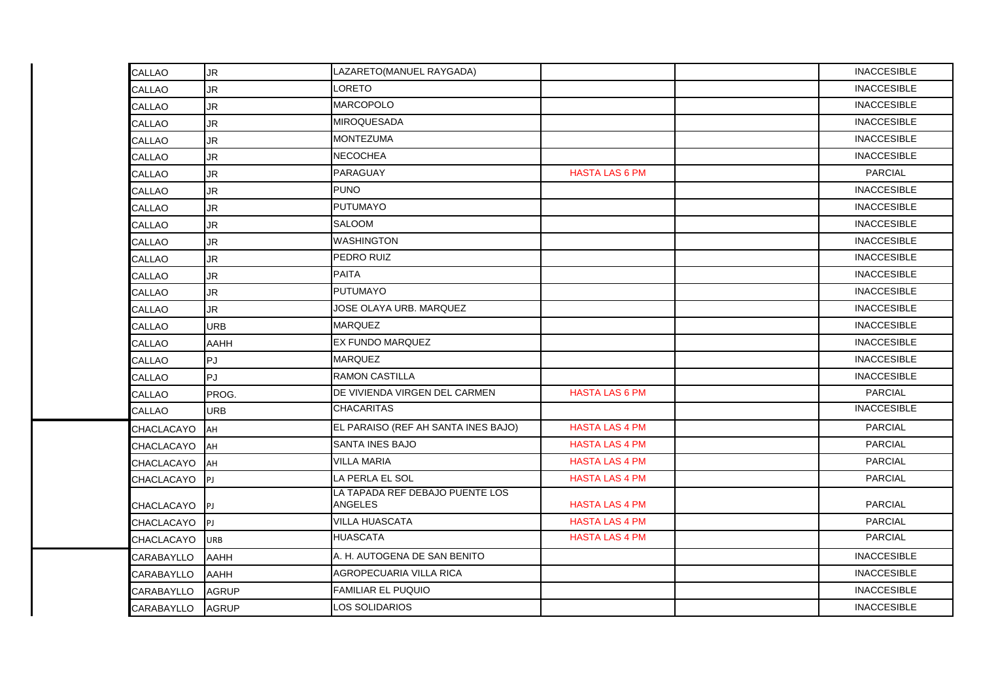| CALLAO            | <b>JR</b>   | LAZARETO(MANUEL RAYGADA)                          |                       | <b>INACCESIBLE</b> |
|-------------------|-------------|---------------------------------------------------|-----------------------|--------------------|
| CALLAO            | <b>JR</b>   | <b>LORETO</b>                                     |                       | <b>INACCESIBLE</b> |
| <b>CALLAO</b>     | <b>JR</b>   | <b>MARCOPOLO</b>                                  |                       | <b>INACCESIBLE</b> |
| CALLAO            | <b>JR</b>   | <b>MIROQUESADA</b>                                |                       | <b>INACCESIBLE</b> |
| CALLAO            | <b>JR</b>   | <b>MONTEZUMA</b>                                  |                       | <b>INACCESIBLE</b> |
| CALLAO            | <b>JR</b>   | <b>NECOCHEA</b>                                   |                       | <b>INACCESIBLE</b> |
| CALLAO            | JR.         | <b>PARAGUAY</b>                                   | <b>HASTA LAS 6 PM</b> | <b>PARCIAL</b>     |
| CALLAO            | <b>JR</b>   | <b>PUNO</b>                                       |                       | <b>INACCESIBLE</b> |
| CALLAO            | <b>JR</b>   | <b>PUTUMAYO</b>                                   |                       | <b>INACCESIBLE</b> |
| CALLAO            | <b>JR</b>   | <b>SALOOM</b>                                     |                       | <b>INACCESIBLE</b> |
| CALLAO            | <b>JR</b>   | <b>WASHINGTON</b>                                 |                       | <b>INACCESIBLE</b> |
| CALLAO            | <b>JR</b>   | PEDRO RUIZ                                        |                       | <b>INACCESIBLE</b> |
| CALLAO            | <b>JR</b>   | <b>PAITA</b>                                      |                       | <b>INACCESIBLE</b> |
| CALLAO            | JR          | <b>PUTUMAYO</b>                                   |                       | <b>INACCESIBLE</b> |
| CALLAO            | <b>JR</b>   | JOSE OLAYA URB. MARQUEZ                           |                       | <b>INACCESIBLE</b> |
| CALLAO            | <b>URB</b>  | <b>MARQUEZ</b>                                    |                       | <b>INACCESIBLE</b> |
| CALLAO            | <b>AAHH</b> | <b>EX FUNDO MARQUEZ</b>                           |                       | <b>INACCESIBLE</b> |
| CALLAO            | <b>PJ</b>   | <b>MARQUEZ</b>                                    |                       | <b>INACCESIBLE</b> |
| CALLAO            | PJ.         | <b>RAMON CASTILLA</b>                             |                       | <b>INACCESIBLE</b> |
| CALLAO            | PROG.       | DE VIVIENDA VIRGEN DEL CARMEN                     | <b>HASTA LAS 6 PM</b> | <b>PARCIAL</b>     |
| CALLAO            | <b>URB</b>  | <b>CHACARITAS</b>                                 |                       | <b>INACCESIBLE</b> |
| <b>CHACLACAYO</b> | lан         | EL PARAISO (REF AH SANTA INES BAJO)               | <b>HASTA LAS 4 PM</b> | <b>PARCIAL</b>     |
| CHACLACAYO        | <b>AH</b>   | <b>SANTA INES BAJO</b>                            | <b>HASTA LAS 4 PM</b> | <b>PARCIAL</b>     |
| CHACLACAYO        | <b>AH</b>   | <b>VILLA MARIA</b>                                | <b>HASTA LAS 4 PM</b> | <b>PARCIAL</b>     |
| CHACLACAYO        | <b>IPJ</b>  | LA PERLA EL SOL                                   | <b>HASTA LAS 4 PM</b> | <b>PARCIAL</b>     |
| CHACLACAYO        | P           | LA TAPADA REF DEBAJO PUENTE LOS<br><b>ANGELES</b> | <b>HASTA LAS 4 PM</b> | <b>PARCIAL</b>     |
| CHACLACAYO        | <b>IPJ</b>  | VILLA HUASCATA                                    | <b>HASTA LAS 4 PM</b> | <b>PARCIAL</b>     |
| CHACLACAYO        | <b>URB</b>  | <b>HUASCATA</b>                                   | <b>HASTA LAS 4 PM</b> | <b>PARCIAL</b>     |
| CARABAYLLO        | <b>AAHH</b> | A. H. AUTOGENA DE SAN BENITO                      |                       | <b>INACCESIBLE</b> |
| CARABAYLLO        | <b>AAHH</b> | AGROPECUARIA VILLA RICA                           |                       | <b>INACCESIBLE</b> |
| CARABAYLLO        | AGRUP       | <b>FAMILIAR EL PUQUIO</b>                         |                       | <b>INACCESIBLE</b> |
| CARABAYLLO        | AGRUP       | LOS SOLIDARIOS                                    |                       | <b>INACCESIBLE</b> |
|                   |             |                                                   |                       |                    |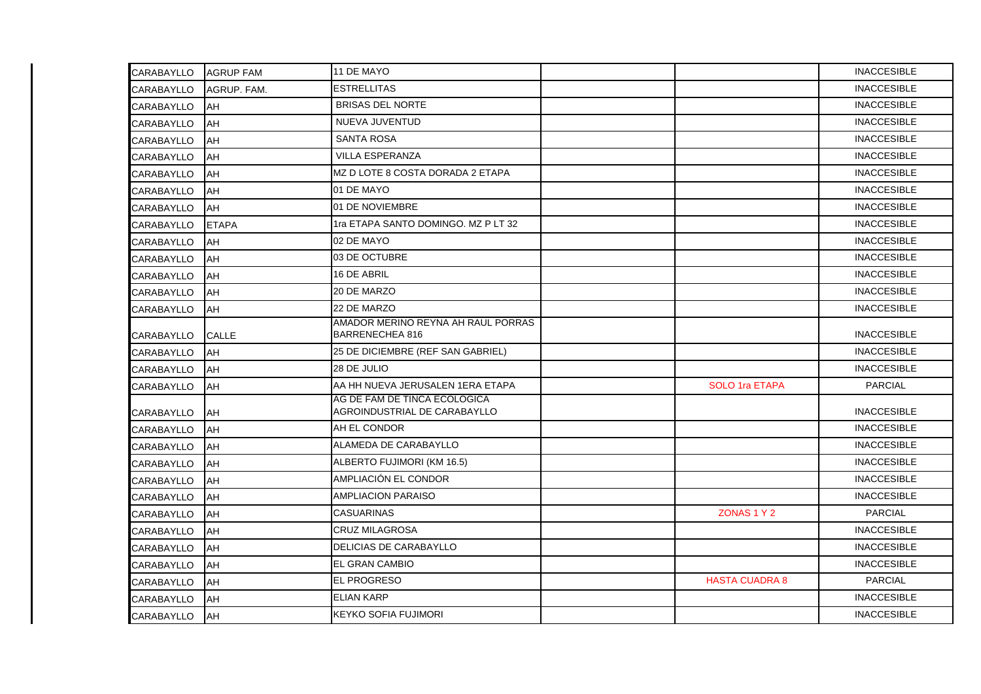| <b>CARABAYLLO</b> | <b>AGRUP FAM</b> | 11 DE MAYO                                                   |                       | <b>INACCESIBLE</b> |
|-------------------|------------------|--------------------------------------------------------------|-----------------------|--------------------|
| <b>CARABAYLLO</b> | AGRUP. FAM.      | <b>ESTRELLITAS</b>                                           |                       | <b>INACCESIBLE</b> |
| <b>CARABAYLLO</b> | AH               | <b>BRISAS DEL NORTE</b>                                      |                       | <b>INACCESIBLE</b> |
| <b>CARABAYLLO</b> | AH               | NUEVA JUVENTUD                                               |                       | <b>INACCESIBLE</b> |
| CARABAYLLO        | AH               | <b>SANTA ROSA</b>                                            |                       | <b>INACCESIBLE</b> |
| CARABAYLLO        | AH               | <b>VILLA ESPERANZA</b>                                       |                       | <b>INACCESIBLE</b> |
| CARABAYLLO        | AH               | MZ D LOTE 8 COSTA DORADA 2 ETAPA                             |                       | <b>INACCESIBLE</b> |
| CARABAYLLO        | AH               | 01 DE MAYO                                                   |                       | <b>INACCESIBLE</b> |
| CARABAYLLO        | AH               | 01 DE NOVIEMBRE                                              |                       | <b>INACCESIBLE</b> |
| CARABAYLLO        | <b>ETAPA</b>     | 1ra ETAPA SANTO DOMINGO. MZ P LT 32                          |                       | <b>INACCESIBLE</b> |
| <b>CARABAYLLO</b> | AH               | 02 DE MAYO                                                   |                       | <b>INACCESIBLE</b> |
| CARABAYLLO        | AH               | 03 DE OCTUBRE                                                |                       | <b>INACCESIBLE</b> |
| CARABAYLLO        | AH               | 16 DE ABRIL                                                  |                       | <b>INACCESIBLE</b> |
| CARABAYLLO        | AH               | 20 DE MARZO                                                  |                       | <b>INACCESIBLE</b> |
| <b>CARABAYLLO</b> | AH               | 22 DE MARZO                                                  |                       | <b>INACCESIBLE</b> |
| CARABAYLLO        | <b>CALLE</b>     | AMADOR MERINO REYNA AH RAUL PORRAS<br><b>BARRENECHEA 816</b> |                       | <b>INACCESIBLE</b> |
| <b>CARABAYLLO</b> | AH               | 25 DE DICIEMBRE (REF SAN GABRIEL)                            |                       | <b>INACCESIBLE</b> |
| CARABAYLLO        | <b>AH</b>        | 28 DE JULIO                                                  |                       | <b>INACCESIBLE</b> |
| CARABAYLLO        | AH               | AA HH NUEVA JERUSALEN 1ERA ETAPA                             | <b>SOLO 1ra ETAPA</b> | <b>PARCIAL</b>     |
| CARABAYLLO        | AH               | AG DE FAM DE TINCA ECOLOGICA<br>AGROINDUSTRIAL DE CARABAYLLO |                       | <b>INACCESIBLE</b> |
| CARABAYLLO        | AH               | AH EL CONDOR                                                 |                       | <b>INACCESIBLE</b> |
| <b>CARABAYLLO</b> | AH               | ALAMEDA DE CARABAYLLO                                        |                       | <b>INACCESIBLE</b> |
| CARABAYLLO        | AH               | ALBERTO FUJIMORI (KM 16.5)                                   |                       | <b>INACCESIBLE</b> |
| <b>CARABAYLLO</b> | AH               | AMPLIACIÓN EL CONDOR                                         |                       | <b>INACCESIBLE</b> |
| CARABAYLLO        | AH               | <b>AMPLIACION PARAISO</b>                                    |                       | <b>INACCESIBLE</b> |
| CARABAYLLO        | AH               | <b>CASUARINAS</b>                                            | ZONAS 1 Y 2           | <b>PARCIAL</b>     |
| CARABAYLLO        | AH               | <b>CRUZ MILAGROSA</b>                                        |                       | <b>INACCESIBLE</b> |
| CARABAYLLO        | AH               | <b>DELICIAS DE CARABAYLLO</b>                                |                       | <b>INACCESIBLE</b> |
| CARABAYLLO        | AH               | <b>EL GRAN CAMBIO</b>                                        |                       | <b>INACCESIBLE</b> |
| CARABAYLLO        | AH               | <b>EL PROGRESO</b>                                           | <b>HASTA CUADRA 8</b> | <b>PARCIAL</b>     |
| CARABAYLLO        | AH               | <b>ELIAN KARP</b>                                            |                       | <b>INACCESIBLE</b> |
| CARABAYLLO        | AH               | KEYKO SOFIA FUJIMORI                                         |                       | <b>INACCESIBLE</b> |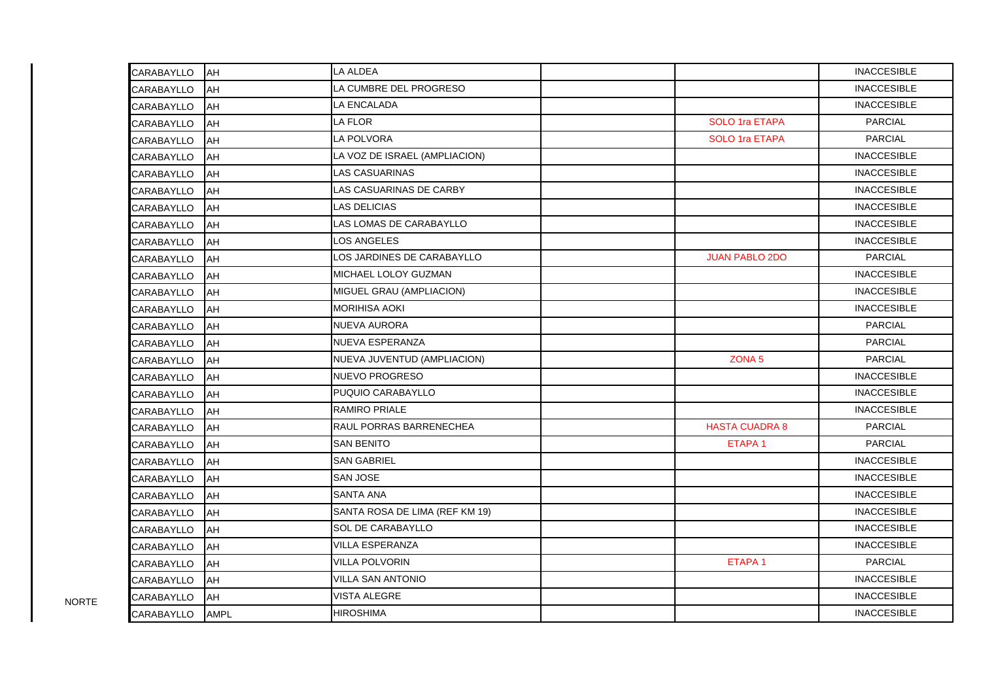| CARABAYLLO | <b>AH</b>   | <b>LA ALDEA</b>                |                       | <b>INACCESIBLE</b> |
|------------|-------------|--------------------------------|-----------------------|--------------------|
| CARABAYLLO | AH          | LA CUMBRE DEL PROGRESO         |                       | <b>INACCESIBLE</b> |
| CARABAYLLO | AH          | LA ENCALADA                    |                       | <b>INACCESIBLE</b> |
| CARABAYLLO | AH          | LA FLOR                        | <b>SOLO 1ra ETAPA</b> | <b>PARCIAL</b>     |
| CARABAYLLO | AH          | LA POLVORA                     | <b>SOLO 1ra ETAPA</b> | <b>PARCIAL</b>     |
| CARABAYLLO | AH          | LA VOZ DE ISRAEL (AMPLIACION)  |                       | <b>INACCESIBLE</b> |
| CARABAYLLO | AH          | <b>LAS CASUARINAS</b>          |                       | <b>INACCESIBLE</b> |
| CARABAYLLO | AH          | LAS CASUARINAS DE CARBY        |                       | <b>INACCESIBLE</b> |
| CARABAYLLO | AH          | <b>LAS DELICIAS</b>            |                       | <b>INACCESIBLE</b> |
| CARABAYLLO | AH          | LAS LOMAS DE CARABAYLLO        |                       | <b>INACCESIBLE</b> |
| CARABAYLLO | AH          | <b>LOS ANGELES</b>             |                       | <b>INACCESIBLE</b> |
| CARABAYLLO | AH          | LOS JARDINES DE CARABAYLLO     | <b>JUAN PABLO 2DO</b> | <b>PARCIAL</b>     |
| CARABAYLLO | AH          | MICHAEL LOLOY GUZMAN           |                       | <b>INACCESIBLE</b> |
| CARABAYLLO | AH          | MIGUEL GRAU (AMPLIACION)       |                       | <b>INACCESIBLE</b> |
| CARABAYLLO | AH          | <b>MORIHISA AOKI</b>           |                       | <b>INACCESIBLE</b> |
| CARABAYLLO | AH          | <b>NUEVA AURORA</b>            |                       | <b>PARCIAL</b>     |
| CARABAYLLO | AH          | <b>NUEVA ESPERANZA</b>         |                       | <b>PARCIAL</b>     |
| CARABAYLLO | AH          | NUEVA JUVENTUD (AMPLIACION)    | ZONA <sub>5</sub>     | <b>PARCIAL</b>     |
| CARABAYLLO | AH          | <b>NUEVO PROGRESO</b>          |                       | <b>INACCESIBLE</b> |
| CARABAYLLO | AH          | PUQUIO CARABAYLLO              |                       | <b>INACCESIBLE</b> |
| CARABAYLLO | AH          | <b>RAMIRO PRIALE</b>           |                       | <b>INACCESIBLE</b> |
| CARABAYLLO | AH          | RAUL PORRAS BARRENECHEA        | <b>HASTA CUADRA 8</b> | <b>PARCIAL</b>     |
| CARABAYLLO | AH          | <b>SAN BENITO</b>              | ETAPA <sub>1</sub>    | <b>PARCIAL</b>     |
| CARABAYLLO | AH          | <b>SAN GABRIEL</b>             |                       | <b>INACCESIBLE</b> |
| CARABAYLLO | AH          | <b>SAN JOSE</b>                |                       | <b>INACCESIBLE</b> |
| CARABAYLLO | AH          | <b>SANTA ANA</b>               |                       | <b>INACCESIBLE</b> |
| CARABAYLLO | AH          | SANTA ROSA DE LIMA (REF KM 19) |                       | <b>INACCESIBLE</b> |
| CARABAYLLO | AH          | <b>SOL DE CARABAYLLO</b>       |                       | <b>INACCESIBLE</b> |
| CARABAYLLO | AH          | VILLA ESPERANZA                |                       | <b>INACCESIBLE</b> |
| CARABAYLLO | AH          | <b>VILLA POLVORIN</b>          | ETAPA <sub>1</sub>    | <b>PARCIAL</b>     |
| CARABAYLLO | AH          | <b>VILLA SAN ANTONIO</b>       |                       | <b>INACCESIBLE</b> |
| CARABAYLLO | AH          | VISTA ALEGRE                   |                       | <b>INACCESIBLE</b> |
| CARABAYLLO | <b>AMPL</b> | <b>HIROSHIMA</b>               |                       | <b>INACCESIBLE</b> |

NORTE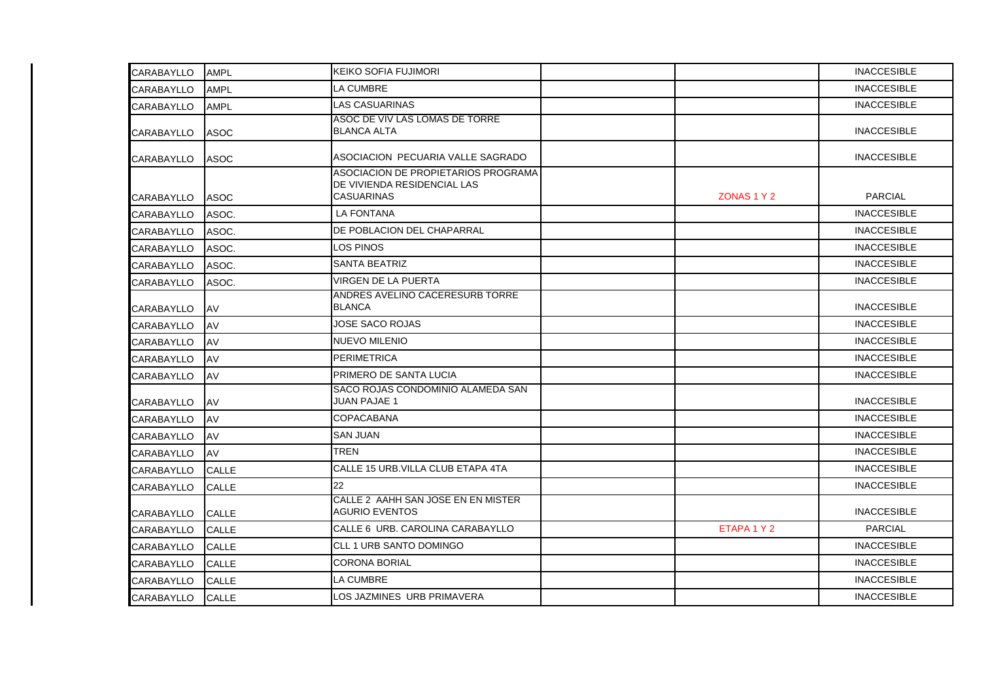| CARABAYLLO        | <b>AMPL</b>  | <b>KEIKO SOFIA FUJIMORI</b>                                                             |             | <b>INACCESIBLE</b> |
|-------------------|--------------|-----------------------------------------------------------------------------------------|-------------|--------------------|
| <b>CARABAYLLO</b> | <b>AMPL</b>  | LA CUMBRE                                                                               |             | <b>INACCESIBLE</b> |
| <b>CARABAYLLO</b> | <b>AMPL</b>  | <b>LAS CASUARINAS</b>                                                                   |             | <b>INACCESIBLE</b> |
| <b>CARABAYLLO</b> | <b>ASOC</b>  | ASOC DE VIV LAS LOMAS DE TORRE<br><b>BLANCA ALTA</b>                                    |             | <b>INACCESIBLE</b> |
| <b>CARABAYLLO</b> | <b>ASOC</b>  | ASOCIACION PECUARIA VALLE SAGRADO                                                       |             | <b>INACCESIBLE</b> |
| <b>CARABAYLLO</b> | <b>ASOC</b>  | ASOCIACION DE PROPIETARIOS PROGRAMA<br>DE VIVIENDA RESIDENCIAL LAS<br><b>CASUARINAS</b> | ZONAS 1 Y 2 | <b>PARCIAL</b>     |
| <b>CARABAYLLO</b> | ASOC.        | <b>LA FONTANA</b>                                                                       |             | <b>INACCESIBLE</b> |
| <b>CARABAYLLO</b> | ASOC.        | DE POBLACION DEL CHAPARRAL                                                              |             | <b>INACCESIBLE</b> |
| CARABAYLLO        | ASOC.        | LOS PINOS                                                                               |             | <b>INACCESIBLE</b> |
| <b>CARABAYLLO</b> | ASOC.        | <b>SANTA BEATRIZ</b>                                                                    |             | <b>INACCESIBLE</b> |
| <b>CARABAYLLO</b> | ASOC.        | VIRGEN DE LA PUERTA                                                                     |             | <b>INACCESIBLE</b> |
| <b>CARABAYLLO</b> | AV           | ANDRES AVELINO CACERESURB TORRE<br><b>BLANCA</b>                                        |             | <b>INACCESIBLE</b> |
| <b>CARABAYLLO</b> | AV           | <b>JOSE SACO ROJAS</b>                                                                  |             | <b>INACCESIBLE</b> |
| <b>CARABAYLLO</b> | AV           | <b>NUEVO MILENIO</b>                                                                    |             | <b>INACCESIBLE</b> |
| <b>CARABAYLLO</b> | AV           | <b>PERIMETRICA</b>                                                                      |             | <b>INACCESIBLE</b> |
| <b>CARABAYLLO</b> | AV           | PRIMERO DE SANTA LUCIA                                                                  |             | <b>INACCESIBLE</b> |
| <b>CARABAYLLO</b> | AV           | SACO ROJAS CONDOMINIO ALAMEDA SAN<br><b>JUAN PAJAE 1</b>                                |             | <b>INACCESIBLE</b> |
| <b>CARABAYLLO</b> | AV           | <b>COPACABANA</b>                                                                       |             | <b>INACCESIBLE</b> |
| <b>CARABAYLLO</b> | AV           | <b>SAN JUAN</b>                                                                         |             | <b>INACCESIBLE</b> |
| CARABAYLLO        | AV           | <b>TREN</b>                                                                             |             | <b>INACCESIBLE</b> |
| <b>CARABAYLLO</b> | <b>CALLE</b> | CALLE 15 URB.VILLA CLUB ETAPA 4TA                                                       |             | <b>INACCESIBLE</b> |
| <b>CARABAYLLO</b> | <b>CALLE</b> | 22                                                                                      |             | <b>INACCESIBLE</b> |
| CARABAYLLO        | <b>CALLE</b> | CALLE 2 AAHH SAN JOSE EN EN MISTER<br><b>AGURIO EVENTOS</b>                             |             | <b>INACCESIBLE</b> |
| <b>CARABAYLLO</b> | <b>CALLE</b> | CALLE 6 URB. CAROLINA CARABAYLLO                                                        | ETAPA 1 Y 2 | <b>PARCIAL</b>     |
| <b>CARABAYLLO</b> | <b>CALLE</b> | CLL 1 URB SANTO DOMINGO                                                                 |             | <b>INACCESIBLE</b> |
| <b>CARABAYLLO</b> | ICALLE       | <b>CORONA BORIAL</b>                                                                    |             | <b>INACCESIBLE</b> |
| <b>CARABAYLLO</b> | <b>CALLE</b> | LA CUMBRE                                                                               |             | <b>INACCESIBLE</b> |
| <b>CARABAYLLO</b> | <b>CALLE</b> | LOS JAZMINES URB PRIMAVERA                                                              |             | <b>INACCESIBLE</b> |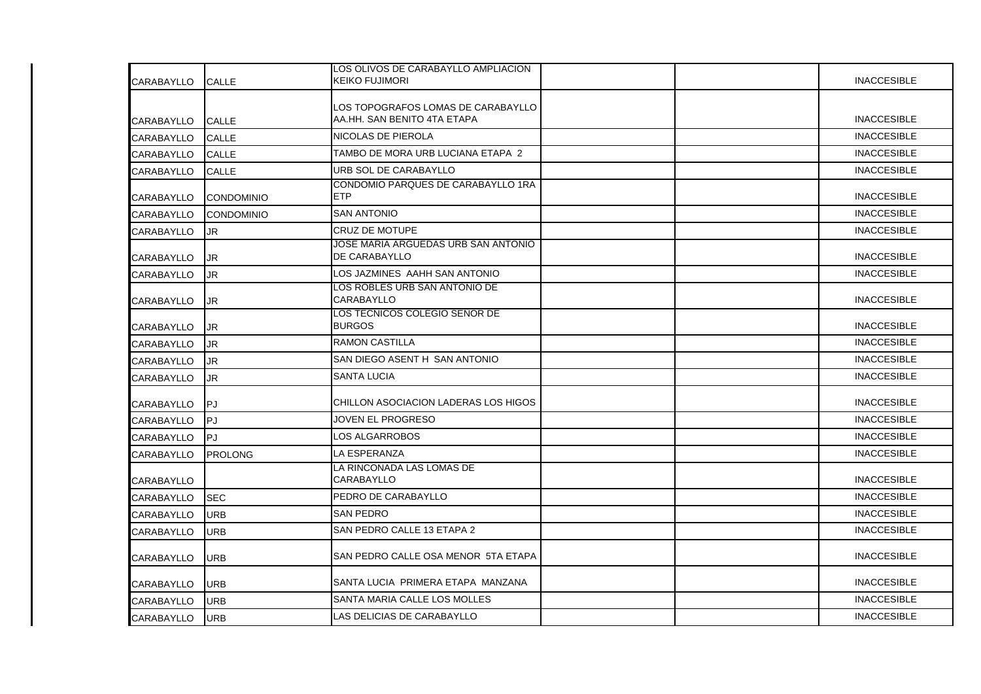| <b>CARABAYLLO</b> | <b>CALLE</b>      | LOS OLIVOS DE CARABAYLLO AMPLIACION<br><b>KEIKO FUJIMORI</b>      | <b>INACCESIBLE</b> |
|-------------------|-------------------|-------------------------------------------------------------------|--------------------|
|                   |                   |                                                                   |                    |
| CARABAYLLO        | CALLE             | LOS TOPOGRAFOS LOMAS DE CARABAYLLO<br>AA.HH. SAN BENITO 4TA ETAPA | <b>INACCESIBLE</b> |
| <b>CARABAYLLO</b> | CALLE             | NICOLAS DE PIEROLA                                                | <b>INACCESIBLE</b> |
| CARABAYLLO        | CALLE             | TAMBO DE MORA URB LUCIANA ETAPA 2                                 | <b>INACCESIBLE</b> |
| <b>CARABAYLLO</b> | <b>CALLE</b>      | URB SOL DE CARABAYLLO                                             | <b>INACCESIBLE</b> |
| <b>CARABAYLLO</b> | <b>CONDOMINIO</b> | CONDOMIO PARQUES DE CARABAYLLO 1RA<br><b>ETP</b>                  | <b>INACCESIBLE</b> |
| <b>CARABAYLLO</b> | <b>CONDOMINIO</b> | <b>SAN ANTONIO</b>                                                | <b>INACCESIBLE</b> |
| CARABAYLLO        | JR                | <b>CRUZ DE MOTUPE</b>                                             | <b>INACCESIBLE</b> |
| <b>CARABAYLLO</b> | JR                | JOSE MARIA ARGUEDAS URB SAN ANTONIO<br><b>DE CARABAYLLO</b>       | <b>INACCESIBLE</b> |
| CARABAYLLO        | <b>JR</b>         | LOS JAZMINES AAHH SAN ANTONIO                                     | <b>INACCESIBLE</b> |
| CARABAYLLO        | JR                | LOS ROBLES URB SAN ANTONIO DE<br>CARABAYLLO                       | <b>INACCESIBLE</b> |
| <b>CARABAYLLO</b> | JR.               | LOS TECNICOS COLEGIO SEÑOR DE<br><b>BURGOS</b>                    | <b>INACCESIBLE</b> |
| CARABAYLLO        | JR.               | <b>RAMON CASTILLA</b>                                             | <b>INACCESIBLE</b> |
| <b>CARABAYLLO</b> | JR.               | SAN DIEGO ASENT H SAN ANTONIO                                     | <b>INACCESIBLE</b> |
| <b>CARABAYLLO</b> | JR                | <b>SANTA LUCIA</b>                                                | <b>INACCESIBLE</b> |
| <b>CARABAYLLO</b> | PJ                | CHILLON ASOCIACION LADERAS LOS HIGOS                              | <b>INACCESIBLE</b> |
| <b>CARABAYLLO</b> | PJ                | JOVEN EL PROGRESO                                                 | <b>INACCESIBLE</b> |
| <b>CARABAYLLO</b> | lPJ.              | <b>LOS ALGARROBOS</b>                                             | <b>INACCESIBLE</b> |
| <b>CARABAYLLO</b> | <b>PROLONG</b>    | LA ESPERANZA                                                      | <b>INACCESIBLE</b> |
| <b>CARABAYLLO</b> |                   | LA RINCONADA LAS LOMAS DE<br><b>CARABAYLLO</b>                    | <b>INACCESIBLE</b> |
| <b>CARABAYLLO</b> | <b>SEC</b>        | PEDRO DE CARABAYLLO                                               | <b>INACCESIBLE</b> |
| CARABAYLLO        | <b>URB</b>        | <b>SAN PEDRO</b>                                                  | <b>INACCESIBLE</b> |
| <b>CARABAYLLO</b> | <b>URB</b>        | SAN PEDRO CALLE 13 ETAPA 2                                        | <b>INACCESIBLE</b> |
| <b>CARABAYLLO</b> | <b>URB</b>        | SAN PEDRO CALLE OSA MENOR 5TA ETAPA                               | <b>INACCESIBLE</b> |
| CARABAYLLO        | <b>URB</b>        | ISANTA LUCIA PRIMERA ETAPA MANZANA                                | <b>INACCESIBLE</b> |
| <b>CARABAYLLO</b> | <b>URB</b>        | <b>SANTA MARIA CALLE LOS MOLLES</b>                               | <b>INACCESIBLE</b> |
| <b>CARABAYLLO</b> | <b>URB</b>        | LAS DELICIAS DE CARABAYLLO                                        | <b>INACCESIBLE</b> |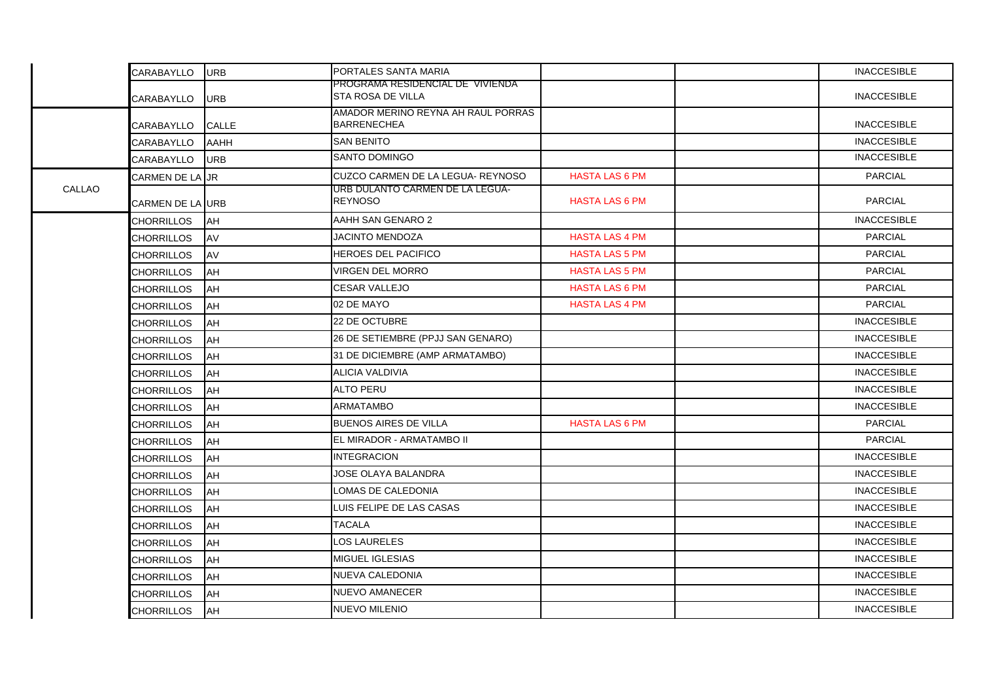|        | CARABAYLLO               | <b>URB</b>   | PORTALES SANTA MARIA                                         |                       | <b>INACCESIBLE</b> |
|--------|--------------------------|--------------|--------------------------------------------------------------|-----------------------|--------------------|
|        | CARABAYLLO               | <b>URB</b>   | PROGRAMA RESIDENCIAL DE VIVIENDA<br><b>STA ROSA DE VILLA</b> |                       | <b>INACCESIBLE</b> |
|        | CARABAYLLO               | <b>CALLE</b> | AMADOR MERINO REYNA AH RAUL PORRAS<br><b>BARRENECHEA</b>     |                       | <b>INACCESIBLE</b> |
|        | CARABAYLLO               | <b>AAHH</b>  | <b>SAN BENITO</b>                                            |                       | <b>INACCESIBLE</b> |
|        | CARABAYLLO               | <b>URB</b>   | <b>SANTO DOMINGO</b>                                         |                       | <b>INACCESIBLE</b> |
|        | <b>CARMEN DE LA UR</b>   |              | CUZCO CARMEN DE LA LEGUA- REYNOSO                            | <b>HASTA LAS 6 PM</b> | <b>PARCIAL</b>     |
| CALLAO | <b>CARMEN DE LA JURB</b> |              | URB DULANTO CARMEN DE LA LEGUA-<br><b>REYNOSO</b>            | <b>HASTA LAS 6 PM</b> | <b>PARCIAL</b>     |
|        | <b>CHORRILLOS</b>        | AH           | AAHH SAN GENARO 2                                            |                       | <b>INACCESIBLE</b> |
|        | <b>CHORRILLOS</b>        | AV           | <b>JACINTO MENDOZA</b>                                       | <b>HASTA LAS 4 PM</b> | <b>PARCIAL</b>     |
|        | <b>CHORRILLOS</b>        | AV           | <b>HEROES DEL PACIFICO</b>                                   | <b>HASTA LAS 5 PM</b> | <b>PARCIAL</b>     |
|        | <b>CHORRILLOS</b>        | AH           | <b>VIRGEN DEL MORRO</b>                                      | <b>HASTA LAS 5 PM</b> | <b>PARCIAL</b>     |
|        | <b>CHORRILLOS</b>        | AH           | <b>CESAR VALLEJO</b>                                         | <b>HASTA LAS 6 PM</b> | <b>PARCIAL</b>     |
|        | <b>CHORRILLOS</b>        | AH           | 02 DE MAYO                                                   | <b>HASTA LAS 4 PM</b> | <b>PARCIAL</b>     |
|        | <b>CHORRILLOS</b>        | AH           | 22 DE OCTUBRE                                                |                       | <b>INACCESIBLE</b> |
|        | CHORRILLOS               | AH           | 26 DE SETIEMBRE (PPJJ SAN GENARO)                            |                       | <b>INACCESIBLE</b> |
|        | <b>CHORRILLOS</b>        | AH           | 31 DE DICIEMBRE (AMP ARMATAMBO)                              |                       | <b>INACCESIBLE</b> |
|        | <b>CHORRILLOS</b>        | AH           | <b>ALICIA VALDIVIA</b>                                       |                       | <b>INACCESIBLE</b> |
|        | <b>CHORRILLOS</b>        | AH           | <b>ALTO PERU</b>                                             |                       | <b>INACCESIBLE</b> |
|        | <b>CHORRILLOS</b>        | AH           | <b>ARMATAMBO</b>                                             |                       | <b>INACCESIBLE</b> |
|        | <b>CHORRILLOS</b>        | lАН          | <b>BUENOS AIRES DE VILLA</b>                                 | <b>HASTA LAS 6 PM</b> | <b>PARCIAL</b>     |
|        | <b>CHORRILLOS</b>        | AH           | EL MIRADOR - ARMATAMBO II                                    |                       | <b>PARCIAL</b>     |
|        | CHORRILLOS               | AH           | <b>INTEGRACION</b>                                           |                       | <b>INACCESIBLE</b> |
|        | <b>CHORRILLOS</b>        | AH           | JOSE OLAYA BALANDRA                                          |                       | <b>INACCESIBLE</b> |
|        | <b>CHORRILLOS</b>        | AH           | LOMAS DE CALEDONIA                                           |                       | <b>INACCESIBLE</b> |
|        | <b>CHORRILLOS</b>        | AH           | LUIS FELIPE DE LAS CASAS                                     |                       | <b>INACCESIBLE</b> |
|        | <b>CHORRILLOS</b>        | AH           | TACALA                                                       |                       | <b>INACCESIBLE</b> |
|        | <b>CHORRILLOS</b>        | AH           | LOS LAURELES                                                 |                       | <b>INACCESIBLE</b> |
|        | <b>CHORRILLOS</b>        | lАН          | <b>MIGUEL IGLESIAS</b>                                       |                       | <b>INACCESIBLE</b> |
|        | <b>CHORRILLOS</b>        | AH           | <b>NUEVA CALEDONIA</b>                                       |                       | <b>INACCESIBLE</b> |
|        | <b>CHORRILLOS</b>        | AH           | <b>NUEVO AMANECER</b>                                        |                       | <b>INACCESIBLE</b> |
|        | <b>CHORRILLOS</b>        | AH           | <b>NUEVO MILENIO</b>                                         |                       | <b>INACCESIBLE</b> |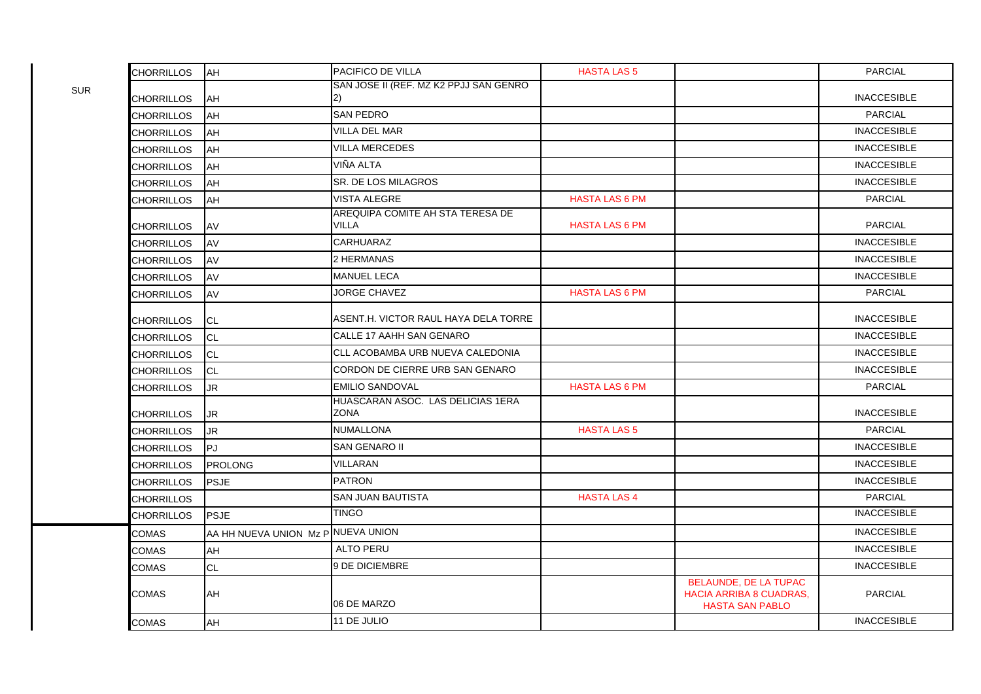| <b>CHORRILLOS</b> | AH                                 | PACIFICO DE VILLA                                | <b>HASTA LAS 5</b>    |                                                                                          | <b>PARCIAL</b>     |
|-------------------|------------------------------------|--------------------------------------------------|-----------------------|------------------------------------------------------------------------------------------|--------------------|
| <b>CHORRILLOS</b> | AH                                 | SAN JOSE II (REF. MZ K2 PPJJ SAN GENRO<br>2)     |                       |                                                                                          | <b>INACCESIBLE</b> |
| CHORRILLOS        | AH                                 | <b>SAN PEDRO</b>                                 |                       |                                                                                          | <b>PARCIAL</b>     |
| CHORRILLOS        | <b>AH</b>                          | <b>VILLA DEL MAR</b>                             |                       |                                                                                          | <b>INACCESIBLE</b> |
| <b>CHORRILLOS</b> | <b>AH</b>                          | <b>VILLA MERCEDES</b>                            |                       |                                                                                          | <b>INACCESIBLE</b> |
| CHORRILLOS        | AH                                 | VIÑA ALTA                                        |                       |                                                                                          | <b>INACCESIBLE</b> |
| <b>CHORRILLOS</b> | AH                                 | <b>SR. DE LOS MILAGROS</b>                       |                       |                                                                                          | <b>INACCESIBLE</b> |
| CHORRILLOS        | <b>AH</b>                          | VISTA ALEGRE                                     | <b>HASTA LAS 6 PM</b> |                                                                                          | <b>PARCIAL</b>     |
| CHORRILLOS        | AV                                 | AREQUIPA COMITE AH STA TERESA DE<br><b>VILLA</b> | <b>HASTA LAS 6 PM</b> |                                                                                          | <b>PARCIAL</b>     |
| <b>CHORRILLOS</b> | AV                                 | <b>CARHUARAZ</b>                                 |                       |                                                                                          | <b>INACCESIBLE</b> |
| <b>CHORRILLOS</b> | AV                                 | 2 HERMANAS                                       |                       |                                                                                          | <b>INACCESIBLE</b> |
| <b>CHORRILLOS</b> | AV                                 | <b>MANUEL LECA</b>                               |                       |                                                                                          | <b>INACCESIBLE</b> |
| <b>CHORRILLOS</b> | AV                                 | JORGE CHAVEZ                                     | <b>HASTA LAS 6 PM</b> |                                                                                          | <b>PARCIAL</b>     |
| <b>CHORRILLOS</b> | CL.                                | ASENT.H. VICTOR RAUL HAYA DELA TORRE             |                       |                                                                                          | <b>INACCESIBLE</b> |
| CHORRILLOS        | <b>CL</b>                          | CALLE 17 AAHH SAN GENARO                         |                       |                                                                                          | <b>INACCESIBLE</b> |
| <b>CHORRILLOS</b> | <b>CL</b>                          | CLL ACOBAMBA URB NUEVA CALEDONIA                 |                       |                                                                                          | <b>INACCESIBLE</b> |
| <b>CHORRILLOS</b> | <b>CL</b>                          | CORDON DE CIERRE URB SAN GENARO                  |                       |                                                                                          | <b>INACCESIBLE</b> |
| CHORRILLOS        | JR.                                | <b>EMILIO SANDOVAL</b>                           | <b>HASTA LAS 6 PM</b> |                                                                                          | <b>PARCIAL</b>     |
| <b>CHORRILLOS</b> | JR                                 | HUASCARAN ASOC. LAS DELICIAS 1ERA<br><b>ZONA</b> |                       |                                                                                          | <b>INACCESIBLE</b> |
| CHORRILLOS        | JR.                                | <b>NUMALLONA</b>                                 | <b>HASTA LAS 5</b>    |                                                                                          | <b>PARCIAL</b>     |
| <b>CHORRILLOS</b> | lPJ.                               | <b>SAN GENARO II</b>                             |                       |                                                                                          | <b>INACCESIBLE</b> |
| CHORRILLOS        | <b>PROLONG</b>                     | VILLARAN                                         |                       |                                                                                          | <b>INACCESIBLE</b> |
| <b>CHORRILLOS</b> | <b>PSJE</b>                        | <b>PATRON</b>                                    |                       |                                                                                          | <b>INACCESIBLE</b> |
| <b>CHORRILLOS</b> |                                    | <b>SAN JUAN BAUTISTA</b>                         | <b>HASTA LAS 4</b>    |                                                                                          | <b>PARCIAL</b>     |
| <b>CHORRILLOS</b> | PSJE                               | <b>TINGO</b>                                     |                       |                                                                                          | <b>INACCESIBLE</b> |
| COMAS             | AA HH NUEVA UNION Mz PINUEVA UNION |                                                  |                       |                                                                                          | <b>INACCESIBLE</b> |
| COMAS             | AH                                 | <b>ALTO PERU</b>                                 |                       |                                                                                          | <b>INACCESIBLE</b> |
| COMAS             | <b>CL</b>                          | 9 DE DICIEMBRE                                   |                       |                                                                                          | <b>INACCESIBLE</b> |
| <b>COMAS</b>      | AH                                 | 06 DE MARZO                                      |                       | <b>BELAUNDE, DE LA TUPAC</b><br><b>HACIA ARRIBA 8 CUADRAS,</b><br><b>HASTA SAN PABLO</b> | <b>PARCIAL</b>     |
| <b>COMAS</b>      | AH                                 | 11 DE JULIO                                      |                       |                                                                                          | <b>INACCESIBLE</b> |

SUR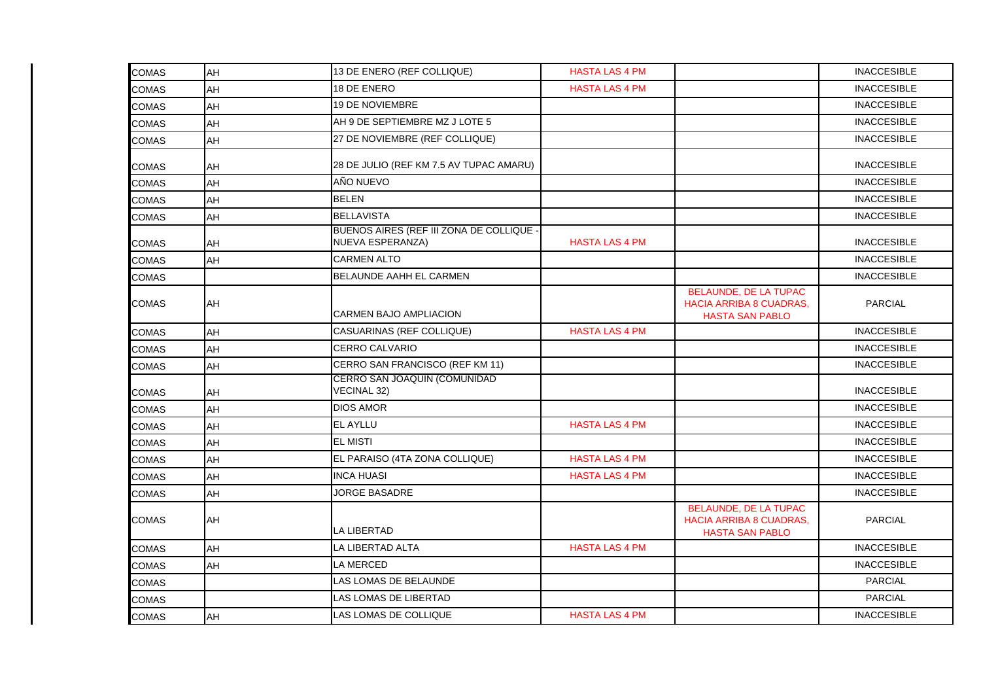| <b>COMAS</b> | AH | 13 DE ENERO (REF COLLIQUE)                                   | <b>HASTA LAS 4 PM</b> |                                                                                          | <b>INACCESIBLE</b> |
|--------------|----|--------------------------------------------------------------|-----------------------|------------------------------------------------------------------------------------------|--------------------|
| <b>COMAS</b> | AH | 18 DE ENERO                                                  | <b>HASTA LAS 4 PM</b> |                                                                                          | <b>INACCESIBLE</b> |
| <b>COMAS</b> | AH | <b>19 DE NOVIEMBRE</b>                                       |                       |                                                                                          | <b>INACCESIBLE</b> |
| <b>COMAS</b> | AH | AH 9 DE SEPTIEMBRE MZ J LOTE 5                               |                       |                                                                                          | <b>INACCESIBLE</b> |
| <b>COMAS</b> | AH | 27 DE NOVIEMBRE (REF COLLIQUE)                               |                       |                                                                                          | <b>INACCESIBLE</b> |
| <b>COMAS</b> | AH | 28 DE JULIO (REF KM 7.5 AV TUPAC AMARU)                      |                       |                                                                                          | <b>INACCESIBLE</b> |
| <b>COMAS</b> | AH | AÑO NUEVO                                                    |                       |                                                                                          | <b>INACCESIBLE</b> |
| <b>COMAS</b> | AH | <b>BELEN</b>                                                 |                       |                                                                                          | <b>INACCESIBLE</b> |
| <b>COMAS</b> | AH | <b>BELLAVISTA</b>                                            |                       |                                                                                          | <b>INACCESIBLE</b> |
| <b>COMAS</b> | AH | BUENOS AIRES (REF III ZONA DE COLLIQUE -<br>NUEVA ESPERANZA) | <b>HASTA LAS 4 PM</b> |                                                                                          | <b>INACCESIBLE</b> |
| <b>COMAS</b> | AH | <b>CARMEN ALTO</b>                                           |                       |                                                                                          | <b>INACCESIBLE</b> |
| <b>COMAS</b> |    | <b>BELAUNDE AAHH EL CARMEN</b>                               |                       |                                                                                          | <b>INACCESIBLE</b> |
| <b>COMAS</b> | AH | <b>CARMEN BAJO AMPLIACION</b>                                |                       | <b>BELAUNDE, DE LA TUPAC</b><br>HACIA ARRIBA 8 CUADRAS,<br><b>HASTA SAN PABLO</b>        | <b>PARCIAL</b>     |
| <b>COMAS</b> | AH | CASUARINAS (REF COLLIQUE)                                    | <b>HASTA LAS 4 PM</b> |                                                                                          | <b>INACCESIBLE</b> |
| <b>COMAS</b> | AH | <b>CERRO CALVARIO</b>                                        |                       |                                                                                          | <b>INACCESIBLE</b> |
| <b>COMAS</b> | AH | CERRO SAN FRANCISCO (REF KM 11)                              |                       |                                                                                          | <b>INACCESIBLE</b> |
| <b>COMAS</b> | AH | CERRO SAN JOAQUIN (COMUNIDAD<br><b>VECINAL 32)</b>           |                       |                                                                                          | <b>INACCESIBLE</b> |
| <b>COMAS</b> | AH | <b>DIOS AMOR</b>                                             |                       |                                                                                          | <b>INACCESIBLE</b> |
| <b>COMAS</b> | AH | <b>EL AYLLU</b>                                              | <b>HASTA LAS 4 PM</b> |                                                                                          | <b>INACCESIBLE</b> |
| <b>COMAS</b> | AH | <b>EL MISTI</b>                                              |                       |                                                                                          | <b>INACCESIBLE</b> |
| <b>COMAS</b> | AH | EL PARAISO (4TA ZONA COLLIQUE)                               | <b>HASTA LAS 4 PM</b> |                                                                                          | <b>INACCESIBLE</b> |
| <b>COMAS</b> | AH | <b>INCA HUASI</b>                                            | <b>HASTA LAS 4 PM</b> |                                                                                          | <b>INACCESIBLE</b> |
| <b>COMAS</b> | AH | <b>JORGE BASADRE</b>                                         |                       |                                                                                          | <b>INACCESIBLE</b> |
| <b>COMAS</b> | AH | <b>LA LIBERTAD</b>                                           |                       | <b>BELAUNDE, DE LA TUPAC</b><br><b>HACIA ARRIBA 8 CUADRAS,</b><br><b>HASTA SAN PABLO</b> | <b>PARCIAL</b>     |
| <b>COMAS</b> | AH | LA LIBERTAD ALTA                                             | <b>HASTA LAS 4 PM</b> |                                                                                          | <b>INACCESIBLE</b> |
| <b>COMAS</b> | AH | <b>LA MERCED</b>                                             |                       |                                                                                          | <b>INACCESIBLE</b> |
| <b>COMAS</b> |    | LAS LOMAS DE BELAUNDE                                        |                       |                                                                                          | <b>PARCIAL</b>     |
| <b>COMAS</b> |    | LAS LOMAS DE LIBERTAD                                        |                       |                                                                                          | <b>PARCIAL</b>     |
| <b>COMAS</b> | AH | LAS LOMAS DE COLLIQUE                                        | <b>HASTA LAS 4 PM</b> |                                                                                          | <b>INACCESIBLE</b> |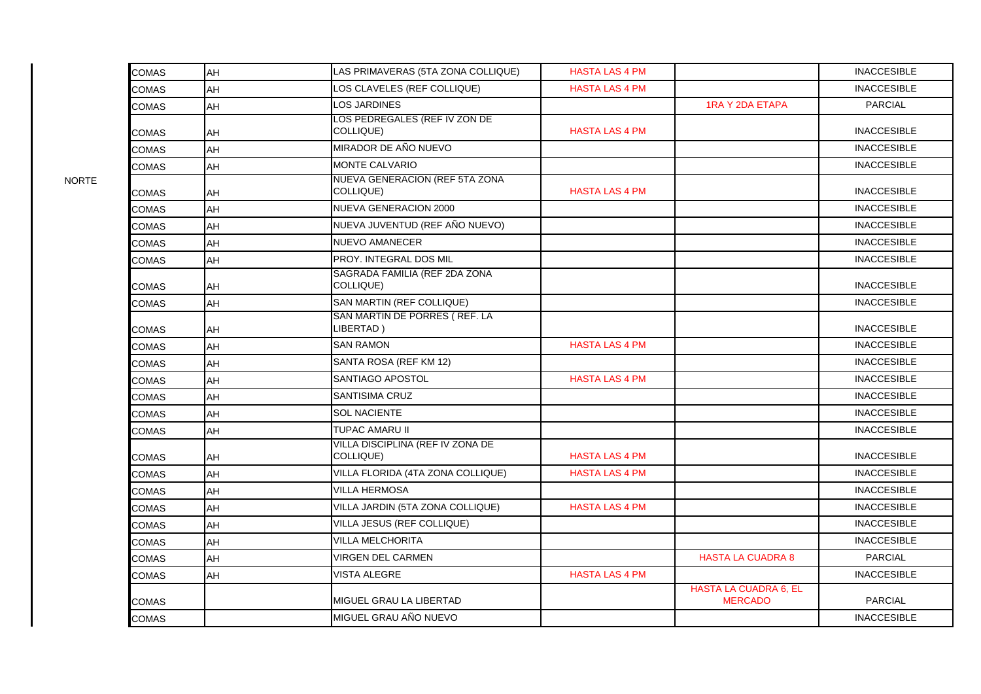| <b>COMAS</b> | <b>AH</b> | LAS PRIMAVERAS (5TA ZONA COLLIQUE)            | <b>HASTA LAS 4 PM</b> |                                                | <b>INACCESIBLE</b> |
|--------------|-----------|-----------------------------------------------|-----------------------|------------------------------------------------|--------------------|
| COMAS        | AH        | LOS CLAVELES (REF COLLIQUE)                   | <b>HASTA LAS 4 PM</b> |                                                | <b>INACCESIBLE</b> |
| <b>COMAS</b> | <b>AH</b> | <b>LOS JARDINES</b>                           |                       | <b>1RA Y 2DA ETAPA</b>                         | <b>PARCIAL</b>     |
| <b>COMAS</b> | AH        | LOS PEDREGALES (REF IV ZON DE<br>COLLIQUE)    | <b>HASTA LAS 4 PM</b> |                                                | <b>INACCESIBLE</b> |
| COMAS        | AH        | MIRADOR DE AÑO NUEVO                          |                       |                                                | <b>INACCESIBLE</b> |
| COMAS        | <b>AH</b> | <b>MONTE CALVARIO</b>                         |                       |                                                | <b>INACCESIBLE</b> |
| COMAS        | AH        | NUEVA GENERACION (REF 5TA ZONA<br>COLLIQUE)   | <b>HASTA LAS 4 PM</b> |                                                | <b>INACCESIBLE</b> |
| COMAS        | AH        | <b>NUEVA GENERACION 2000</b>                  |                       |                                                | <b>INACCESIBLE</b> |
| COMAS        | AH        | NUEVA JUVENTUD (REF AÑO NUEVO)                |                       |                                                | <b>INACCESIBLE</b> |
| <b>COMAS</b> | AH        | <b>NUEVO AMANECER</b>                         |                       |                                                | <b>INACCESIBLE</b> |
| <b>COMAS</b> | <b>AH</b> | PROY. INTEGRAL DOS MIL                        |                       |                                                | <b>INACCESIBLE</b> |
| COMAS        | AH        | SAGRADA FAMILIA (REF 2DA ZONA<br>COLLIQUE)    |                       |                                                | <b>INACCESIBLE</b> |
| <b>COMAS</b> | <b>AH</b> | SAN MARTIN (REF COLLIQUE)                     |                       |                                                | <b>INACCESIBLE</b> |
| <b>COMAS</b> | AH        | SAN MARTIN DE PORRES (REF. LA<br>LIBERTAD)    |                       |                                                | <b>INACCESIBLE</b> |
| COMAS        | AH        | <b>SAN RAMON</b>                              | <b>HASTA LAS 4 PM</b> |                                                | <b>INACCESIBLE</b> |
| COMAS        | AH        | SANTA ROSA (REF KM 12)                        |                       |                                                | <b>INACCESIBLE</b> |
| COMAS        | lАН       | SANTIAGO APOSTOL                              | <b>HASTA LAS 4 PM</b> |                                                | <b>INACCESIBLE</b> |
| COMAS        | <b>AH</b> | <b>SANTISIMA CRUZ</b>                         |                       |                                                | <b>INACCESIBLE</b> |
| COMAS        | AH        | <b>SOL NACIENTE</b>                           |                       |                                                | <b>INACCESIBLE</b> |
| COMAS        | AH        | TUPAC AMARU II                                |                       |                                                | <b>INACCESIBLE</b> |
| COMAS        | AH        | VILLA DISCIPLINA (REF IV ZONA DE<br>COLLIQUE) | <b>HASTA LAS 4 PM</b> |                                                | <b>INACCESIBLE</b> |
| <b>COMAS</b> | AH        | VILLA FLORIDA (4TA ZONA COLLIQUE)             | <b>HASTA LAS 4 PM</b> |                                                | <b>INACCESIBLE</b> |
| COMAS        | <b>AH</b> | <b>VILLA HERMOSA</b>                          |                       |                                                | <b>INACCESIBLE</b> |
| <b>COMAS</b> | <b>AH</b> | VILLA JARDIN (5TA ZONA COLLIQUE)              | <b>HASTA LAS 4 PM</b> |                                                | <b>INACCESIBLE</b> |
| <b>COMAS</b> | <b>AH</b> | VILLA JESUS (REF COLLIQUE)                    |                       |                                                | <b>INACCESIBLE</b> |
| <b>COMAS</b> | AH        | <b>VILLA MELCHORITA</b>                       |                       |                                                | <b>INACCESIBLE</b> |
| COMAS        | AH        | <b>VIRGEN DEL CARMEN</b>                      |                       | <b>HASTA LA CUADRA 8</b>                       | <b>PARCIAL</b>     |
| COMAS        | AH        | <b>VISTA ALEGRE</b>                           | <b>HASTA LAS 4 PM</b> |                                                | <b>INACCESIBLE</b> |
| COMAS        |           | MIGUEL GRAU LA LIBERTAD                       |                       | <b>HASTA LA CUADRA 6, EL</b><br><b>MERCADO</b> | PARCIAL            |
| COMAS        |           | MIGUEL GRAU AÑO NUEVO                         |                       |                                                | <b>INACCESIBLE</b> |

NORTE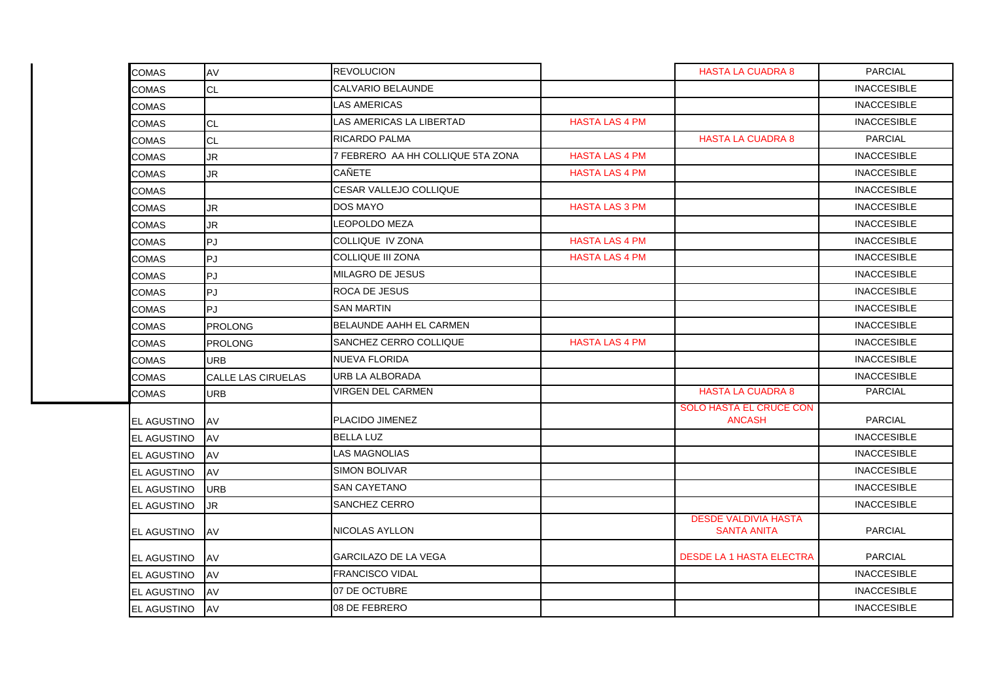| <b>COMAS</b>       | AV                        | <b>REVOLUCION</b>                 |                       | <b>HASTA LA CUADRA 8</b>                          | <b>PARCIAL</b>     |
|--------------------|---------------------------|-----------------------------------|-----------------------|---------------------------------------------------|--------------------|
| <b>COMAS</b>       | <b>CL</b>                 | <b>CALVARIO BELAUNDE</b>          |                       |                                                   | <b>INACCESIBLE</b> |
| COMAS              |                           | <b>LAS AMERICAS</b>               |                       |                                                   | <b>INACCESIBLE</b> |
| <b>COMAS</b>       | <b>CL</b>                 | LAS AMERICAS LA LIBERTAD          | <b>HASTA LAS 4 PM</b> |                                                   | <b>INACCESIBLE</b> |
| COMAS              | <b>CL</b>                 | <b>RICARDO PALMA</b>              |                       | <b>HASTA LA CUADRA 8</b>                          | <b>PARCIAL</b>     |
| <b>COMAS</b>       | <b>JR</b>                 | 7 FEBRERO AA HH COLLIQUE 5TA ZONA | <b>HASTA LAS 4 PM</b> |                                                   | <b>INACCESIBLE</b> |
| COMAS              | JR.                       | <b>CAÑETE</b>                     | <b>HASTA LAS 4 PM</b> |                                                   | <b>INACCESIBLE</b> |
| COMAS              |                           | CESAR VALLEJO COLLIQUE            |                       |                                                   | <b>INACCESIBLE</b> |
| COMAS              | JR                        | <b>DOS MAYO</b>                   | <b>HASTA LAS 3 PM</b> |                                                   | <b>INACCESIBLE</b> |
| COMAS              | JR.                       | <b>LEOPOLDO MEZA</b>              |                       |                                                   | <b>INACCESIBLE</b> |
| COMAS              | PJ                        | COLLIQUE IV ZONA                  | <b>HASTA LAS 4 PM</b> |                                                   | <b>INACCESIBLE</b> |
| COMAS              | PJ                        | COLLIQUE III ZONA                 | <b>HASTA LAS 4 PM</b> |                                                   | <b>INACCESIBLE</b> |
| COMAS              | PJ                        | <b>MILAGRO DE JESUS</b>           |                       |                                                   | <b>INACCESIBLE</b> |
| COMAS              | PJ                        | <b>ROCA DE JESUS</b>              |                       |                                                   | <b>INACCESIBLE</b> |
| COMAS              | PJ                        | <b>SAN MARTIN</b>                 |                       |                                                   | <b>INACCESIBLE</b> |
| <b>COMAS</b>       | <b>PROLONG</b>            | <b>BELAUNDE AAHH EL CARMEN</b>    |                       |                                                   | <b>INACCESIBLE</b> |
| COMAS              | <b>PROLONG</b>            | SANCHEZ CERRO COLLIQUE            | <b>HASTA LAS 4 PM</b> |                                                   | <b>INACCESIBLE</b> |
| COMAS              | <b>URB</b>                | <b>NUEVA FLORIDA</b>              |                       |                                                   | <b>INACCESIBLE</b> |
| COMAS              | <b>CALLE LAS CIRUELAS</b> | <b>URB LA ALBORADA</b>            |                       |                                                   | <b>INACCESIBLE</b> |
| <b>COMAS</b>       | <b>URB</b>                | <b>VIRGEN DEL CARMEN</b>          |                       | <b>HASTA LA CUADRA 8</b>                          | <b>PARCIAL</b>     |
| EL AGUSTINO        | AV                        | PLACIDO JIMENEZ                   |                       | <b>SOLO HASTA EL CRUCE CON</b><br><b>ANCASH</b>   | <b>PARCIAL</b>     |
| EL AGUSTINO        | AV                        | <b>BELLA LUZ</b>                  |                       |                                                   | <b>INACCESIBLE</b> |
| EL AGUSTINO        | AV                        | <b>LAS MAGNOLIAS</b>              |                       |                                                   | <b>INACCESIBLE</b> |
| EL AGUSTINO        | AV                        | <b>SIMON BOLIVAR</b>              |                       |                                                   | <b>INACCESIBLE</b> |
| EL AGUSTINO        | <b>URB</b>                | <b>SAN CAYETANO</b>               |                       |                                                   | <b>INACCESIBLE</b> |
| EL AGUSTINO        | <b>JR</b>                 | <b>SANCHEZ CERRO</b>              |                       |                                                   | <b>INACCESIBLE</b> |
| EL AGUSTINO        | AV                        | NICOLAS AYLLON                    |                       | <b>DESDE VALDIVIA HASTA</b><br><b>SANTA ANITA</b> | <b>PARCIAL</b>     |
| EL AGUSTINO        | AV                        | <b>GARCILAZO DE LA VEGA</b>       |                       | <b>DESDE LA 1 HASTA ELECTRA</b>                   | <b>PARCIAL</b>     |
| EL AGUSTINO        | AV                        | <b>FRANCISCO VIDAL</b>            |                       |                                                   | <b>INACCESIBLE</b> |
| EL AGUSTINO        | AV                        | 07 DE OCTUBRE                     |                       |                                                   | <b>INACCESIBLE</b> |
| <b>EL AGUSTINO</b> | AV                        | 08 DE FEBRERO                     |                       |                                                   | <b>INACCESIBLE</b> |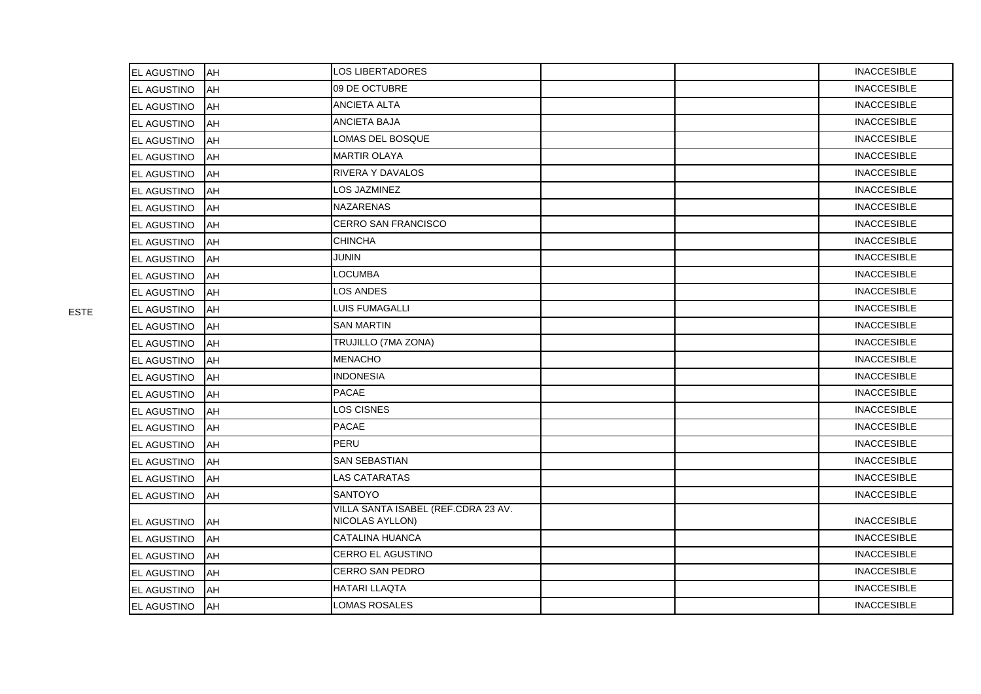| <b>EL AGUSTINO</b> | AH | <b>LOS LIBERTADORES</b>                                |  | <b>INACCESIBLE</b> |
|--------------------|----|--------------------------------------------------------|--|--------------------|
| EL AGUSTINO        | AH | 09 DE OCTUBRE                                          |  | <b>INACCESIBLE</b> |
| EL AGUSTINO        | AH | <b>ANCIETA ALTA</b>                                    |  | <b>INACCESIBLE</b> |
| EL AGUSTINO        | AH | <b>ANCIETA BAJA</b>                                    |  | <b>INACCESIBLE</b> |
| EL AGUSTINO        | AH | LOMAS DEL BOSQUE                                       |  | <b>INACCESIBLE</b> |
| EL AGUSTINO        | AH | <b>MARTIR OLAYA</b>                                    |  | <b>INACCESIBLE</b> |
| EL AGUSTINO        | AH | <b>RIVERA Y DAVALOS</b>                                |  | <b>INACCESIBLE</b> |
| EL AGUSTINO        | AH | LOS JAZMINEZ                                           |  | <b>INACCESIBLE</b> |
| EL AGUSTINO        | AH | <b>NAZARENAS</b>                                       |  | <b>INACCESIBLE</b> |
| EL AGUSTINO        | AH | <b>CERRO SAN FRANCISCO</b>                             |  | <b>INACCESIBLE</b> |
| EL AGUSTINO        | AH | <b>CHINCHA</b>                                         |  | <b>INACCESIBLE</b> |
| EL AGUSTINO        | AH | JUNIN                                                  |  | <b>INACCESIBLE</b> |
| EL AGUSTINO        | AH | <b>LOCUMBA</b>                                         |  | <b>INACCESIBLE</b> |
| EL AGUSTINO        | AH | LOS ANDES                                              |  | <b>INACCESIBLE</b> |
| EL AGUSTINO        | AH | LUIS FUMAGALLI                                         |  | <b>INACCESIBLE</b> |
| EL AGUSTINO        | AH | <b>SAN MARTIN</b>                                      |  | <b>INACCESIBLE</b> |
| <b>EL AGUSTINO</b> | AH | TRUJILLO (7MA ZONA)                                    |  | <b>INACCESIBLE</b> |
| EL AGUSTINO        | AH | <b>MENACHO</b>                                         |  | <b>INACCESIBLE</b> |
| EL AGUSTINO        | AH | <b>INDONESIA</b>                                       |  | <b>INACCESIBLE</b> |
| EL AGUSTINO        | AH | <b>PACAE</b>                                           |  | <b>INACCESIBLE</b> |
| EL AGUSTINO        | AH | LOS CISNES                                             |  | <b>INACCESIBLE</b> |
| EL AGUSTINO        | AH | <b>PACAE</b>                                           |  | <b>INACCESIBLE</b> |
| EL AGUSTINO        | AH | PERU                                                   |  | <b>INACCESIBLE</b> |
| EL AGUSTINO        | AH | <b>SAN SEBASTIAN</b>                                   |  | <b>INACCESIBLE</b> |
| EL AGUSTINO        | AH | <b>LAS CATARATAS</b>                                   |  | <b>INACCESIBLE</b> |
| EL AGUSTINO        | AH | <b>SANTOYO</b>                                         |  | <b>INACCESIBLE</b> |
| EL AGUSTINO        | AH | VILLA SANTA ISABEL (REF.CDRA 23 AV.<br>NICOLAS AYLLON) |  | <b>INACCESIBLE</b> |
| EL AGUSTINO        | AH | CATALINA HUANCA                                        |  | <b>INACCESIBLE</b> |
| EL AGUSTINO        | AH | <b>CERRO EL AGUSTINO</b>                               |  | <b>INACCESIBLE</b> |
| EL AGUSTINO        | AH | <b>CERRO SAN PEDRO</b>                                 |  | <b>INACCESIBLE</b> |
| EL AGUSTINO        | AH | <b>HATARI LLAQTA</b>                                   |  | <b>INACCESIBLE</b> |
| EL AGUSTINO        | AH | LOMAS ROSALES                                          |  | <b>INACCESIBLE</b> |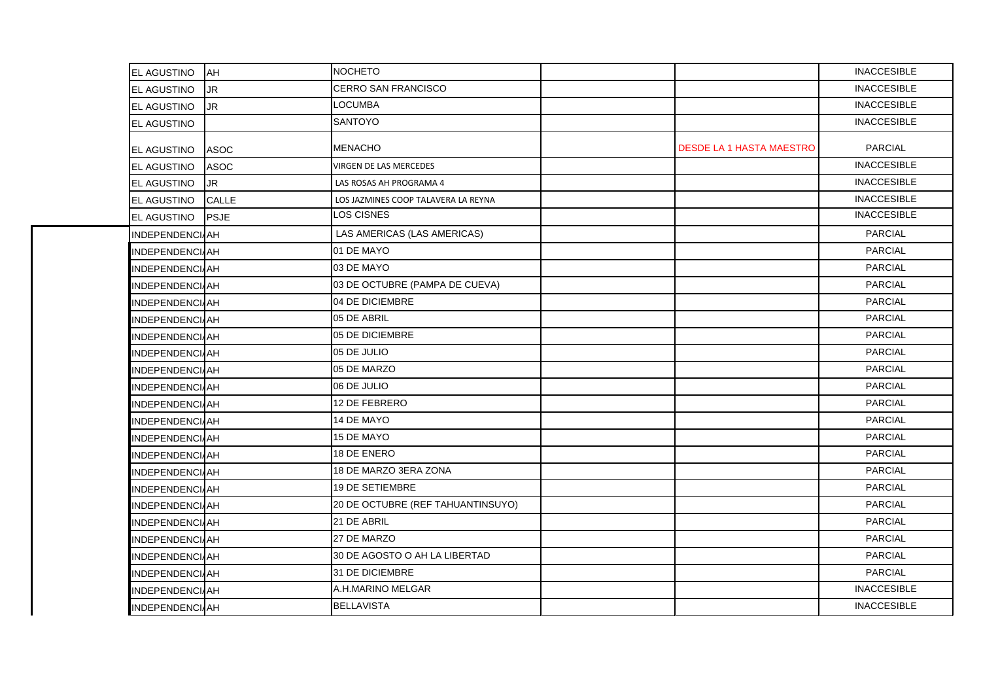| EL AGUSTINO           | <b>AH</b>   | <b>NOCHETO</b>                      |                                 | <b>INACCESIBLE</b> |
|-----------------------|-------------|-------------------------------------|---------------------------------|--------------------|
| EL AGUSTINO           | JR          | CERRO SAN FRANCISCO                 |                                 | <b>INACCESIBLE</b> |
| EL AGUSTINO           | <b>JR</b>   | <b>LOCUMBA</b>                      |                                 | <b>INACCESIBLE</b> |
| EL AGUSTINO           |             | <b>SANTOYO</b>                      |                                 | <b>INACCESIBLE</b> |
| EL AGUSTINO           | ASOC        | <b>MENACHO</b>                      | <b>DESDE LA 1 HASTA MAESTRO</b> | <b>PARCIAL</b>     |
| <b>EL AGUSTINO</b>    | <b>ASOC</b> | VIRGEN DE LAS MERCEDES              |                                 | <b>INACCESIBLE</b> |
| EL AGUSTINO           | JR          | LAS ROSAS AH PROGRAMA 4             |                                 | <b>INACCESIBLE</b> |
| EL AGUSTINO           | CALLE       | LOS JAZMINES COOP TALAVERA LA REYNA |                                 | <b>INACCESIBLE</b> |
| EL AGUSTINO           | <b>PSJE</b> | LOS CISNES                          |                                 | <b>INACCESIBLE</b> |
| INDEPENDENCIAH        |             | LAS AMERICAS (LAS AMERICAS)         |                                 | <b>PARCIAL</b>     |
| INDEPENDENCIAH        |             | 01 DE MAYO                          |                                 | <b>PARCIAL</b>     |
| <b>INDEPENDENCIAH</b> |             | 03 DE MAYO                          |                                 | <b>PARCIAL</b>     |
| <b>INDEPENDENCIAH</b> |             | 03 DE OCTUBRE (PAMPA DE CUEVA)      |                                 | <b>PARCIAL</b>     |
| INDEPENDENCIAH        |             | 04 DE DICIEMBRE                     |                                 | <b>PARCIAL</b>     |
| <b>INDEPENDENCIAH</b> |             | 05 DE ABRIL                         |                                 | <b>PARCIAL</b>     |
| <b>INDEPENDENCIAH</b> |             | 05 DE DICIEMBRE                     |                                 | <b>PARCIAL</b>     |
| <b>INDEPENDENCIAH</b> |             | 05 DE JULIO                         |                                 | <b>PARCIAL</b>     |
| <b>INDEPENDENCIAH</b> |             | 05 DE MARZO                         |                                 | <b>PARCIAL</b>     |
| INDEPENDENCIAH        |             | 06 DE JULIO                         |                                 | <b>PARCIAL</b>     |
| <b>INDEPENDENCIAH</b> |             | 12 DE FEBRERO                       |                                 | <b>PARCIAL</b>     |
| <b>INDEPENDENCIAH</b> |             | 14 DE MAYO                          |                                 | <b>PARCIAL</b>     |
| <b>INDEPENDENCIAH</b> |             | 15 DE MAYO                          |                                 | <b>PARCIAL</b>     |
| INDEPENDENCIAH        |             | 18 DE ENERO                         |                                 | <b>PARCIAL</b>     |
| <b>INDEPENDENCIAH</b> |             | 18 DE MARZO 3ERA ZONA               |                                 | <b>PARCIAL</b>     |
| <b>INDEPENDENCIAH</b> |             | <b>19 DE SETIEMBRE</b>              |                                 | <b>PARCIAL</b>     |
| <b>INDEPENDENCIAH</b> |             | 20 DE OCTUBRE (REF TAHUANTINSUYO)   |                                 | <b>PARCIAL</b>     |
| <b>INDEPENDENCIAH</b> |             | 21 DE ABRIL                         |                                 | <b>PARCIAL</b>     |
| <b>INDEPENDENCIAH</b> |             | 27 DE MARZO                         |                                 | <b>PARCIAL</b>     |
| <b>INDEPENDENCIAH</b> |             | 30 DE AGOSTO O AH LA LIBERTAD       |                                 | <b>PARCIAL</b>     |
| INDEPENDENCIAH        |             | 31 DE DICIEMBRE                     |                                 | <b>PARCIAL</b>     |
| INDEPENDENCIAH        |             | A.H.MARINO MELGAR                   |                                 | <b>INACCESIBLE</b> |
| INDEPENDENCIAH        |             | <b>BELLAVISTA</b>                   |                                 | <b>INACCESIBLE</b> |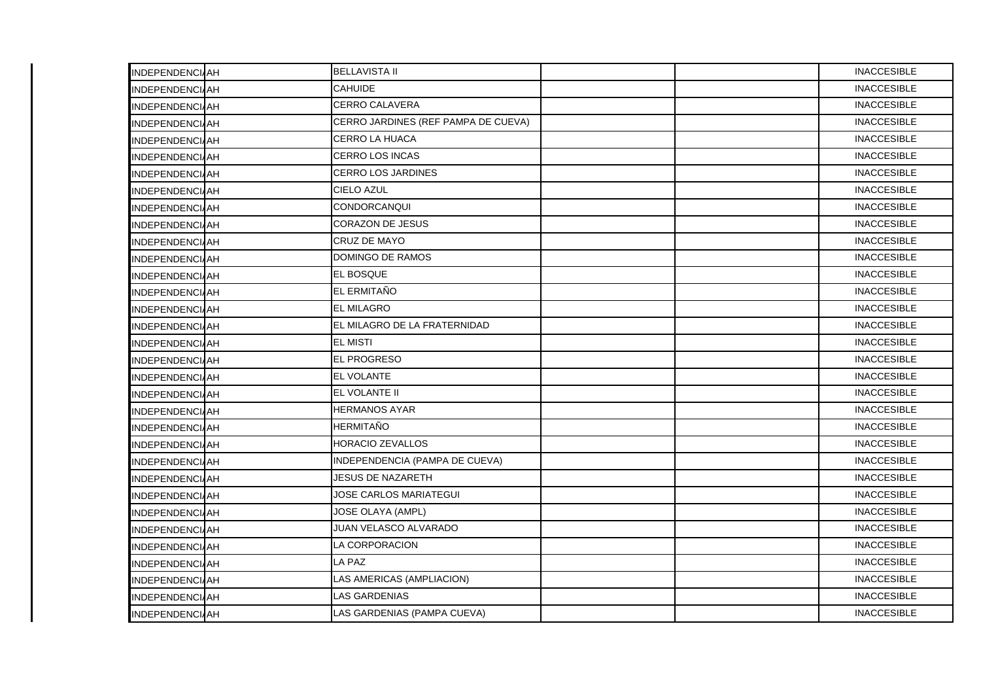| <b>INDEPENDENCIAH</b> | <b>BELLAVISTA II</b>                |  | <b>INACCESIBLE</b> |
|-----------------------|-------------------------------------|--|--------------------|
| INDEPENDENCIAH        | <b>CAHUIDE</b>                      |  | <b>INACCESIBLE</b> |
| <b>INDEPENDENCIAH</b> | <b>CERRO CALAVERA</b>               |  | <b>INACCESIBLE</b> |
| <b>INDEPENDENCIAH</b> | CERRO JARDINES (REF PAMPA DE CUEVA) |  | <b>INACCESIBLE</b> |
| INDEPENDENCIAH        | <b>CERRO LA HUACA</b>               |  | <b>INACCESIBLE</b> |
| <b>INDEPENDENCIAH</b> | <b>CERRO LOS INCAS</b>              |  | <b>INACCESIBLE</b> |
| <b>INDEPENDENCIAH</b> | <b>CERRO LOS JARDINES</b>           |  | <b>INACCESIBLE</b> |
| <b>INDEPENDENCIAH</b> | <b>CIELO AZUL</b>                   |  | <b>INACCESIBLE</b> |
| <b>INDEPENDENCIAH</b> | CONDORCANQUI                        |  | <b>INACCESIBLE</b> |
| <b>INDEPENDENCIAH</b> | <b>CORAZON DE JESUS</b>             |  | <b>INACCESIBLE</b> |
| <b>INDEPENDENCIAH</b> | <b>CRUZ DE MAYO</b>                 |  | <b>INACCESIBLE</b> |
| <b>INDEPENDENCIAH</b> | DOMINGO DE RAMOS                    |  | <b>INACCESIBLE</b> |
| <b>INDEPENDENCIAH</b> | EL BOSQUE                           |  | <b>INACCESIBLE</b> |
| <b>INDEPENDENCIAH</b> | EL ERMITAÑO                         |  | <b>INACCESIBLE</b> |
| <b>INDEPENDENCIAH</b> | <b>EL MILAGRO</b>                   |  | <b>INACCESIBLE</b> |
| <b>INDEPENDENCIAH</b> | EL MILAGRO DE LA FRATERNIDAD        |  | <b>INACCESIBLE</b> |
| INDEPENDENCIAH        | <b>EL MISTI</b>                     |  | <b>INACCESIBLE</b> |
| <b>INDEPENDENCIAH</b> | <b>EL PROGRESO</b>                  |  | <b>INACCESIBLE</b> |
| <b>INDEPENDENCIAH</b> | <b>EL VOLANTE</b>                   |  | <b>INACCESIBLE</b> |
| <b>INDEPENDENCIAH</b> | EL VOLANTE II                       |  | <b>INACCESIBLE</b> |
| INDEPENDENCIAH        | <b>HERMANOS AYAR</b>                |  | <b>INACCESIBLE</b> |
| <b>INDEPENDENCIAH</b> | <b>HERMITAÑO</b>                    |  | <b>INACCESIBLE</b> |
| <b>INDEPENDENCIAH</b> | <b>HORACIO ZEVALLOS</b>             |  | <b>INACCESIBLE</b> |
| <b>INDEPENDENCIAH</b> | INDEPENDENCIA (PAMPA DE CUEVA)      |  | <b>INACCESIBLE</b> |
| <b>INDEPENDENCIAH</b> | <b>JESUS DE NAZARETH</b>            |  | <b>INACCESIBLE</b> |
| <b>INDEPENDENCIAH</b> | <b>JOSE CARLOS MARIATEGUI</b>       |  | <b>INACCESIBLE</b> |
| <b>INDEPENDENCIAH</b> | JOSE OLAYA (AMPL)                   |  | <b>INACCESIBLE</b> |
| <b>INDEPENDENCIAH</b> | JUAN VELASCO ALVARADO               |  | <b>INACCESIBLE</b> |
| <b>INDEPENDENCIAH</b> | LA CORPORACION                      |  | <b>INACCESIBLE</b> |
| <b>INDEPENDENCIAH</b> | LA PAZ                              |  | <b>INACCESIBLE</b> |
| <b>INDEPENDENCIAH</b> | LAS AMERICAS (AMPLIACION)           |  | <b>INACCESIBLE</b> |
| <b>INDEPENDENCIAH</b> | <b>LAS GARDENIAS</b>                |  | <b>INACCESIBLE</b> |
| <b>INDEPENDENCIAH</b> | LAS GARDENIAS (PAMPA CUEVA)         |  | <b>INACCESIBLE</b> |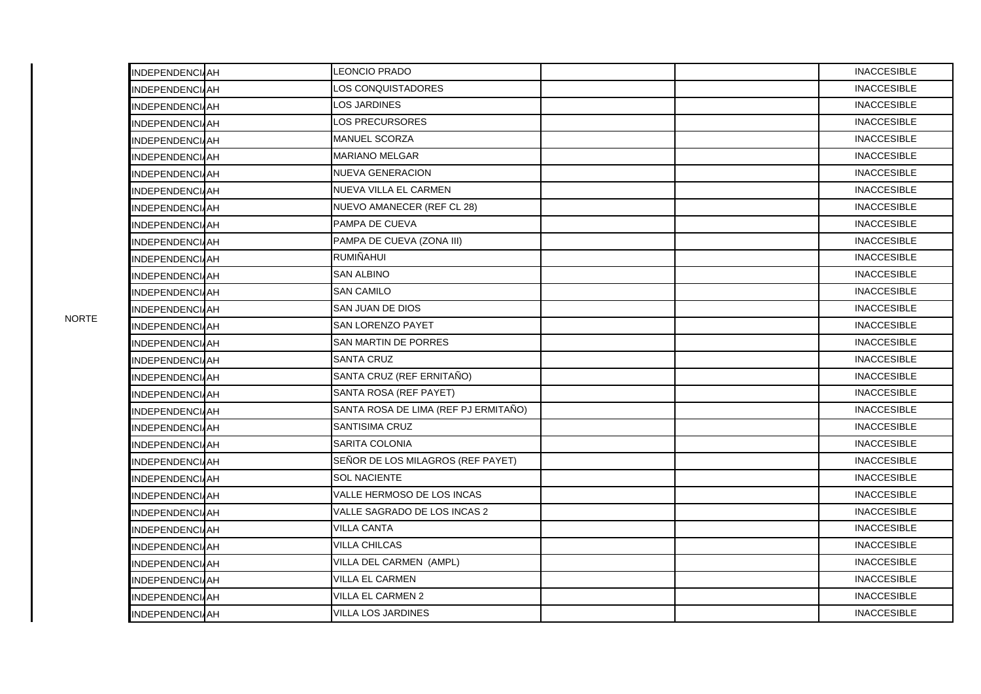| INDEPENDENCIAH           | <b>LEONCIO PRADO</b>                 |  | <b>INACCESIBLE</b> |
|--------------------------|--------------------------------------|--|--------------------|
| INDEPENDENCIAH           | LOS CONQUISTADORES                   |  | <b>INACCESIBLE</b> |
| INDEPENDENCIAH           | <b>LOS JARDINES</b>                  |  | <b>INACCESIBLE</b> |
| <b>INDEPENDENCIAH</b>    | LOS PRECURSORES                      |  | <b>INACCESIBLE</b> |
| INDEPENDENCI <i>I</i> AH | <b>MANUEL SCORZA</b>                 |  | <b>INACCESIBLE</b> |
| INDEPENDENCIAH           | <b>MARIANO MELGAR</b>                |  | <b>INACCESIBLE</b> |
| INDEPENDENCI/AH          | <b>NUEVA GENERACION</b>              |  | <b>INACCESIBLE</b> |
| <b>INDEPENDENCIAH</b>    | NUEVA VILLA EL CARMEN                |  | <b>INACCESIBLE</b> |
| <b>INDEPENDENCIAH</b>    | NUEVO AMANECER (REF CL 28)           |  | <b>INACCESIBLE</b> |
| <b>INDEPENDENCIAH</b>    | PAMPA DE CUEVA                       |  | <b>INACCESIBLE</b> |
| INDEPENDENCI/AH          | PAMPA DE CUEVA (ZONA III)            |  | <b>INACCESIBLE</b> |
| <b>INDEPENDENCIAH</b>    | <b>RUMIÑAHUI</b>                     |  | <b>INACCESIBLE</b> |
| INDEPENDENCIAH           | <b>SAN ALBINO</b>                    |  | <b>INACCESIBLE</b> |
| <b>INDEPENDENCIAH</b>    | <b>SAN CAMILO</b>                    |  | <b>INACCESIBLE</b> |
| INDEPENDENCI/AH          | SAN JUAN DE DIOS                     |  | <b>INACCESIBLE</b> |
| <b>INDEPENDENCIAH</b>    | SAN LORENZO PAYET                    |  | <b>INACCESIBLE</b> |
| INDEPENDENCIAH           | SAN MARTIN DE PORRES                 |  | <b>INACCESIBLE</b> |
| <b>INDEPENDENCIAH</b>    | <b>SANTA CRUZ</b>                    |  | <b>INACCESIBLE</b> |
| INDEPENDENCI <i>I</i> AH | SANTA CRUZ (REF ERNITAÑO)            |  | <b>INACCESIBLE</b> |
| <b>INDEPENDENCIAH</b>    | SANTA ROSA (REF PAYET)               |  | <b>INACCESIBLE</b> |
| <b>INDEPENDENCIAH</b>    | SANTA ROSA DE LIMA (REF PJ ERMITAÑO) |  | <b>INACCESIBLE</b> |
| <b>INDEPENDENCIAH</b>    | <b>SANTISIMA CRUZ</b>                |  | <b>INACCESIBLE</b> |
| INDEPENDENCI <i>I</i> AH | SARITA COLONIA                       |  | <b>INACCESIBLE</b> |
| <b>INDEPENDENCIAH</b>    | SEÑOR DE LOS MILAGROS (REF PAYET)    |  | <b>INACCESIBLE</b> |
| INDEPENDENCIAH           | <b>SOL NACIENTE</b>                  |  | <b>INACCESIBLE</b> |
| <b>INDEPENDENCIAH</b>    | VALLE HERMOSO DE LOS INCAS           |  | <b>INACCESIBLE</b> |
| INDEPENDENCI <i>I</i> AH | VALLE SAGRADO DE LOS INCAS 2         |  | <b>INACCESIBLE</b> |
| <b>INDEPENDENCIAH</b>    | <b>VILLA CANTA</b>                   |  | <b>INACCESIBLE</b> |
| INDEPENDENCI/AH          | VILLA CHILCAS                        |  | <b>INACCESIBLE</b> |
| <b>INDEPENDENCIAH</b>    | VILLA DEL CARMEN (AMPL)              |  | <b>INACCESIBLE</b> |
| INDEPENDENCIAH           | VILLA EL CARMEN                      |  | <b>INACCESIBLE</b> |
| INDEPENDENCIAH           | VILLA EL CARMEN 2                    |  | <b>INACCESIBLE</b> |
| <b>INDEPENDENCIAH</b>    | <b>VILLA LOS JARDINES</b>            |  | <b>INACCESIBLE</b> |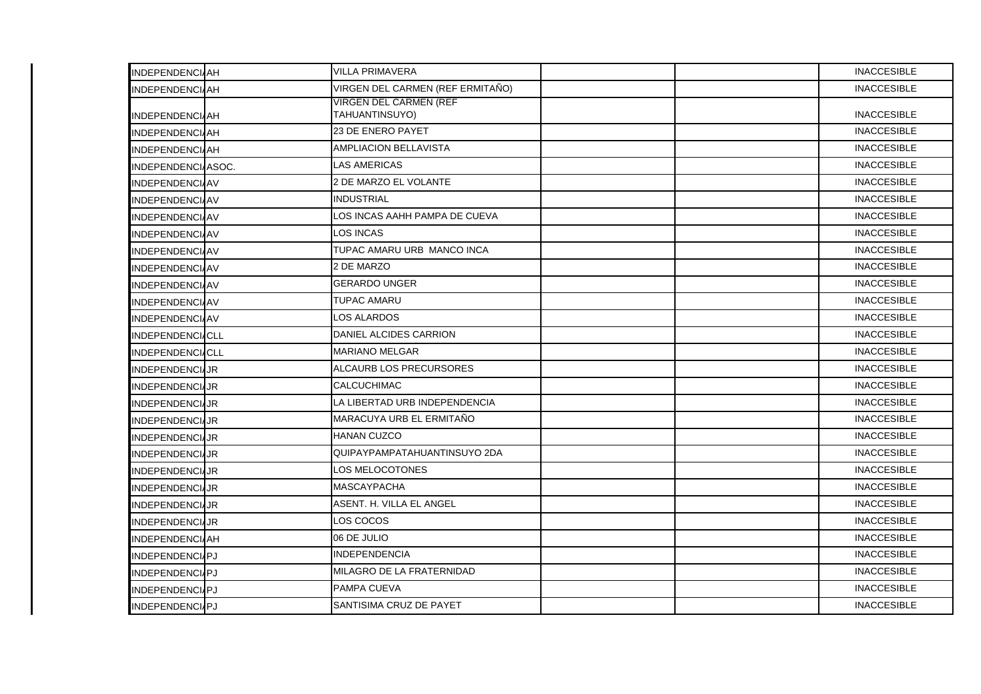| <b>INDEPENDENCIAH</b>   | <b>VILLA PRIMAVERA</b>                          |  | <b>INACCESIBLE</b> |
|-------------------------|-------------------------------------------------|--|--------------------|
| <b>INDEPENDENCIAH</b>   | VIRGEN DEL CARMEN (REF ERMITAÑO)                |  | <b>INACCESIBLE</b> |
| <b>INDEPENDENCIAH</b>   | <b>VIRGEN DEL CARMEN (REF</b><br>TAHUANTINSUYO) |  | <b>INACCESIBLE</b> |
| <b>INDEPENDENCIAH</b>   | 23 DE ENERO PAYET                               |  | <b>INACCESIBLE</b> |
| <b>INDEPENDENCIAH</b>   | <b>AMPLIACION BELLAVISTA</b>                    |  | <b>INACCESIBLE</b> |
| INDEPENDENCIASOC.       | <b>LAS AMERICAS</b>                             |  | <b>INACCESIBLE</b> |
| <b>INDEPENDENCIAV</b>   | 2 DE MARZO EL VOLANTE                           |  | <b>INACCESIBLE</b> |
| <b>INDEPENDENCIAV</b>   | INDUSTRIAL                                      |  | <b>INACCESIBLE</b> |
| <b>INDEPENDENCIAV</b>   | LOS INCAS AAHH PAMPA DE CUEVA                   |  | <b>INACCESIBLE</b> |
| <b>INDEPENDENCIAV</b>   | LOS INCAS                                       |  | <b>INACCESIBLE</b> |
| INDEPENDENCIAV          | TUPAC AMARU URB MANCO INCA                      |  | <b>INACCESIBLE</b> |
| INDEPENDENCIAV          | 2 DE MARZO                                      |  | <b>INACCESIBLE</b> |
| <b>INDEPENDENCIAV</b>   | <b>GERARDO UNGER</b>                            |  | <b>INACCESIBLE</b> |
| INDEPENDENCIAV          | TUPAC AMARU                                     |  | <b>INACCESIBLE</b> |
| <b>INDEPENDENCIAV</b>   | <b>LOS ALARDOS</b>                              |  | <b>INACCESIBLE</b> |
| <b>INDEPENDENCIACLL</b> | DANIEL ALCIDES CARRION                          |  | <b>INACCESIBLE</b> |
| <b>INDEPENDENCIACLL</b> | <b>MARIANO MELGAR</b>                           |  | <b>INACCESIBLE</b> |
| INDEPENDENCIAJR         | ALCAURB LOS PRECURSORES                         |  | <b>INACCESIBLE</b> |
| <b>INDEPENDENCIAJR</b>  | <b>CALCUCHIMAC</b>                              |  | <b>INACCESIBLE</b> |
| <b>INDEPENDENCIJJR</b>  | LA LIBERTAD URB INDEPENDENCIA                   |  | <b>INACCESIBLE</b> |
| <b>INDEPENDENCIAJR</b>  | MARACUYA URB EL ERMITAÑO                        |  | <b>INACCESIBLE</b> |
| <b>INDEPENDENCIJJR</b>  | <b>HANAN CUZCO</b>                              |  | <b>INACCESIBLE</b> |
| <b>INDEPENDENCIJJR</b>  | QUIPAYPAMPATAHUANTINSUYO 2DA                    |  | <b>INACCESIBLE</b> |
| <b>INDEPENDENCIAJR</b>  | LOS MELOCOTONES                                 |  | <b>INACCESIBLE</b> |
| <b>INDEPENDENCIJR</b>   | <b>MASCAYPACHA</b>                              |  | <b>INACCESIBLE</b> |
| <b>INDEPENDENCIJR</b>   | ASENT. H. VILLA EL ANGEL                        |  | <b>INACCESIBLE</b> |
| <b>INDEPENDENCIJR</b>   | LOS COCOS                                       |  | <b>INACCESIBLE</b> |
| <b>INDEPENDENCIAH</b>   | 06 DE JULIO                                     |  | <b>INACCESIBLE</b> |
| <b>INDEPENDENCIAPJ</b>  | <b>INDEPENDENCIA</b>                            |  | <b>INACCESIBLE</b> |
| <b>INDEPENDENCIAPJ</b>  | MILAGRO DE LA FRATERNIDAD                       |  | <b>INACCESIBLE</b> |
| <b>INDEPENDENCIAPJ</b>  | PAMPA CUEVA                                     |  | <b>INACCESIBLE</b> |
| INDEPENDENCI/PJ         | SANTISIMA CRUZ DE PAYET                         |  | <b>INACCESIBLE</b> |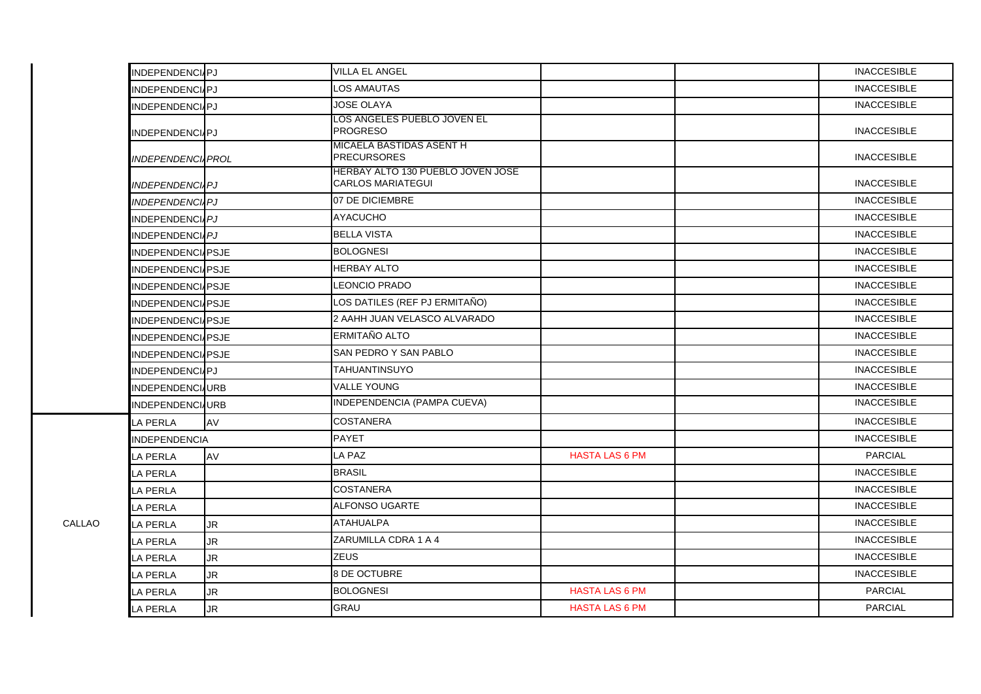| INDEPENDENCIPJ            |           | <b>VILLA EL ANGEL</b>                                         |                       | <b>INACCESIBLE</b> |
|---------------------------|-----------|---------------------------------------------------------------|-----------------------|--------------------|
| INDEPENDENCIAPJ           |           | <b>LOS AMAUTAS</b>                                            |                       | <b>INACCESIBLE</b> |
| INDEPENDENCI/PJ           |           | <b>JOSE OLAYA</b>                                             |                       | <b>INACCESIBLE</b> |
| INDEPENDENCI/PJ           |           | LOS ANGELES PUEBLO JOVEN EL<br><b>PROGRESO</b>                |                       | <b>INACCESIBLE</b> |
| <b>INDEPENDENCI, PROL</b> |           | MICAELA BASTIDAS ASENT H<br><b>PRECURSORES</b>                |                       | <b>INACCESIBLE</b> |
| <b>INDEPENDENCIAPJ</b>    |           | HERBAY ALTO 130 PUEBLO JOVEN JOSE<br><b>CARLOS MARIATEGUI</b> |                       | <b>INACCESIBLE</b> |
| <b>INDEPENDENCILPJ</b>    |           | 07 DE DICIEMBRE                                               |                       | <b>INACCESIBLE</b> |
| INDEPENDENCIAPJ           |           | <b>AYACUCHO</b>                                               |                       | <b>INACCESIBLE</b> |
| INDEPENDENCI <i>IPJ</i>   |           | <b>BELLA VISTA</b>                                            |                       | <b>INACCESIBLE</b> |
| INDEPENDENCIAPSJE         |           | <b>BOLOGNESI</b>                                              |                       | <b>INACCESIBLE</b> |
| INDEPENDENCIAPSJE         |           | <b>HERBAY ALTO</b>                                            |                       | <b>INACCESIBLE</b> |
| INDEPENDENCI/PSJE         |           | <b>LEONCIO PRADO</b>                                          |                       | <b>INACCESIBLE</b> |
| <b>INDEPENDENCIAPSJE</b>  |           | LOS DATILES (REF PJ ERMITAÑO)                                 |                       | <b>INACCESIBLE</b> |
| INDEPENDENCI/PSJE         |           | 2 AAHH JUAN VELASCO ALVARADO                                  |                       | <b>INACCESIBLE</b> |
| <b>INDEPENDENCI/PSJE</b>  |           | ERMITAÑO ALTO                                                 |                       | <b>INACCESIBLE</b> |
| <b>INDEPENDENCIAPSJE</b>  |           | SAN PEDRO Y SAN PABLO                                         |                       | <b>INACCESIBLE</b> |
| INDEPENDENCIPJ            |           | <b>TAHUANTINSUYO</b>                                          |                       | <b>INACCESIBLE</b> |
| <b>INDEPENDENCI</b> URB   |           | <b>VALLE YOUNG</b>                                            |                       | <b>INACCESIBLE</b> |
| INDEPENDENCI/URB          |           | INDEPENDENCIA (PAMPA CUEVA)                                   |                       | <b>INACCESIBLE</b> |
| <b>LA PERLA</b>           | <b>AV</b> | <b>COSTANERA</b>                                              |                       | <b>INACCESIBLE</b> |
| <b>INDEPENDENCIA</b>      |           | <b>PAYET</b>                                                  |                       | <b>INACCESIBLE</b> |
| LA PERLA                  | AV        | LA PAZ                                                        | <b>HASTA LAS 6 PM</b> | <b>PARCIAL</b>     |
| LA PERLA                  |           | <b>BRASIL</b>                                                 |                       | <b>INACCESIBLE</b> |
| LA PERLA                  |           | <b>COSTANERA</b>                                              |                       | <b>INACCESIBLE</b> |
| <b>LA PERLA</b>           |           | <b>ALFONSO UGARTE</b>                                         |                       | <b>INACCESIBLE</b> |
| <b>LA PERLA</b>           | <b>JR</b> | <b>ATAHUALPA</b>                                              |                       | <b>INACCESIBLE</b> |
| LA PERLA                  | <b>JR</b> | ZARUMILLA CDRA 1 A 4                                          |                       | <b>INACCESIBLE</b> |
| <b>LA PERLA</b>           | <b>JR</b> | <b>ZEUS</b>                                                   |                       | <b>INACCESIBLE</b> |
| LA PERLA                  | <b>JR</b> | 8 DE OCTUBRE                                                  |                       | <b>INACCESIBLE</b> |
| LA PERLA                  | <b>JR</b> | <b>BOLOGNESI</b>                                              | <b>HASTA LAS 6 PM</b> | <b>PARCIAL</b>     |
| LA PERLA                  | UR.       | <b>GRAU</b>                                                   | <b>HASTA LAS 6 PM</b> | <b>PARCIAL</b>     |

CALLAO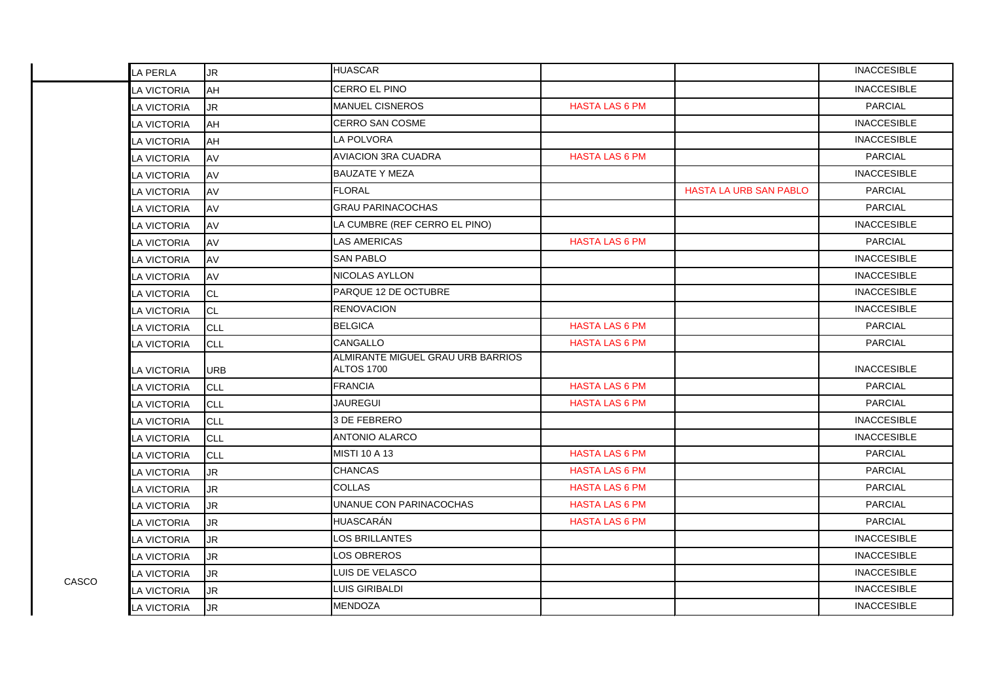|       | LA PERLA           | <b>JR</b>  | <b>HUASCAR</b>                                         |                       |                               | <b>INACCESIBLE</b> |
|-------|--------------------|------------|--------------------------------------------------------|-----------------------|-------------------------------|--------------------|
|       | LA VICTORIA        | AH         | CERRO EL PINO                                          |                       |                               | <b>INACCESIBLE</b> |
|       | LA VICTORIA        | <b>JR</b>  | MANUEL CISNEROS                                        | <b>HASTA LAS 6 PM</b> |                               | <b>PARCIAL</b>     |
|       | LA VICTORIA        | AH         | <b>CERRO SAN COSME</b>                                 |                       |                               | <b>INACCESIBLE</b> |
|       | LA VICTORIA        | <b>AH</b>  | <b>LA POLVORA</b>                                      |                       |                               | <b>INACCESIBLE</b> |
|       | LA VICTORIA        | AV         | <b>AVIACION 3RA CUADRA</b>                             | <b>HASTA LAS 6 PM</b> |                               | <b>PARCIAL</b>     |
|       | LA VICTORIA        | AV         | <b>BAUZATE Y MEZA</b>                                  |                       |                               | <b>INACCESIBLE</b> |
|       | LA VICTORIA        | AV         | <b>FLORAL</b>                                          |                       | <b>HASTA LA URB SAN PABLO</b> | <b>PARCIAL</b>     |
|       | LA VICTORIA        | AV         | <b>GRAU PARINACOCHAS</b>                               |                       |                               | <b>PARCIAL</b>     |
|       | LA VICTORIA        | AV         | LA CUMBRE (REF CERRO EL PINO)                          |                       |                               | <b>INACCESIBLE</b> |
|       | LA VICTORIA        | AV         | <b>LAS AMERICAS</b>                                    | <b>HASTA LAS 6 PM</b> |                               | <b>PARCIAL</b>     |
|       | LA VICTORIA        | AV         | <b>SAN PABLO</b>                                       |                       |                               | <b>INACCESIBLE</b> |
|       | LA VICTORIA        | AV         | NICOLAS AYLLON                                         |                       |                               | <b>INACCESIBLE</b> |
|       | LA VICTORIA        | CL         | PARQUE 12 DE OCTUBRE                                   |                       |                               | <b>INACCESIBLE</b> |
|       | LA VICTORIA        | <b>CL</b>  | <b>RENOVACION</b>                                      |                       |                               | <b>INACCESIBLE</b> |
|       | LA VICTORIA        | CLL        | <b>BELGICA</b>                                         | <b>HASTA LAS 6 PM</b> |                               | <b>PARCIAL</b>     |
|       | LA VICTORIA        | <b>CLL</b> | CANGALLO                                               | <b>HASTA LAS 6 PM</b> |                               | <b>PARCIAL</b>     |
|       | LA VICTORIA        | <b>URB</b> | ALMIRANTE MIGUEL GRAU URB BARRIOS<br><b>ALTOS 1700</b> |                       |                               | <b>INACCESIBLE</b> |
|       | LA VICTORIA        | <b>CLL</b> | <b>FRANCIA</b>                                         | <b>HASTA LAS 6 PM</b> |                               | <b>PARCIAL</b>     |
|       | LA VICTORIA        | <b>CLL</b> | <b>JAUREGUI</b>                                        | <b>HASTA LAS 6 PM</b> |                               | <b>PARCIAL</b>     |
|       | LA VICTORIA        | <b>CLL</b> | 3 DE FEBRERO                                           |                       |                               | <b>INACCESIBLE</b> |
|       | LA VICTORIA        | ICLL       | <b>ANTONIO ALARCO</b>                                  |                       |                               | <b>INACCESIBLE</b> |
|       | LA VICTORIA        | CLL        | <b>MISTI 10 A 13</b>                                   | <b>HASTA LAS 6 PM</b> |                               | <b>PARCIAL</b>     |
|       | LA VICTORIA        | <b>JR</b>  | <b>CHANCAS</b>                                         | <b>HASTA LAS 6 PM</b> |                               | <b>PARCIAL</b>     |
|       | LA VICTORIA        | <b>JR</b>  | <b>COLLAS</b>                                          | <b>HASTA LAS 6 PM</b> |                               | <b>PARCIAL</b>     |
|       | LA VICTORIA        | <b>JR</b>  | UNANUE CON PARINACOCHAS                                | <b>HASTA LAS 6 PM</b> |                               | <b>PARCIAL</b>     |
|       | LA VICTORIA        | <b>JR</b>  | HUASCARÁN                                              | <b>HASTA LAS 6 PM</b> |                               | <b>PARCIAL</b>     |
|       | LA VICTORIA        | <b>JR</b>  | <b>LOS BRILLANTES</b>                                  |                       |                               | <b>INACCESIBLE</b> |
|       | <b>LA VICTORIA</b> | <b>JR</b>  | <b>LOS OBREROS</b>                                     |                       |                               | <b>INACCESIBLE</b> |
|       | LA VICTORIA        | <b>JR</b>  | LUIS DE VELASCO                                        |                       |                               | <b>INACCESIBLE</b> |
| CASCO | LA VICTORIA        | <b>JR</b>  | LUIS GIRIBALDI                                         |                       |                               | <b>INACCESIBLE</b> |
|       | LA VICTORIA        | <b>JR</b>  | MENDOZA                                                |                       |                               | <b>INACCESIBLE</b> |
|       |                    |            |                                                        |                       |                               |                    |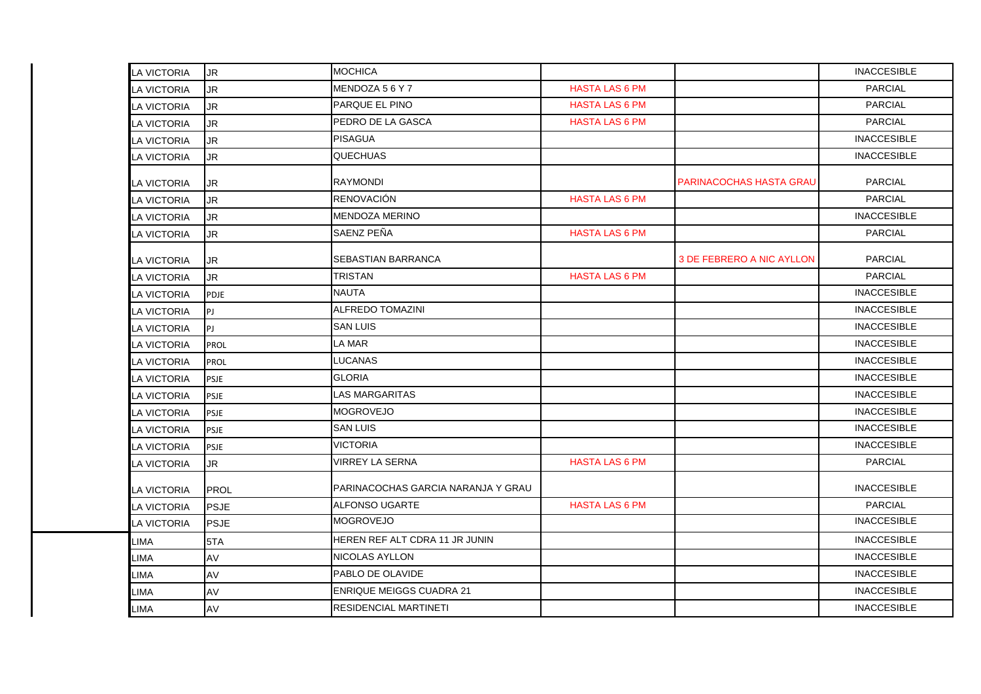| <b>LA VICTORIA</b> | IJR         | <b>MOCHICA</b>                     |                       |                                  | <b>INACCESIBLE</b> |
|--------------------|-------------|------------------------------------|-----------------------|----------------------------------|--------------------|
| <b>A VICTORIA</b>  | <b>JR</b>   | MENDOZA 56Y7                       | <b>HASTA LAS 6 PM</b> |                                  | <b>PARCIAL</b>     |
| LA VICTORIA        | JR.         | <b>PARQUE EL PINO</b>              | <b>HASTA LAS 6 PM</b> |                                  | <b>PARCIAL</b>     |
| LA VICTORIA        | <b>JR</b>   | PEDRO DE LA GASCA                  | <b>HASTA LAS 6 PM</b> |                                  | <b>PARCIAL</b>     |
| <b>LA VICTORIA</b> | <b>JR</b>   | <b>PISAGUA</b>                     |                       |                                  | <b>INACCESIBLE</b> |
| <b>LA VICTORIA</b> | <b>JR</b>   | <b>QUECHUAS</b>                    |                       |                                  | <b>INACCESIBLE</b> |
| LA VICTORIA        | <b>JR</b>   | <b>RAYMONDI</b>                    |                       | <b>PARINACOCHAS HASTA GRAU</b>   | <b>PARCIAL</b>     |
| LA VICTORIA        | <b>JR</b>   | <b>RENOVACIÓN</b>                  | <b>HASTA LAS 6 PM</b> |                                  | <b>PARCIAL</b>     |
| LA VICTORIA        | <b>JR</b>   | <b>MENDOZA MERINO</b>              |                       |                                  | <b>INACCESIBLE</b> |
| LA VICTORIA        | <b>JR</b>   | SAENZ PEÑA                         | <b>HASTA LAS 6 PM</b> |                                  | <b>PARCIAL</b>     |
| LA VICTORIA        | <b>JR</b>   | <b>SEBASTIAN BARRANCA</b>          |                       | <b>3 DE FEBRERO A NIC AYLLON</b> | <b>PARCIAL</b>     |
| LA VICTORIA        | JR.         | <b>TRISTAN</b>                     | <b>HASTA LAS 6 PM</b> |                                  | <b>PARCIAL</b>     |
| LA VICTORIA        | PDJE        | <b>NAUTA</b>                       |                       |                                  | <b>INACCESIBLE</b> |
| LA VICTORIA        | PJ          | <b>ALFREDO TOMAZINI</b>            |                       |                                  | <b>INACCESIBLE</b> |
| LA VICTORIA        | l PJ        | <b>SAN LUIS</b>                    |                       |                                  | <b>INACCESIBLE</b> |
| LA VICTORIA        | PROL        | <b>LA MAR</b>                      |                       |                                  | <b>INACCESIBLE</b> |
| <b>LA VICTORIA</b> | PROL        | <b>LUCANAS</b>                     |                       |                                  | <b>INACCESIBLE</b> |
| LA VICTORIA        | <b>PSJE</b> | <b>GLORIA</b>                      |                       |                                  | <b>INACCESIBLE</b> |
| LA VICTORIA        | <b>PSJE</b> | <b>LAS MARGARITAS</b>              |                       |                                  | <b>INACCESIBLE</b> |
| LA VICTORIA        | <b>PSJE</b> | <b>MOGROVEJO</b>                   |                       |                                  | <b>INACCESIBLE</b> |
| <b>A VICTORIA</b>  | PSJE        | <b>SAN LUIS</b>                    |                       |                                  | <b>INACCESIBLE</b> |
| LA VICTORIA        | <b>PSJE</b> | <b>VICTORIA</b>                    |                       |                                  | <b>INACCESIBLE</b> |
| LA VICTORIA        | <b>JR</b>   | <b>VIRREY LA SERNA</b>             | <b>HASTA LAS 6 PM</b> |                                  | <b>PARCIAL</b>     |
| LA VICTORIA        | PROL        | PARINACOCHAS GARCIA NARANJA Y GRAU |                       |                                  | <b>INACCESIBLE</b> |
| LA VICTORIA        | <b>PSJE</b> | <b>ALFONSO UGARTE</b>              | <b>HASTA LAS 6 PM</b> |                                  | <b>PARCIAL</b>     |
| LA VICTORIA        | <b>PSJE</b> | <b>MOGROVEJO</b>                   |                       |                                  | <b>INACCESIBLE</b> |
| LIMA               | 5TA         | HEREN REF ALT CDRA 11 JR JUNIN     |                       |                                  | <b>INACCESIBLE</b> |
| LIMA               | AV          | <b>NICOLAS AYLLON</b>              |                       |                                  | <b>INACCESIBLE</b> |
| LIMA               | AV          | PABLO DE OLAVIDE                   |                       |                                  | <b>INACCESIBLE</b> |
| LIMA               | AV          | <b>ENRIQUE MEIGGS CUADRA 21</b>    |                       |                                  | <b>INACCESIBLE</b> |
| <b>LIMA</b>        | <b>AV</b>   | <b>RESIDENCIAL MARTINETI</b>       |                       |                                  | <b>INACCESIBLE</b> |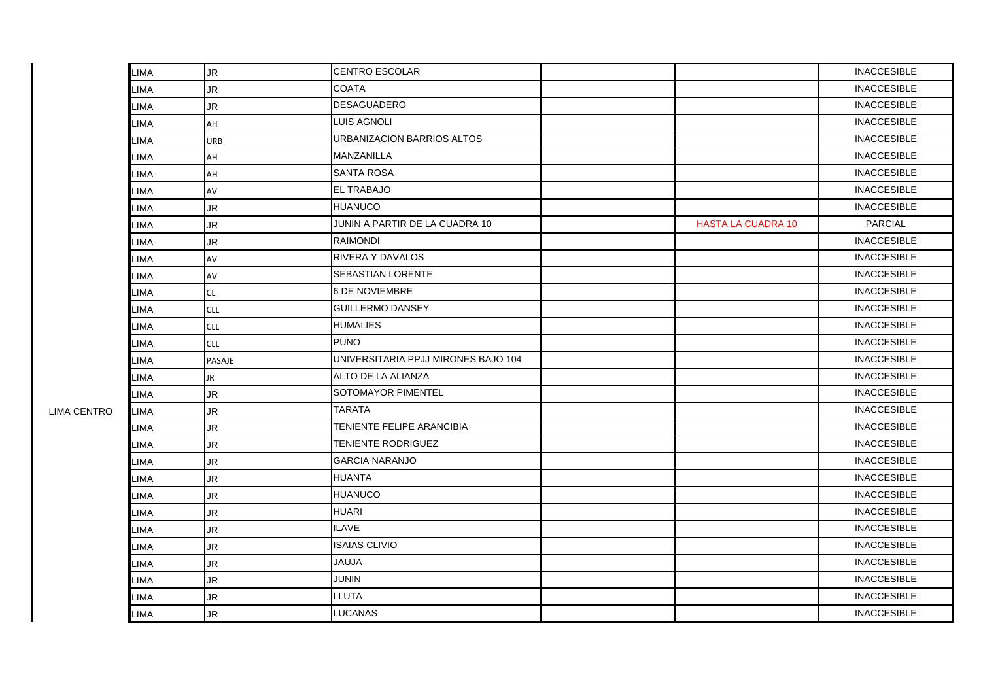|                    | LIMA        | <b>JR</b>  | <b>CENTRO ESCOLAR</b>               |                           | <b>INACCESIBLE</b> |
|--------------------|-------------|------------|-------------------------------------|---------------------------|--------------------|
|                    | LIMA        | <b>JR</b>  | <b>COATA</b>                        |                           | <b>INACCESIBLE</b> |
|                    | LIMA        | JR         | DESAGUADERO                         |                           | <b>INACCESIBLE</b> |
|                    | LIMA        | AH         | <b>LUIS AGNOLI</b>                  |                           | <b>INACCESIBLE</b> |
|                    | LIMA        | URB        | URBANIZACION BARRIOS ALTOS          |                           | <b>INACCESIBLE</b> |
|                    | LIMA        | AH         | MANZANILLA                          |                           | <b>INACCESIBLE</b> |
|                    | LIMA        | AH         | <b>SANTA ROSA</b>                   |                           | <b>INACCESIBLE</b> |
|                    | LIMA        | AV         | <b>EL TRABAJO</b>                   |                           | <b>INACCESIBLE</b> |
|                    | LIMA        | JR.        | <b>HUANUCO</b>                      |                           | <b>INACCESIBLE</b> |
|                    | LIMA        | <b>JR</b>  | JUNIN A PARTIR DE LA CUADRA 10      | <b>HASTA LA CUADRA 10</b> | <b>PARCIAL</b>     |
|                    | LIMA        | JR.        | <b>RAIMONDI</b>                     |                           | <b>INACCESIBLE</b> |
|                    | LIMA        | AV         | <b>RIVERA Y DAVALOS</b>             |                           | <b>INACCESIBLE</b> |
|                    | LIMA        | AV         | <b>SEBASTIAN LORENTE</b>            |                           | <b>INACCESIBLE</b> |
|                    | LIMA        | CL         | <b>6 DE NOVIEMBRE</b>               |                           | <b>INACCESIBLE</b> |
|                    | LIMA        | <b>CLL</b> | <b>GUILLERMO DANSEY</b>             |                           | <b>INACCESIBLE</b> |
|                    | LIMA        | <b>CLL</b> | <b>HUMALIES</b>                     |                           | <b>INACCESIBLE</b> |
|                    | LIMA        | <b>CLL</b> | <b>PUNO</b>                         |                           | <b>INACCESIBLE</b> |
|                    | <b>LIMA</b> | PASAJE     | UNIVERSITARIA PPJJ MIRONES BAJO 104 |                           | <b>INACCESIBLE</b> |
|                    | LIMA        | JR         | ALTO DE LA ALIANZA                  |                           | <b>INACCESIBLE</b> |
|                    | LIMA        | JR.        | <b>SOTOMAYOR PIMENTEL</b>           |                           | <b>INACCESIBLE</b> |
| <b>LIMA CENTRO</b> | LIMA        | JR         | <b>TARATA</b>                       |                           | <b>INACCESIBLE</b> |
|                    | LIMA        | JR.        | TENIENTE FELIPE ARANCIBIA           |                           | <b>INACCESIBLE</b> |
|                    | LIMA        | JR         | <b>TENIENTE RODRIGUEZ</b>           |                           | <b>INACCESIBLE</b> |
|                    | LIMA        | JR.        | <b>GARCIA NARANJO</b>               |                           | <b>INACCESIBLE</b> |
|                    | LIMA        | <b>JR</b>  | <b>HUANTA</b>                       |                           | <b>INACCESIBLE</b> |
|                    | LIMA        | <b>JR</b>  | <b>HUANUCO</b>                      |                           | <b>INACCESIBLE</b> |
|                    | LIMA        | <b>JR</b>  | <b>HUARI</b>                        |                           | <b>INACCESIBLE</b> |
|                    | LIMA        | JR         | <b>ILAVE</b>                        |                           | <b>INACCESIBLE</b> |
|                    | LIMA        | <b>JR</b>  | <b>ISAIAS CLIVIO</b>                |                           | <b>INACCESIBLE</b> |
|                    | LIMA        | <b>JR</b>  | <b>JAUJA</b>                        |                           | <b>INACCESIBLE</b> |
|                    | LIMA        | JR.        | JUNIN                               |                           | <b>INACCESIBLE</b> |
|                    | LIMA        | JR         | <b>LLUTA</b>                        |                           | <b>INACCESIBLE</b> |
|                    | LIMA        | <b>JR</b>  | <b>LUCANAS</b>                      |                           | <b>INACCESIBLE</b> |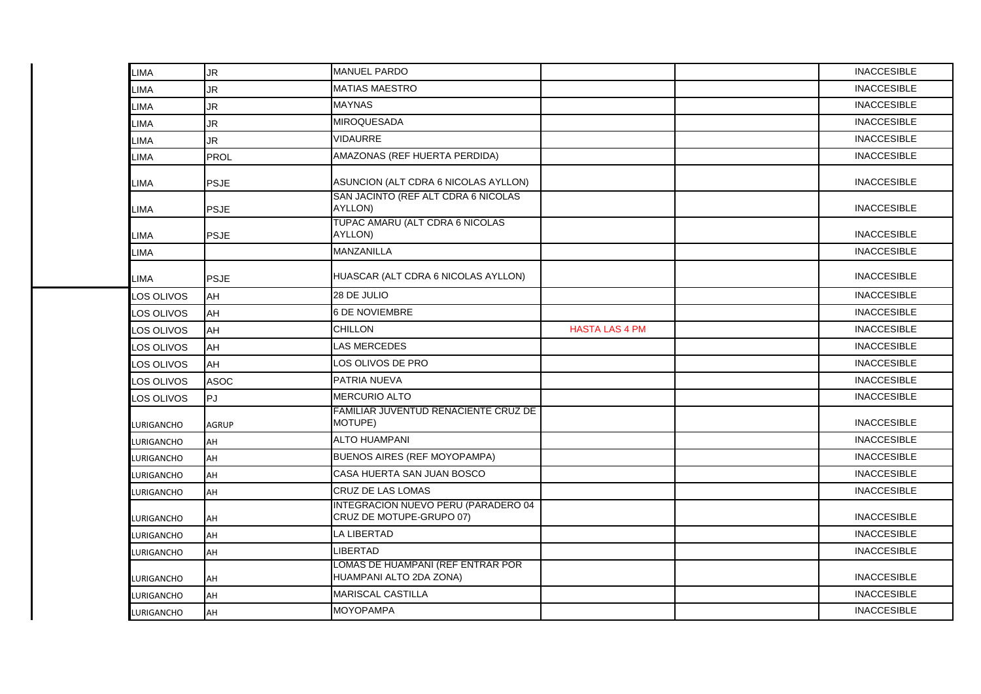| LIMA        | <b>JR</b>    | <b>MANUEL PARDO</b>                                             |                       | <b>INACCESIBLE</b> |
|-------------|--------------|-----------------------------------------------------------------|-----------------------|--------------------|
| <b>LIMA</b> | <b>JR</b>    | <b>MATIAS MAESTRO</b>                                           |                       | <b>INACCESIBLE</b> |
| LIMA        | <b>JR</b>    | <b>MAYNAS</b>                                                   |                       | <b>INACCESIBLE</b> |
| <b>LIMA</b> | <b>JR</b>    | <b>MIROQUESADA</b>                                              |                       | <b>INACCESIBLE</b> |
| <b>LIMA</b> | JR           | <b>VIDAURRE</b>                                                 |                       | <b>INACCESIBLE</b> |
| LIMA        | <b>PROL</b>  | AMAZONAS (REF HUERTA PERDIDA)                                   |                       | <b>INACCESIBLE</b> |
| LIMA        | <b>PSJE</b>  | ASUNCION (ALT CDRA 6 NICOLAS AYLLON)                            |                       | <b>INACCESIBLE</b> |
| LIMA        | <b>PSJE</b>  | SAN JACINTO (REF ALT CDRA 6 NICOLAS<br>AYLLON)                  |                       | <b>INACCESIBLE</b> |
| LIMA        | <b>PSJE</b>  | TUPAC AMARU (ALT CDRA 6 NICOLAS<br>AYLLON)                      |                       | <b>INACCESIBLE</b> |
| LIMA        |              | MANZANILLA                                                      |                       | <b>INACCESIBLE</b> |
| LIMA        | <b>PSJE</b>  | HUASCAR (ALT CDRA 6 NICOLAS AYLLON)                             |                       | <b>INACCESIBLE</b> |
| LOS OLIVOS  | AH           | 28 DE JULIO                                                     |                       | <b>INACCESIBLE</b> |
| LOS OLIVOS  | AH           | <b>6 DE NOVIEMBRE</b>                                           |                       | <b>INACCESIBLE</b> |
| LOS OLIVOS  | AH           | <b>CHILLON</b>                                                  | <b>HASTA LAS 4 PM</b> | <b>INACCESIBLE</b> |
| LOS OLIVOS  | AH           | <b>LAS MERCEDES</b>                                             |                       | <b>INACCESIBLE</b> |
| LOS OLIVOS  | AH           | LOS OLIVOS DE PRO                                               |                       | <b>INACCESIBLE</b> |
| LOS OLIVOS  | <b>ASOC</b>  | PATRIA NUEVA                                                    |                       | <b>INACCESIBLE</b> |
| LOS OLIVOS  | lPJ.         | <b>MERCURIO ALTO</b>                                            |                       | <b>INACCESIBLE</b> |
| LURIGANCHO  | <b>AGRUP</b> | FAMILIAR JUVENTUD RENACIENTE CRUZ DE<br>MOTUPE)                 |                       | <b>INACCESIBLE</b> |
| LURIGANCHO  | AH           | <b>ALTO HUAMPANI</b>                                            |                       | <b>INACCESIBLE</b> |
| LURIGANCHO  | AH           | <b>BUENOS AIRES (REF MOYOPAMPA)</b>                             |                       | <b>INACCESIBLE</b> |
| LURIGANCHO  | AH           | CASA HUERTA SAN JUAN BOSCO                                      |                       | <b>INACCESIBLE</b> |
| LURIGANCHO  | AH           | <b>CRUZ DE LAS LOMAS</b>                                        |                       | <b>INACCESIBLE</b> |
| LURIGANCHO  | AH           | INTEGRACION NUEVO PERU (PARADERO 04<br>CRUZ DE MOTUPE-GRUPO 07) |                       | <b>INACCESIBLE</b> |
| LURIGANCHO  | AH           | LA LIBERTAD                                                     |                       | <b>INACCESIBLE</b> |
| LURIGANCHO  | AH           | <b>LIBERTAD</b>                                                 |                       | <b>INACCESIBLE</b> |
| LURIGANCHO  | AH           | LOMAS DE HUAMPANI (REF ENTRAR POR<br>HUAMPANI ALTO 2DA ZONA)    |                       | <b>INACCESIBLE</b> |
| LURIGANCHO  | AH           | <b>MARISCAL CASTILLA</b>                                        |                       | <b>INACCESIBLE</b> |
| LURIGANCHO  | AH           | <b>MOYOPAMPA</b>                                                |                       | <b>INACCESIBLE</b> |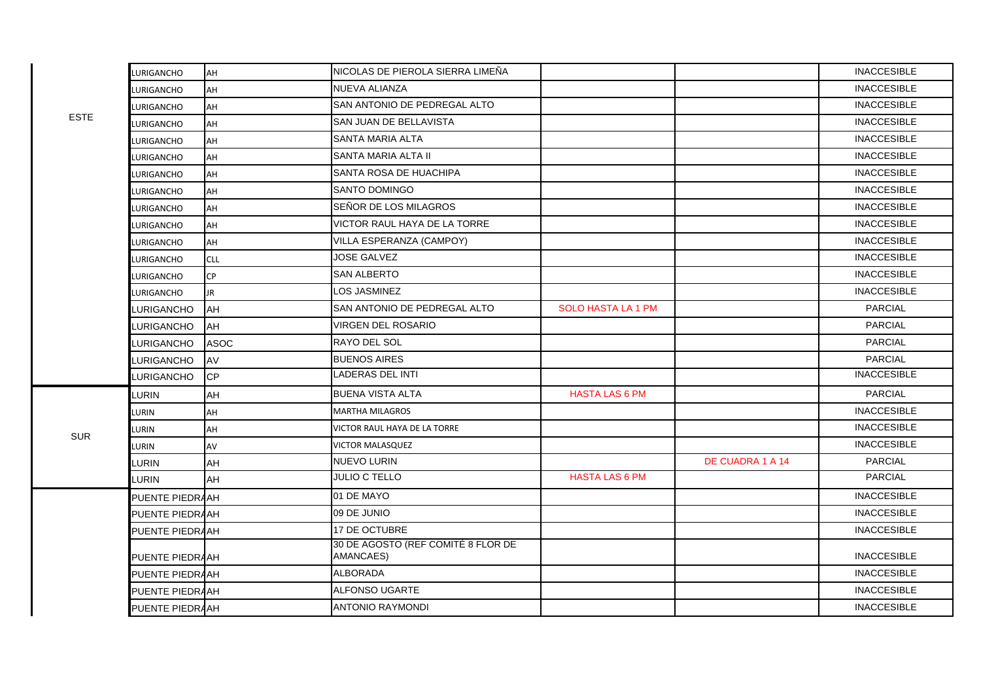|             | LURIGANCHO               | AH         | NICOLAS DE PIEROLA SIERRA LIMEÑA                |                           |                  | <b>INACCESIBLE</b> |
|-------------|--------------------------|------------|-------------------------------------------------|---------------------------|------------------|--------------------|
|             | LURIGANCHO               | AH         | NUEVA ALIANZA                                   |                           |                  | <b>INACCESIBLE</b> |
|             |                          | AH         | SAN ANTONIO DE PEDREGAL ALTO                    |                           |                  | <b>INACCESIBLE</b> |
| <b>ESTE</b> | LURIGANCHO               | AH         | SAN JUAN DE BELLAVISTA                          |                           |                  | <b>INACCESIBLE</b> |
|             | LURIGANCHO<br>LURIGANCHO | AH         | <b>SANTA MARIA ALTA</b>                         |                           |                  | <b>INACCESIBLE</b> |
|             | LURIGANCHO               | AH         | <b>SANTA MARIA ALTA II</b>                      |                           |                  | <b>INACCESIBLE</b> |
|             | LURIGANCHO               | AH         | <b>SANTA ROSA DE HUACHIPA</b>                   |                           |                  | <b>INACCESIBLE</b> |
|             | LURIGANCHO               | AH         | <b>SANTO DOMINGO</b>                            |                           |                  | <b>INACCESIBLE</b> |
|             | LURIGANCHO               | AH         | SEÑOR DE LOS MILAGROS                           |                           |                  | <b>INACCESIBLE</b> |
|             | LURIGANCHO               | AH         | VICTOR RAUL HAYA DE LA TORRE                    |                           |                  | <b>INACCESIBLE</b> |
|             | LURIGANCHO               | AH         | VILLA ESPERANZA (CAMPOY)                        |                           |                  | <b>INACCESIBLE</b> |
|             | <b>LURIGANCHO</b>        | <b>CLL</b> | <b>JOSE GALVEZ</b>                              |                           |                  | <b>INACCESIBLE</b> |
|             | LURIGANCHO               | <b>CP</b>  | <b>SAN ALBERTO</b>                              |                           |                  | <b>INACCESIBLE</b> |
|             | LURIGANCHO               | JR.        | LOS JASMINEZ                                    |                           |                  | <b>INACCESIBLE</b> |
|             | LURIGANCHO               | <b>AH</b>  | SAN ANTONIO DE PEDREGAL ALTO                    | <b>SOLO HASTA LA 1 PM</b> |                  | <b>PARCIAL</b>     |
|             | LURIGANCHO               | <b>AH</b>  | <b>VIRGEN DEL ROSARIO</b>                       |                           |                  | <b>PARCIAL</b>     |
|             | LURIGANCHO               | ASOC       | <b>RAYO DEL SOL</b>                             |                           |                  | <b>PARCIAL</b>     |
|             | LURIGANCHO               | <b>AV</b>  | <b>BUENOS AIRES</b>                             |                           |                  | <b>PARCIAL</b>     |
|             | <b>LURIGANCHO</b>        | <b>CP</b>  | <b>LADERAS DEL INTI</b>                         |                           |                  | <b>INACCESIBLE</b> |
|             | LURIN                    | AH         | <b>BUENA VISTA ALTA</b>                         | <b>HASTA LAS 6 PM</b>     |                  | <b>PARCIAL</b>     |
|             | LURIN                    | AH         | <b>MARTHA MILAGROS</b>                          |                           |                  | <b>INACCESIBLE</b> |
|             | LURIN                    | AH         | VICTOR RAUL HAYA DE LA TORRE                    |                           |                  | <b>INACCESIBLE</b> |
| <b>SUR</b>  | LURIN                    | AV         | <b>VICTOR MALASQUEZ</b>                         |                           |                  | <b>INACCESIBLE</b> |
|             | <b>LURIN</b>             | AH         | <b>NUEVO LURIN</b>                              |                           | DE CUADRA 1 A 14 | <b>PARCIAL</b>     |
|             | LURIN                    | AH         | <b>JULIO C TELLO</b>                            | <b>HASTA LAS 6 PM</b>     |                  | PARCIAL            |
|             | PUENTE PIEDRAAH          |            | 01 DE MAYO                                      |                           |                  | <b>INACCESIBLE</b> |
|             | PUENTE PIEDRAAH          |            | 09 DE JUNIO                                     |                           |                  | <b>INACCESIBLE</b> |
|             | PUENTE PIEDRAAH          |            | 17 DE OCTUBRE                                   |                           |                  | <b>INACCESIBLE</b> |
|             | PUENTE PIEDRAAH          |            | 30 DE AGOSTO (REF COMITÉ 8 FLOR DE<br>AMANCAES) |                           |                  | <b>INACCESIBLE</b> |
|             | PUENTE PIEDRAAH          |            | <b>ALBORADA</b>                                 |                           |                  | <b>INACCESIBLE</b> |
|             | PUENTE PIEDRAAH          |            | <b>ALFONSO UGARTE</b>                           |                           |                  | <b>INACCESIBLE</b> |
|             | PUENTE PIEDRAAH          |            | <b>ANTONIO RAYMONDI</b>                         |                           |                  | <b>INACCESIBLE</b> |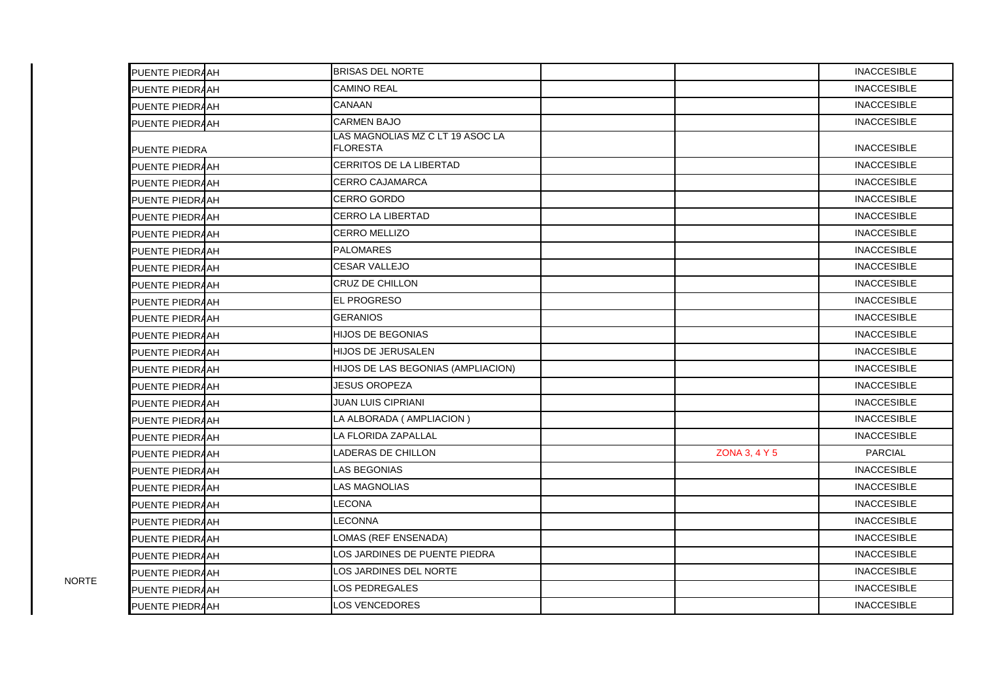| PUENTE PIEDRAAH | <b>BRISAS DEL NORTE</b>                             |               | <b>INACCESIBLE</b> |
|-----------------|-----------------------------------------------------|---------------|--------------------|
| PUENTE PIEDRAAH | <b>CAMINO REAL</b>                                  |               | <b>INACCESIBLE</b> |
| PUENTE PIEDRAAH | CANAAN                                              |               | <b>INACCESIBLE</b> |
| PUENTE PIEDRAAH | <b>CARMEN BAJO</b>                                  |               | <b>INACCESIBLE</b> |
| PUENTE PIEDRA   | LAS MAGNOLIAS MZ C LT 19 ASOC LA<br><b>FLORESTA</b> |               | <b>INACCESIBLE</b> |
| PUENTE PIEDRAAH | CERRITOS DE LA LIBERTAD                             |               | <b>INACCESIBLE</b> |
| PUENTE PIEDRAAH | <b>CERRO CAJAMARCA</b>                              |               | <b>INACCESIBLE</b> |
| PUENTE PIEDRAAH | CERRO GORDO                                         |               | <b>INACCESIBLE</b> |
| PUENTE PIEDRAAH | <b>CERRO LA LIBERTAD</b>                            |               | <b>INACCESIBLE</b> |
| PUENTE PIEDRAAH | <b>CERRO MELLIZO</b>                                |               | <b>INACCESIBLE</b> |
| PUENTE PIEDRAAH | <b>PALOMARES</b>                                    |               | <b>INACCESIBLE</b> |
| PUENTE PIEDRAAH | <b>CESAR VALLEJO</b>                                |               | <b>INACCESIBLE</b> |
| PUENTE PIEDRAAH | CRUZ DE CHILLON                                     |               | <b>INACCESIBLE</b> |
| PUENTE PIEDRAAH | EL PROGRESO                                         |               | <b>INACCESIBLE</b> |
| PUENTE PIEDRAAH | <b>GERANIOS</b>                                     |               | <b>INACCESIBLE</b> |
| PUENTE PIEDRAAH | <b>HIJOS DE BEGONIAS</b>                            |               | <b>INACCESIBLE</b> |
| PUENTE PIEDRAAH | <b>HIJOS DE JERUSALEN</b>                           |               | <b>INACCESIBLE</b> |
| PUENTE PIEDRAAH | HIJOS DE LAS BEGONIAS (AMPLIACION)                  |               | <b>INACCESIBLE</b> |
| PUENTE PIEDRAAH | <b>JESUS OROPEZA</b>                                |               | <b>INACCESIBLE</b> |
| PUENTE PIEDRAAH | <b>JUAN LUIS CIPRIANI</b>                           |               | <b>INACCESIBLE</b> |
| PUENTE PIEDRAAH | LA ALBORADA (AMPLIACION)                            |               | <b>INACCESIBLE</b> |
| PUENTE PIEDRAAH | LA FLORIDA ZAPALLAL                                 |               | <b>INACCESIBLE</b> |
| PUENTE PIEDRAAH | LADERAS DE CHILLON                                  | ZONA 3, 4 Y 5 | <b>PARCIAL</b>     |
| PUENTE PIEDRAAH | LAS BEGONIAS                                        |               | <b>INACCESIBLE</b> |
| PUENTE PIEDRAAH | <b>LAS MAGNOLIAS</b>                                |               | <b>INACCESIBLE</b> |
| PUENTE PIEDRAAH | LECONA                                              |               | <b>INACCESIBLE</b> |
| PUENTE PIEDRAAH | <b>LECONNA</b>                                      |               | <b>INACCESIBLE</b> |
| PUENTE PIEDRAAH | LOMAS (REF ENSENADA)                                |               | <b>INACCESIBLE</b> |
| PUENTE PIEDRAAH | LOS JARDINES DE PUENTE PIEDRA                       |               | <b>INACCESIBLE</b> |
| PUENTE PIEDRAAH | LOS JARDINES DEL NORTE                              |               | <b>INACCESIBLE</b> |
| PUENTE PIEDRAAH | LOS PEDREGALES                                      |               | <b>INACCESIBLE</b> |
| PUENTE PIEDRAAH | <b>LOS VENCEDORES</b>                               |               | <b>INACCESIBLE</b> |

NORTE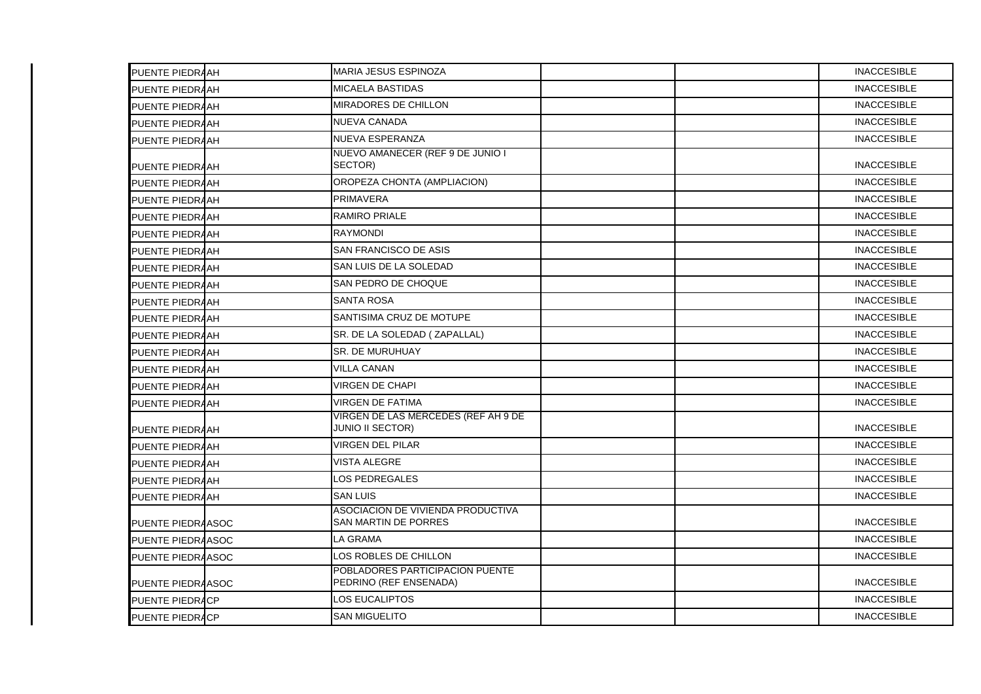| PUENTE PIEDRAAH   | <b>MARIA JESUS ESPINOZA</b>                                    |  | <b>INACCESIBLE</b> |
|-------------------|----------------------------------------------------------------|--|--------------------|
| PUENTE PIEDRAAH   | <b>MICAELA BASTIDAS</b>                                        |  | <b>INACCESIBLE</b> |
| PUENTE PIEDRAAH   | <b>MIRADORES DE CHILLON</b>                                    |  | <b>INACCESIBLE</b> |
| PUENTE PIEDRAAH   | <b>NUEVA CANADA</b>                                            |  | <b>INACCESIBLE</b> |
| PUENTE PIEDRAAH   | <b>NUEVA ESPERANZA</b>                                         |  | <b>INACCESIBLE</b> |
| PUENTE PIEDRAAH   | NUEVO AMANECER (REF 9 DE JUNIO I<br>SECTOR)                    |  | <b>INACCESIBLE</b> |
| PUENTE PIEDRAAH   | OROPEZA CHONTA (AMPLIACION)                                    |  | <b>INACCESIBLE</b> |
| PUENTE PIEDRAAH   | <b>PRIMAVERA</b>                                               |  | <b>INACCESIBLE</b> |
| PUENTE PIEDRAAH   | <b>RAMIRO PRIALE</b>                                           |  | <b>INACCESIBLE</b> |
| PUENTE PIEDRAAH   | <b>RAYMONDI</b>                                                |  | <b>INACCESIBLE</b> |
| PUENTE PIEDRAAH   | <b>SAN FRANCISCO DE ASIS</b>                                   |  | <b>INACCESIBLE</b> |
| PUENTE PIEDRAAH   | SAN LUIS DE LA SOLEDAD                                         |  | <b>INACCESIBLE</b> |
| PUENTE PIEDRAAH   | SAN PEDRO DE CHOQUE                                            |  | <b>INACCESIBLE</b> |
| PUENTE PIEDRAAH   | <b>SANTA ROSA</b>                                              |  | <b>INACCESIBLE</b> |
| PUENTE PIEDRAAH   | SANTISIMA CRUZ DE MOTUPE                                       |  | <b>INACCESIBLE</b> |
| PUENTE PIEDRAAH   | SR. DE LA SOLEDAD (ZAPALLAL)                                   |  | <b>INACCESIBLE</b> |
| PUENTE PIEDRAAH   | <b>SR. DE MURUHUAY</b>                                         |  | <b>INACCESIBLE</b> |
| PUENTE PIEDRAAH   | <b>VILLA CANAN</b>                                             |  | <b>INACCESIBLE</b> |
| PUENTE PIEDRAAH   | <b>VIRGEN DE CHAPI</b>                                         |  | <b>INACCESIBLE</b> |
| PUENTE PIEDRAAH   | <b>VIRGEN DE FATIMA</b>                                        |  | <b>INACCESIBLE</b> |
| PUENTE PIEDRAAH   | VIRGEN DE LAS MERCEDES (REF AH 9 DE<br><b>JUNIO II SECTOR)</b> |  | <b>INACCESIBLE</b> |
| PUENTE PIEDRAAH   | <b>VIRGEN DEL PILAR</b>                                        |  | <b>INACCESIBLE</b> |
| PUENTE PIEDRAAH   | <b>VISTA ALEGRE</b>                                            |  | <b>INACCESIBLE</b> |
| PUENTE PIEDRAAH   | <b>LOS PEDREGALES</b>                                          |  | <b>INACCESIBLE</b> |
| PUENTE PIEDRAAH   | <b>SAN LUIS</b>                                                |  | <b>INACCESIBLE</b> |
| PUENTE PIEDRAASOC | ASOCIACION DE VIVIENDA PRODUCTIVA<br>SAN MARTIN DE PORRES      |  | <b>INACCESIBLE</b> |
| PUENTE PIEDRAASOC | LA GRAMA                                                       |  | <b>INACCESIBLE</b> |
| PUENTE PIEDRAASOC | LOS ROBLES DE CHILLON                                          |  | <b>INACCESIBLE</b> |
| PUENTE PIEDRAASOC | POBLADORES PARTICIPACION PUENTE<br>PEDRINO (REF ENSENADA)      |  | <b>INACCESIBLE</b> |
| PUENTE PIEDRACP   | LOS EUCALIPTOS                                                 |  | <b>INACCESIBLE</b> |
| PUENTE PIEDRACP   | <b>SAN MIGUELITO</b>                                           |  | <b>INACCESIBLE</b> |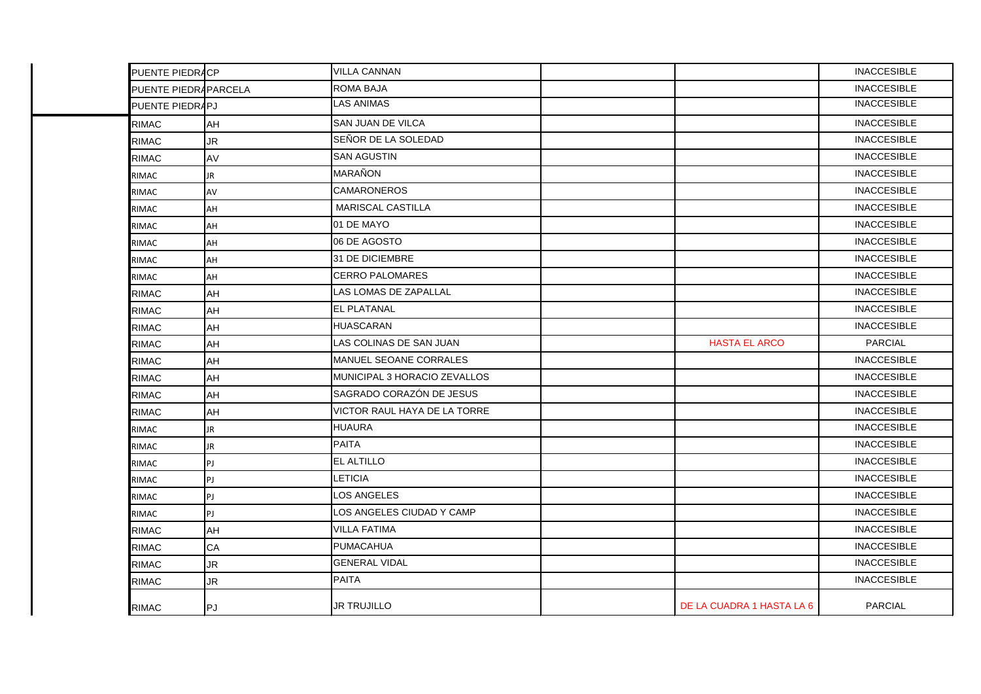| PUENTE PIEDRACP      |           | <b>VILLA CANNAN</b>           |                           | <b>INACCESIBLE</b> |
|----------------------|-----------|-------------------------------|---------------------------|--------------------|
| PUENTE PIEDRAPARCELA |           | <b>ROMA BAJA</b>              |                           | <b>INACCESIBLE</b> |
| PUENTE PIEDRAPJ      |           | <b>LAS ANIMAS</b>             |                           | <b>INACCESIBLE</b> |
| <b>RIMAC</b>         | AH        | <b>SAN JUAN DE VILCA</b>      |                           | <b>INACCESIBLE</b> |
| <b>RIMAC</b>         | <b>JR</b> | SEÑOR DE LA SOLEDAD           |                           | <b>INACCESIBLE</b> |
| <b>RIMAC</b>         | AV        | <b>SAN AGUSTIN</b>            |                           | <b>INACCESIBLE</b> |
| <b>RIMAC</b>         | <b>JR</b> | <b>MARAÑON</b>                |                           | <b>INACCESIBLE</b> |
| <b>RIMAC</b>         | AV        | <b>CAMARONEROS</b>            |                           | <b>INACCESIBLE</b> |
| RIMAC                | AH        | <b>MARISCAL CASTILLA</b>      |                           | <b>INACCESIBLE</b> |
| RIMAC                | AH        | 01 DE MAYO                    |                           | <b>INACCESIBLE</b> |
| RIMAC                | <b>AH</b> | 06 DE AGOSTO                  |                           | <b>INACCESIBLE</b> |
| <b>RIMAC</b>         | AH        | 31 DE DICIEMBRE               |                           | <b>INACCESIBLE</b> |
| <b>RIMAC</b>         | AH        | <b>CERRO PALOMARES</b>        |                           | <b>INACCESIBLE</b> |
| <b>RIMAC</b>         | AH        | LAS LOMAS DE ZAPALLAL         |                           | <b>INACCESIBLE</b> |
| <b>RIMAC</b>         | <b>AH</b> | <b>EL PLATANAL</b>            |                           | <b>INACCESIBLE</b> |
| <b>RIMAC</b>         | AH        | <b>HUASCARAN</b>              |                           | <b>INACCESIBLE</b> |
| <b>RIMAC</b>         | AH        | LAS COLINAS DE SAN JUAN       | <b>HASTA EL ARCO</b>      | <b>PARCIAL</b>     |
| <b>RIMAC</b>         | AH        | <b>MANUEL SEOANE CORRALES</b> |                           | <b>INACCESIBLE</b> |
| <b>RIMAC</b>         | AH        | MUNICIPAL 3 HORACIO ZEVALLOS  |                           | <b>INACCESIBLE</b> |
| <b>RIMAC</b>         | AH        | SAGRADO CORAZÓN DE JESUS      |                           | <b>INACCESIBLE</b> |
| <b>RIMAC</b>         | <b>AH</b> | VICTOR RAUL HAYA DE LA TORRE  |                           | <b>INACCESIBLE</b> |
| <b>RIMAC</b>         | <b>JR</b> | <b>HUAURA</b>                 |                           | <b>INACCESIBLE</b> |
| <b>RIMAC</b>         | <b>JR</b> | <b>PAITA</b>                  |                           | <b>INACCESIBLE</b> |
| <b>RIMAC</b>         | PJ        | EL ALTILLO                    |                           | <b>INACCESIBLE</b> |
| <b>RIMAC</b>         | PJ        | LETICIA                       |                           | <b>INACCESIBLE</b> |
| <b>RIMAC</b>         | PJ        | LOS ANGELES                   |                           | <b>INACCESIBLE</b> |
| RIMAC                | PJ        | LOS ANGELES CIUDAD Y CAMP     |                           | <b>INACCESIBLE</b> |
| <b>RIMAC</b>         | <b>AH</b> | <b>VILLA FATIMA</b>           |                           | <b>INACCESIBLE</b> |
| <b>RIMAC</b>         | CA        | <b>PUMACAHUA</b>              |                           | <b>INACCESIBLE</b> |
| <b>RIMAC</b>         | <b>JR</b> | <b>GENERAL VIDAL</b>          |                           | <b>INACCESIBLE</b> |
| <b>RIMAC</b>         | <b>JR</b> | <b>PAITA</b>                  |                           | <b>INACCESIBLE</b> |
| <b>RIMAC</b>         | PJ        | <b>JR TRUJILLO</b>            | DE LA CUADRA 1 HASTA LA 6 | <b>PARCIAL</b>     |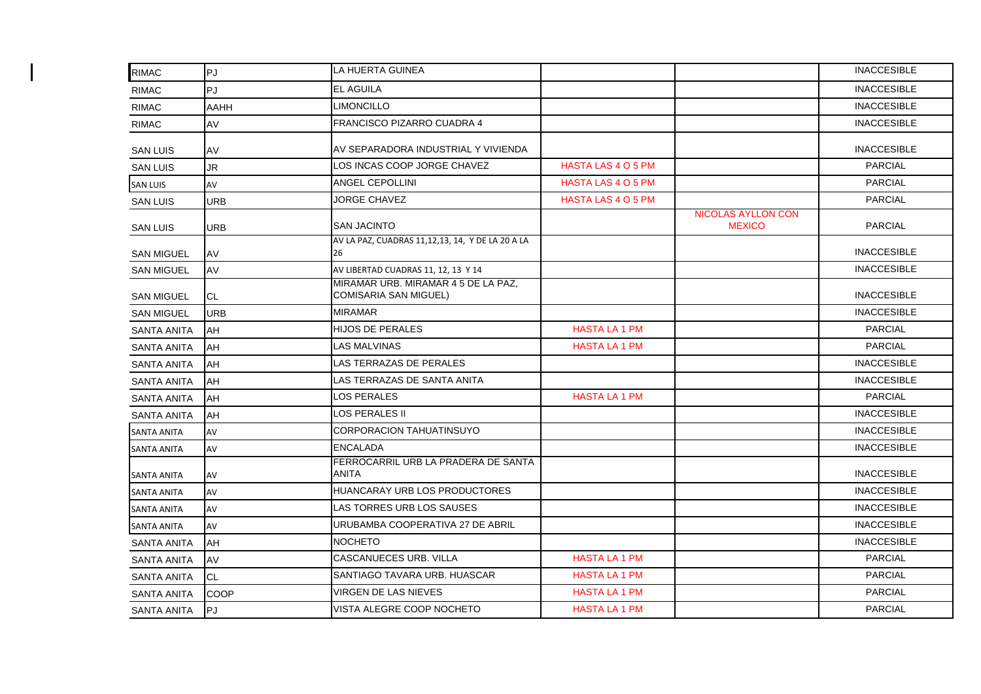| <b>RIMAC</b>       | ∣PJ         | LA HUERTA GUINEA                                                    |                           |                                            | <b>INACCESIBLE</b> |
|--------------------|-------------|---------------------------------------------------------------------|---------------------------|--------------------------------------------|--------------------|
| <b>RIMAC</b>       | PJ          | <b>EL AGUILA</b>                                                    |                           |                                            | <b>INACCESIBLE</b> |
| <b>RIMAC</b>       | <b>AAHH</b> | <b>LIMONCILLO</b>                                                   |                           |                                            | <b>INACCESIBLE</b> |
| <b>RIMAC</b>       | AV          | <b>FRANCISCO PIZARRO CUADRA 4</b>                                   |                           |                                            | <b>INACCESIBLE</b> |
| <b>SAN LUIS</b>    | AV          | AV SEPARADORA INDUSTRIAL Y VIVIENDA                                 |                           |                                            | <b>INACCESIBLE</b> |
| <b>SAN LUIS</b>    | JR          | LOS INCAS COOP JORGE CHAVEZ                                         | <b>HASTA LAS 4 O 5 PM</b> |                                            | <b>PARCIAL</b>     |
| <b>SAN LUIS</b>    | AV          | ANGEL CEPOLLINI                                                     | <b>HASTA LAS 4 O 5 PM</b> |                                            | <b>PARCIAL</b>     |
| <b>SAN LUIS</b>    | <b>URB</b>  | <b>JORGE CHAVEZ</b>                                                 | HASTA LAS 4 O 5 PM        |                                            | <b>PARCIAL</b>     |
| <b>SAN LUIS</b>    | URB         | <b>SAN JACINTO</b>                                                  |                           | <b>NICOLAS AYLLON CON</b><br><b>MEXICO</b> | <b>PARCIAL</b>     |
| <b>SAN MIGUEL</b>  | AV          | AV LA PAZ, CUADRAS 11,12,13, 14, Y DE LA 20 A LA<br>26              |                           |                                            | <b>INACCESIBLE</b> |
| <b>SAN MIGUEL</b>  | AV          | AV LIBERTAD CUADRAS 11, 12, 13 Y 14                                 |                           |                                            | <b>INACCESIBLE</b> |
| <b>SAN MIGUEL</b>  | <b>CL</b>   | MIRAMAR URB. MIRAMAR 4 5 DE LA PAZ,<br><b>COMISARIA SAN MIGUEL)</b> |                           |                                            | <b>INACCESIBLE</b> |
| <b>SAN MIGUEL</b>  | <b>URB</b>  | <b>MIRAMAR</b>                                                      |                           |                                            | <b>INACCESIBLE</b> |
| <b>SANTA ANITA</b> | AH          | <b>HIJOS DE PERALES</b>                                             | <b>HASTA LA 1 PM</b>      |                                            | <b>PARCIAL</b>     |
| <b>SANTA ANITA</b> | AH          | LAS MALVINAS                                                        | <b>HASTA LA 1 PM</b>      |                                            | <b>PARCIAL</b>     |
| <b>SANTA ANITA</b> | <b>AH</b>   | LAS TERRAZAS DE PERALES                                             |                           |                                            | <b>INACCESIBLE</b> |
| <b>SANTA ANITA</b> | AH          | LAS TERRAZAS DE SANTA ANITA                                         |                           |                                            | <b>INACCESIBLE</b> |
| SANTA ANITA        | AH          | <b>LOS PERALES</b>                                                  | <b>HASTA LA 1 PM</b>      |                                            | <b>PARCIAL</b>     |
| <b>SANTA ANITA</b> | AH          | LOS PERALES II                                                      |                           |                                            | <b>INACCESIBLE</b> |
| SANTA ANITA        | AV          | CORPORACION TAHUATINSUYO                                            |                           |                                            | <b>INACCESIBLE</b> |
| <b>SANTA ANITA</b> | AV          | <b>ENCALADA</b>                                                     |                           |                                            | <b>INACCESIBLE</b> |
| <b>SANTA ANITA</b> | AV          | FERROCARRIL URB LA PRADERA DE SANTA<br><b>ANITA</b>                 |                           |                                            | <b>INACCESIBLE</b> |
| <b>SANTA ANITA</b> | AV          | HUANCARAY URB LOS PRODUCTORES                                       |                           |                                            | <b>INACCESIBLE</b> |
| <b>SANTA ANITA</b> | AV          | LAS TORRES URB LOS SAUSES                                           |                           |                                            | <b>INACCESIBLE</b> |
| <b>SANTA ANITA</b> | AV          | URUBAMBA COOPERATIVA 27 DE ABRIL                                    |                           |                                            | <b>INACCESIBLE</b> |
| <b>SANTA ANITA</b> | AH          | <b>NOCHETO</b>                                                      |                           |                                            | <b>INACCESIBLE</b> |
| SANTA ANITA        | AV          | <b>CASCANUECES URB. VILLA</b>                                       | <b>HASTA LA 1 PM</b>      |                                            | <b>PARCIAL</b>     |
| SANTA ANITA        | <b>CL</b>   | SANTIAGO TAVARA URB. HUASCAR                                        | <b>HASTA LA 1 PM</b>      |                                            | <b>PARCIAL</b>     |
| <b>SANTA ANITA</b> | COOP        | VIRGEN DE LAS NIEVES                                                | <b>HASTA LA 1 PM</b>      |                                            | <b>PARCIAL</b>     |
| SANTA ANITA        | <b>PJ</b>   | VISTA ALEGRE COOP NOCHETO                                           | <b>HASTA LA 1 PM</b>      |                                            | <b>PARCIAL</b>     |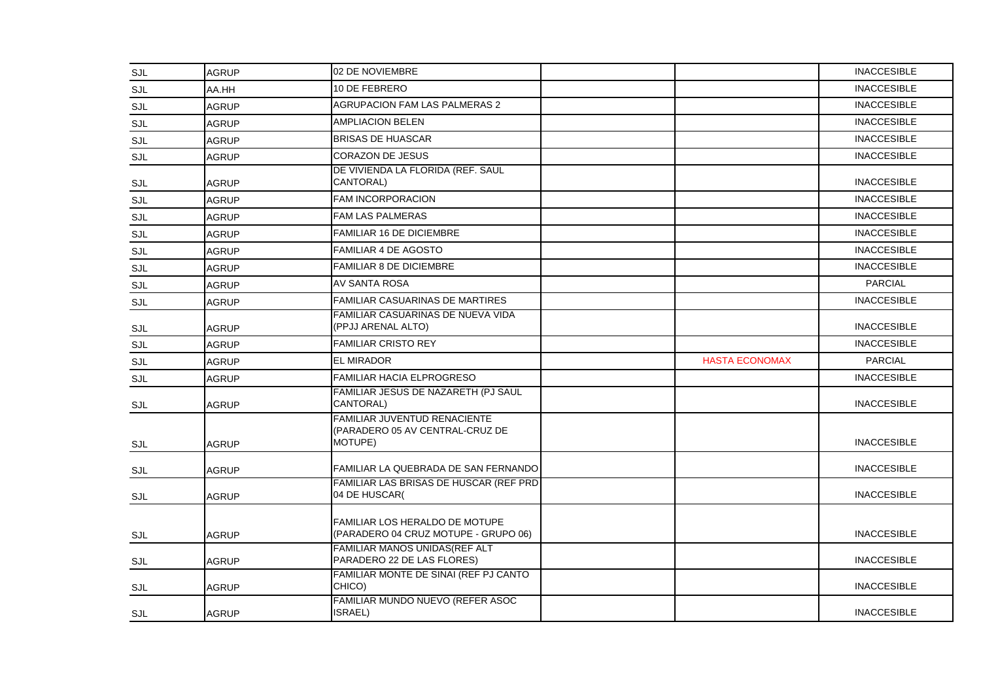| SJL        | <b>AGRUP</b> | 02 DE NOVIEMBRE                                                               |                       | <b>INACCESIBLE</b> |
|------------|--------------|-------------------------------------------------------------------------------|-----------------------|--------------------|
| SJL        | AA.HH        | 10 DE FEBRERO                                                                 |                       | <b>INACCESIBLE</b> |
| SJL        | <b>AGRUP</b> | <b>AGRUPACION FAM LAS PALMERAS 2</b>                                          |                       | <b>INACCESIBLE</b> |
| SJL        | <b>AGRUP</b> | <b>AMPLIACION BELEN</b>                                                       |                       | <b>INACCESIBLE</b> |
| SJL        | <b>AGRUP</b> | <b>BRISAS DE HUASCAR</b>                                                      |                       | <b>INACCESIBLE</b> |
| SJL        | <b>AGRUP</b> | <b>CORAZON DE JESUS</b>                                                       |                       | <b>INACCESIBLE</b> |
| SJL        | <b>AGRUP</b> | DE VIVIENDA LA FLORIDA (REF. SAUL<br>CANTORAL)                                |                       | <b>INACCESIBLE</b> |
| <b>SJL</b> | <b>AGRUP</b> | FAM INCORPORACION                                                             |                       | <b>INACCESIBLE</b> |
| SJL        | <b>AGRUP</b> | <b>FAM LAS PALMERAS</b>                                                       |                       | <b>INACCESIBLE</b> |
| SJL        | <b>AGRUP</b> | <b>FAMILIAR 16 DE DICIEMBRE</b>                                               |                       | <b>INACCESIBLE</b> |
| <b>SJL</b> | <b>AGRUP</b> | <b>FAMILIAR 4 DE AGOSTO</b>                                                   |                       | <b>INACCESIBLE</b> |
| SJL        | <b>AGRUP</b> | <b>FAMILIAR 8 DE DICIEMBRE</b>                                                |                       | <b>INACCESIBLE</b> |
| SJL        | <b>AGRUP</b> | <b>AV SANTA ROSA</b>                                                          |                       | <b>PARCIAL</b>     |
| SJL        | <b>AGRUP</b> | <b>FAMILIAR CASUARINAS DE MARTIRES</b>                                        |                       | <b>INACCESIBLE</b> |
| SJL        | <b>AGRUP</b> | <b>FAMILIAR CASUARINAS DE NUEVA VIDA</b><br>(PPJJ ARENAL ALTO)                |                       | <b>INACCESIBLE</b> |
| SJL        | <b>AGRUP</b> | <b>FAMILIAR CRISTO REY</b>                                                    |                       | <b>INACCESIBLE</b> |
| SJL        | <b>AGRUP</b> | <b>EL MIRADOR</b>                                                             | <b>HASTA ECONOMAX</b> | <b>PARCIAL</b>     |
| SJL        | <b>AGRUP</b> | <b>FAMILIAR HACIA ELPROGRESO</b>                                              |                       | <b>INACCESIBLE</b> |
| SJL        | <b>AGRUP</b> | FAMILIAR JESUS DE NAZARETH (PJ SAUL<br>CANTORAL)                              |                       | <b>INACCESIBLE</b> |
| SJL        | <b>AGRUP</b> | FAMILIAR JUVENTUD RENACIENTE<br>(PARADERO 05 AV CENTRAL-CRUZ DE<br>MOTUPE)    |                       | <b>INACCESIBLE</b> |
| SJL        | <b>AGRUP</b> | FAMILIAR LA QUEBRADA DE SAN FERNANDO                                          |                       | <b>INACCESIBLE</b> |
| <b>SJL</b> | <b>AGRUP</b> | FAMILIAR LAS BRISAS DE HUSCAR (REF PRD)<br>04 DE HUSCAR(                      |                       | <b>INACCESIBLE</b> |
| SJL        | <b>AGRUP</b> | <b>FAMILIAR LOS HERALDO DE MOTUPE</b><br>(PARADERO 04 CRUZ MOTUPE - GRUPO 06) |                       | <b>INACCESIBLE</b> |
| SJL        | <b>AGRUP</b> | FAMILIAR MANOS UNIDAS(REF ALT<br>PARADERO 22 DE LAS FLORES)                   |                       | <b>INACCESIBLE</b> |
| SJL        | <b>AGRUP</b> | FAMILIAR MONTE DE SINAI (REF PJ CANTO<br>CHICO)                               |                       | <b>INACCESIBLE</b> |
| <b>SJL</b> | <b>AGRUP</b> | FAMILIAR MUNDO NUEVO (REFER ASOC<br>ISRAEL)                                   |                       | <b>INACCESIBLE</b> |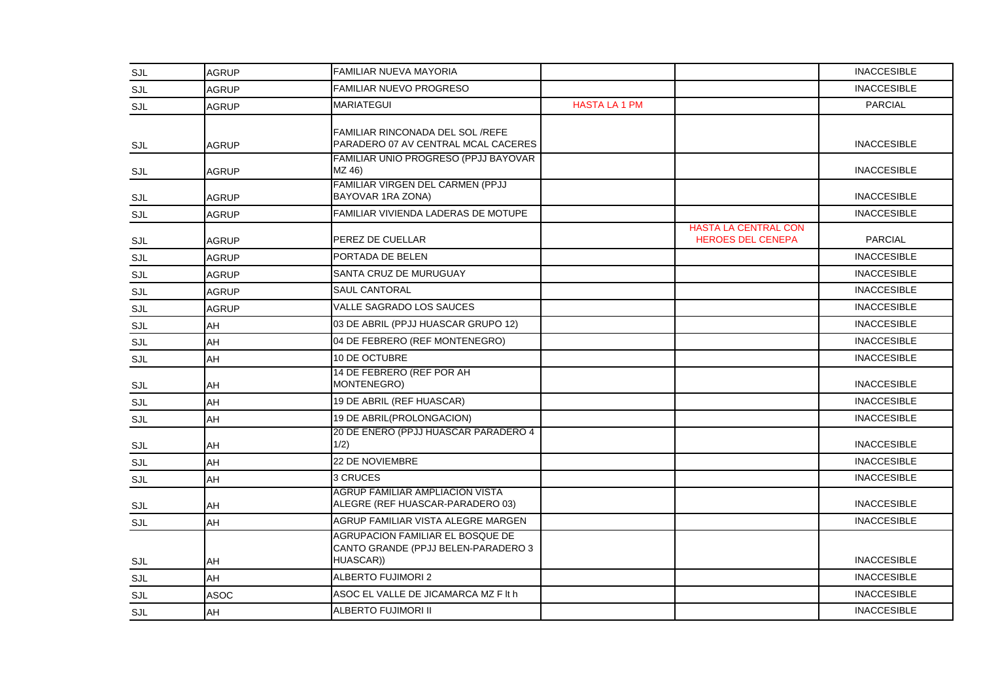| SJL        | <b>AGRUP</b> | <b>FAMILIAR NUEVA MAYORIA</b>                                                        |                      |                                                         | <b>INACCESIBLE</b> |
|------------|--------------|--------------------------------------------------------------------------------------|----------------------|---------------------------------------------------------|--------------------|
| SJL        | <b>AGRUP</b> | FAMILIAR NUEVO PROGRESO                                                              |                      |                                                         | <b>INACCESIBLE</b> |
| SJL        | <b>AGRUP</b> | <b>MARIATEGUI</b>                                                                    | <b>HASTA LA 1 PM</b> |                                                         | <b>PARCIAL</b>     |
| SJL        | <b>AGRUP</b> | FAMILIAR RINCONADA DEL SOL/REFE<br>PARADERO 07 AV CENTRAL MCAL CACERES               |                      |                                                         | <b>INACCESIBLE</b> |
| SJL        | <b>AGRUP</b> | FAMILIAR UNIO PROGRESO (PPJJ BAYOVAR<br>MZ 46)                                       |                      |                                                         | <b>INACCESIBLE</b> |
| SJL        | <b>AGRUP</b> | FAMILIAR VIRGEN DEL CARMEN (PPJJ<br>BAYOVAR 1RA ZONA)                                |                      |                                                         | <b>INACCESIBLE</b> |
| <b>SJL</b> | <b>AGRUP</b> | FAMILIAR VIVIENDA LADERAS DE MOTUPE                                                  |                      |                                                         | <b>INACCESIBLE</b> |
| SJL        | <b>AGRUP</b> | PEREZ DE CUELLAR                                                                     |                      | <b>HASTA LA CENTRAL CON</b><br><b>HEROES DEL CENEPA</b> | <b>PARCIAL</b>     |
| <b>SJL</b> | <b>AGRUP</b> | PORTADA DE BELEN                                                                     |                      |                                                         | <b>INACCESIBLE</b> |
| SJL        | <b>AGRUP</b> | SANTA CRUZ DE MURUGUAY                                                               |                      |                                                         | <b>INACCESIBLE</b> |
| SJL        | <b>AGRUP</b> | <b>SAUL CANTORAL</b>                                                                 |                      |                                                         | <b>INACCESIBLE</b> |
| SJL        | <b>AGRUP</b> | VALLE SAGRADO LOS SAUCES                                                             |                      |                                                         | <b>INACCESIBLE</b> |
| SJL        | AH           | 03 DE ABRIL (PPJJ HUASCAR GRUPO 12)                                                  |                      |                                                         | <b>INACCESIBLE</b> |
| SJL        | AH           | 04 DE FEBRERO (REF MONTENEGRO)                                                       |                      |                                                         | <b>INACCESIBLE</b> |
| SJL        | AH           | 10 DE OCTUBRE                                                                        |                      |                                                         | <b>INACCESIBLE</b> |
| SJL        | AH           | 14 DE FEBRERO (REF POR AH<br>MONTENEGRO)                                             |                      |                                                         | <b>INACCESIBLE</b> |
| SJL        | AH           | 19 DE ABRIL (REF HUASCAR)                                                            |                      |                                                         | <b>INACCESIBLE</b> |
| <b>SJL</b> | AH           | 19 DE ABRIL(PROLONGACION)                                                            |                      |                                                         | <b>INACCESIBLE</b> |
| <b>SJL</b> | AH           | 20 DE ENERO (PPJJ HUASCAR PARADERO 4<br>1/2)                                         |                      |                                                         | <b>INACCESIBLE</b> |
| SJL        | AH           | 22 DE NOVIEMBRE                                                                      |                      |                                                         | <b>INACCESIBLE</b> |
| SJL        | AH           | 3 CRUCES                                                                             |                      |                                                         | <b>INACCESIBLE</b> |
| SJL        | AH           | <b>AGRUP FAMILIAR AMPLIACION VISTA</b><br>ALEGRE (REF HUASCAR-PARADERO 03)           |                      |                                                         | <b>INACCESIBLE</b> |
| SJL        | AH           | AGRUP FAMILIAR VISTA ALEGRE MARGEN                                                   |                      |                                                         | <b>INACCESIBLE</b> |
| SJL        | AH           | AGRUPACION FAMILIAR EL BOSQUE DE<br>CANTO GRANDE (PPJJ BELEN-PARADERO 3<br>HUASCAR)) |                      |                                                         | <b>INACCESIBLE</b> |
| SJL        | AH           | <b>ALBERTO FUJIMORI 2</b>                                                            |                      |                                                         | <b>INACCESIBLE</b> |
| <b>SJL</b> | <b>ASOC</b>  | ASOC EL VALLE DE JICAMARCA MZ F It h                                                 |                      |                                                         | <b>INACCESIBLE</b> |
| SJL        | <b>AH</b>    | ALBERTO FUJIMORI II                                                                  |                      |                                                         | <b>INACCESIBLE</b> |
|            |              |                                                                                      |                      |                                                         |                    |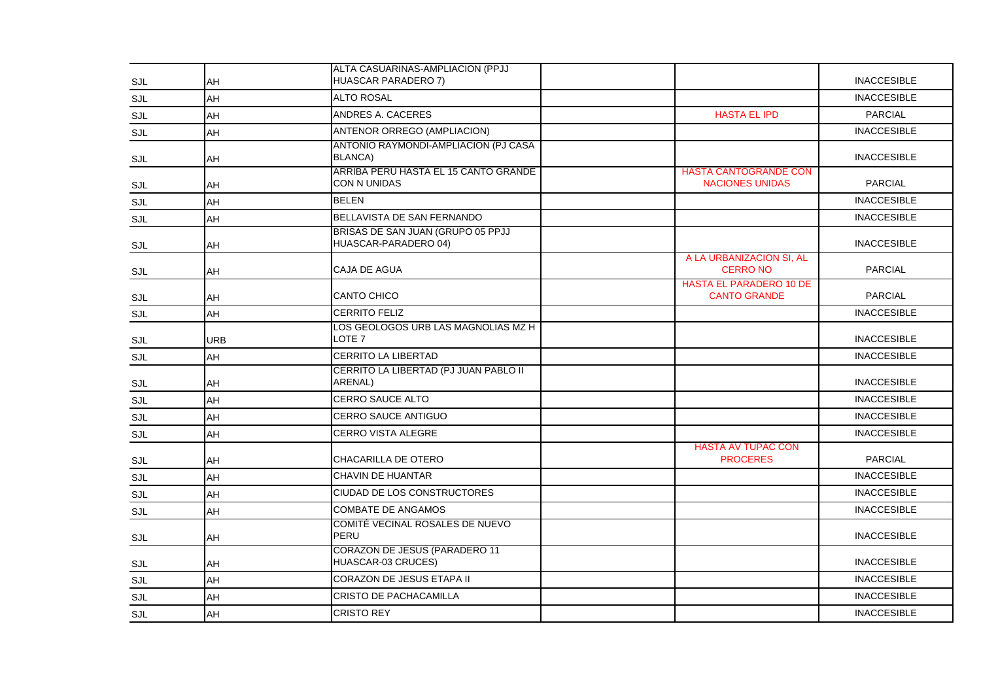| SJL        | AH         | ALTA CASUARINAS-AMPLIACION (PPJJ<br>HUASCAR PARADERO 7)     |                                                        | <b>INACCESIBLE</b> |
|------------|------------|-------------------------------------------------------------|--------------------------------------------------------|--------------------|
| SJL        | AH         | <b>ALTO ROSAL</b>                                           |                                                        | <b>INACCESIBLE</b> |
| SJL        | AH         | ANDRES A. CACERES                                           | <b>HASTA EL IPD</b>                                    | <b>PARCIAL</b>     |
| SJL        | AH         | ANTENOR ORREGO (AMPLIACION)                                 |                                                        | <b>INACCESIBLE</b> |
| SJL        | AH         | ANTONIO RAYMONDI-AMPLIACION (PJ CASA<br><b>BLANCA)</b>      |                                                        | <b>INACCESIBLE</b> |
| SJL        | AH         | ARRIBA PERU HASTA EL 15 CANTO GRANDE<br><b>CON N UNIDAS</b> | <b>HASTA CANTOGRANDE CON</b><br><b>NACIONES UNIDAS</b> | <b>PARCIAL</b>     |
| SJL        | AH         | <b>BELEN</b>                                                |                                                        | <b>INACCESIBLE</b> |
| SJL        | AH         | BELLAVISTA DE SAN FERNANDO                                  |                                                        | <b>INACCESIBLE</b> |
| SJL        | AH         | BRISAS DE SAN JUAN (GRUPO 05 PPJJ<br>HUASCAR-PARADERO 04)   |                                                        | <b>INACCESIBLE</b> |
| <b>SJL</b> | AH         | CAJA DE AGUA                                                | A LA URBANIZACION SI, AL<br><b>CERRO NO</b>            | <b>PARCIAL</b>     |
| SJL        | AH         | CANTO CHICO                                                 | <b>HASTA EL PARADERO 10 DE</b><br><b>CANTO GRANDE</b>  | <b>PARCIAL</b>     |
| SJL        | AH         | <b>CERRITO FELIZ</b>                                        |                                                        | <b>INACCESIBLE</b> |
| SJL        | <b>URB</b> | LOS GEOLOGOS URB LAS MAGNOLIAS MZ H<br>LOTE <sub>7</sub>    |                                                        | <b>INACCESIBLE</b> |
| SJL        | AH         | CERRITO LA LIBERTAD                                         |                                                        | <b>INACCESIBLE</b> |
| SJL        | AH         | CERRITO LA LIBERTAD (PJ JUAN PABLO II<br>ARENAL)            |                                                        | <b>INACCESIBLE</b> |
| SJL        | AH         | <b>CERRO SAUCE ALTO</b>                                     |                                                        | <b>INACCESIBLE</b> |
| SJL        | AH         | CERRO SAUCE ANTIGUO                                         |                                                        | <b>INACCESIBLE</b> |
| <b>SJL</b> | <b>AH</b>  | <b>CERRO VISTA ALEGRE</b>                                   |                                                        | <b>INACCESIBLE</b> |
| SJL        | AH         | <b>CHACARILLA DE OTERO</b>                                  | <b>HASTA AV TUPAC CON</b><br><b>PROCERES</b>           | <b>PARCIAL</b>     |
| SJL        | AH         | <b>CHAVIN DE HUANTAR</b>                                    |                                                        | <b>INACCESIBLE</b> |
| SJL        | AH         | CIUDAD DE LOS CONSTRUCTORES                                 |                                                        | <b>INACCESIBLE</b> |
| <b>SJL</b> | AH         | <b>COMBATE DE ANGAMOS</b>                                   |                                                        | <b>INACCESIBLE</b> |
| SJL        | AH         | COMITÉ VECINAL ROSALES DE NUEVO<br>PERU                     |                                                        | <b>INACCESIBLE</b> |
| <b>SJL</b> | AH         | CORAZON DE JESUS (PARADERO 11<br>HUASCAR-03 CRUCES)         |                                                        | <b>INACCESIBLE</b> |
| SJL        | AH         | CORAZON DE JESUS ETAPA II                                   |                                                        | <b>INACCESIBLE</b> |
| SJL        | AH         | <b>CRISTO DE PACHACAMILLA</b>                               |                                                        | <b>INACCESIBLE</b> |
| SJL        | AH         | <b>CRISTO REY</b>                                           |                                                        | <b>INACCESIBLE</b> |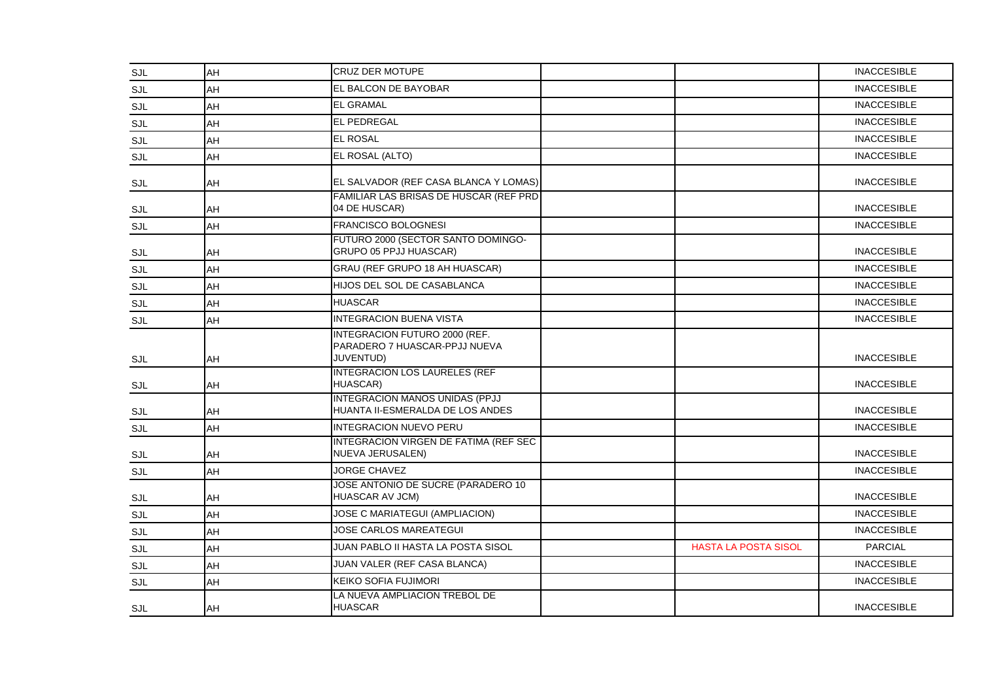| <b>SJL</b> | AH | <b>CRUZ DER MOTUPE</b>                                                      |                             | <b>INACCESIBLE</b> |
|------------|----|-----------------------------------------------------------------------------|-----------------------------|--------------------|
| SJL        | AH | EL BALCON DE BAYOBAR                                                        |                             | <b>INACCESIBLE</b> |
| SJL        | AH | <b>EL GRAMAL</b>                                                            |                             | <b>INACCESIBLE</b> |
| SJL        | AH | <b>EL PEDREGAL</b>                                                          |                             | <b>INACCESIBLE</b> |
| <b>SJL</b> | AH | <b>EL ROSAL</b>                                                             |                             | <b>INACCESIBLE</b> |
| <b>SJL</b> | AH | EL ROSAL (ALTO)                                                             |                             | <b>INACCESIBLE</b> |
| SJL        | AH | EL SALVADOR (REF CASA BLANCA Y LOMAS)                                       |                             | <b>INACCESIBLE</b> |
| SJL        | AH | FAMILIAR LAS BRISAS DE HUSCAR (REF PRD<br>04 DE HUSCAR)                     |                             | <b>INACCESIBLE</b> |
| SJL        | AH | FRANCISCO BOLOGNESI                                                         |                             | <b>INACCESIBLE</b> |
| SJL        | AH | FUTURO 2000 (SECTOR SANTO DOMINGO-<br>GRUPO 05 PPJJ HUASCAR)                |                             | <b>INACCESIBLE</b> |
| <b>SJL</b> | AH | GRAU (REF GRUPO 18 AH HUASCAR)                                              |                             | <b>INACCESIBLE</b> |
| <b>SJL</b> | AH | HIJOS DEL SOL DE CASABLANCA                                                 |                             | <b>INACCESIBLE</b> |
| SJL        | AH | <b>HUASCAR</b>                                                              |                             | <b>INACCESIBLE</b> |
| SJL        | AH | <b>INTEGRACION BUENA VISTA</b>                                              |                             | <b>INACCESIBLE</b> |
| SJL        | AH | INTEGRACION FUTURO 2000 (REF.<br>PARADERO 7 HUASCAR-PPJJ NUEVA<br>JUVENTUD) |                             | <b>INACCESIBLE</b> |
| SJL        | AH | <b>INTEGRACION LOS LAURELES (REF</b><br>HUASCAR)                            |                             | <b>INACCESIBLE</b> |
| SJL        | AH | <b>INTEGRACION MANOS UNIDAS (PPJJ</b><br>HUANTA II-ESMERALDA DE LOS ANDES   |                             | <b>INACCESIBLE</b> |
| <b>SJL</b> | AH | INTEGRACION NUEVO PERU                                                      |                             | <b>INACCESIBLE</b> |
| <b>SJL</b> | AH | INTEGRACION VIRGEN DE FATIMA (REF SEC<br>NUEVA JERUSALEN)                   |                             | <b>INACCESIBLE</b> |
| SJL        | AH | <b>JORGE CHAVEZ</b>                                                         |                             | <b>INACCESIBLE</b> |
| SJL        | AH | JOSE ANTONIO DE SUCRE (PARADERO 10<br>HUASCAR AV JCM)                       |                             | <b>INACCESIBLE</b> |
| SJL        | AH | JOSE C MARIATEGUI (AMPLIACION)                                              |                             | <b>INACCESIBLE</b> |
| SJL        | AH | <b>JOSE CARLOS MAREATEGUI</b>                                               |                             | <b>INACCESIBLE</b> |
| <b>SJL</b> | AH | JUAN PABLO II HASTA LA POSTA SISOL                                          | <b>HASTA LA POSTA SISOL</b> | <b>PARCIAL</b>     |
| SJL        | AH | JUAN VALER (REF CASA BLANCA)                                                |                             | <b>INACCESIBLE</b> |
| SJL        | AH | <b>KEIKO SOFIA FUJIMORI</b>                                                 |                             | <b>INACCESIBLE</b> |
| <b>SJL</b> | AH | LA NUEVA AMPLIACION TREBOL DE<br><b>HUASCAR</b>                             |                             | <b>INACCESIBLE</b> |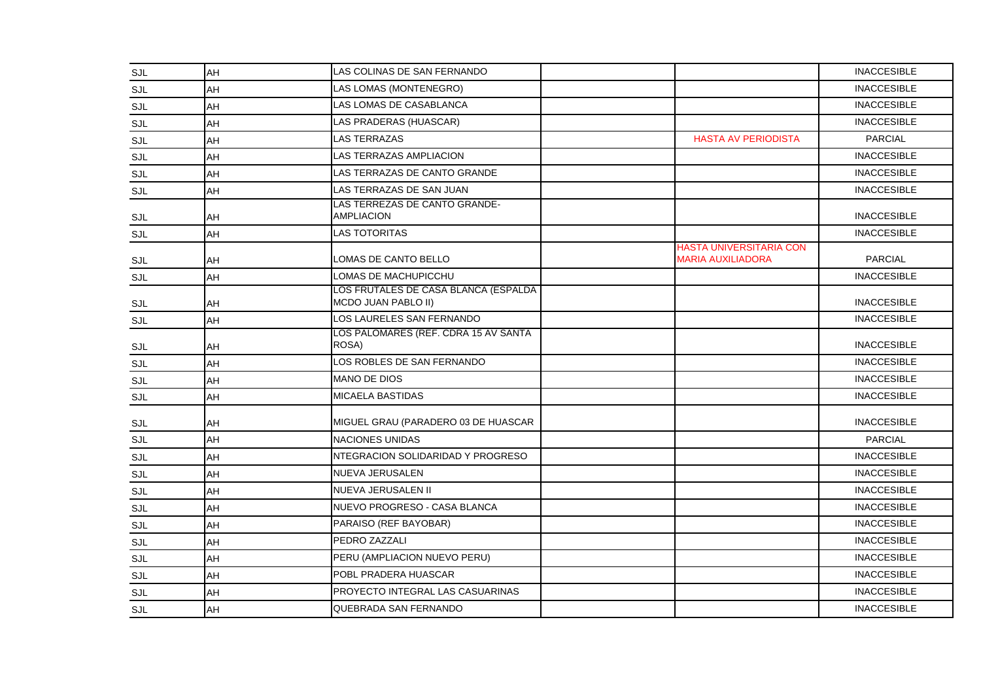| <b>SJL</b> | AH | LAS COLINAS DE SAN FERNANDO                                        |                                                            | <b>INACCESIBLE</b> |
|------------|----|--------------------------------------------------------------------|------------------------------------------------------------|--------------------|
| SJL        | AH | LAS LOMAS (MONTENEGRO)                                             |                                                            | <b>INACCESIBLE</b> |
| SJL        | AH | LAS LOMAS DE CASABLANCA                                            |                                                            | <b>INACCESIBLE</b> |
| SJL        | AH | LAS PRADERAS (HUASCAR)                                             |                                                            | <b>INACCESIBLE</b> |
| <b>SJL</b> | AH | LAS TERRAZAS                                                       | <b>HASTA AV PERIODISTA</b>                                 | <b>PARCIAL</b>     |
| <b>SJL</b> | AH | LAS TERRAZAS AMPLIACION                                            |                                                            | <b>INACCESIBLE</b> |
| SJL        | AH | LAS TERRAZAS DE CANTO GRANDE                                       |                                                            | <b>INACCESIBLE</b> |
| SJL        | AH | AS TERRAZAS DE SAN JUAN                                            |                                                            | <b>INACCESIBLE</b> |
| SJL        | AH | LAS TERREZAS DE CANTO GRANDE-<br><b>AMPLIACION</b>                 |                                                            | <b>INACCESIBLE</b> |
| SJL        | AH | LAS TOTORITAS                                                      |                                                            | <b>INACCESIBLE</b> |
| SJL        | AH | LOMAS DE CANTO BELLO                                               | <b>HASTA UNIVERSITARIA CON</b><br><b>MARIA AUXILIADORA</b> | <b>PARCIAL</b>     |
| <b>SJL</b> | AH | LOMAS DE MACHUPICCHU                                               |                                                            | <b>INACCESIBLE</b> |
| <b>SJL</b> | AH | LOS FRUTALES DE CASA BLANCA (ESPALDA<br><b>MCDO JUAN PABLO II)</b> |                                                            | <b>INACCESIBLE</b> |
| SJL        | AH | LOS LAURELES SAN FERNANDO                                          |                                                            | <b>INACCESIBLE</b> |
| SJL        | AH | LOS PALOMARES (REF. CDRA 15 AV SANTA<br>ROSA)                      |                                                            | <b>INACCESIBLE</b> |
| <b>SJL</b> | AH | LOS ROBLES DE SAN FERNANDO                                         |                                                            | <b>INACCESIBLE</b> |
| SJL        | AH | <b>MANO DE DIOS</b>                                                |                                                            | <b>INACCESIBLE</b> |
| SJL        | AH | <b>MICAELA BASTIDAS</b>                                            |                                                            | <b>INACCESIBLE</b> |
| SJL        | AH | MIGUEL GRAU (PARADERO 03 DE HUASCAR                                |                                                            | <b>INACCESIBLE</b> |
| <b>SJL</b> | AH | <b>NACIONES UNIDAS</b>                                             |                                                            | <b>PARCIAL</b>     |
| <b>SJL</b> | AH | NTEGRACION SOLIDARIDAD Y PROGRESO                                  |                                                            | <b>INACCESIBLE</b> |
| SJL        | AH | NUEVA JERUSALEN                                                    |                                                            | <b>INACCESIBLE</b> |
| SJL        | AH | NUEVA JERUSALEN II                                                 |                                                            | <b>INACCESIBLE</b> |
| SJL        | AH | NUEVO PROGRESO - CASA BLANCA                                       |                                                            | <b>INACCESIBLE</b> |
| SJL        | AH | PARAISO (REF BAYOBAR)                                              |                                                            | <b>INACCESIBLE</b> |
| <b>SJL</b> | AH | PEDRO ZAZZALI                                                      |                                                            | <b>INACCESIBLE</b> |
| <b>SJL</b> | AH | PERU (AMPLIACION NUEVO PERU)                                       |                                                            | <b>INACCESIBLE</b> |
| SJL        | AH | POBL PRADERA HUASCAR                                               |                                                            | <b>INACCESIBLE</b> |
| <b>SJL</b> | AH | PROYECTO INTEGRAL LAS CASUARINAS                                   |                                                            | <b>INACCESIBLE</b> |
| <b>SJL</b> | AH | QUEBRADA SAN FERNANDO                                              |                                                            | <b>INACCESIBLE</b> |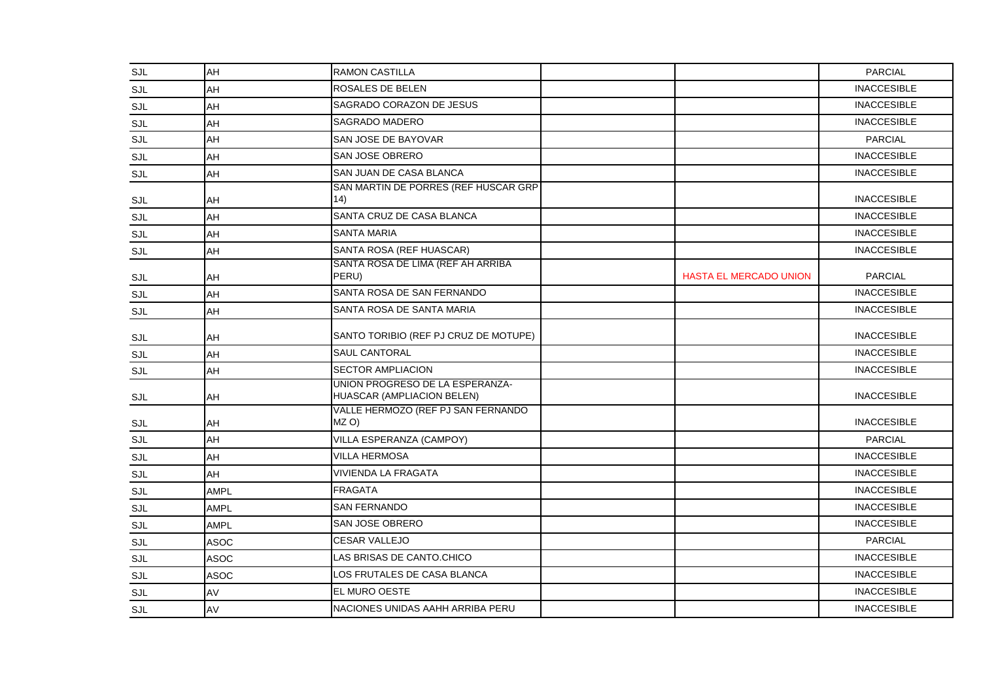| <b>SJL</b> | AH          | <b>RAMON CASTILLA</b>                                         |                               | <b>PARCIAL</b>     |
|------------|-------------|---------------------------------------------------------------|-------------------------------|--------------------|
| <b>SJL</b> | AH          | ROSALES DE BELEN                                              |                               | <b>INACCESIBLE</b> |
| SJL        | AH          | SAGRADO CORAZON DE JESUS                                      |                               | <b>INACCESIBLE</b> |
| SJL        | AH          | <b>SAGRADO MADERO</b>                                         |                               | <b>INACCESIBLE</b> |
| <b>SJL</b> | AH          | SAN JOSE DE BAYOVAR                                           |                               | <b>PARCIAL</b>     |
| <b>SJL</b> | AH          | SAN JOSE OBRERO                                               |                               | <b>INACCESIBLE</b> |
| <b>SJL</b> | AH          | <b>SAN JUAN DE CASA BLANCA</b>                                |                               | <b>INACCESIBLE</b> |
| SJL        | AH          | SAN MARTIN DE PORRES (REF HUSCAR GRP<br>14)                   |                               | <b>INACCESIBLE</b> |
| SJL        | AH          | SANTA CRUZ DE CASA BLANCA                                     |                               | <b>INACCESIBLE</b> |
| SJL        | AH          | <b>SANTA MARIA</b>                                            |                               | <b>INACCESIBLE</b> |
| SJL        | AH          | SANTA ROSA (REF HUASCAR)                                      |                               | <b>INACCESIBLE</b> |
| SJL        | AH          | SANTA ROSA DE LIMA (REF AH ARRIBA<br>PERU)                    | <b>HASTA EL MERCADO UNION</b> | <b>PARCIAL</b>     |
| <b>SJL</b> | AH          | SANTA ROSA DE SAN FERNANDO                                    |                               | <b>INACCESIBLE</b> |
| SJL        | AH          | SANTA ROSA DE SANTA MARIA                                     |                               | <b>INACCESIBLE</b> |
| <b>SJL</b> | AH          | SANTO TORIBIO (REF PJ CRUZ DE MOTUPE)                         |                               | <b>INACCESIBLE</b> |
| <b>SJL</b> | AH          | <b>SAUL CANTORAL</b>                                          |                               | <b>INACCESIBLE</b> |
| SJL        | AH          | <b>SECTOR AMPLIACION</b>                                      |                               | <b>INACCESIBLE</b> |
| <b>SJL</b> | AH          | UNION PROGRESO DE LA ESPERANZA-<br>HUASCAR (AMPLIACION BELEN) |                               | <b>INACCESIBLE</b> |
| SJL        | AH          | VALLE HERMOZO (REF PJ SAN FERNANDO<br>MZ O)                   |                               | <b>INACCESIBLE</b> |
| SJL        | AH          | VILLA ESPERANZA (CAMPOY)                                      |                               | <b>PARCIAL</b>     |
| <b>SJL</b> | AH          | <b>VILLA HERMOSA</b>                                          |                               | <b>INACCESIBLE</b> |
| <b>SJL</b> | AH          | <b>VIVIENDA LA FRAGATA</b>                                    |                               | <b>INACCESIBLE</b> |
| SJL        | <b>AMPL</b> | <b>FRAGATA</b>                                                |                               | <b>INACCESIBLE</b> |
| SJL        | <b>AMPL</b> | <b>SAN FERNANDO</b>                                           |                               | <b>INACCESIBLE</b> |
| SJL        | <b>AMPL</b> | SAN JOSE OBRERO                                               |                               | <b>INACCESIBLE</b> |
| <b>SJL</b> | <b>ASOC</b> | <b>CESAR VALLEJO</b>                                          |                               | <b>PARCIAL</b>     |
| SJL        | <b>ASOC</b> | LAS BRISAS DE CANTO.CHICO                                     |                               | <b>INACCESIBLE</b> |
| <b>SJL</b> | ASOC        | LOS FRUTALES DE CASA BLANCA                                   |                               | <b>INACCESIBLE</b> |
| <b>SJL</b> | AV          | EL MURO OESTE                                                 |                               | <b>INACCESIBLE</b> |
| <b>SJL</b> | AV          | NACIONES UNIDAS AAHH ARRIBA PERU                              |                               | <b>INACCESIBLE</b> |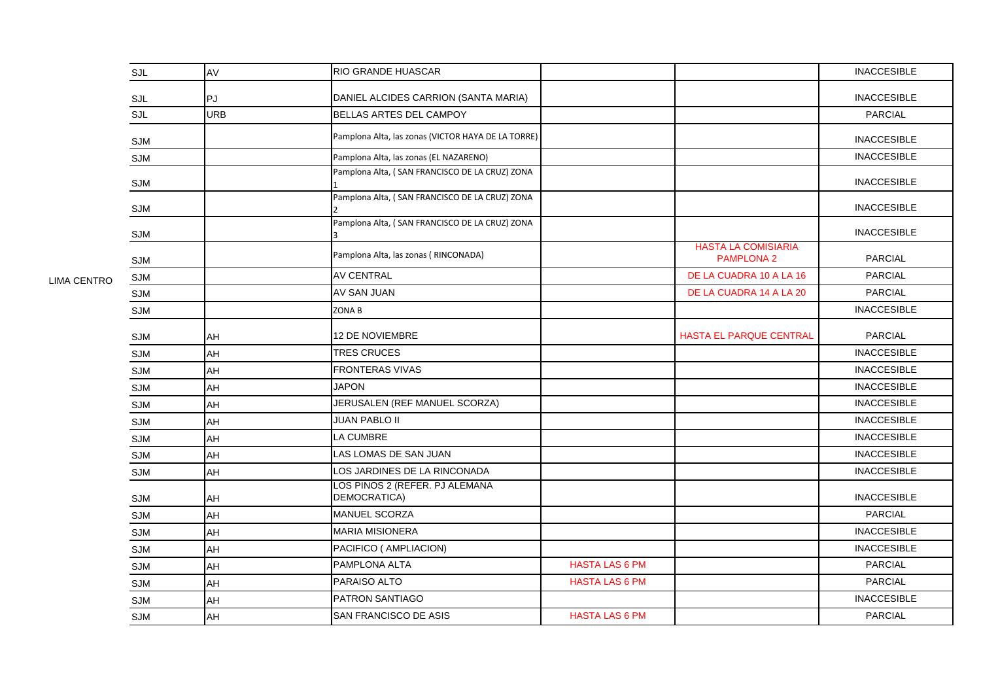| SJL        | AV         | <b>RIO GRANDE HUASCAR</b>                          |                       |                                                 | <b>INACCESIBLE</b> |
|------------|------------|----------------------------------------------------|-----------------------|-------------------------------------------------|--------------------|
| SJL        | PJ.        | DANIEL ALCIDES CARRION (SANTA MARIA)               |                       |                                                 | <b>INACCESIBLE</b> |
| SJL        | <b>URB</b> | BELLAS ARTES DEL CAMPOY                            |                       |                                                 | <b>PARCIAL</b>     |
| SJM        |            | Pamplona Alta, las zonas (VICTOR HAYA DE LA TORRE) |                       |                                                 | <b>INACCESIBLE</b> |
| SJM        |            | Pamplona Alta, las zonas (EL NAZARENO)             |                       |                                                 | <b>INACCESIBLE</b> |
| <b>SJM</b> |            | Pamplona Alta, (SAN FRANCISCO DE LA CRUZ) ZONA     |                       |                                                 | <b>INACCESIBLE</b> |
| SJM        |            | Pamplona Alta, (SAN FRANCISCO DE LA CRUZ) ZONA     |                       |                                                 | <b>INACCESIBLE</b> |
| <b>SJM</b> |            | Pamplona Alta, (SAN FRANCISCO DE LA CRUZ) ZONA     |                       |                                                 | <b>INACCESIBLE</b> |
| <b>SJM</b> |            | Pamplona Alta, las zonas (RINCONADA)               |                       | <b>HASTA LA COMISIARIA</b><br><b>PAMPLONA 2</b> | <b>PARCIAL</b>     |
| <b>SJM</b> |            | <b>AV CENTRAL</b>                                  |                       | DE LA CUADRA 10 A LA 16                         | <b>PARCIAL</b>     |
| <b>SJM</b> |            | AV SAN JUAN                                        |                       | DE LA CUADRA 14 A LA 20                         | <b>PARCIAL</b>     |
| <b>SJM</b> |            | <b>ZONAB</b>                                       |                       |                                                 | <b>INACCESIBLE</b> |
| <b>SJM</b> | AH         | <b>12 DE NOVIEMBRE</b>                             |                       | <b>HASTA EL PARQUE CENTRAL</b>                  | <b>PARCIAL</b>     |
| <b>SJM</b> | AH         | <b>TRES CRUCES</b>                                 |                       |                                                 | <b>INACCESIBLE</b> |
| <b>SJM</b> | AH         | <b>FRONTERAS VIVAS</b>                             |                       |                                                 | <b>INACCESIBLE</b> |
| <b>SJM</b> | AH         | <b>JAPON</b>                                       |                       |                                                 | <b>INACCESIBLE</b> |
| <b>SJM</b> | AH         | JERUSALEN (REF MANUEL SCORZA)                      |                       |                                                 | <b>INACCESIBLE</b> |
| <b>SJM</b> | AH         | <b>JUAN PABLO II</b>                               |                       |                                                 | <b>INACCESIBLE</b> |
| <b>SJM</b> | AH         | <b>LA CUMBRE</b>                                   |                       |                                                 | <b>INACCESIBLE</b> |
| SJM        | AH         | LAS LOMAS DE SAN JUAN                              |                       |                                                 | <b>INACCESIBLE</b> |
| <b>SJM</b> | AH         | LOS JARDINES DE LA RINCONADA                       |                       |                                                 | <b>INACCESIBLE</b> |
| <b>SJM</b> | AH         | LOS PINOS 2 (REFER. PJ ALEMANA<br>DEMOCRATICA)     |                       |                                                 | <b>INACCESIBLE</b> |
| SJM        | AH         | MANUEL SCORZA                                      |                       |                                                 | <b>PARCIAL</b>     |
| <b>SJM</b> | AH         | <b>MARIA MISIONERA</b>                             |                       |                                                 | <b>INACCESIBLE</b> |
| SJM        | AH         | PACIFICO ( AMPLIACION)                             |                       |                                                 | <b>INACCESIBLE</b> |
| SJM        | AH         | PAMPLONA ALTA                                      | <b>HASTA LAS 6 PM</b> |                                                 | <b>PARCIAL</b>     |
| <b>SJM</b> | AH         | PARAISO ALTO                                       | <b>HASTA LAS 6 PM</b> |                                                 | <b>PARCIAL</b>     |
| <b>SJM</b> | AH         | <b>PATRON SANTIAGO</b>                             |                       |                                                 | <b>INACCESIBLE</b> |
| SJM        | AH         | SAN FRANCISCO DE ASIS                              | <b>HASTA LAS 6 PM</b> |                                                 | <b>PARCIAL</b>     |

LIMA CENTRO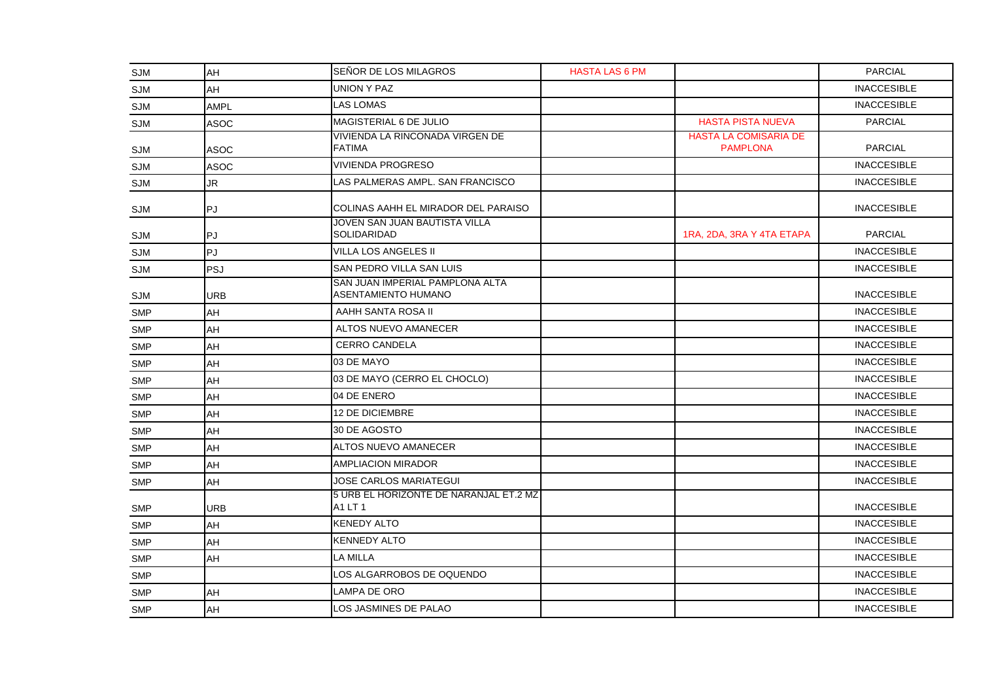| SJM        | AH          | SEÑOR DE LOS MILAGROS                                  | <b>HASTA LAS 6 PM</b> |                                                 | <b>PARCIAL</b>     |
|------------|-------------|--------------------------------------------------------|-----------------------|-------------------------------------------------|--------------------|
| SJM        | AH          | <b>UNION Y PAZ</b>                                     |                       |                                                 | <b>INACCESIBLE</b> |
| SJM        | <b>AMPL</b> | <b>LAS LOMAS</b>                                       |                       |                                                 | <b>INACCESIBLE</b> |
| SJM        | <b>ASOC</b> | MAGISTERIAL 6 DE JULIO                                 |                       | <b>HASTA PISTA NUEVA</b>                        | <b>PARCIAL</b>     |
| SJM        | <b>ASOC</b> | VIVIENDA LA RINCONADA VIRGEN DE<br><b>FATIMA</b>       |                       | <b>HASTA LA COMISARIA DE</b><br><b>PAMPLONA</b> | <b>PARCIAL</b>     |
| <b>SJM</b> | <b>ASOC</b> | <b>VIVIENDA PROGRESO</b>                               |                       |                                                 | <b>INACCESIBLE</b> |
| SJM        | JR          | LAS PALMERAS AMPL. SAN FRANCISCO                       |                       |                                                 | <b>INACCESIBLE</b> |
| <b>SJM</b> | ∣PJ         | COLINAS AAHH EL MIRADOR DEL PARAISO                    |                       |                                                 | <b>INACCESIBLE</b> |
| SJM        | <b>PJ</b>   | JOVEN SAN JUAN BAUTISTA VILLA<br><b>SOLIDARIDAD</b>    |                       | 1RA, 2DA, 3RA Y 4TA ETAPA                       | <b>PARCIAL</b>     |
| SJM        | PJ          | <b>VILLA LOS ANGELES II</b>                            |                       |                                                 | <b>INACCESIBLE</b> |
| SJM        | <b>PSJ</b>  | SAN PEDRO VILLA SAN LUIS                               |                       |                                                 | <b>INACCESIBLE</b> |
| SJM        | <b>URB</b>  | SAN JUAN IMPERIAL PAMPLONA ALTA<br>ASENTAMIENTO HUMANO |                       |                                                 | <b>INACCESIBLE</b> |
| <b>SMP</b> | AH          | AAHH SANTA ROSA II                                     |                       |                                                 | <b>INACCESIBLE</b> |
| SMP        | AH          | ALTOS NUEVO AMANECER                                   |                       |                                                 | <b>INACCESIBLE</b> |
| <b>SMP</b> | AH          | <b>CERRO CANDELA</b>                                   |                       |                                                 | <b>INACCESIBLE</b> |
| <b>SMP</b> | AH          | 03 DE MAYO                                             |                       |                                                 | <b>INACCESIBLE</b> |
| <b>SMP</b> | AH          | 03 DE MAYO (CERRO EL CHOCLO)                           |                       |                                                 | <b>INACCESIBLE</b> |
| <b>SMP</b> | AH          | 04 DE ENERO                                            |                       |                                                 | <b>INACCESIBLE</b> |
| <b>SMP</b> | AH          | 12 DE DICIEMBRE                                        |                       |                                                 | <b>INACCESIBLE</b> |
| <b>SMP</b> | AH          | 30 DE AGOSTO                                           |                       |                                                 | <b>INACCESIBLE</b> |
| <b>SMP</b> | AH          | ALTOS NUEVO AMANECER                                   |                       |                                                 | <b>INACCESIBLE</b> |
| <b>SMP</b> | AH          | <b>AMPLIACION MIRADOR</b>                              |                       |                                                 | <b>INACCESIBLE</b> |
| <b>SMP</b> | AH          | <b>JOSE CARLOS MARIATEGUI</b>                          |                       |                                                 | <b>INACCESIBLE</b> |
| <b>SMP</b> | <b>URB</b>  | 5 URB EL HORIZONTE DE NARANJAL ET.2 MZ<br>A1 LT 1      |                       |                                                 | <b>INACCESIBLE</b> |
| <b>SMP</b> | AH          | <b>KENEDY ALTO</b>                                     |                       |                                                 | <b>INACCESIBLE</b> |
| <b>SMP</b> | AH          | <b>KENNEDY ALTO</b>                                    |                       |                                                 | <b>INACCESIBLE</b> |
| <b>SMP</b> | AH          | LA MILLA                                               |                       |                                                 | <b>INACCESIBLE</b> |
| <b>SMP</b> |             | LOS ALGARROBOS DE OQUENDO                              |                       |                                                 | <b>INACCESIBLE</b> |
| <b>SMP</b> | AH          | LAMPA DE ORO                                           |                       |                                                 | <b>INACCESIBLE</b> |
| <b>SMP</b> | AH          | LOS JASMINES DE PALAO                                  |                       |                                                 | <b>INACCESIBLE</b> |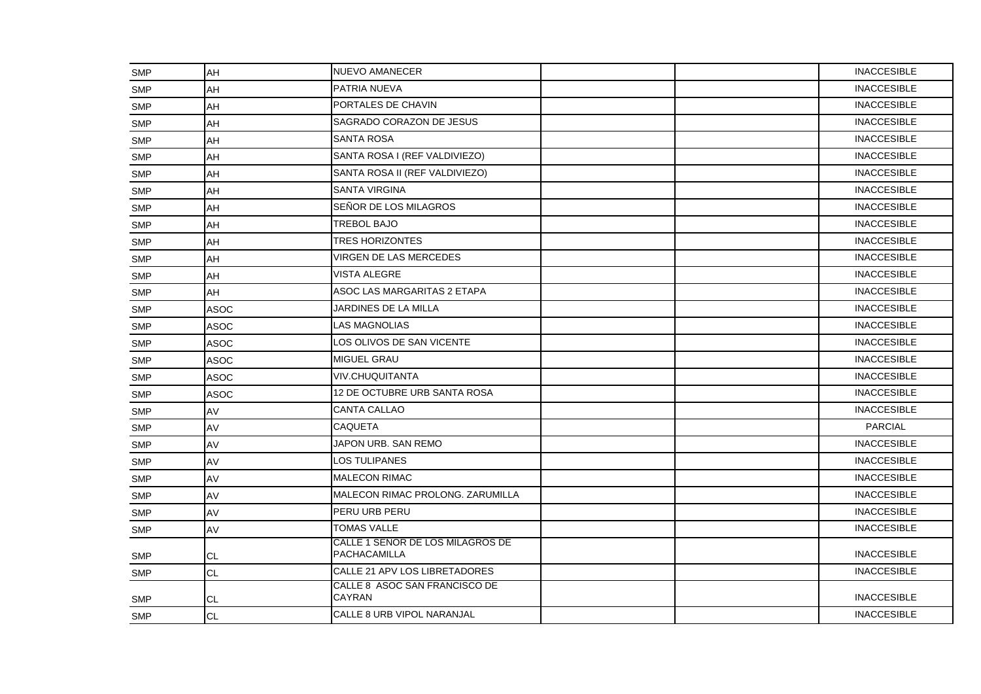| <b>SMP</b> | AH          | NUEVO AMANECER                                   |  |  | <b>INACCESIBLE</b> |
|------------|-------------|--------------------------------------------------|--|--|--------------------|
| <b>SMP</b> | AH          | <b>PATRIA NUEVA</b>                              |  |  | <b>INACCESIBLE</b> |
| <b>SMP</b> | AH          | PORTALES DE CHAVIN                               |  |  | <b>INACCESIBLE</b> |
| SMP        | AH          | SAGRADO CORAZON DE JESUS                         |  |  | <b>INACCESIBLE</b> |
| SMP        | AH          | SANTA ROSA                                       |  |  | <b>INACCESIBLE</b> |
| <b>SMP</b> | AH          | SANTA ROSA I (REF VALDIVIEZO)                    |  |  | <b>INACCESIBLE</b> |
| <b>SMP</b> | AH          | SANTA ROSA II (REF VALDIVIEZO)                   |  |  | <b>INACCESIBLE</b> |
| <b>SMP</b> | AH          | <b>SANTA VIRGINA</b>                             |  |  | <b>INACCESIBLE</b> |
| <b>SMP</b> | AH          | SEÑOR DE LOS MILAGROS                            |  |  | <b>INACCESIBLE</b> |
| <b>SMP</b> | AH          | <b>TREBOL BAJO</b>                               |  |  | <b>INACCESIBLE</b> |
| <b>SMP</b> | AH          | <b>TRES HORIZONTES</b>                           |  |  | <b>INACCESIBLE</b> |
| SMP        | AH          | VIRGEN DE LAS MERCEDES                           |  |  | <b>INACCESIBLE</b> |
| <b>SMP</b> | AH          | <b>VISTA ALEGRE</b>                              |  |  | <b>INACCESIBLE</b> |
| <b>SMP</b> | AH          | ASOC LAS MARGARITAS 2 ETAPA                      |  |  | <b>INACCESIBLE</b> |
| <b>SMP</b> | <b>ASOC</b> | JARDINES DE LA MILLA                             |  |  | <b>INACCESIBLE</b> |
| SMP        | <b>ASOC</b> | LAS MAGNOLIAS                                    |  |  | <b>INACCESIBLE</b> |
| <b>SMP</b> | <b>ASOC</b> | LOS OLIVOS DE SAN VICENTE                        |  |  | <b>INACCESIBLE</b> |
| <b>SMP</b> | <b>ASOC</b> | <b>MIGUEL GRAU</b>                               |  |  | <b>INACCESIBLE</b> |
| <b>SMP</b> | <b>ASOC</b> | <b>VIV.CHUQUITANTA</b>                           |  |  | <b>INACCESIBLE</b> |
| <b>SMP</b> | <b>ASOC</b> | 12 DE OCTUBRE URB SANTA ROSA                     |  |  | <b>INACCESIBLE</b> |
| <b>SMP</b> | AV          | <b>CANTA CALLAO</b>                              |  |  | <b>INACCESIBLE</b> |
| <b>SMP</b> | AV          | <b>CAQUETA</b>                                   |  |  | <b>PARCIAL</b>     |
| <b>SMP</b> | AV          | JAPON URB. SAN REMO                              |  |  | <b>INACCESIBLE</b> |
| SMP        | AV          | LOS TULIPANES                                    |  |  | <b>INACCESIBLE</b> |
| <b>SMP</b> | AV          | <b>MALECON RIMAC</b>                             |  |  | <b>INACCESIBLE</b> |
| <b>SMP</b> | AV          | MALECON RIMAC PROLONG. ZARUMILLA                 |  |  | <b>INACCESIBLE</b> |
| <b>SMP</b> | AV          | <b>PERU URB PERU</b>                             |  |  | <b>INACCESIBLE</b> |
| <b>SMP</b> | AV          | <b>TOMAS VALLE</b>                               |  |  | <b>INACCESIBLE</b> |
| SMP        | <b>CL</b>   | CALLE 1 SEÑOR DE LOS MILAGROS DE<br>PACHACAMILLA |  |  | <b>INACCESIBLE</b> |
| <b>SMP</b> | <b>CL</b>   | CALLE 21 APV LOS LIBRETADORES                    |  |  | <b>INACCESIBLE</b> |
| <b>SMP</b> | CL          | CALLE 8 ASOC SAN FRANCISCO DE<br><b>CAYRAN</b>   |  |  | <b>INACCESIBLE</b> |
| <b>SMP</b> | <b>CL</b>   | CALLE 8 URB VIPOL NARANJAL                       |  |  | <b>INACCESIBLE</b> |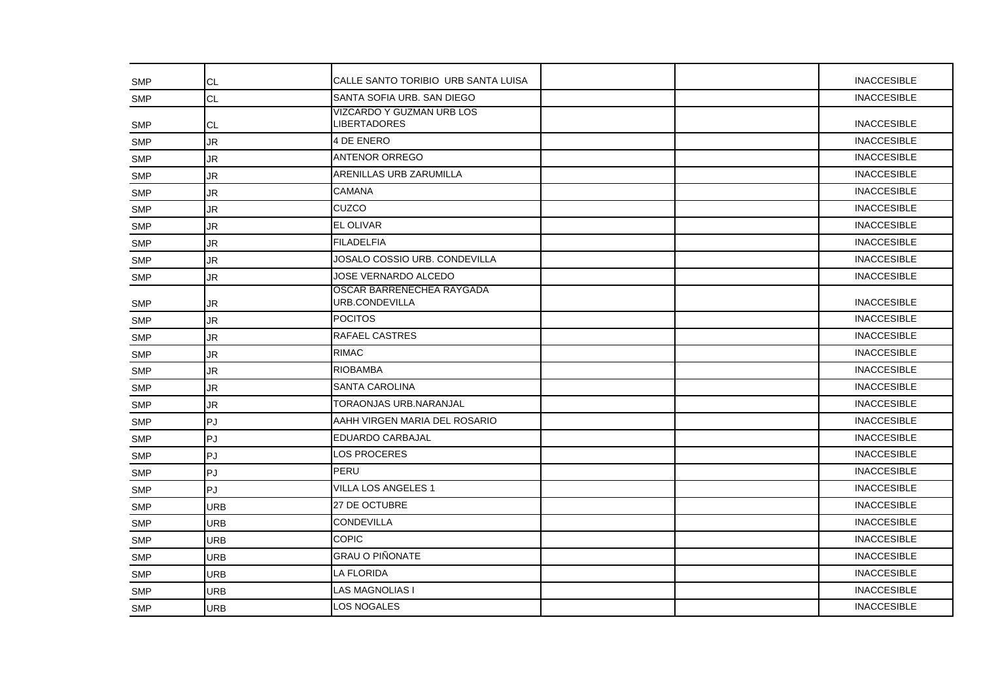| <b>SMP</b> | CL         | CALLE SANTO TORIBIO URB SANTA LUISA              |  |  | <b>INACCESIBLE</b> |
|------------|------------|--------------------------------------------------|--|--|--------------------|
| <b>SMP</b> | <b>CL</b>  | SANTA SOFIA URB. SAN DIEGO                       |  |  | <b>INACCESIBLE</b> |
| <b>SMP</b> | CL         | VIZCARDO Y GUZMAN URB LOS<br><b>LIBERTADORES</b> |  |  | <b>INACCESIBLE</b> |
| SMP        | <b>JR</b>  | 4 DE ENERO                                       |  |  | <b>INACCESIBLE</b> |
| <b>SMP</b> | <b>JR</b>  | <b>ANTENOR ORREGO</b>                            |  |  | <b>INACCESIBLE</b> |
| <b>SMP</b> | JR         | ARENILLAS URB ZARUMILLA                          |  |  | <b>INACCESIBLE</b> |
| <b>SMP</b> | JR         | <b>CAMANA</b>                                    |  |  | <b>INACCESIBLE</b> |
| <b>SMP</b> | <b>JR</b>  | CUZCO                                            |  |  | <b>INACCESIBLE</b> |
| SMP        | <b>JR</b>  | <b>EL OLIVAR</b>                                 |  |  | <b>INACCESIBLE</b> |
| <b>SMP</b> | <b>JR</b>  | <b>FILADELFIA</b>                                |  |  | <b>INACCESIBLE</b> |
| <b>SMP</b> | JR         | JOSALO COSSIO URB. CONDEVILLA                    |  |  | <b>INACCESIBLE</b> |
| <b>SMP</b> | JR         | <b>JOSE VERNARDO ALCEDO</b>                      |  |  | <b>INACCESIBLE</b> |
| <b>SMP</b> | JR         | OSCAR BARRENECHEA RAYGADA<br>URB.CONDEVILLA      |  |  | <b>INACCESIBLE</b> |
| <b>SMP</b> | <b>JR</b>  | <b>POCITOS</b>                                   |  |  | <b>INACCESIBLE</b> |
| SMP        | <b>JR</b>  | <b>RAFAEL CASTRES</b>                            |  |  | <b>INACCESIBLE</b> |
| <b>SMP</b> | JR.        | <b>RIMAC</b>                                     |  |  | <b>INACCESIBLE</b> |
| <b>SMP</b> | JR         | <b>RIOBAMBA</b>                                  |  |  | <b>INACCESIBLE</b> |
| <b>SMP</b> | <b>JR</b>  | <b>SANTA CAROLINA</b>                            |  |  | <b>INACCESIBLE</b> |
| <b>SMP</b> | <b>JR</b>  | TORAONJAS URB.NARANJAL                           |  |  | <b>INACCESIBLE</b> |
| <b>SMP</b> | PJ         | AAHH VIRGEN MARIA DEL ROSARIO                    |  |  | <b>INACCESIBLE</b> |
| <b>SMP</b> | ∣PJ        | <b>EDUARDO CARBAJAL</b>                          |  |  | <b>INACCESIBLE</b> |
| <b>SMP</b> | PJ         | <b>LOS PROCERES</b>                              |  |  | <b>INACCESIBLE</b> |
| <b>SMP</b> | PJ         | PERU                                             |  |  | <b>INACCESIBLE</b> |
| <b>SMP</b> | ∣PJ        | <b>VILLA LOS ANGELES 1</b>                       |  |  | <b>INACCESIBLE</b> |
| SMP        | <b>URB</b> | 27 DE OCTUBRE                                    |  |  | <b>INACCESIBLE</b> |
| <b>SMP</b> | <b>URB</b> | <b>CONDEVILLA</b>                                |  |  | <b>INACCESIBLE</b> |
| <b>SMP</b> | URB        | <b>COPIC</b>                                     |  |  | <b>INACCESIBLE</b> |
| <b>SMP</b> | <b>URB</b> | <b>GRAU O PIÑONATE</b>                           |  |  | <b>INACCESIBLE</b> |
| <b>SMP</b> | URB        | <b>LA FLORIDA</b>                                |  |  | <b>INACCESIBLE</b> |
| <b>SMP</b> | URB        | <b>LAS MAGNOLIAS I</b>                           |  |  | <b>INACCESIBLE</b> |
| <b>SMP</b> | <b>URB</b> | LOS NOGALES                                      |  |  | <b>INACCESIBLE</b> |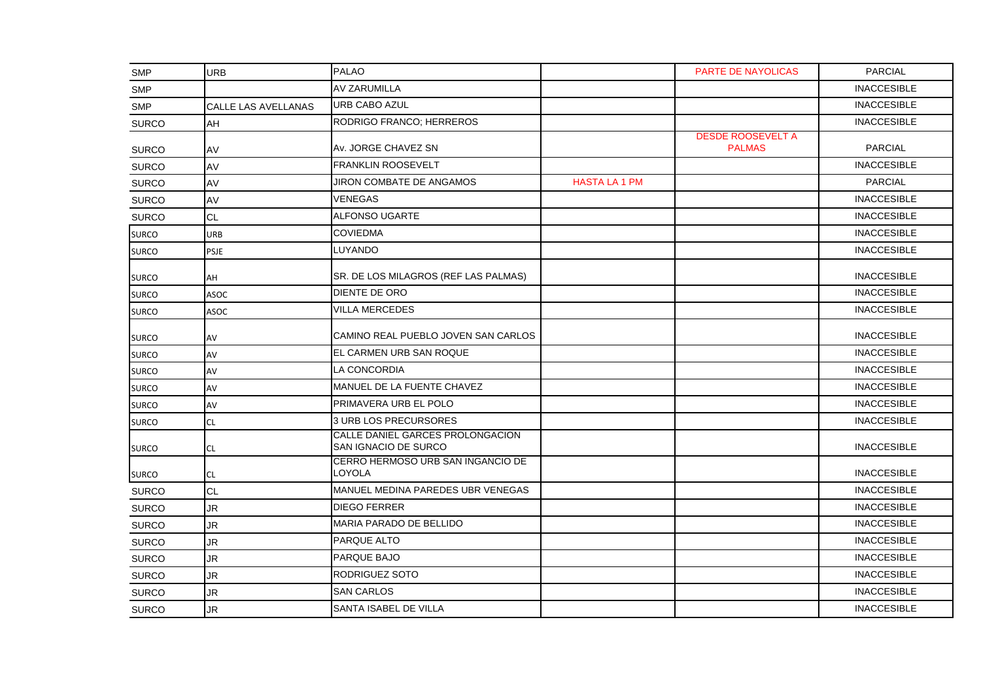| <b>SMP</b>   | <b>URB</b>                 | <b>PALAO</b>                                                    |                      | <b>PARTE DE NAYOLICAS</b>                 | <b>PARCIAL</b>     |
|--------------|----------------------------|-----------------------------------------------------------------|----------------------|-------------------------------------------|--------------------|
| <b>SMP</b>   |                            | <b>AV ZARUMILLA</b>                                             |                      |                                           | <b>INACCESIBLE</b> |
| <b>SMP</b>   | <b>CALLE LAS AVELLANAS</b> | <b>URB CABO AZUL</b>                                            |                      |                                           | <b>INACCESIBLE</b> |
| <b>SURCO</b> | AH                         | RODRIGO FRANCO; HERREROS                                        |                      |                                           | <b>INACCESIBLE</b> |
| <b>SURCO</b> | AV                         | Av. JORGE CHAVEZ SN                                             |                      | <b>DESDE ROOSEVELT A</b><br><b>PALMAS</b> | <b>PARCIAL</b>     |
| <b>SURCO</b> | AV                         | <b>FRANKLIN ROOSEVELT</b>                                       |                      |                                           | <b>INACCESIBLE</b> |
| <b>SURCO</b> | AV                         | JIRON COMBATE DE ANGAMOS                                        | <b>HASTA LA 1 PM</b> |                                           | <b>PARCIAL</b>     |
| <b>SURCO</b> | AV                         | VENEGAS                                                         |                      |                                           | <b>INACCESIBLE</b> |
| <b>SURCO</b> | <b>CL</b>                  | <b>ALFONSO UGARTE</b>                                           |                      |                                           | <b>INACCESIBLE</b> |
| <b>SURCO</b> | <b>URB</b>                 | <b>COVIEDMA</b>                                                 |                      |                                           | <b>INACCESIBLE</b> |
| <b>SURCO</b> | <b>PSJE</b>                | LUYANDO                                                         |                      |                                           | <b>INACCESIBLE</b> |
| <b>SURCO</b> | AH                         | SR. DE LOS MILAGROS (REF LAS PALMAS)                            |                      |                                           | <b>INACCESIBLE</b> |
| <b>SURCO</b> | <b>ASOC</b>                | <b>DIENTE DE ORO</b>                                            |                      |                                           | <b>INACCESIBLE</b> |
| <b>SURCO</b> | <b>ASOC</b>                | VILLA MERCEDES                                                  |                      |                                           | <b>INACCESIBLE</b> |
| <b>SURCO</b> | AV                         | CAMINO REAL PUEBLO JOVEN SAN CARLOS                             |                      |                                           | <b>INACCESIBLE</b> |
| <b>SURCO</b> | AV                         | EL CARMEN URB SAN ROQUE                                         |                      |                                           | <b>INACCESIBLE</b> |
| <b>SURCO</b> | AV                         | LA CONCORDIA                                                    |                      |                                           | <b>INACCESIBLE</b> |
| <b>SURCO</b> | AV                         | MANUEL DE LA FUENTE CHAVEZ                                      |                      |                                           | <b>INACCESIBLE</b> |
| <b>SURCO</b> | AV                         | PRIMAVERA URB EL POLO                                           |                      |                                           | <b>INACCESIBLE</b> |
| <b>SURCO</b> | <b>CL</b>                  | 3 URB LOS PRECURSORES                                           |                      |                                           | <b>INACCESIBLE</b> |
| <b>SURCO</b> | CL.                        | CALLE DANIEL GARCES PROLONGACION<br><b>SAN IGNACIO DE SURCO</b> |                      |                                           | <b>INACCESIBLE</b> |
| <b>SURCO</b> | <b>CL</b>                  | CERRO HERMOSO URB SAN INGANCIO DE<br>LOYOLA                     |                      |                                           | <b>INACCESIBLE</b> |
| <b>SURCO</b> | <b>CL</b>                  | MANUEL MEDINA PAREDES UBR VENEGAS                               |                      |                                           | <b>INACCESIBLE</b> |
| <b>SURCO</b> | JR.                        | <b>DIEGO FERRER</b>                                             |                      |                                           | <b>INACCESIBLE</b> |
| <b>SURCO</b> | JR.                        | MARIA PARADO DE BELLIDO                                         |                      |                                           | <b>INACCESIBLE</b> |
| <b>SURCO</b> | <b>JR</b>                  | PARQUE ALTO                                                     |                      |                                           | <b>INACCESIBLE</b> |
| <b>SURCO</b> | JR.                        | PARQUE BAJO                                                     |                      |                                           | <b>INACCESIBLE</b> |
| <b>SURCO</b> | JR.                        | RODRIGUEZ SOTO                                                  |                      |                                           | <b>INACCESIBLE</b> |
| <b>SURCO</b> | JR.                        | <b>SAN CARLOS</b>                                               |                      |                                           | <b>INACCESIBLE</b> |
| <b>SURCO</b> | <b>JR</b>                  | SANTA ISABEL DE VILLA                                           |                      |                                           | <b>INACCESIBLE</b> |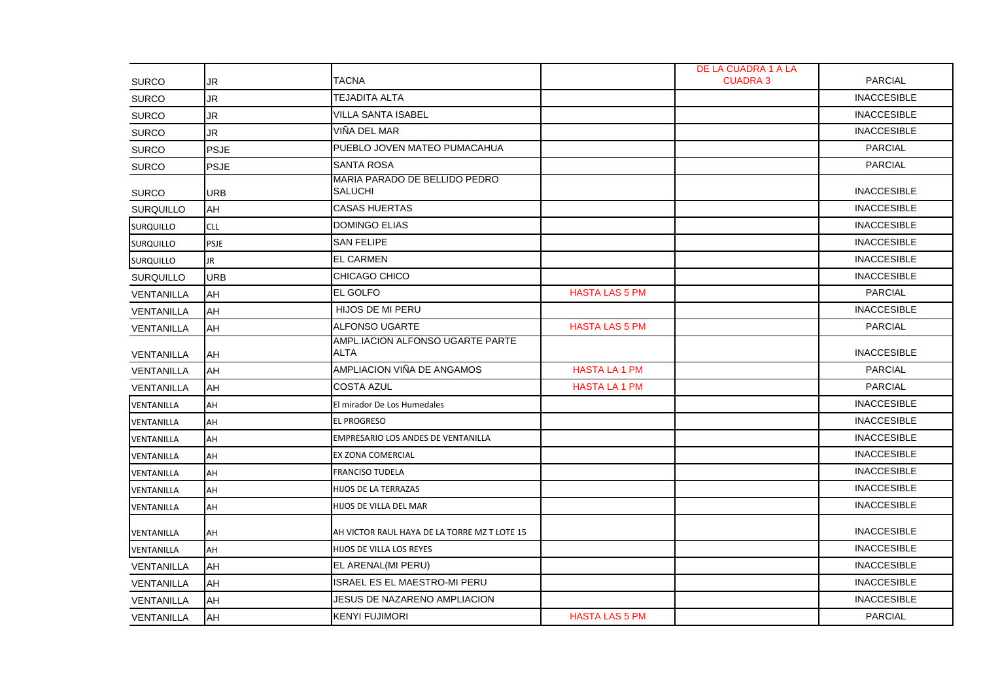|                   |             |                                                 |                       | DE LA CUADRA 1 A LA |                    |
|-------------------|-------------|-------------------------------------------------|-----------------------|---------------------|--------------------|
| <b>SURCO</b>      | JR          | <b>TACNA</b>                                    |                       | <b>CUADRA 3</b>     | <b>PARCIAL</b>     |
| <b>SURCO</b>      | <b>JR</b>   | TEJADITA ALTA                                   |                       |                     | <b>INACCESIBLE</b> |
| <b>SURCO</b>      | JR.         | VILLA SANTA ISABEL                              |                       |                     | <b>INACCESIBLE</b> |
| <b>SURCO</b>      | JR.         | VIÑA DEL MAR                                    |                       |                     | <b>INACCESIBLE</b> |
| <b>SURCO</b>      | <b>PSJE</b> | PUEBLO JOVEN MATEO PUMACAHUA                    |                       |                     | <b>PARCIAL</b>     |
| <b>SURCO</b>      | <b>PSJE</b> | <b>SANTA ROSA</b>                               |                       |                     | <b>PARCIAL</b>     |
| <b>SURCO</b>      | <b>URB</b>  | MARIA PARADO DE BELLIDO PEDRO<br><b>SALUCHI</b> |                       |                     | <b>INACCESIBLE</b> |
| <b>SURQUILLO</b>  | AH          | <b>CASAS HUERTAS</b>                            |                       |                     | <b>INACCESIBLE</b> |
| <b>SURQUILLO</b>  | <b>CLL</b>  | <b>DOMINGO ELIAS</b>                            |                       |                     | <b>INACCESIBLE</b> |
| <b>SURQUILLO</b>  | <b>PSJE</b> | <b>SAN FELIPE</b>                               |                       |                     | <b>INACCESIBLE</b> |
| <b>SURQUILLO</b>  | <b>JR</b>   | <b>EL CARMEN</b>                                |                       |                     | <b>INACCESIBLE</b> |
| <b>SURQUILLO</b>  | <b>URB</b>  | CHICAGO CHICO                                   |                       |                     | <b>INACCESIBLE</b> |
| <b>VENTANILLA</b> | AH          | <b>EL GOLFO</b>                                 | <b>HASTA LAS 5 PM</b> |                     | <b>PARCIAL</b>     |
| <b>VENTANILLA</b> | AH          | HIJOS DE MI PERU                                |                       |                     | <b>INACCESIBLE</b> |
| VENTANILLA        | AH          | ALFONSO UGARTE                                  | <b>HASTA LAS 5 PM</b> |                     | <b>PARCIAL</b>     |
| VENTANILLA        | AH          | AMPL.IACION ALFONSO UGARTE PARTE<br><b>ALTA</b> |                       |                     | <b>INACCESIBLE</b> |
| <b>VENTANILLA</b> | AH          | AMPLIACION VIÑA DE ANGAMOS                      | <b>HASTA LA 1 PM</b>  |                     | <b>PARCIAL</b>     |
| VENTANILLA        | AH          | <b>COSTA AZUL</b>                               | <b>HASTA LA 1 PM</b>  |                     | <b>PARCIAL</b>     |
| VENTANILLA        | AH          | El mirador De Los Humedales                     |                       |                     | <b>INACCESIBLE</b> |
| VENTANILLA        | AH          | <b>EL PROGRESO</b>                              |                       |                     | <b>INACCESIBLE</b> |
| VENTANILLA        | AH          | EMPRESARIO LOS ANDES DE VENTANILLA              |                       |                     | <b>INACCESIBLE</b> |
| VENTANILLA        | AH          | EX ZONA COMERCIAL                               |                       |                     | <b>INACCESIBLE</b> |
| VENTANILLA        | AH          | <b>FRANCISO TUDELA</b>                          |                       |                     | <b>INACCESIBLE</b> |
| VENTANILLA        | AH          | HIJOS DE LA TERRAZAS                            |                       |                     | <b>INACCESIBLE</b> |
| VENTANILLA        | AH          | HIJOS DE VILLA DEL MAR                          |                       |                     | <b>INACCESIBLE</b> |
| VENTANILLA        | AH          | AH VICTOR RAUL HAYA DE LA TORRE MZ T LOTE 15    |                       |                     | <b>INACCESIBLE</b> |
| VENTANILLA        | AH          | HIJOS DE VILLA LOS REYES                        |                       |                     | <b>INACCESIBLE</b> |
| VENTANILLA        | AH          | EL ARENAL(MI PERU)                              |                       |                     | <b>INACCESIBLE</b> |
| VENTANILLA        | AH          | ISRAEL ES EL MAESTRO-MI PERU                    |                       |                     | <b>INACCESIBLE</b> |
| <b>VENTANILLA</b> | AH          | JESUS DE NAZARENO AMPLIACION                    |                       |                     | <b>INACCESIBLE</b> |
| <b>VENTANILLA</b> | AH          | <b>KENYI FUJIMORI</b>                           | <b>HASTA LAS 5 PM</b> |                     | <b>PARCIAL</b>     |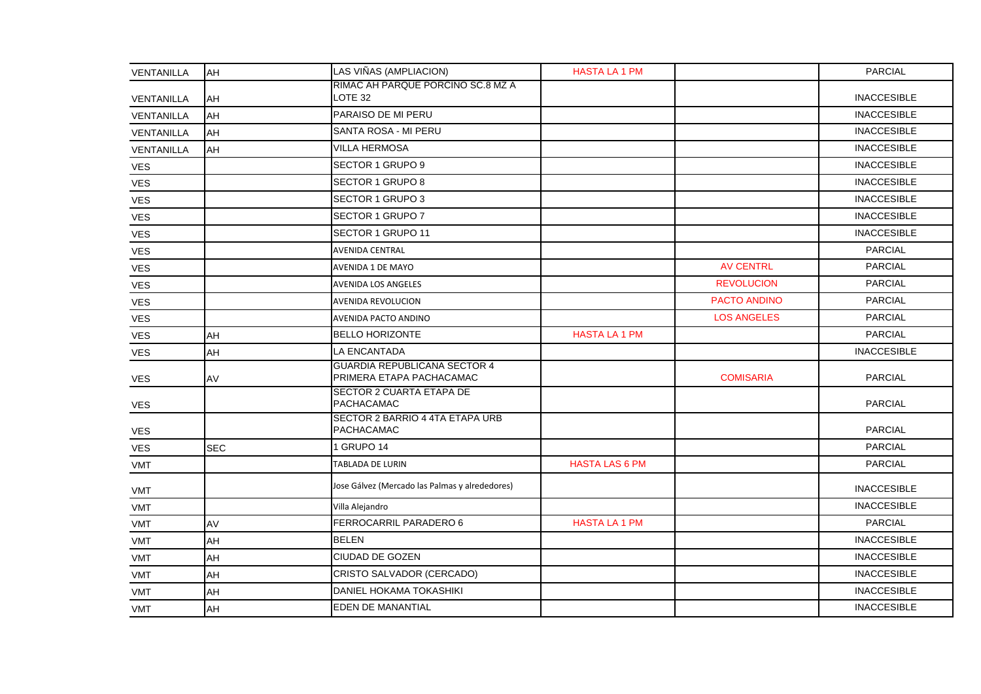| VENTANILLA | AH         | LAS VIÑAS (AMPLIACION)                                          | <b>HASTA LA 1 PM</b>  |                    | <b>PARCIAL</b>     |
|------------|------------|-----------------------------------------------------------------|-----------------------|--------------------|--------------------|
| VENTANILLA | AH         | RIMAC AH PARQUE PORCINO SC.8 MZ A<br>LOTE 32                    |                       |                    | <b>INACCESIBLE</b> |
| VENTANILLA | AH         | PARAISO DE MI PERU                                              |                       |                    | <b>INACCESIBLE</b> |
| VENTANILLA | AH         | SANTA ROSA - MI PERU                                            |                       |                    | <b>INACCESIBLE</b> |
| VENTANILLA | <b>AH</b>  | <b>VILLA HERMOSA</b>                                            |                       |                    | <b>INACCESIBLE</b> |
| <b>VES</b> |            | SECTOR 1 GRUPO 9                                                |                       |                    | <b>INACCESIBLE</b> |
| VES        |            | SECTOR 1 GRUPO 8                                                |                       |                    | <b>INACCESIBLE</b> |
| <b>VES</b> |            | SECTOR 1 GRUPO 3                                                |                       |                    | <b>INACCESIBLE</b> |
| <b>VES</b> |            | SECTOR 1 GRUPO 7                                                |                       |                    | <b>INACCESIBLE</b> |
| <b>VES</b> |            | SECTOR 1 GRUPO 11                                               |                       |                    | <b>INACCESIBLE</b> |
| <b>VES</b> |            | <b>AVENIDA CENTRAL</b>                                          |                       |                    | <b>PARCIAL</b>     |
| <b>VES</b> |            | <b>AVENIDA 1 DE MAYO</b>                                        |                       | <b>AV CENTRL</b>   | <b>PARCIAL</b>     |
| VES        |            | <b>AVENIDA LOS ANGELES</b>                                      |                       | <b>REVOLUCION</b>  | <b>PARCIAL</b>     |
| VES        |            | AVENIDA REVOLUCION                                              |                       | PACTO ANDINO       | <b>PARCIAL</b>     |
| VES        |            | AVENIDA PACTO ANDINO                                            |                       | <b>LOS ANGELES</b> | <b>PARCIAL</b>     |
| <b>VES</b> | AH         | <b>BELLO HORIZONTE</b>                                          | <b>HASTA LA 1 PM</b>  |                    | <b>PARCIAL</b>     |
| VES        | AH         | LA ENCANTADA                                                    |                       |                    | <b>INACCESIBLE</b> |
| <b>VES</b> | AV         | <b>GUARDIA REPUBLICANA SECTOR 4</b><br>PRIMERA ETAPA PACHACAMAC |                       | <b>COMISARIA</b>   | <b>PARCIAL</b>     |
| <b>VES</b> |            | <b>SECTOR 2 CUARTA ETAPA DE</b><br>PACHACAMAC                   |                       |                    | <b>PARCIAL</b>     |
| <b>VES</b> |            | SECTOR 2 BARRIO 4 4TA ETAPA URB<br>PACHACAMAC                   |                       |                    | <b>PARCIAL</b>     |
| <b>VES</b> | <b>SEC</b> | 1 GRUPO 14                                                      |                       |                    | <b>PARCIAL</b>     |
| VMT        |            | TABLADA DE LURIN                                                | <b>HASTA LAS 6 PM</b> |                    | <b>PARCIAL</b>     |
| VMT        |            | Jose Gálvez (Mercado las Palmas y alrededores)                  |                       |                    | <b>INACCESIBLE</b> |
| VMT        |            | Villa Alejandro                                                 |                       |                    | <b>INACCESIBLE</b> |
| VMT        | AV         | FERROCARRIL PARADERO 6                                          | <b>HASTA LA 1 PM</b>  |                    | <b>PARCIAL</b>     |
| <b>VMT</b> | AH         | <b>BELEN</b>                                                    |                       |                    | <b>INACCESIBLE</b> |
| VMT        | AH         | <b>CIUDAD DE GOZEN</b>                                          |                       |                    | <b>INACCESIBLE</b> |
| VMT        | AH         | CRISTO SALVADOR (CERCADO)                                       |                       |                    | <b>INACCESIBLE</b> |
| <b>VMT</b> | AH         | DANIEL HOKAMA TOKASHIKI                                         |                       |                    | <b>INACCESIBLE</b> |
| VMT        | AH         | EDEN DE MANANTIAL                                               |                       |                    | <b>INACCESIBLE</b> |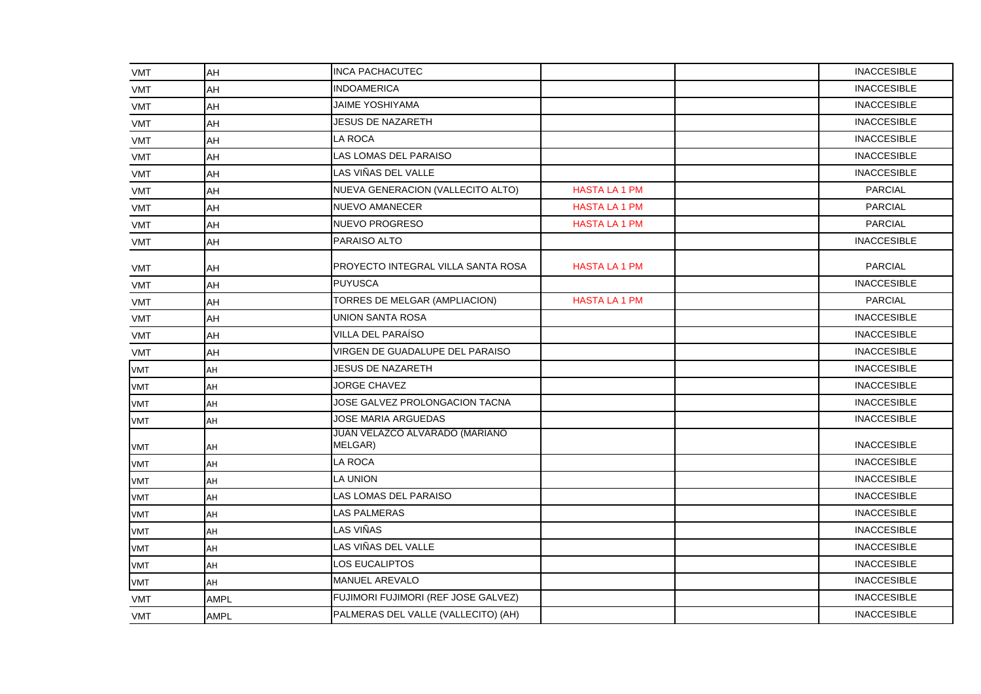| VMT        | AH          | <b>INCA PACHACUTEC</b>                    |                      |                    | <b>INACCESIBLE</b> |
|------------|-------------|-------------------------------------------|----------------------|--------------------|--------------------|
| <b>VMT</b> | AH          | <b>INDOAMERICA</b>                        |                      | <b>INACCESIBLE</b> |                    |
| <b>VMT</b> | AH          | <b>JAIME YOSHIYAMA</b>                    |                      |                    | <b>INACCESIBLE</b> |
| <b>VMT</b> | AH          | <b>JESUS DE NAZARETH</b>                  |                      |                    | <b>INACCESIBLE</b> |
| <b>VMT</b> | AH          | LA ROCA                                   |                      |                    | <b>INACCESIBLE</b> |
| <b>VMT</b> | AH          | LAS LOMAS DEL PARAISO                     |                      |                    | <b>INACCESIBLE</b> |
| <b>VMT</b> | AH          | LAS VIÑAS DEL VALLE                       |                      |                    | <b>INACCESIBLE</b> |
| <b>VMT</b> | AH          | NUEVA GENERACION (VALLECITO ALTO)         | <b>HASTA LA 1 PM</b> |                    | <b>PARCIAL</b>     |
| <b>VMT</b> | AH          | <b>NUEVO AMANECER</b>                     | <b>HASTA LA 1 PM</b> |                    | <b>PARCIAL</b>     |
| <b>VMT</b> | AH          | <b>NUEVO PROGRESO</b>                     | <b>HASTA LA 1 PM</b> |                    | <b>PARCIAL</b>     |
| VMT        | AH          | PARAISO ALTO                              |                      |                    | <b>INACCESIBLE</b> |
| <b>VMT</b> | AH          | PROYECTO INTEGRAL VILLA SANTA ROSA        | <b>HASTA LA 1 PM</b> |                    | PARCIAL            |
| VMT        | AH          | <b>PUYUSCA</b>                            |                      |                    | <b>INACCESIBLE</b> |
| VMT        | AH          | TORRES DE MELGAR (AMPLIACION)             | <b>HASTA LA 1 PM</b> |                    | <b>PARCIAL</b>     |
| <b>VMT</b> | AH          | UNION SANTA ROSA                          |                      |                    | <b>INACCESIBLE</b> |
| <b>VMT</b> | AH          | VILLA DEL PARAÍSO                         |                      |                    | <b>INACCESIBLE</b> |
| <b>VMT</b> | AH          | VIRGEN DE GUADALUPE DEL PARAISO           |                      |                    | <b>INACCESIBLE</b> |
| <b>VMT</b> | AH          | <b>JESUS DE NAZARETH</b>                  |                      |                    | <b>INACCESIBLE</b> |
| <b>VMT</b> | AH          | <b>JORGE CHAVEZ</b>                       |                      |                    | <b>INACCESIBLE</b> |
| <b>VMT</b> | AH          | JOSE GALVEZ PROLONGACION TACNA            |                      |                    | <b>INACCESIBLE</b> |
| <b>VMT</b> | AH          | JOSE MARIA ARGUEDAS                       |                      |                    | <b>INACCESIBLE</b> |
| VMT        | AH          | JUAN VELAZCO ALVARADO (MARIANO<br>MELGAR) |                      |                    | <b>INACCESIBLE</b> |
| <b>VMT</b> | AH          | LA ROCA                                   |                      |                    | <b>INACCESIBLE</b> |
| <b>VMT</b> | AH          | LA UNION                                  |                      |                    | <b>INACCESIBLE</b> |
| <b>VMT</b> | AH          | LAS LOMAS DEL PARAISO                     |                      |                    | <b>INACCESIBLE</b> |
| <b>VMT</b> | AH          | LAS PALMERAS                              |                      |                    | <b>INACCESIBLE</b> |
| <b>VMT</b> | AH          | LAS VIÑAS                                 |                      |                    | <b>INACCESIBLE</b> |
| <b>VMT</b> | AH          | LAS VIÑAS DEL VALLE                       |                      |                    | <b>INACCESIBLE</b> |
| <b>VMT</b> | AH          | LOS EUCALIPTOS                            |                      |                    | <b>INACCESIBLE</b> |
| VMT        | AH          | <b>MANUEL AREVALO</b>                     |                      |                    | <b>INACCESIBLE</b> |
| <b>VMT</b> | <b>AMPL</b> | FUJIMORI FUJIMORI (REF JOSE GALVEZ)       |                      |                    | <b>INACCESIBLE</b> |
| <b>VMT</b> | <b>AMPL</b> | PALMERAS DEL VALLE (VALLECITO) (AH)       |                      |                    | <b>INACCESIBLE</b> |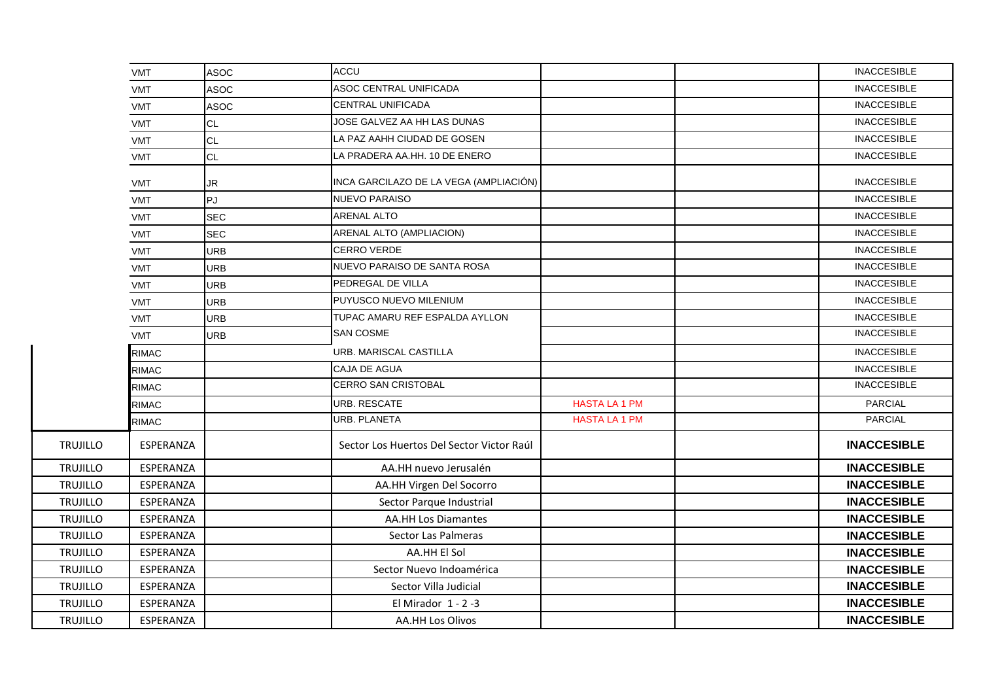|                 | <b>VMT</b>   | <b>ASOC</b> | ACCU                                      |                      | <b>INACCESIBLE</b> |
|-----------------|--------------|-------------|-------------------------------------------|----------------------|--------------------|
|                 | <b>VMT</b>   | <b>ASOC</b> | ASOC CENTRAL UNIFICADA                    |                      | <b>INACCESIBLE</b> |
|                 | <b>VMT</b>   | <b>ASOC</b> | CENTRAL UNIFICADA                         |                      | <b>INACCESIBLE</b> |
|                 | <b>VMT</b>   | <b>CL</b>   | JOSE GALVEZ AA HH LAS DUNAS               |                      | <b>INACCESIBLE</b> |
|                 | <b>VMT</b>   | <b>CL</b>   | LA PAZ AAHH CIUDAD DE GOSEN               |                      | <b>INACCESIBLE</b> |
|                 | <b>VMT</b>   | <b>CL</b>   | LA PRADERA AA.HH. 10 DE ENERO             |                      | <b>INACCESIBLE</b> |
|                 | <b>VMT</b>   | <b>JR</b>   | INCA GARCILAZO DE LA VEGA (AMPLIACIÓN)    |                      | <b>INACCESIBLE</b> |
|                 | <b>VMT</b>   | PJ          | <b>NUEVO PARAISO</b>                      |                      | <b>INACCESIBLE</b> |
|                 | <b>VMT</b>   | <b>SEC</b>  | <b>ARENAL ALTO</b>                        |                      | <b>INACCESIBLE</b> |
|                 | <b>VMT</b>   | <b>SEC</b>  | ARENAL ALTO (AMPLIACION)                  |                      | <b>INACCESIBLE</b> |
|                 | <b>VMT</b>   | <b>URB</b>  | CERRO VERDE                               |                      | <b>INACCESIBLE</b> |
|                 | <b>VMT</b>   | URB         | NUEVO PARAISO DE SANTA ROSA               |                      | <b>INACCESIBLE</b> |
|                 | <b>VMT</b>   | <b>URB</b>  | PEDREGAL DE VILLA                         |                      | <b>INACCESIBLE</b> |
|                 | <b>VMT</b>   | <b>URB</b>  | PUYUSCO NUEVO MILENIUM                    |                      | <b>INACCESIBLE</b> |
|                 | <b>VMT</b>   | URB         | TUPAC AMARU REF ESPALDA AYLLON            |                      | <b>INACCESIBLE</b> |
|                 | <b>VMT</b>   | <b>URB</b>  | <b>SAN COSME</b>                          |                      | <b>INACCESIBLE</b> |
|                 | <b>RIMAC</b> |             | URB. MARISCAL CASTILLA                    |                      | <b>INACCESIBLE</b> |
|                 | <b>RIMAC</b> |             | CAJA DE AGUA                              |                      | <b>INACCESIBLE</b> |
|                 | <b>RIMAC</b> |             | <b>CERRO SAN CRISTOBAL</b>                |                      | <b>INACCESIBLE</b> |
|                 | <b>RIMAC</b> |             | <b>URB. RESCATE</b>                       | <b>HASTA LA 1 PM</b> | <b>PARCIAL</b>     |
|                 | <b>RIMAC</b> |             | <b>URB. PLANETA</b>                       | <b>HASTA LA 1 PM</b> | <b>PARCIAL</b>     |
| TRUJILLO        | ESPERANZA    |             | Sector Los Huertos Del Sector Victor Raúl |                      | <b>INACCESIBLE</b> |
| <b>TRUJILLO</b> | ESPERANZA    |             | AA.HH nuevo Jerusalén                     |                      | <b>INACCESIBLE</b> |
| <b>TRUJILLO</b> | ESPERANZA    |             | AA.HH Virgen Del Socorro                  |                      | <b>INACCESIBLE</b> |
| <b>TRUJILLO</b> | ESPERANZA    |             | Sector Parque Industrial                  |                      | <b>INACCESIBLE</b> |
| TRUJILLO        | ESPERANZA    |             | <b>AA.HH Los Diamantes</b>                |                      | <b>INACCESIBLE</b> |
| TRUJILLO        | ESPERANZA    |             | Sector Las Palmeras                       |                      | <b>INACCESIBLE</b> |
| TRUJILLO        | ESPERANZA    |             | AA.HH El Sol                              |                      | <b>INACCESIBLE</b> |
| TRUJILLO        | ESPERANZA    |             | Sector Nuevo Indoamérica                  |                      | <b>INACCESIBLE</b> |
| TRUJILLO        | ESPERANZA    |             | Sector Villa Judicial                     |                      | <b>INACCESIBLE</b> |
| <b>TRUJILLO</b> | ESPERANZA    |             | El Mirador 1 - 2 -3                       |                      | <b>INACCESIBLE</b> |
| <b>TRUJILLO</b> | ESPERANZA    |             | <b>AA.HH Los Olivos</b>                   |                      | <b>INACCESIBLE</b> |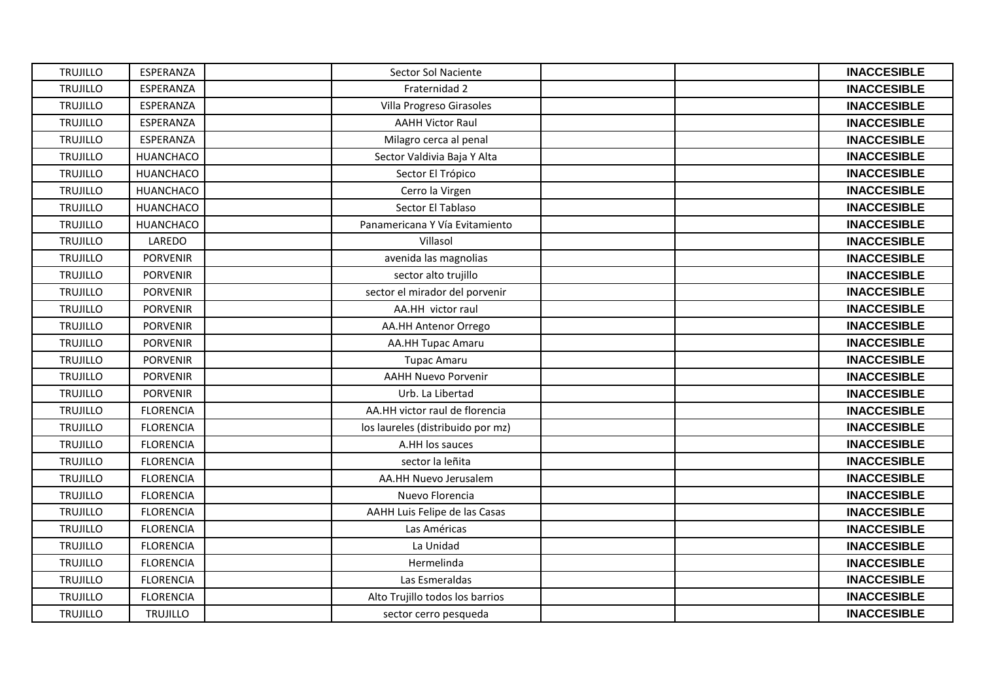| <b>TRUJILLO</b> | ESPERANZA        | Sector Sol Naciente               | <b>INACCESIBLE</b> |
|-----------------|------------------|-----------------------------------|--------------------|
| <b>TRUJILLO</b> | ESPERANZA        | Fraternidad 2                     | <b>INACCESIBLE</b> |
| <b>TRUJILLO</b> | ESPERANZA        | Villa Progreso Girasoles          | <b>INACCESIBLE</b> |
| <b>TRUJILLO</b> | ESPERANZA        | <b>AAHH Victor Raul</b>           | <b>INACCESIBLE</b> |
| <b>TRUJILLO</b> | ESPERANZA        | Milagro cerca al penal            | <b>INACCESIBLE</b> |
| <b>TRUJILLO</b> | <b>HUANCHACO</b> | Sector Valdivia Baja Y Alta       | <b>INACCESIBLE</b> |
| <b>TRUJILLO</b> | <b>HUANCHACO</b> | Sector El Trópico                 | <b>INACCESIBLE</b> |
| <b>TRUJILLO</b> | <b>HUANCHACO</b> | Cerro la Virgen                   | <b>INACCESIBLE</b> |
| <b>TRUJILLO</b> | <b>HUANCHACO</b> | Sector El Tablaso                 | <b>INACCESIBLE</b> |
| <b>TRUJILLO</b> | <b>HUANCHACO</b> | Panamericana Y Vía Evitamiento    | <b>INACCESIBLE</b> |
| <b>TRUJILLO</b> | LAREDO           | Villasol                          | <b>INACCESIBLE</b> |
| <b>TRUJILLO</b> | <b>PORVENIR</b>  | avenida las magnolias             | <b>INACCESIBLE</b> |
| <b>TRUJILLO</b> | <b>PORVENIR</b>  | sector alto trujillo              | <b>INACCESIBLE</b> |
| <b>TRUJILLO</b> | <b>PORVENIR</b>  | sector el mirador del porvenir    | <b>INACCESIBLE</b> |
| <b>TRUJILLO</b> | <b>PORVENIR</b>  | AA.HH victor raul                 | <b>INACCESIBLE</b> |
| <b>TRUJILLO</b> | <b>PORVENIR</b>  | AA.HH Antenor Orrego              | <b>INACCESIBLE</b> |
| <b>TRUJILLO</b> | <b>PORVENIR</b>  | <b>AA.HH Tupac Amaru</b>          | <b>INACCESIBLE</b> |
| <b>TRUJILLO</b> | <b>PORVENIR</b>  | <b>Tupac Amaru</b>                | <b>INACCESIBLE</b> |
| <b>TRUJILLO</b> | PORVENIR         | <b>AAHH Nuevo Porvenir</b>        | <b>INACCESIBLE</b> |
| <b>TRUJILLO</b> | <b>PORVENIR</b>  | Urb. La Libertad                  | <b>INACCESIBLE</b> |
| <b>TRUJILLO</b> | <b>FLORENCIA</b> | AA.HH victor raul de florencia    | <b>INACCESIBLE</b> |
| <b>TRUJILLO</b> | <b>FLORENCIA</b> | los laureles (distribuido por mz) | <b>INACCESIBLE</b> |
| <b>TRUJILLO</b> | <b>FLORENCIA</b> | A.HH los sauces                   | <b>INACCESIBLE</b> |
| <b>TRUJILLO</b> | <b>FLORENCIA</b> | sector la leñita                  | <b>INACCESIBLE</b> |
| <b>TRUJILLO</b> | <b>FLORENCIA</b> | AA.HH Nuevo Jerusalem             | <b>INACCESIBLE</b> |
| <b>TRUJILLO</b> | <b>FLORENCIA</b> | Nuevo Florencia                   | <b>INACCESIBLE</b> |
| <b>TRUJILLO</b> | <b>FLORENCIA</b> | AAHH Luis Felipe de las Casas     | <b>INACCESIBLE</b> |
| <b>TRUJILLO</b> | <b>FLORENCIA</b> | Las Américas                      | <b>INACCESIBLE</b> |
| <b>TRUJILLO</b> | <b>FLORENCIA</b> | La Unidad                         | <b>INACCESIBLE</b> |
| <b>TRUJILLO</b> | <b>FLORENCIA</b> | Hermelinda                        | <b>INACCESIBLE</b> |
| <b>TRUJILLO</b> | <b>FLORENCIA</b> | Las Esmeraldas                    | <b>INACCESIBLE</b> |
| <b>TRUJILLO</b> | <b>FLORENCIA</b> | Alto Trujillo todos los barrios   | <b>INACCESIBLE</b> |
| <b>TRUJILLO</b> | <b>TRUJILLO</b>  | sector cerro pesqueda             | <b>INACCESIBLE</b> |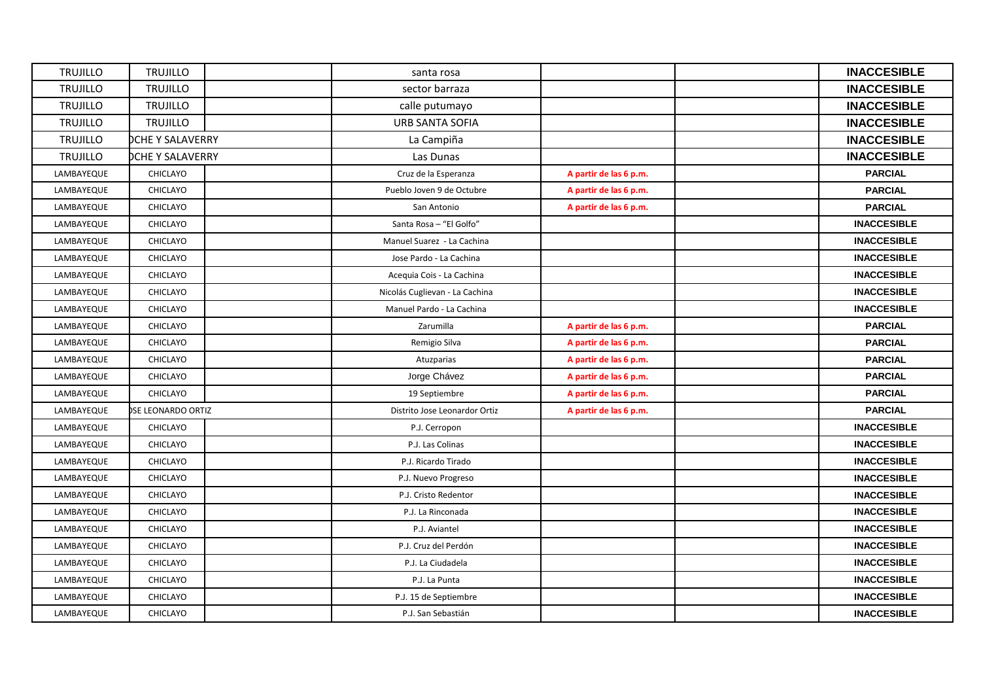| <b>TRUJILLO</b> | <b>TRUJILLO</b>         | santa rosa                     |                        | <b>INACCESIBLE</b> |
|-----------------|-------------------------|--------------------------------|------------------------|--------------------|
| <b>TRUJILLO</b> | <b>TRUJILLO</b>         | sector barraza                 |                        | <b>INACCESIBLE</b> |
| <b>TRUJILLO</b> | <b>TRUJILLO</b>         | calle putumayo                 |                        | <b>INACCESIBLE</b> |
| <b>TRUJILLO</b> | <b>TRUJILLO</b>         | <b>URB SANTA SOFIA</b>         |                        | <b>INACCESIBLE</b> |
| <b>TRUJILLO</b> | <b>OCHE Y SALAVERRY</b> | La Campiña                     |                        | <b>INACCESIBLE</b> |
| <b>TRUJILLO</b> | <b>DCHE Y SALAVERRY</b> | Las Dunas                      |                        | <b>INACCESIBLE</b> |
| LAMBAYEQUE      | CHICLAYO                | Cruz de la Esperanza           | A partir de las 6 p.m. | <b>PARCIAL</b>     |
| LAMBAYEQUE      | CHICLAYO                | Pueblo Joven 9 de Octubre      | A partir de las 6 p.m. | <b>PARCIAL</b>     |
| LAMBAYEQUE      | CHICLAYO                | San Antonio                    | A partir de las 6 p.m. | <b>PARCIAL</b>     |
| LAMBAYEQUE      | CHICLAYO                | Santa Rosa - "El Golfo"        |                        | <b>INACCESIBLE</b> |
| LAMBAYEQUE      | CHICLAYO                | Manuel Suarez - La Cachina     |                        | <b>INACCESIBLE</b> |
| LAMBAYEQUE      | CHICLAYO                | Jose Pardo - La Cachina        |                        | <b>INACCESIBLE</b> |
| LAMBAYEQUE      | CHICLAYO                | Acequia Cois - La Cachina      |                        | <b>INACCESIBLE</b> |
| LAMBAYEQUE      | CHICLAYO                | Nicolás Cuglievan - La Cachina |                        | <b>INACCESIBLE</b> |
| LAMBAYEQUE      | CHICLAYO                | Manuel Pardo - La Cachina      |                        | <b>INACCESIBLE</b> |
| LAMBAYEQUE      | CHICLAYO                | Zarumilla                      | A partir de las 6 p.m. | <b>PARCIAL</b>     |
| LAMBAYEQUE      | CHICLAYO                | Remigio Silva                  | A partir de las 6 p.m. | <b>PARCIAL</b>     |
| LAMBAYEQUE      | CHICLAYO                | Atuzparias                     | A partir de las 6 p.m. | <b>PARCIAL</b>     |
| LAMBAYEQUE      | CHICLAYO                | Jorge Chávez                   | A partir de las 6 p.m. | <b>PARCIAL</b>     |
| LAMBAYEQUE      | CHICLAYO                | 19 Septiembre                  | A partir de las 6 p.m. | <b>PARCIAL</b>     |
| LAMBAYEQUE      | SE LEONARDO ORTIZ       | Distrito Jose Leonardor Ortiz  | A partir de las 6 p.m. | <b>PARCIAL</b>     |
| LAMBAYEQUE      | CHICLAYO                | P.J. Cerropon                  |                        | <b>INACCESIBLE</b> |
| LAMBAYEQUE      | CHICLAYO                | P.J. Las Colinas               |                        | <b>INACCESIBLE</b> |
| LAMBAYEQUE      | CHICLAYO                | P.J. Ricardo Tirado            |                        | <b>INACCESIBLE</b> |
| LAMBAYEQUE      | CHICLAYO                | P.J. Nuevo Progreso            |                        | <b>INACCESIBLE</b> |
| LAMBAYEQUE      | CHICLAYO                | P.J. Cristo Redentor           |                        | <b>INACCESIBLE</b> |
| LAMBAYEQUE      | CHICLAYO                | P.J. La Rinconada              |                        | <b>INACCESIBLE</b> |
| LAMBAYEQUE      | CHICLAYO                | P.J. Aviantel                  |                        | <b>INACCESIBLE</b> |
| LAMBAYEQUE      | CHICLAYO                | P.J. Cruz del Perdón           |                        | <b>INACCESIBLE</b> |
| LAMBAYEQUE      | CHICLAYO                | P.J. La Ciudadela              |                        | <b>INACCESIBLE</b> |
| LAMBAYEQUE      | CHICLAYO                | P.J. La Punta                  |                        | <b>INACCESIBLE</b> |
| LAMBAYEQUE      | CHICLAYO                | P.J. 15 de Septiembre          |                        | <b>INACCESIBLE</b> |
| LAMBAYEQUE      | CHICLAYO                | P.J. San Sebastián             |                        | <b>INACCESIBLE</b> |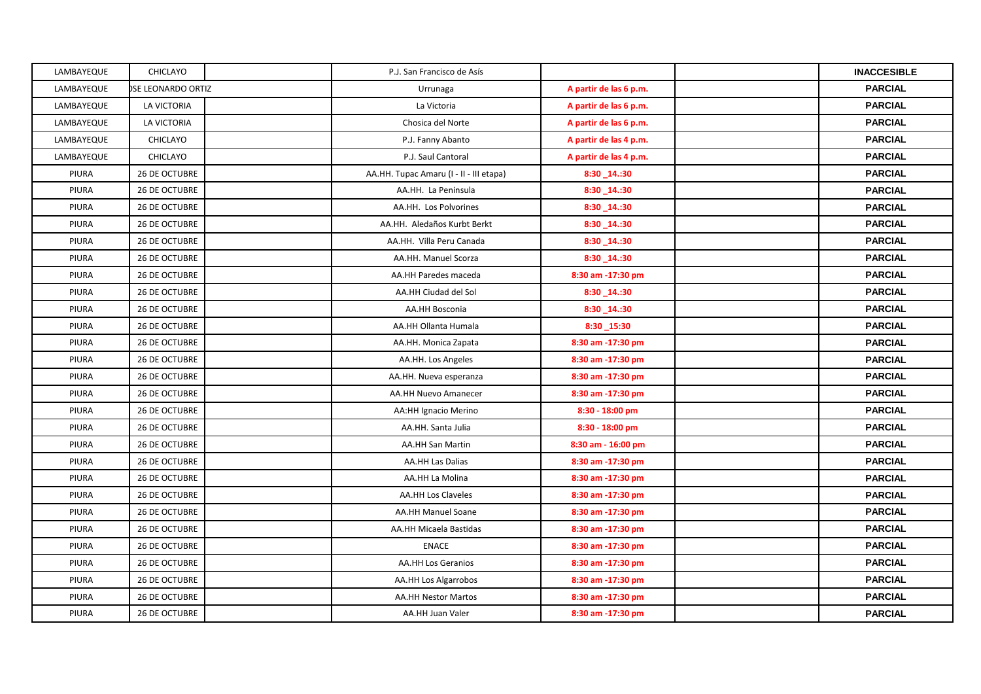| LAMBAYEQUE | CHICLAYO             | P.J. San Francisco de Asís              |                        | <b>INACCESIBLE</b> |
|------------|----------------------|-----------------------------------------|------------------------|--------------------|
| LAMBAYEQUE | SE LEONARDO ORTIZ    | Urrunaga                                | A partir de las 6 p.m. | <b>PARCIAL</b>     |
| LAMBAYEQUE | LA VICTORIA          | La Victoria                             | A partir de las 6 p.m. | <b>PARCIAL</b>     |
| LAMBAYEQUE | LA VICTORIA          | Chosica del Norte                       | A partir de las 6 p.m. | <b>PARCIAL</b>     |
| LAMBAYEQUE | CHICLAYO             | P.J. Fanny Abanto                       | A partir de las 4 p.m. | <b>PARCIAL</b>     |
| LAMBAYEQUE | CHICLAYO             | P.J. Saul Cantoral                      | A partir de las 4 p.m. | <b>PARCIAL</b>     |
| PIURA      | 26 DE OCTUBRE        | AA.HH. Tupac Amaru (I - II - III etapa) | 8:30 14.:30            | <b>PARCIAL</b>     |
| PIURA      | <b>26 DE OCTUBRE</b> | AA.HH. La Peninsula                     | $8:30 - 14::30$        | <b>PARCIAL</b>     |
| PIURA      | 26 DE OCTUBRE        | AA.HH. Los Polvorines                   | $8:30 - 14:30$         | <b>PARCIAL</b>     |
| PIURA      | 26 DE OCTUBRE        | AA.HH. Aledaños Kurbt Berkt             | 8:30 14.:30            | <b>PARCIAL</b>     |
| PIURA      | <b>26 DE OCTUBRE</b> | AA.HH. Villa Peru Canada                | 8:30_14.:30            | <b>PARCIAL</b>     |
| PIURA      | 26 DE OCTUBRE        | AA.HH. Manuel Scorza                    | $8:30 - 14:30$         | <b>PARCIAL</b>     |
| PIURA      | 26 DE OCTUBRE        | AA.HH Paredes maceda                    | 8:30 am -17:30 pm      | <b>PARCIAL</b>     |
| PIURA      | 26 DE OCTUBRE        | AA.HH Ciudad del Sol                    | $8:30 - 14::30$        | <b>PARCIAL</b>     |
| PIURA      | <b>26 DE OCTUBRE</b> | <b>AA.HH Bosconia</b>                   | 8:30 14.:30            | <b>PARCIAL</b>     |
| PIURA      | 26 DE OCTUBRE        | AA.HH Ollanta Humala                    | 8:30_15:30             | <b>PARCIAL</b>     |
| PIURA      | 26 DE OCTUBRE        | AA.HH. Monica Zapata                    | 8:30 am -17:30 pm      | <b>PARCIAL</b>     |
| PIURA      | 26 DE OCTUBRE        | AA.HH. Los Angeles                      | 8:30 am -17:30 pm      | <b>PARCIAL</b>     |
| PIURA      | 26 DE OCTUBRE        | AA.HH. Nueva esperanza                  | 8:30 am -17:30 pm      | <b>PARCIAL</b>     |
| PIURA      | 26 DE OCTUBRE        | AA.HH Nuevo Amanecer                    | 8:30 am -17:30 pm      | <b>PARCIAL</b>     |
| PIURA      | 26 DE OCTUBRE        | AA:HH Ignacio Merino                    | 8:30 - 18:00 pm        | <b>PARCIAL</b>     |
| PIURA      | 26 DE OCTUBRE        | AA.HH. Santa Julia                      | 8:30 - 18:00 pm        | <b>PARCIAL</b>     |
| PIURA      | 26 DE OCTUBRE        | <b>AA.HH San Martin</b>                 | 8:30 am - 16:00 pm     | <b>PARCIAL</b>     |
| PIURA      | <b>26 DE OCTUBRE</b> | AA.HH Las Dalias                        | 8:30 am -17:30 pm      | <b>PARCIAL</b>     |
| PIURA      | 26 DE OCTUBRE        | AA.HH La Molina                         | 8:30 am -17:30 pm      | <b>PARCIAL</b>     |
| PIURA      | 26 DE OCTUBRE        | AA.HH Los Claveles                      | 8:30 am -17:30 pm      | <b>PARCIAL</b>     |
| PIURA      | 26 DE OCTUBRE        | AA.HH Manuel Soane                      | 8:30 am -17:30 pm      | <b>PARCIAL</b>     |
| PIURA      | <b>26 DE OCTUBRE</b> | <b>AA.HH Micaela Bastidas</b>           | 8:30 am -17:30 pm      | <b>PARCIAL</b>     |
| PIURA      | 26 DE OCTUBRE        | <b>ENACE</b>                            | 8:30 am -17:30 pm      | <b>PARCIAL</b>     |
| PIURA      | 26 DE OCTUBRE        | AA.HH Los Geranios                      | 8:30 am -17:30 pm      | <b>PARCIAL</b>     |
| PIURA      | <b>26 DE OCTUBRE</b> | AA.HH Los Algarrobos                    | 8:30 am -17:30 pm      | <b>PARCIAL</b>     |
| PIURA      | <b>26 DE OCTUBRE</b> | <b>AA.HH Nestor Martos</b>              | 8:30 am -17:30 pm      | <b>PARCIAL</b>     |
| PIURA      | 26 DE OCTUBRE        | AA.HH Juan Valer                        | 8:30 am -17:30 pm      | <b>PARCIAL</b>     |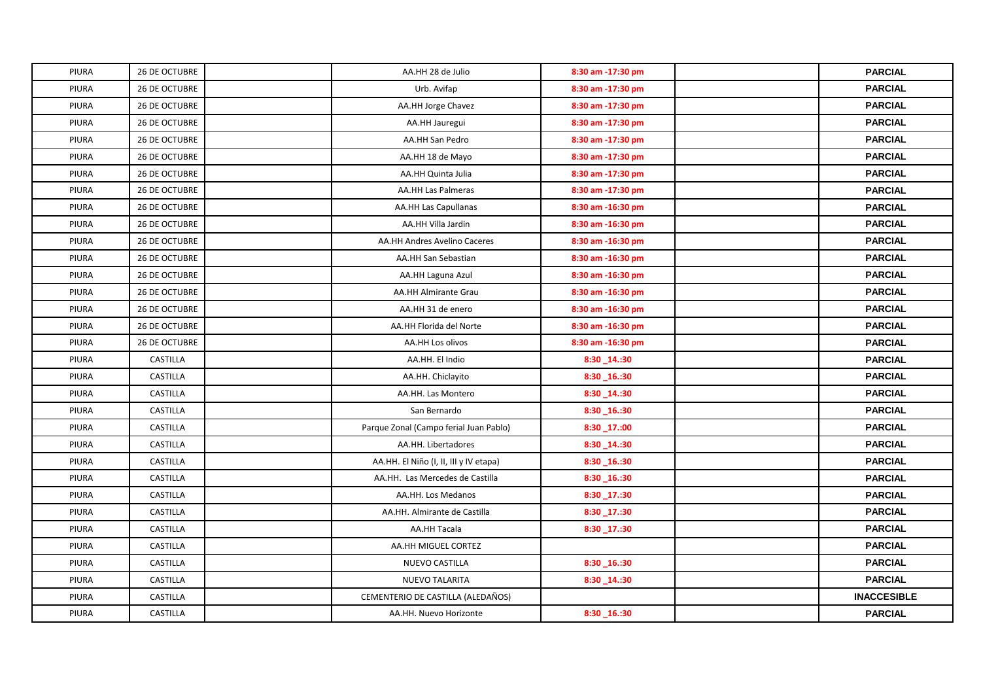| <b>PIURA</b> | 26 DE OCTUBRE        | AA.HH 28 de Julio                      | 8:30 am -17:30 pm | <b>PARCIAL</b>     |
|--------------|----------------------|----------------------------------------|-------------------|--------------------|
| <b>PIURA</b> | 26 DE OCTUBRE        | Urb. Avifap                            | 8:30 am -17:30 pm | <b>PARCIAL</b>     |
| <b>PIURA</b> | <b>26 DE OCTUBRE</b> | AA.HH Jorge Chavez                     | 8:30 am -17:30 pm | <b>PARCIAL</b>     |
| PIURA        | 26 DE OCTUBRE        | AA.HH Jauregui                         | 8:30 am -17:30 pm | <b>PARCIAL</b>     |
| PIURA        | 26 DE OCTUBRE        | AA.HH San Pedro                        | 8:30 am -17:30 pm | <b>PARCIAL</b>     |
| <b>PIURA</b> | 26 DE OCTUBRE        | AA.HH 18 de Mayo                       | 8:30 am -17:30 pm | <b>PARCIAL</b>     |
| <b>PIURA</b> | 26 DE OCTUBRE        | AA.HH Quinta Julia                     | 8:30 am -17:30 pm | <b>PARCIAL</b>     |
| <b>PIURA</b> | 26 DE OCTUBRE        | <b>AA.HH Las Palmeras</b>              | 8:30 am -17:30 pm | <b>PARCIAL</b>     |
| <b>PIURA</b> | 26 DE OCTUBRE        | <b>AA.HH Las Capullanas</b>            | 8:30 am -16:30 pm | <b>PARCIAL</b>     |
| <b>PIURA</b> | <b>26 DE OCTUBRE</b> | AA.HH Villa Jardin                     | 8:30 am -16:30 pm | <b>PARCIAL</b>     |
| <b>PIURA</b> | 26 DE OCTUBRE        | AA.HH Andres Avelino Caceres           | 8:30 am -16:30 pm | <b>PARCIAL</b>     |
| PIURA        | 26 DE OCTUBRE        | AA.HH San Sebastian                    | 8:30 am -16:30 pm | <b>PARCIAL</b>     |
| PIURA        | 26 DE OCTUBRE        | AA.HH Laguna Azul                      | 8:30 am -16:30 pm | <b>PARCIAL</b>     |
| <b>PIURA</b> | 26 DE OCTUBRE        | AA.HH Almirante Grau                   | 8:30 am -16:30 pm | <b>PARCIAL</b>     |
| PIURA        | 26 DE OCTUBRE        | AA.HH 31 de enero                      | 8:30 am -16:30 pm | <b>PARCIAL</b>     |
| <b>PIURA</b> | 26 DE OCTUBRE        | AA.HH Florida del Norte                | 8:30 am -16:30 pm | <b>PARCIAL</b>     |
| <b>PIURA</b> | 26 DE OCTUBRE        | AA.HH Los olivos                       | 8:30 am -16:30 pm | <b>PARCIAL</b>     |
| <b>PIURA</b> | CASTILLA             | AA.HH. El Indio                        | 8:30 14.:30       | <b>PARCIAL</b>     |
| PIURA        | CASTILLA             | AA.HH. Chiclayito                      | 8:30_16.:30       | <b>PARCIAL</b>     |
| PIURA        | CASTILLA             | AA.HH. Las Montero                     | 8:30 14.:30       | <b>PARCIAL</b>     |
| PIURA        | CASTILLA             | San Bernardo                           | 8:30_16.:30       | <b>PARCIAL</b>     |
| PIURA        | CASTILLA             | Parque Zonal (Campo ferial Juan Pablo) | 8:30_17.:00       | <b>PARCIAL</b>     |
| PIURA        | CASTILLA             | AA.HH. Libertadores                    | 8:30_14.:30       | <b>PARCIAL</b>     |
| <b>PIURA</b> | CASTILLA             | AA.HH. El Niño (I, II, III y IV etapa) | 8:30_16.:30       | <b>PARCIAL</b>     |
| PIURA        | CASTILLA             | AA.HH. Las Mercedes de Castilla        | 8:30_16.:30       | <b>PARCIAL</b>     |
| <b>PIURA</b> | CASTILLA             | AA.HH. Los Medanos                     | 8:30_17.:30       | <b>PARCIAL</b>     |
| <b>PIURA</b> | CASTILLA             | AA.HH. Almirante de Castilla           | 8:30_17.:30       | <b>PARCIAL</b>     |
| PIURA        | CASTILLA             | AA.HH Tacala                           | 8:30_17.:30       | <b>PARCIAL</b>     |
| <b>PIURA</b> | CASTILLA             | AA.HH MIGUEL CORTEZ                    |                   | <b>PARCIAL</b>     |
| <b>PIURA</b> | CASTILLA             | NUEVO CASTILLA                         | 8:30_16.:30       | <b>PARCIAL</b>     |
| <b>PIURA</b> | CASTILLA             | <b>NUEVO TALARITA</b>                  | 8:30_14.:30       | <b>PARCIAL</b>     |
| <b>PIURA</b> | CASTILLA             | CEMENTERIO DE CASTILLA (ALEDAÑOS)      |                   | <b>INACCESIBLE</b> |
| PIURA        | CASTILLA             | AA.HH. Nuevo Horizonte                 | 8:30 16.:30       | <b>PARCIAL</b>     |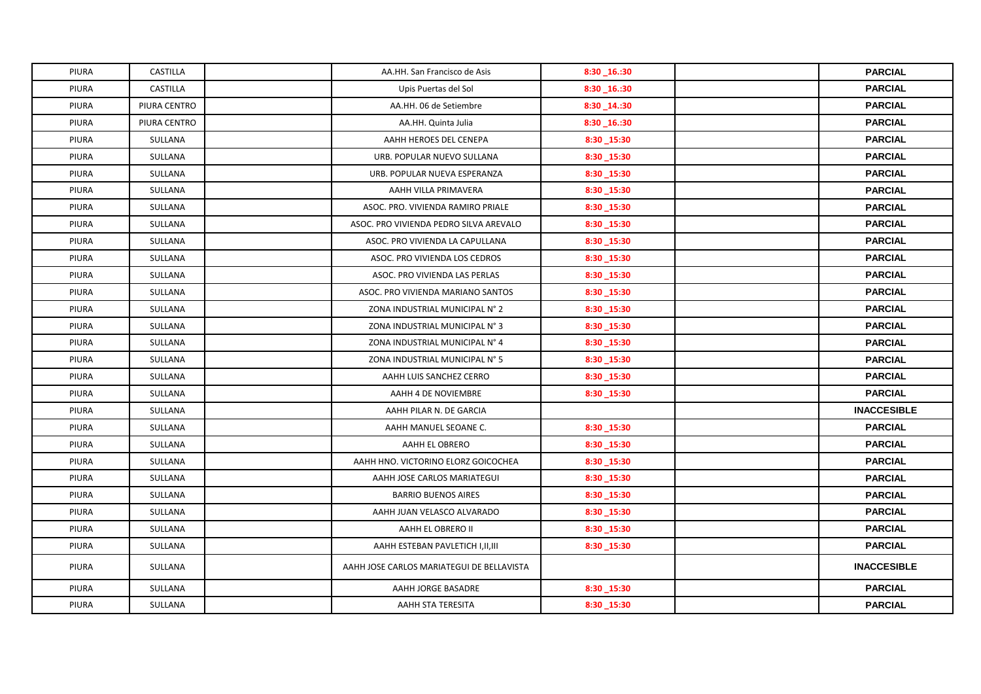| PIURA        | <b>CASTILLA</b> | AA.HH. San Francisco de Asis              | 8:30_16.:30 | <b>PARCIAL</b>     |
|--------------|-----------------|-------------------------------------------|-------------|--------------------|
| <b>PIURA</b> | CASTILLA        | Upis Puertas del Sol                      | 8:30_16.:30 | <b>PARCIAL</b>     |
| <b>PIURA</b> | PIURA CENTRO    | AA.HH. 06 de Setiembre                    | 8:30_14.:30 | <b>PARCIAL</b>     |
| PIURA        | PIURA CENTRO    | AA.HH. Quinta Julia                       | 8:30_16.:30 | <b>PARCIAL</b>     |
| <b>PIURA</b> | SULLANA         | AAHH HEROES DEL CENEPA                    | 8:30_15:30  | <b>PARCIAL</b>     |
| PIURA        | SULLANA         | URB. POPULAR NUEVO SULLANA                | 8:30_15:30  | <b>PARCIAL</b>     |
| <b>PIURA</b> | SULLANA         | URB. POPULAR NUEVA ESPERANZA              | 8:30_15:30  | <b>PARCIAL</b>     |
| <b>PIURA</b> | SULLANA         | AAHH VILLA PRIMAVERA                      | 8:30_15:30  | <b>PARCIAL</b>     |
| PIURA        | SULLANA         | ASOC. PRO. VIVIENDA RAMIRO PRIALE         | 8:30_15:30  | <b>PARCIAL</b>     |
| PIURA        | SULLANA         | ASOC. PRO VIVIENDA PEDRO SILVA AREVALO    | 8:30_15:30  | <b>PARCIAL</b>     |
| PIURA        | SULLANA         | ASOC. PRO VIVIENDA LA CAPULLANA           | 8:30_15:30  | <b>PARCIAL</b>     |
| PIURA        | SULLANA         | ASOC. PRO VIVIENDA LOS CEDROS             | 8:30_15:30  | <b>PARCIAL</b>     |
| <b>PIURA</b> | SULLANA         | ASOC. PRO VIVIENDA LAS PERLAS             | 8:30 15:30  | <b>PARCIAL</b>     |
| PIURA        | SULLANA         | ASOC. PRO VIVIENDA MARIANO SANTOS         | 8:30_15:30  | <b>PARCIAL</b>     |
| PIURA        | SULLANA         | ZONA INDUSTRIAL MUNICIPAL N° 2            | 8:30_15:30  | <b>PARCIAL</b>     |
| PIURA        | SULLANA         | ZONA INDUSTRIAL MUNICIPAL N° 3            | 8:30_15:30  | <b>PARCIAL</b>     |
| <b>PIURA</b> | SULLANA         | ZONA INDUSTRIAL MUNICIPAL N° 4            | 8:30 15:30  | <b>PARCIAL</b>     |
| PIURA        | SULLANA         | ZONA INDUSTRIAL MUNICIPAL N° 5            | 8:30_15:30  | <b>PARCIAL</b>     |
| PIURA        | SULLANA         | AAHH LUIS SANCHEZ CERRO                   | 8:30_15:30  | <b>PARCIAL</b>     |
| PIURA        | SULLANA         | AAHH 4 DE NOVIEMBRE                       | 8:30_15:30  | <b>PARCIAL</b>     |
| PIURA        | SULLANA         | AAHH PILAR N. DE GARCIA                   |             | <b>INACCESIBLE</b> |
| PIURA        | SULLANA         | AAHH MANUEL SEOANE C.                     | 8:30_15:30  | <b>PARCIAL</b>     |
| PIURA        | SULLANA         | AAHH EL OBRERO                            | 8:30_15:30  | <b>PARCIAL</b>     |
| PIURA        | SULLANA         | AAHH HNO. VICTORINO ELORZ GOICOCHEA       | 8:30_15:30  | <b>PARCIAL</b>     |
| <b>PIURA</b> | SULLANA         | AAHH JOSE CARLOS MARIATEGUI               | 8:30_15:30  | <b>PARCIAL</b>     |
| <b>PIURA</b> | SULLANA         | <b>BARRIO BUENOS AIRES</b>                | 8:30_15:30  | <b>PARCIAL</b>     |
| PIURA        | SULLANA         | AAHH JUAN VELASCO ALVARADO                | 8:30_15:30  | <b>PARCIAL</b>     |
| PIURA        | SULLANA         | AAHH EL OBRERO II                         | 8:30_15:30  | <b>PARCIAL</b>     |
| <b>PIURA</b> | SULLANA         | AAHH ESTEBAN PAVLETICH I, II, III         | 8:30 15:30  | <b>PARCIAL</b>     |
| <b>PIURA</b> | SULLANA         | AAHH JOSE CARLOS MARIATEGUI DE BELLAVISTA |             | <b>INACCESIBLE</b> |
| <b>PIURA</b> | SULLANA         | AAHH JORGE BASADRE                        | 8:30_15:30  | <b>PARCIAL</b>     |
| PIURA        | SULLANA         | AAHH STA TERESITA                         | 8:30_15:30  | <b>PARCIAL</b>     |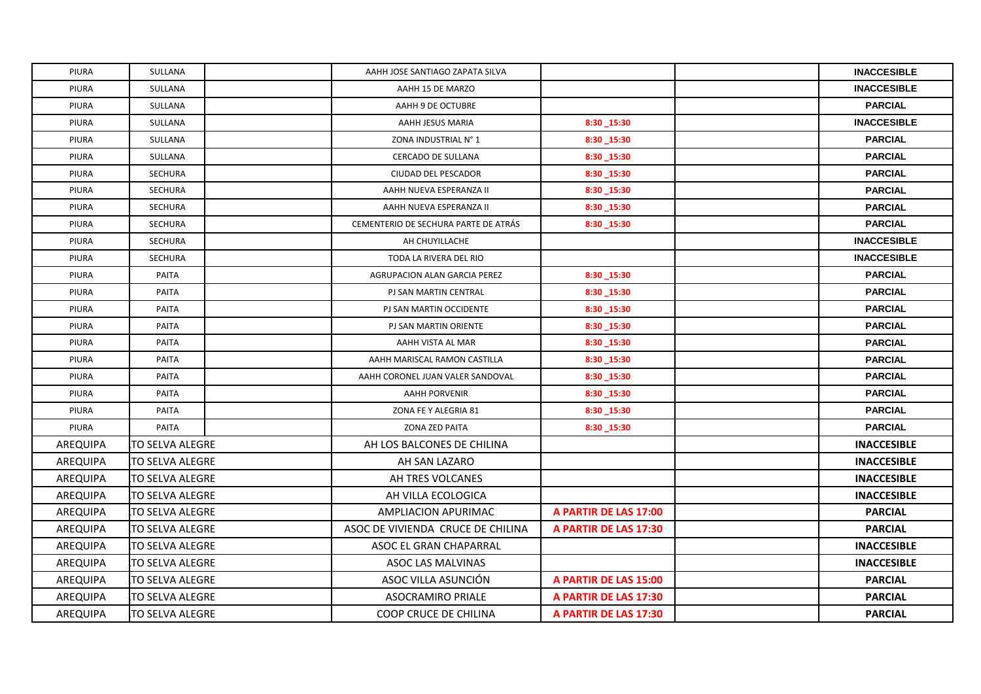| PIURA           | SULLANA          | AAHH JOSE SANTIAGO ZAPATA SILVA      |                       | <b>INACCESIBLE</b> |
|-----------------|------------------|--------------------------------------|-----------------------|--------------------|
| PIURA           | SULLANA          | AAHH 15 DE MARZO                     |                       | <b>INACCESIBLE</b> |
| PIURA           | SULLANA          | AAHH 9 DE OCTUBRE                    |                       | <b>PARCIAL</b>     |
| PIURA           | SULLANA          | AAHH JESUS MARIA                     | 8:30_15:30            | <b>INACCESIBLE</b> |
| PIURA           | SULLANA          | ZONA INDUSTRIAL N° 1                 | 8:30 15:30            | <b>PARCIAL</b>     |
| PIURA           | SULLANA          | <b>CERCADO DE SULLANA</b>            | 8:30 15:30            | <b>PARCIAL</b>     |
| PIURA           | SECHURA          | CIUDAD DEL PESCADOR                  | 8:30_15:30            | <b>PARCIAL</b>     |
| PIURA           | SECHURA          | AAHH NUEVA ESPERANZA II              | 8:30 15:30            | <b>PARCIAL</b>     |
| PIURA           | SECHURA          | AAHH NUEVA ESPERANZA II              | 8:30_15:30            | <b>PARCIAL</b>     |
| PIURA           | SECHURA          | CEMENTERIO DE SECHURA PARTE DE ATRÁS | 8:30 15:30            | <b>PARCIAL</b>     |
| PIURA           | SECHURA          | AH CHUYILLACHE                       |                       | <b>INACCESIBLE</b> |
| PIURA           | <b>SECHURA</b>   | TODA LA RIVERA DEL RIO               |                       | <b>INACCESIBLE</b> |
| PIURA           | PAITA            | AGRUPACION ALAN GARCIA PEREZ         | 8:30 15:30            | <b>PARCIAL</b>     |
| PIURA           | PAITA            | PJ SAN MARTIN CENTRAL                | 8:30 15:30            | <b>PARCIAL</b>     |
| PIURA           | PAITA            | PJ SAN MARTIN OCCIDENTE              | 8:30 15:30            | <b>PARCIAL</b>     |
| PIURA           | PAITA            | PJ SAN MARTIN ORIENTE                | 8:30_15:30            | <b>PARCIAL</b>     |
| PIURA           | PAITA            | AAHH VISTA AL MAR                    | 8:30_15:30            | <b>PARCIAL</b>     |
| PIURA           | PAITA            | AAHH MARISCAL RAMON CASTILLA         | 8:30_15:30            | <b>PARCIAL</b>     |
| PIURA           | PAITA            | AAHH CORONEL JUAN VALER SANDOVAL     | 8:30 15:30            | <b>PARCIAL</b>     |
| PIURA           | PAITA            | <b>AAHH PORVENIR</b>                 | 8:30 15:30            | <b>PARCIAL</b>     |
| PIURA           | PAITA            | ZONA FE Y ALEGRIA 81                 | 8:30_15:30            | <b>PARCIAL</b>     |
| PIURA           | PAITA            | ZONA ZED PAITA                       | 8:30_15:30            | <b>PARCIAL</b>     |
| AREQUIPA        | TO SELVA ALEGRE  | AH LOS BALCONES DE CHILINA           |                       | <b>INACCESIBLE</b> |
| <b>AREQUIPA</b> | TO SELVA ALEGRE  | AH SAN LAZARO                        |                       | <b>INACCESIBLE</b> |
| AREQUIPA        | TO SELVA ALEGRE  | AH TRES VOLCANES                     |                       | <b>INACCESIBLE</b> |
| AREQUIPA        | TO SELVA ALEGRE  | AH VILLA ECOLOGICA                   |                       | <b>INACCESIBLE</b> |
| AREQUIPA        | TO SELVA ALEGRE  | AMPLIACION APURIMAC                  | A PARTIR DE LAS 17:00 | <b>PARCIAL</b>     |
| AREQUIPA        | TO SELVA ALEGRE  | ASOC DE VIVIENDA CRUCE DE CHILINA    | A PARTIR DE LAS 17:30 | <b>PARCIAL</b>     |
| AREQUIPA        | lTO SELVA ALEGRE | ASOC EL GRAN CHAPARRAL               |                       | <b>INACCESIBLE</b> |
| AREQUIPA        | TO SELVA ALEGRE  | ASOC LAS MALVINAS                    |                       | <b>INACCESIBLE</b> |
| AREQUIPA        | TO SELVA ALEGRE  | ASOC VILLA ASUNCIÓN                  | A PARTIR DE LAS 15:00 | <b>PARCIAL</b>     |
| AREQUIPA        | TO SELVA ALEGRE  | <b>ASOCRAMIRO PRIALE</b>             | A PARTIR DE LAS 17:30 | <b>PARCIAL</b>     |
| AREQUIPA        | TO SELVA ALEGRE  | COOP CRUCE DE CHILINA                | A PARTIR DE LAS 17:30 | <b>PARCIAL</b>     |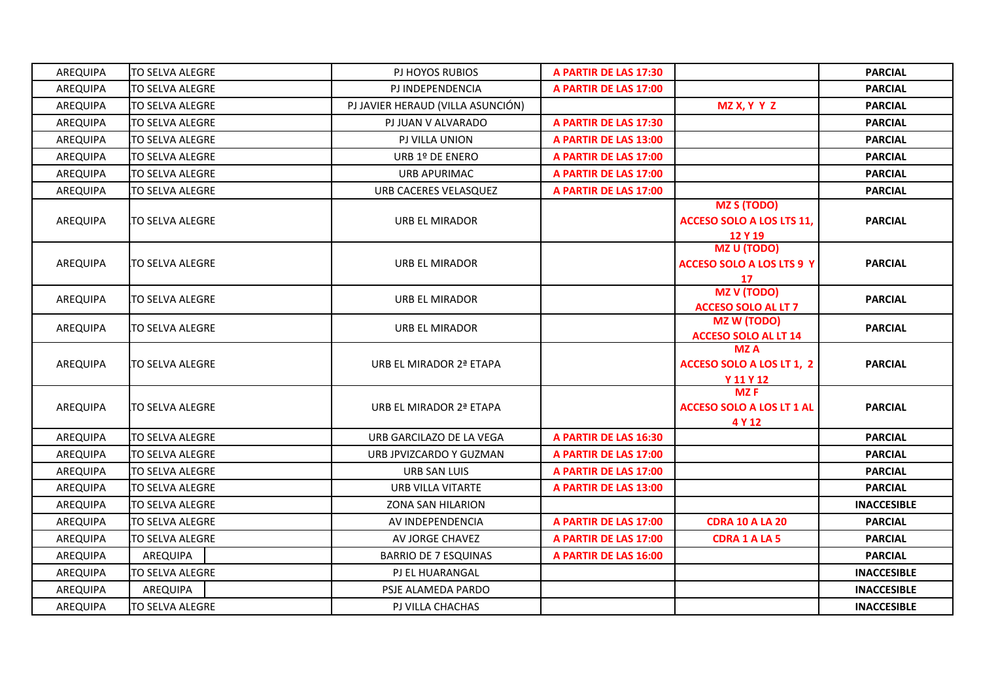| AREQUIPA        | TO SELVA ALEGRE  | PJ HOYOS RUBIOS                   | A PARTIR DE LAS 17:30 |                                                                   | <b>PARCIAL</b>     |
|-----------------|------------------|-----------------------------------|-----------------------|-------------------------------------------------------------------|--------------------|
| <b>AREQUIPA</b> | TO SELVA ALEGRE  | PJ INDEPENDENCIA                  | A PARTIR DE LAS 17:00 |                                                                   | <b>PARCIAL</b>     |
| AREQUIPA        | TO SELVA ALEGRE  | PJ JAVIER HERAUD (VILLA ASUNCIÓN) |                       | MZX, YYZ                                                          | <b>PARCIAL</b>     |
| AREQUIPA        | TO SELVA ALEGRE  | PJ JUAN V ALVARADO                | A PARTIR DE LAS 17:30 |                                                                   | <b>PARCIAL</b>     |
| AREQUIPA        | TO SELVA ALEGRE  | PJ VILLA UNION                    | A PARTIR DE LAS 13:00 |                                                                   | <b>PARCIAL</b>     |
| AREQUIPA        | TO SELVA ALEGRE  | URB 1º DE ENERO                   | A PARTIR DE LAS 17:00 |                                                                   | <b>PARCIAL</b>     |
| AREQUIPA        | TO SELVA ALEGRE  | URB APURIMAC                      | A PARTIR DE LAS 17:00 |                                                                   | <b>PARCIAL</b>     |
| AREQUIPA        | TO SELVA ALEGRE  | URB CACERES VELASQUEZ             | A PARTIR DE LAS 17:00 |                                                                   | <b>PARCIAL</b>     |
| AREQUIPA        | TO SELVA ALEGRE  | URB EL MIRADOR                    |                       | <b>MZ S (TODO)</b><br><b>ACCESO SOLO A LOS LTS 11,</b><br>12 Y 19 | <b>PARCIAL</b>     |
| AREQUIPA        | ITO SELVA ALEGRE | URB EL MIRADOR                    |                       | <b>MZ U (TODO)</b><br><b>ACCESO SOLO A LOS LTS 9 Y</b>            | <b>PARCIAL</b>     |
| AREQUIPA        | TO SELVA ALEGRE  | URB EL MIRADOR                    |                       | $\frac{17}{100}$<br><b>ACCESO SOLO AL LT 7</b>                    | <b>PARCIAL</b>     |
| AREQUIPA        | TO SELVA ALEGRE  | URB EL MIRADOR                    |                       | <b>MZ W (TODO)</b><br><b>ACCESO SOLO AL LT 14</b>                 | <b>PARCIAL</b>     |
| AREQUIPA        | ITO SELVA ALEGRE | URB EL MIRADOR 2ª ETAPA           |                       | <b>MZA</b><br>ACCESO SOLO A LOS LT 1, 2<br>Y 11 Y 12              | <b>PARCIAL</b>     |
| AREQUIPA        | ITO SELVA ALEGRE | URB EL MIRADOR 2ª ETAPA           |                       | <b>MZF</b><br><b>ACCESO SOLO A LOS LT 1 AL</b><br>4 Y 12          | <b>PARCIAL</b>     |
| AREQUIPA        | TO SELVA ALEGRE  | URB GARCILAZO DE LA VEGA          | A PARTIR DE LAS 16:30 |                                                                   | <b>PARCIAL</b>     |
| AREQUIPA        | TO SELVA ALEGRE  | URB JPVIZCARDO Y GUZMAN           | A PARTIR DE LAS 17:00 |                                                                   | <b>PARCIAL</b>     |
| AREQUIPA        | TO SELVA ALEGRE  | URB SAN LUIS                      | A PARTIR DE LAS 17:00 |                                                                   | <b>PARCIAL</b>     |
| <b>AREQUIPA</b> | TO SELVA ALEGRE  | URB VILLA VITARTE                 | A PARTIR DE LAS 13:00 |                                                                   | <b>PARCIAL</b>     |
| AREQUIPA        | TO SELVA ALEGRE  | <b>ZONA SAN HILARION</b>          |                       |                                                                   | <b>INACCESIBLE</b> |
| AREQUIPA        | TO SELVA ALEGRE  | AV INDEPENDENCIA                  | A PARTIR DE LAS 17:00 | <b>CDRA 10 A LA 20</b>                                            | <b>PARCIAL</b>     |
| AREQUIPA        | TO SELVA ALEGRE  | AV JORGE CHAVEZ                   | A PARTIR DE LAS 17:00 | <b>CDRA 1 A LA 5</b>                                              | <b>PARCIAL</b>     |
| AREQUIPA        | AREQUIPA         | BARRIO DE 7 ESQUINAS              | A PARTIR DE LAS 16:00 |                                                                   | <b>PARCIAL</b>     |
| AREQUIPA        | TO SELVA ALEGRE  | PJ EL HUARANGAL                   |                       |                                                                   | <b>INACCESIBLE</b> |
| AREQUIPA        | AREQUIPA         | PSJE ALAMEDA PARDO                |                       |                                                                   | <b>INACCESIBLE</b> |
| AREQUIPA        | TO SELVA ALEGRE  | PJ VILLA CHACHAS                  |                       |                                                                   | <b>INACCESIBLE</b> |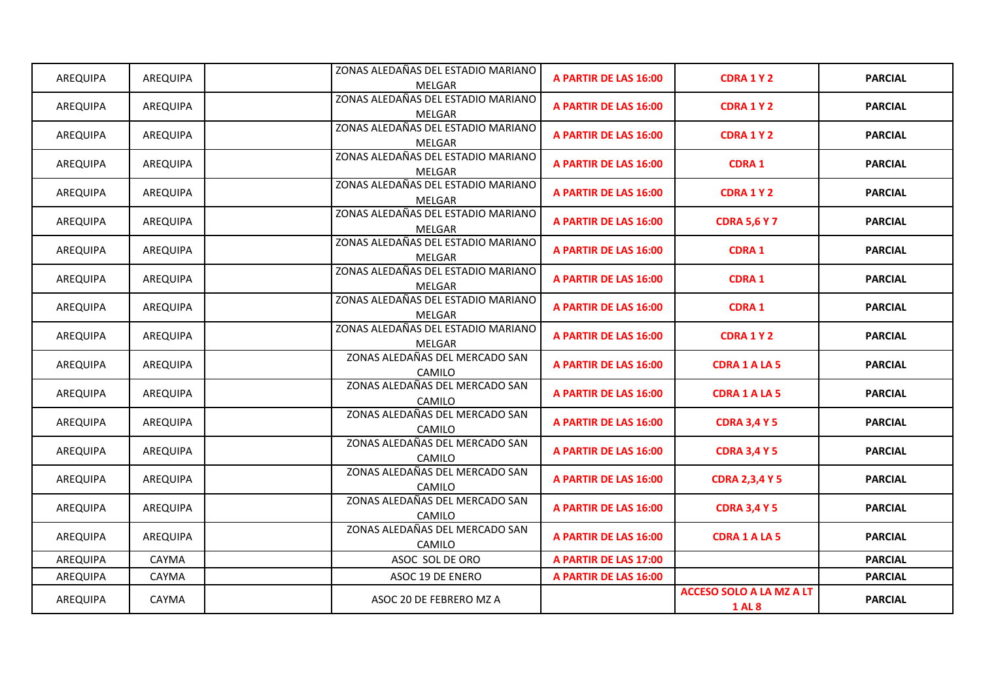| AREQUIPA | AREQUIPA | ZONAS ALEDAÑAS DEL ESTADIO MARIANO           | A PARTIR DE LAS 16:00 | <b>CDRA1Y2</b>                  | <b>PARCIAL</b> |
|----------|----------|----------------------------------------------|-----------------------|---------------------------------|----------------|
|          |          | MELGAR                                       |                       |                                 |                |
| AREQUIPA | AREQUIPA | ZONAS ALEDAÑAS DEL ESTADIO MARIANO           | A PARTIR DE LAS 16:00 | <b>CDRA1Y2</b>                  | <b>PARCIAL</b> |
|          |          | MELGAR<br>ZONAS ALEDAÑAS DEL ESTADIO MARIANO |                       |                                 |                |
| AREQUIPA | AREQUIPA | MELGAR                                       | A PARTIR DE LAS 16:00 | <b>CDRA1Y2</b>                  | <b>PARCIAL</b> |
|          |          | ZONAS ALEDAÑAS DEL ESTADIO MARIANO           |                       |                                 |                |
| AREQUIPA | AREQUIPA | MELGAR                                       | A PARTIR DE LAS 16:00 | <b>CDRA1</b>                    | <b>PARCIAL</b> |
|          |          | ZONAS ALEDAÑAS DEL ESTADIO MARIANO           |                       |                                 |                |
| AREQUIPA | AREQUIPA | MELGAR                                       | A PARTIR DE LAS 16:00 | <b>CDRA 1 Y 2</b>               | <b>PARCIAL</b> |
|          |          | ZONAS ALEDAÑAS DEL ESTADIO MARIANO           |                       |                                 |                |
| AREQUIPA | AREQUIPA | MELGAR                                       | A PARTIR DE LAS 16:00 | <b>CDRA 5,6 Y 7</b>             | <b>PARCIAL</b> |
|          |          | ZONAS ALEDAÑAS DEL ESTADIO MARIANO           |                       |                                 |                |
| AREQUIPA | AREQUIPA | MELGAR                                       | A PARTIR DE LAS 16:00 | <b>CDRA 1</b>                   | <b>PARCIAL</b> |
|          |          | ZONAS ALEDAÑAS DEL ESTADIO MARIANO           |                       |                                 |                |
| AREQUIPA | AREQUIPA | MELGAR                                       | A PARTIR DE LAS 16:00 | <b>CDRA1</b>                    | <b>PARCIAL</b> |
| AREQUIPA | AREQUIPA | ZONAS ALEDAÑAS DEL ESTADIO MARIANO           | A PARTIR DE LAS 16:00 | <b>CDRA1</b>                    | <b>PARCIAL</b> |
|          |          | MELGAR                                       |                       |                                 |                |
| AREQUIPA | AREQUIPA | ZONAS ALEDAÑAS DEL ESTADIO MARIANO           | A PARTIR DE LAS 16:00 | <b>CDRA1Y2</b>                  | <b>PARCIAL</b> |
|          |          | MELGAR                                       |                       |                                 |                |
| AREQUIPA | AREQUIPA | ZONAS ALEDAÑAS DEL MERCADO SAN               | A PARTIR DE LAS 16:00 | <b>CDRA 1 A LA 5</b>            | <b>PARCIAL</b> |
|          |          | CAMILO                                       |                       |                                 |                |
| AREQUIPA | AREQUIPA | ZONAS ALEDAÑAS DEL MERCADO SAN               | A PARTIR DE LAS 16:00 | <b>CDRA 1 A LA 5</b>            | <b>PARCIAL</b> |
|          |          | CAMILO                                       |                       |                                 |                |
| AREQUIPA | AREQUIPA | ZONAS ALEDAÑAS DEL MERCADO SAN               | A PARTIR DE LAS 16:00 | <b>CDRA 3,4 Y 5</b>             | <b>PARCIAL</b> |
|          |          | CAMILO<br>ZONAS ALEDAÑAS DEL MERCADO SAN     |                       |                                 |                |
| AREQUIPA | AREQUIPA |                                              | A PARTIR DE LAS 16:00 | <b>CDRA 3,4 Y 5</b>             | <b>PARCIAL</b> |
|          |          | CAMILO<br>ZONAS ALEDAÑAS DEL MERCADO SAN     |                       |                                 |                |
| AREQUIPA | AREQUIPA | CAMILO                                       | A PARTIR DE LAS 16:00 | <b>CDRA 2,3,4 Y 5</b>           | <b>PARCIAL</b> |
|          |          | ZONAS ALEDAÑAS DEL MERCADO SAN               |                       |                                 |                |
| AREQUIPA | AREQUIPA | CAMILO                                       | A PARTIR DE LAS 16:00 | <b>CDRA 3,4 Y 5</b>             | <b>PARCIAL</b> |
|          |          | ZONAS ALEDAÑAS DEL MERCADO SAN               |                       |                                 |                |
| AREQUIPA | AREQUIPA | CAMILO                                       | A PARTIR DE LAS 16:00 | <b>CDRA 1 A LA 5</b>            | <b>PARCIAL</b> |
| AREQUIPA | CAYMA    | ASOC SOL DE ORO                              | A PARTIR DE LAS 17:00 |                                 | <b>PARCIAL</b> |
| AREQUIPA | CAYMA    | ASOC 19 DE ENERO                             | A PARTIR DE LAS 16:00 |                                 | <b>PARCIAL</b> |
|          |          |                                              |                       | <b>ACCESO SOLO A LA MZ A LT</b> |                |
| AREQUIPA | CAYMA    | ASOC 20 DE FEBRERO MZ A                      |                       | <b>1 AL 8</b>                   | <b>PARCIAL</b> |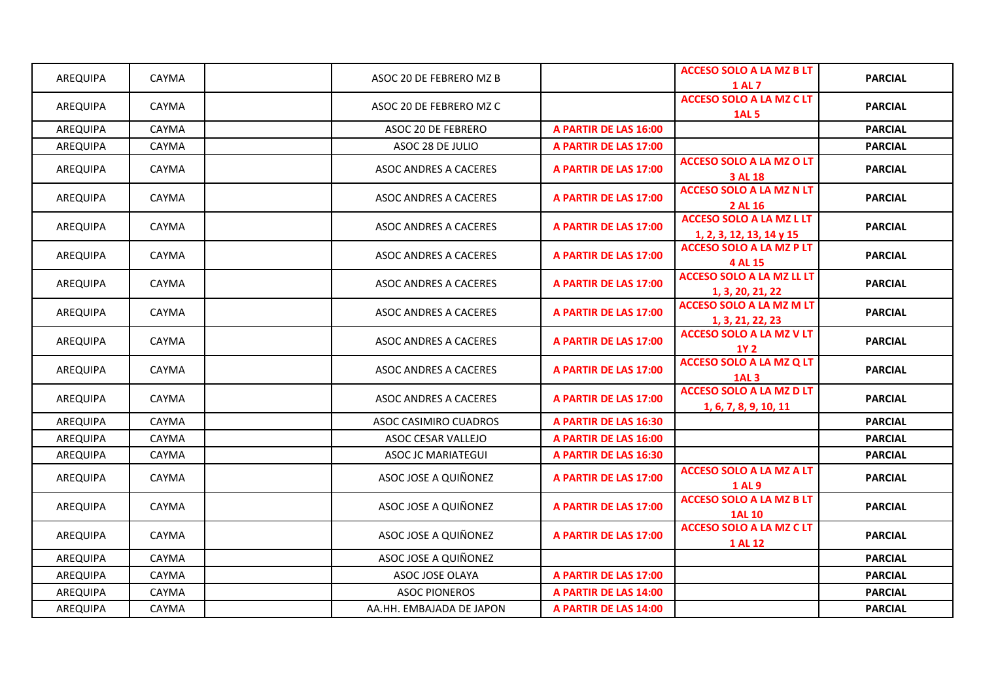| AREQUIPA        | <b>CAYMA</b> | ASOC 20 DE FEBRERO MZ B      |                       | <b>ACCESO SOLO A LA MZ B LT</b><br><b>1 AL 7</b>            | <b>PARCIAL</b> |
|-----------------|--------------|------------------------------|-----------------------|-------------------------------------------------------------|----------------|
| AREQUIPA        | CAYMA        | ASOC 20 DE FEBRERO MZ C      |                       | <b>ACCESO SOLO A LA MZ C LT</b><br><b>1AL 5</b>             | <b>PARCIAL</b> |
| AREQUIPA        | CAYMA        | ASOC 20 DE FEBRERO           | A PARTIR DE LAS 16:00 |                                                             | <b>PARCIAL</b> |
| AREQUIPA        | CAYMA        | ASOC 28 DE JULIO             | A PARTIR DE LAS 17:00 |                                                             | <b>PARCIAL</b> |
| AREQUIPA        | CAYMA        | ASOC ANDRES A CACERES        | A PARTIR DE LAS 17:00 | <b>ACCESO SOLO A LA MZ O LT</b><br>3 AL 18                  | <b>PARCIAL</b> |
| <b>AREQUIPA</b> | <b>CAYMA</b> | <b>ASOC ANDRES A CACERES</b> | A PARTIR DE LAS 17:00 | <b>ACCESO SOLO A LA MZ N LT</b><br>2 AL 16                  | <b>PARCIAL</b> |
| AREQUIPA        | <b>CAYMA</b> | ASOC ANDRES A CACERES        | A PARTIR DE LAS 17:00 | <b>ACCESO SOLO A LA MZ L LT</b><br>1, 2, 3, 12, 13, 14 y 15 | <b>PARCIAL</b> |
| AREQUIPA        | <b>CAYMA</b> | <b>ASOC ANDRES A CACERES</b> | A PARTIR DE LAS 17:00 | <b>ACCESO SOLO A LA MZ P LT</b><br>4 AL 15                  | <b>PARCIAL</b> |
| AREQUIPA        | CAYMA        | ASOC ANDRES A CACERES        | A PARTIR DE LAS 17:00 | <b>ACCESO SOLO A LA MZ LL LT</b><br>1, 3, 20, 21, 22        | <b>PARCIAL</b> |
| AREQUIPA        | CAYMA        | ASOC ANDRES A CACERES        | A PARTIR DE LAS 17:00 | <b>ACCESO SOLO A LA MZ M LT</b><br>1, 3, 21, 22, 23         | <b>PARCIAL</b> |
| AREQUIPA        | CAYMA        | <b>ASOC ANDRES A CACERES</b> | A PARTIR DE LAS 17:00 | <b>ACCESO SOLO A LA MZ V LT</b><br><b>1Y2</b>               | <b>PARCIAL</b> |
| AREQUIPA        | <b>CAYMA</b> | ASOC ANDRES A CACERES        | A PARTIR DE LAS 17:00 | <b>ACCESO SOLO A LA MZ Q LT</b><br><b>1AL 3</b>             | <b>PARCIAL</b> |
| AREQUIPA        | CAYMA        | ASOC ANDRES A CACERES        | A PARTIR DE LAS 17:00 | <b>ACCESO SOLO A LA MZ D LT</b><br>1, 6, 7, 8, 9, 10, 11    | <b>PARCIAL</b> |
| AREQUIPA        | CAYMA        | ASOC CASIMIRO CUADROS        | A PARTIR DE LAS 16:30 |                                                             | <b>PARCIAL</b> |
| AREQUIPA        | CAYMA        | ASOC CESAR VALLEJO           | A PARTIR DE LAS 16:00 |                                                             | <b>PARCIAL</b> |
| AREQUIPA        | CAYMA        | ASOC JC MARIATEGUI           | A PARTIR DE LAS 16:30 |                                                             | <b>PARCIAL</b> |
| AREQUIPA        | CAYMA        | ASOC JOSE A QUIÑONEZ         | A PARTIR DE LAS 17:00 | <b>ACCESO SOLO A LA MZ A LT</b><br><b>1AL9</b>              | <b>PARCIAL</b> |
| AREQUIPA        | <b>CAYMA</b> | ASOC JOSE A QUIÑONEZ         | A PARTIR DE LAS 17:00 | <b>ACCESO SOLO A LA MZ B LT</b><br><b>1AL 10</b>            | <b>PARCIAL</b> |
| AREQUIPA        | CAYMA        | ASOC JOSE A QUIÑONEZ         | A PARTIR DE LAS 17:00 | <b>ACCESO SOLO A LA MZ C LT</b><br>1 AL 12                  | <b>PARCIAL</b> |
| AREQUIPA        | <b>CAYMA</b> | ASOC JOSE A QUIÑONEZ         |                       |                                                             | <b>PARCIAL</b> |
| AREQUIPA        | CAYMA        | ASOC JOSE OLAYA              | A PARTIR DE LAS 17:00 |                                                             | <b>PARCIAL</b> |
| AREQUIPA        | CAYMA        | <b>ASOC PIONEROS</b>         | A PARTIR DE LAS 14:00 |                                                             | <b>PARCIAL</b> |
| AREQUIPA        | <b>CAYMA</b> | AA.HH. EMBAJADA DE JAPON     | A PARTIR DE LAS 14:00 |                                                             | <b>PARCIAL</b> |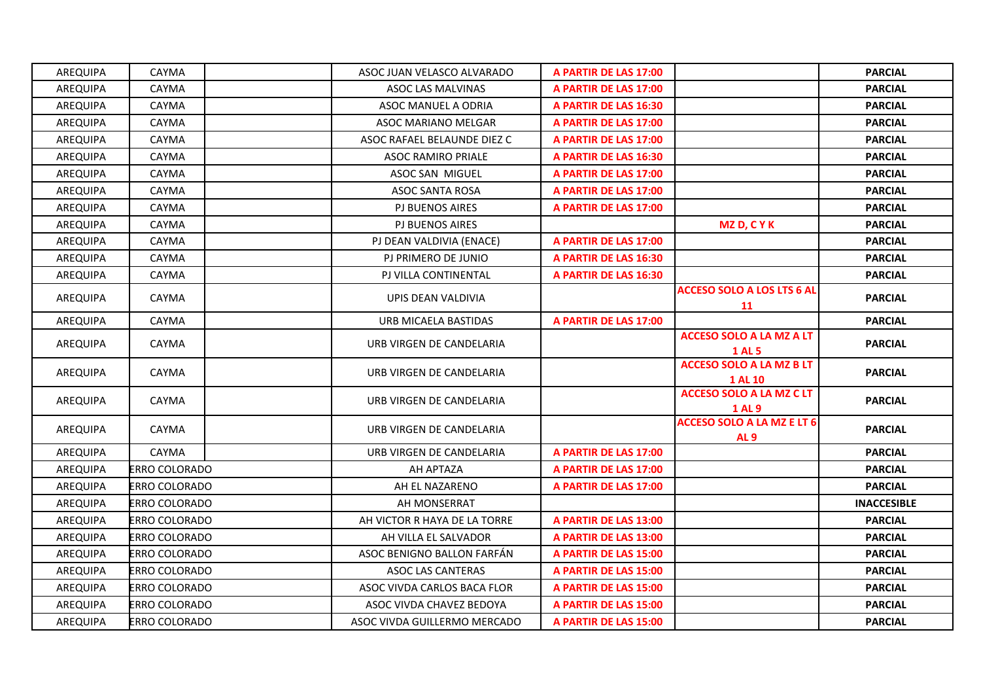| AREQUIPA | CAYMA                | ASOC JUAN VELASCO ALVARADO   | A PARTIR DE LAS 17:00 |                                                   | <b>PARCIAL</b>     |
|----------|----------------------|------------------------------|-----------------------|---------------------------------------------------|--------------------|
| AREQUIPA | CAYMA                | ASOC LAS MALVINAS            | A PARTIR DE LAS 17:00 |                                                   | <b>PARCIAL</b>     |
| AREQUIPA | CAYMA                | ASOC MANUEL A ODRIA          | A PARTIR DE LAS 16:30 |                                                   | <b>PARCIAL</b>     |
| AREQUIPA | CAYMA                | ASOC MARIANO MELGAR          | A PARTIR DE LAS 17:00 |                                                   | <b>PARCIAL</b>     |
| AREQUIPA | CAYMA                | ASOC RAFAEL BELAUNDE DIEZ C  | A PARTIR DE LAS 17:00 |                                                   | <b>PARCIAL</b>     |
| AREQUIPA | CAYMA                | <b>ASOC RAMIRO PRIALE</b>    | A PARTIR DE LAS 16:30 |                                                   | <b>PARCIAL</b>     |
| AREQUIPA | CAYMA                | ASOC SAN MIGUEL              | A PARTIR DE LAS 17:00 |                                                   | <b>PARCIAL</b>     |
| AREQUIPA | CAYMA                | ASOC SANTA ROSA              | A PARTIR DE LAS 17:00 |                                                   | <b>PARCIAL</b>     |
| AREQUIPA | CAYMA                | PJ BUENOS AIRES              | A PARTIR DE LAS 17:00 |                                                   | <b>PARCIAL</b>     |
| AREQUIPA | CAYMA                | PJ BUENOS AIRES              |                       | <b>MZD, CYK</b>                                   | <b>PARCIAL</b>     |
| AREQUIPA | CAYMA                | PJ DEAN VALDIVIA (ENACE)     | A PARTIR DE LAS 17:00 |                                                   | <b>PARCIAL</b>     |
| AREQUIPA | CAYMA                | PJ PRIMERO DE JUNIO          | A PARTIR DE LAS 16:30 |                                                   | <b>PARCIAL</b>     |
| AREQUIPA | CAYMA                | PJ VILLA CONTINENTAL         | A PARTIR DE LAS 16:30 |                                                   | <b>PARCIAL</b>     |
| AREQUIPA | <b>CAYMA</b>         | UPIS DEAN VALDIVIA           |                       | <b>ACCESO SOLO A LOS LTS 6 AL</b><br>11           | <b>PARCIAL</b>     |
| AREQUIPA | CAYMA                | URB MICAELA BASTIDAS         | A PARTIR DE LAS 17:00 |                                                   | <b>PARCIAL</b>     |
| AREQUIPA | CAYMA                | URB VIRGEN DE CANDELARIA     |                       | <b>ACCESO SOLO A LA MZ A LT</b><br><b>1 AL 5</b>  | <b>PARCIAL</b>     |
| AREQUIPA | <b>CAYMA</b>         | URB VIRGEN DE CANDELARIA     |                       | <b>ACCESO SOLO A LA MZ B LT</b><br><b>1 AL 10</b> | <b>PARCIAL</b>     |
| AREQUIPA | CAYMA                | URB VIRGEN DE CANDELARIA     |                       | <b>ACCESO SOLO A LA MZ C LT</b><br><b>1 AL 9</b>  | <b>PARCIAL</b>     |
| AREQUIPA | CAYMA                | URB VIRGEN DE CANDELARIA     |                       | <b>ACCESO SOLO A LA MZ E LT 6</b><br><b>AL 9</b>  | <b>PARCIAL</b>     |
| AREQUIPA | CAYMA                | URB VIRGEN DE CANDELARIA     | A PARTIR DE LAS 17:00 |                                                   | <b>PARCIAL</b>     |
| AREQUIPA | ERRO COLORADO        | AH APTAZA                    | A PARTIR DE LAS 17:00 |                                                   | <b>PARCIAL</b>     |
| AREQUIPA | ERRO COLORADO        | AH EL NAZARENO               | A PARTIR DE LAS 17:00 |                                                   | <b>PARCIAL</b>     |
| AREQUIPA | ERRO COLORADO        | AH MONSERRAT                 |                       |                                                   | <b>INACCESIBLE</b> |
| AREQUIPA | ERRO COLORADO        | AH VICTOR R HAYA DE LA TORRE | A PARTIR DE LAS 13:00 |                                                   | <b>PARCIAL</b>     |
| AREQUIPA | ERRO COLORADO        | AH VILLA EL SALVADOR         | A PARTIR DE LAS 13:00 |                                                   | <b>PARCIAL</b>     |
| AREQUIPA | ERRO COLORADO        | ASOC BENIGNO BALLON FARFAN   | A PARTIR DE LAS 15:00 |                                                   | <b>PARCIAL</b>     |
| AREQUIPA | ERRO COLORADO        | ASOC LAS CANTERAS            | A PARTIR DE LAS 15:00 |                                                   | <b>PARCIAL</b>     |
| AREQUIPA | <b>ERRO COLORADO</b> | ASOC VIVDA CARLOS BACA FLOR  | A PARTIR DE LAS 15:00 |                                                   | <b>PARCIAL</b>     |
| AREQUIPA | ERRO COLORADO        | ASOC VIVDA CHAVEZ BEDOYA     | A PARTIR DE LAS 15:00 |                                                   | <b>PARCIAL</b>     |
| AREQUIPA | ERRO COLORADO        | ASOC VIVDA GUILLERMO MERCADO | A PARTIR DE LAS 15:00 |                                                   | <b>PARCIAL</b>     |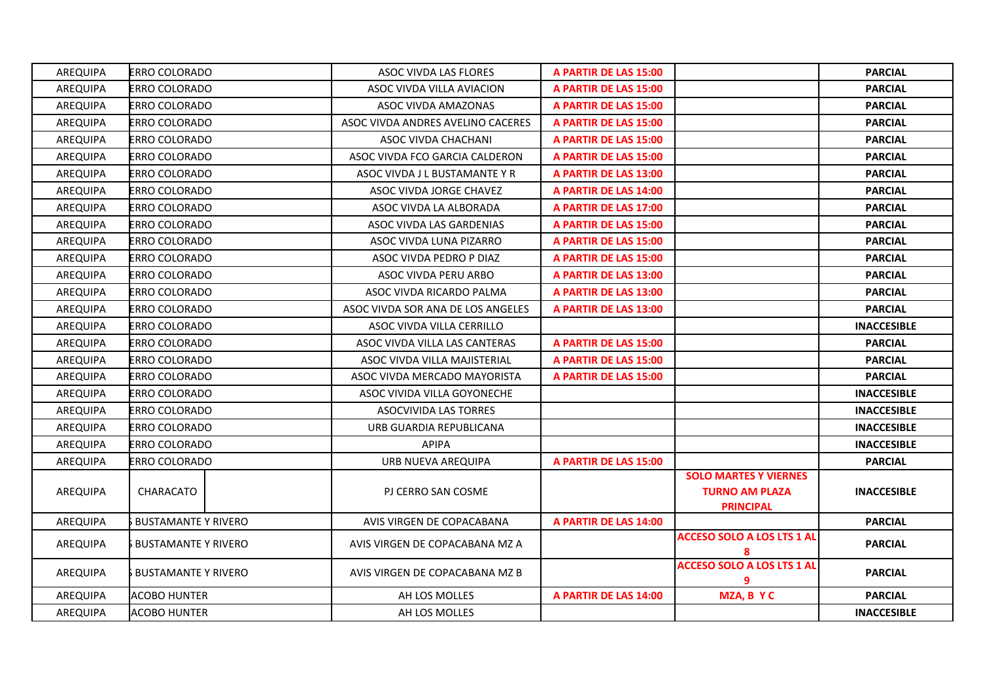| AREQUIPA | ERRO COLORADO              | <b>ASOC VIVDA LAS FLORES</b>      | A PARTIR DE LAS 15:00 |                                                       | <b>PARCIAL</b>     |
|----------|----------------------------|-----------------------------------|-----------------------|-------------------------------------------------------|--------------------|
| AREQUIPA | <b>ERRO COLORADO</b>       | ASOC VIVDA VILLA AVIACION         | A PARTIR DE LAS 15:00 |                                                       | <b>PARCIAL</b>     |
| AREQUIPA | ERRO COLORADO              | ASOC VIVDA AMAZONAS               | A PARTIR DE LAS 15:00 |                                                       | <b>PARCIAL</b>     |
| AREQUIPA | ERRO COLORADO              | ASOC VIVDA ANDRES AVELINO CACERES | A PARTIR DE LAS 15:00 |                                                       | <b>PARCIAL</b>     |
| AREQUIPA | ERRO COLORADO              | ASOC VIVDA CHACHANI               | A PARTIR DE LAS 15:00 |                                                       | <b>PARCIAL</b>     |
| AREQUIPA | <b>ERRO COLORADO</b>       | ASOC VIVDA FCO GARCIA CALDERON    | A PARTIR DE LAS 15:00 |                                                       | <b>PARCIAL</b>     |
| AREQUIPA | ERRO COLORADO              | ASOC VIVDA J L BUSTAMANTE Y R     | A PARTIR DE LAS 13:00 |                                                       | <b>PARCIAL</b>     |
| AREQUIPA | ERRO COLORADO              | ASOC VIVDA JORGE CHAVEZ           | A PARTIR DE LAS 14:00 |                                                       | <b>PARCIAL</b>     |
| AREQUIPA | ERRO COLORADO              | ASOC VIVDA LA ALBORADA            | A PARTIR DE LAS 17:00 |                                                       | <b>PARCIAL</b>     |
| AREQUIPA | ERRO COLORADO              | ASOC VIVDA LAS GARDENIAS          | A PARTIR DE LAS 15:00 |                                                       | <b>PARCIAL</b>     |
| AREQUIPA | ERRO COLORADO              | ASOC VIVDA LUNA PIZARRO           | A PARTIR DE LAS 15:00 |                                                       | <b>PARCIAL</b>     |
| AREQUIPA | ERRO COLORADO              | ASOC VIVDA PEDRO P DIAZ           | A PARTIR DE LAS 15:00 |                                                       | <b>PARCIAL</b>     |
| AREQUIPA | <b>ERRO COLORADO</b>       | ASOC VIVDA PERU ARBO              | A PARTIR DE LAS 13:00 |                                                       | <b>PARCIAL</b>     |
| AREQUIPA | ERRO COLORADO              | ASOC VIVDA RICARDO PALMA          | A PARTIR DE LAS 13:00 |                                                       | <b>PARCIAL</b>     |
| AREQUIPA | ERRO COLORADO              | ASOC VIVDA SOR ANA DE LOS ANGELES | A PARTIR DE LAS 13:00 |                                                       | <b>PARCIAL</b>     |
| AREQUIPA | ERRO COLORADO              | ASOC VIVDA VILLA CERRILLO         |                       |                                                       | <b>INACCESIBLE</b> |
| AREQUIPA | <b>ERRO COLORADO</b>       | ASOC VIVDA VILLA LAS CANTERAS     | A PARTIR DE LAS 15:00 |                                                       | <b>PARCIAL</b>     |
| AREQUIPA | <b>ERRO COLORADO</b>       | ASOC VIVDA VILLA MAJISTERIAL      | A PARTIR DE LAS 15:00 |                                                       | <b>PARCIAL</b>     |
| AREQUIPA | <b>ERRO COLORADO</b>       | ASOC VIVDA MERCADO MAYORISTA      | A PARTIR DE LAS 15:00 |                                                       | <b>PARCIAL</b>     |
| AREQUIPA | <b>ERRO COLORADO</b>       | ASOC VIVIDA VILLA GOYONECHE       |                       |                                                       | <b>INACCESIBLE</b> |
| AREQUIPA | ERRO COLORADO              | ASOCVIVIDA LAS TORRES             |                       |                                                       | <b>INACCESIBLE</b> |
| AREQUIPA | <b>ERRO COLORADO</b>       | URB GUARDIA REPUBLICANA           |                       |                                                       | <b>INACCESIBLE</b> |
| AREQUIPA | ERRO COLORADO              | APIPA                             |                       |                                                       | <b>INACCESIBLE</b> |
| AREQUIPA | ERRO COLORADO              | URB NUEVA AREQUIPA                | A PARTIR DE LAS 15:00 |                                                       | <b>PARCIAL</b>     |
| AREQUIPA | CHARACATO                  | PJ CERRO SAN COSME                |                       | <b>SOLO MARTES Y VIERNES</b><br><b>TURNO AM PLAZA</b> | <b>INACCESIBLE</b> |
| AREQUIPA | <b>BUSTAMANTE Y RIVERO</b> | AVIS VIRGEN DE COPACABANA         | A PARTIR DE LAS 14:00 | <b>PRINCIPAL</b>                                      | <b>PARCIAL</b>     |
| AREQUIPA | <b>BUSTAMANTE Y RIVERO</b> | AVIS VIRGEN DE COPACABANA MZ A    |                       | <b>ACCESO SOLO A LOS LTS 1 AL</b>                     | <b>PARCIAL</b>     |
| AREQUIPA | BUSTAMANTE Y RIVERO        | AVIS VIRGEN DE COPACABANA MZ B    |                       | <b>ACCESO SOLO A LOS LTS 1 AL</b><br>9                | <b>PARCIAL</b>     |
| AREQUIPA | <b>ACOBO HUNTER</b>        | AH LOS MOLLES                     | A PARTIR DE LAS 14:00 | MZA, B Y C                                            | <b>PARCIAL</b>     |
| AREQUIPA | <b>ACOBO HUNTER</b>        | AH LOS MOLLES                     |                       |                                                       | <b>INACCESIBLE</b> |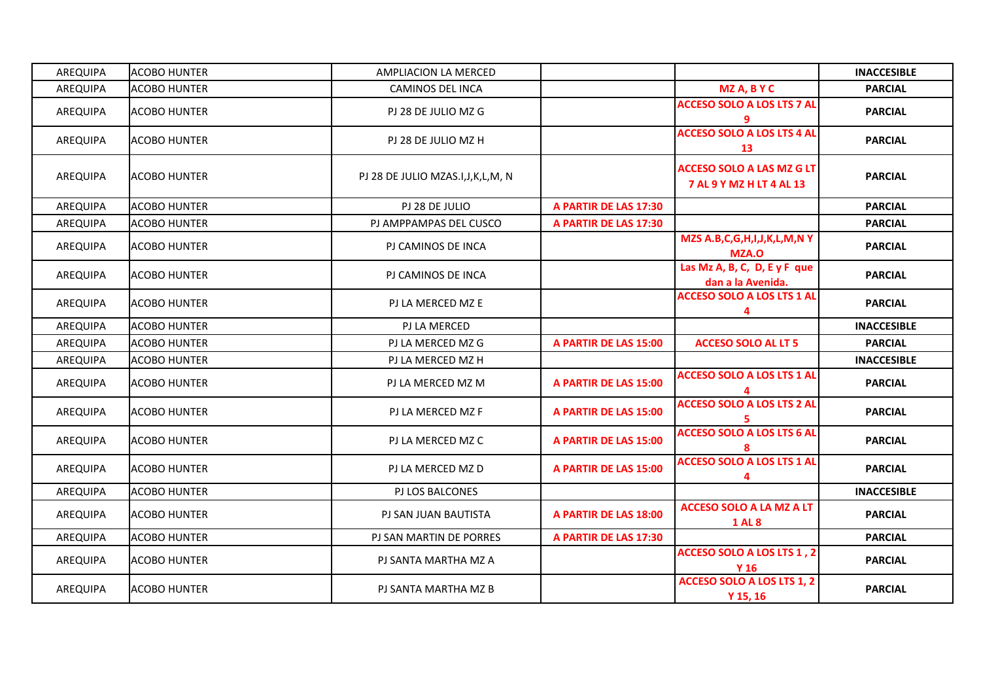| AREQUIPA | <b>ACOBO HUNTER</b>   | AMPLIACION LA MERCED                 |                       |                                                              | <b>INACCESIBLE</b> |
|----------|-----------------------|--------------------------------------|-----------------------|--------------------------------------------------------------|--------------------|
| AREQUIPA | <b>ACOBO HUNTER</b>   | <b>CAMINOS DEL INCA</b>              |                       | MZ A, B Y C                                                  | <b>PARCIAL</b>     |
| AREQUIPA | <b>ACOBO HUNTER</b>   | PJ 28 DE JULIO MZ G                  |                       | <b>ACCESO SOLO A LOS LTS 7 AL</b>                            | <b>PARCIAL</b>     |
| AREQUIPA | <b>I</b> ACOBO HUNTER | PJ 28 DE JULIO MZ H                  |                       | <b>ACCESO SOLO A LOS LTS 4 AL</b><br>13                      | <b>PARCIAL</b>     |
| AREQUIPA | <b>ACOBO HUNTER</b>   | PJ 28 DE JULIO MZAS.I, J, K, L, M, N |                       | <b>ACCESO SOLO A LAS MZ G LT</b><br>7 AL 9 Y MZ H LT 4 AL 13 | <b>PARCIAL</b>     |
| AREQUIPA | <b>ACOBO HUNTER</b>   | PJ 28 DE JULIO                       | A PARTIR DE LAS 17:30 |                                                              | <b>PARCIAL</b>     |
| AREQUIPA | <b>ACOBO HUNTER</b>   | PJ AMPPAMPAS DEL CUSCO               | A PARTIR DE LAS 17:30 |                                                              | <b>PARCIAL</b>     |
| AREQUIPA | <b>ACOBO HUNTER</b>   | PJ CAMINOS DE INCA                   |                       | MZS A.B, C, G, H, I, J, K, L, M, N Y<br><b>MZA.O</b>         | <b>PARCIAL</b>     |
| AREQUIPA | <b>ACOBO HUNTER</b>   | PJ CAMINOS DE INCA                   |                       | Las Mz A, B, C, D, E y F que<br>dan a la Avenida.            | <b>PARCIAL</b>     |
| AREQUIPA | <b>ACOBO HUNTER</b>   | PJ LA MERCED MZ E                    |                       | <b>ACCESO SOLO A LOS LTS 1 AL</b><br>4                       | <b>PARCIAL</b>     |
| AREQUIPA | <b>ACOBO HUNTER</b>   | PJ LA MERCED                         |                       |                                                              | <b>INACCESIBLE</b> |
| AREQUIPA | <b>ACOBO HUNTER</b>   | PJ LA MERCED MZ G                    | A PARTIR DE LAS 15:00 | <b>ACCESO SOLO AL LT 5</b>                                   | <b>PARCIAL</b>     |
| AREQUIPA | <b>ACOBO HUNTER</b>   | PJ LA MERCED MZ H                    |                       |                                                              | <b>INACCESIBLE</b> |
| AREQUIPA | <b>ACOBO HUNTER</b>   | PJ LA MERCED MZ M                    | A PARTIR DE LAS 15:00 | <b>ACCESO SOLO A LOS LTS 1 AL</b>                            | <b>PARCIAL</b>     |
| AREQUIPA | <b>ACOBO HUNTER</b>   | PJ LA MERCED MZ F                    | A PARTIR DE LAS 15:00 | <b>ACCESO SOLO A LOS LTS 2 AL</b>                            | <b>PARCIAL</b>     |
| AREQUIPA | <b>ACOBO HUNTER</b>   | PJ LA MERCED MZ C                    | A PARTIR DE LAS 15:00 | <b>ACCESO SOLO A LOS LTS 6 AL</b>                            | <b>PARCIAL</b>     |
| AREQUIPA | <b>ACOBO HUNTER</b>   | PJ LA MERCED MZ D                    | A PARTIR DE LAS 15:00 | <b>ACCESO SOLO A LOS LTS 1 AL</b><br>4                       | <b>PARCIAL</b>     |
| AREQUIPA | <b>ACOBO HUNTER</b>   | PJ LOS BALCONES                      |                       |                                                              | <b>INACCESIBLE</b> |
| AREQUIPA | <b>ACOBO HUNTER</b>   | PJ SAN JUAN BAUTISTA                 | A PARTIR DE LAS 18:00 | <b>ACCESO SOLO A LA MZ A LT</b><br><b>1 AL 8</b>             | <b>PARCIAL</b>     |
| AREQUIPA | <b>ACOBO HUNTER</b>   | PJ SAN MARTIN DE PORRES              | A PARTIR DE LAS 17:30 |                                                              | <b>PARCIAL</b>     |
| AREQUIPA | <b>ACOBO HUNTER</b>   | PJ SANTA MARTHA MZ A                 |                       | ACCESO SOLO A LOS LTS 1, 2<br>Y 16                           | <b>PARCIAL</b>     |
| AREQUIPA | <b>ACOBO HUNTER</b>   | PJ SANTA MARTHA MZ B                 |                       | <b>ACCESO SOLO A LOS LTS 1, 2</b><br>$Y$ 15, 16              | <b>PARCIAL</b>     |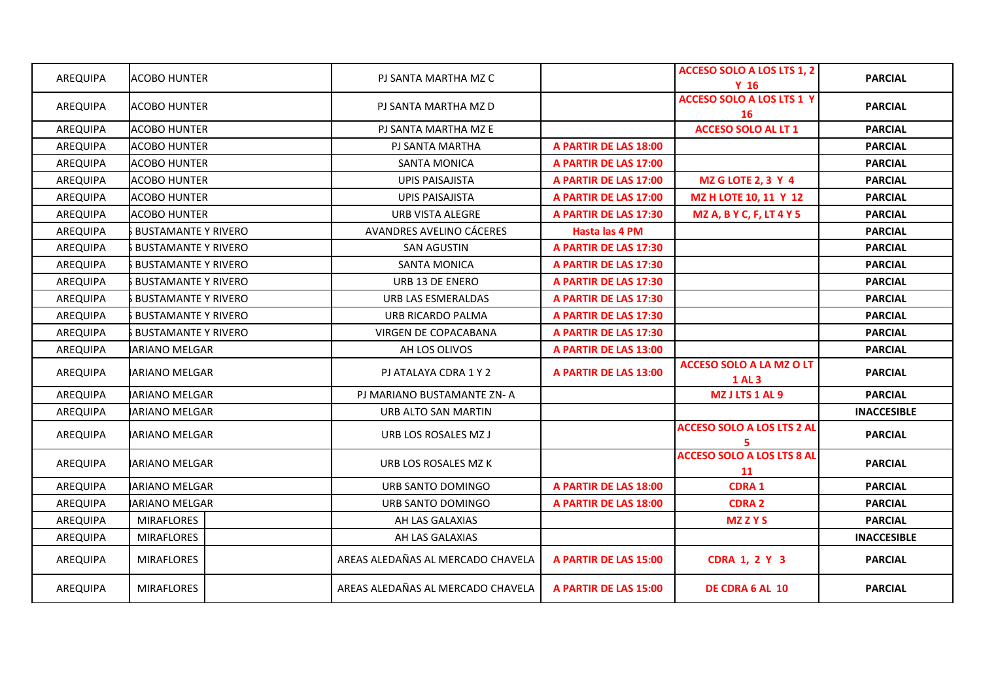| AREQUIPA | <b>ACOBO HUNTER</b>        | PJ SANTA MARTHA MZ C              |                       | ACCESO SOLO A LOS LTS 1, 2<br>Y <sub>16</sub>    | <b>PARCIAL</b>     |
|----------|----------------------------|-----------------------------------|-----------------------|--------------------------------------------------|--------------------|
| AREQUIPA | <b>ACOBO HUNTER</b>        | PJ SANTA MARTHA MZ D              |                       | <b>ACCESO SOLO A LOS LTS 1 Y</b><br>16           | <b>PARCIAL</b>     |
| AREQUIPA | <b>ACOBO HUNTER</b>        | PJ SANTA MARTHA MZ E              |                       | <b>ACCESO SOLO AL LT 1</b>                       | <b>PARCIAL</b>     |
| AREQUIPA | <b>ACOBO HUNTER</b>        | PJ SANTA MARTHA                   | A PARTIR DE LAS 18:00 |                                                  | <b>PARCIAL</b>     |
| AREQUIPA | <b>ACOBO HUNTER</b>        | <b>SANTA MONICA</b>               | A PARTIR DE LAS 17:00 |                                                  | <b>PARCIAL</b>     |
| AREQUIPA | <b>ACOBO HUNTER</b>        | <b>UPIS PAISAJISTA</b>            | A PARTIR DE LAS 17:00 | <b>MZ G LOTE 2, 3 Y 4</b>                        | <b>PARCIAL</b>     |
| AREQUIPA | <b>ACOBO HUNTER</b>        | <b>UPIS PAISAJISTA</b>            | A PARTIR DE LAS 17:00 | MZ H LOTE 10, 11 Y 12                            | <b>PARCIAL</b>     |
| AREQUIPA | <b>ACOBO HUNTER</b>        | URB VISTA ALEGRE                  | A PARTIR DE LAS 17:30 | <b>MZ A, B Y C, F, LT 4 Y 5</b>                  | <b>PARCIAL</b>     |
| AREQUIPA | <b>BUSTAMANTE Y RIVERO</b> | AVANDRES AVELINO CÁCERES          | Hasta las 4 PM        |                                                  | <b>PARCIAL</b>     |
| AREQUIPA | <b>BUSTAMANTE Y RIVERO</b> | <b>SAN AGUSTIN</b>                | A PARTIR DE LAS 17:30 |                                                  | <b>PARCIAL</b>     |
| AREQUIPA | <b>BUSTAMANTE Y RIVERO</b> | <b>SANTA MONICA</b>               | A PARTIR DE LAS 17:30 |                                                  | <b>PARCIAL</b>     |
| AREQUIPA | <b>BUSTAMANTE Y RIVERO</b> | URB 13 DE ENERO                   | A PARTIR DE LAS 17:30 |                                                  | <b>PARCIAL</b>     |
| AREQUIPA | <b>BUSTAMANTE Y RIVERO</b> | URB LAS ESMERALDAS                | A PARTIR DE LAS 17:30 |                                                  | <b>PARCIAL</b>     |
| AREQUIPA | <b>BUSTAMANTE Y RIVERO</b> | URB RICARDO PALMA                 | A PARTIR DE LAS 17:30 |                                                  | <b>PARCIAL</b>     |
| AREQUIPA | <b>BUSTAMANTE Y RIVERO</b> | <b>VIRGEN DE COPACABANA</b>       | A PARTIR DE LAS 17:30 |                                                  | <b>PARCIAL</b>     |
| AREQUIPA | <b>ARIANO MELGAR</b>       | AH LOS OLIVOS                     | A PARTIR DE LAS 13:00 |                                                  | <b>PARCIAL</b>     |
| AREQUIPA | <b>IARIANO MELGAR</b>      | PJ ATALAYA CDRA 1 Y 2             | A PARTIR DE LAS 13:00 | <b>ACCESO SOLO A LA MZ O LT</b><br><b>1 AL 3</b> | <b>PARCIAL</b>     |
| AREQUIPA | <b>ARIANO MELGAR</b>       | PJ MARIANO BUSTAMANTE ZN-A        |                       | MZ J LTS 1 AL 9                                  | <b>PARCIAL</b>     |
| AREQUIPA | <b>ARIANO MELGAR</b>       | URB ALTO SAN MARTIN               |                       |                                                  | <b>INACCESIBLE</b> |
| AREQUIPA | <b>ARIANO MELGAR</b>       | URB LOS ROSALES MZ J              |                       | <b>ACCESO SOLO A LOS LTS 2 AL</b><br>5.          | <b>PARCIAL</b>     |
| AREQUIPA | IARIANO MELGAR             | URB LOS ROSALES MZ K              |                       | <b>ACCESO SOLO A LOS LTS 8 AL</b><br>11          | <b>PARCIAL</b>     |
| AREQUIPA | <b>ARIANO MELGAR</b>       | URB SANTO DOMINGO                 | A PARTIR DE LAS 18:00 | <b>CDRA1</b>                                     | <b>PARCIAL</b>     |
| AREQUIPA | <b>IARIANO MELGAR</b>      | URB SANTO DOMINGO                 | A PARTIR DE LAS 18:00 | <b>CDRA 2</b>                                    | <b>PARCIAL</b>     |
| AREQUIPA | <b>MIRAFLORES</b>          | AH LAS GALAXIAS                   |                       | <b>MZZYS</b>                                     | <b>PARCIAL</b>     |
| AREQUIPA | <b>MIRAFLORES</b>          | AH LAS GALAXIAS                   |                       |                                                  | <b>INACCESIBLE</b> |
| AREQUIPA | <b>MIRAFLORES</b>          | AREAS ALEDAÑAS AL MERCADO CHAVELA | A PARTIR DE LAS 15:00 | <b>CDRA 1, 2 Y 3</b>                             | <b>PARCIAL</b>     |
| AREQUIPA | <b>MIRAFLORES</b>          | AREAS ALEDAÑAS AL MERCADO CHAVELA | A PARTIR DE LAS 15:00 | DE CDRA 6 AL 10                                  | <b>PARCIAL</b>     |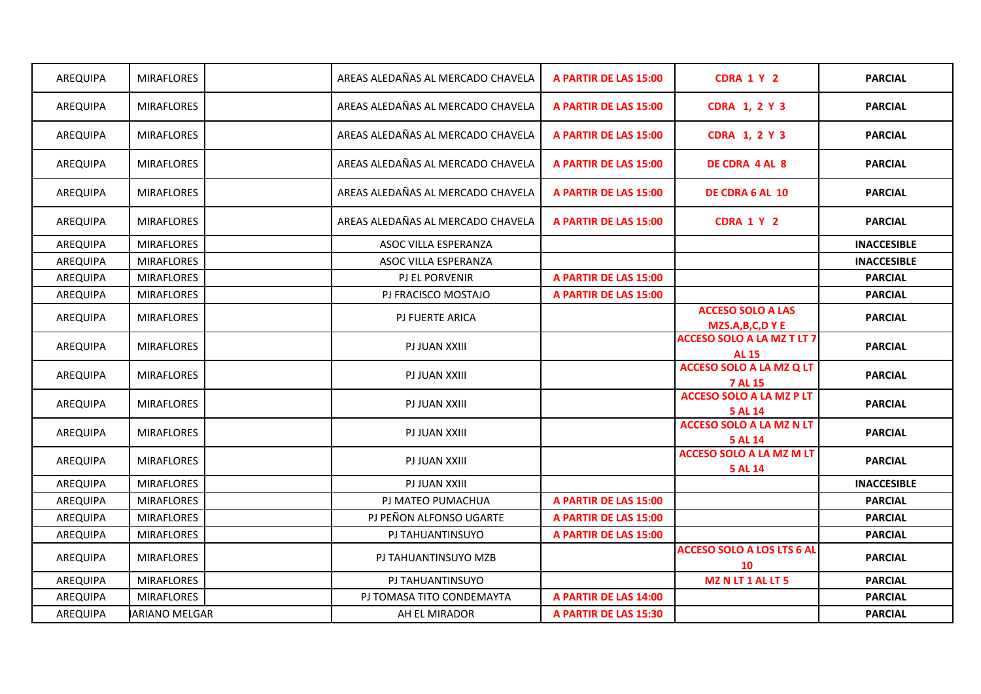| AREQUIPA | <b>MIRAFLORES</b> | AREAS ALEDAÑAS AL MERCADO CHAVELA | A PARTIR DE LAS 15:00 | CDRA 1 Y 2                                        | <b>PARCIAL</b>     |
|----------|-------------------|-----------------------------------|-----------------------|---------------------------------------------------|--------------------|
| AREQUIPA | <b>MIRAFLORES</b> | AREAS ALEDAÑAS AL MERCADO CHAVELA | A PARTIR DE LAS 15:00 | <b>CDRA 1, 2 Y 3</b>                              | <b>PARCIAL</b>     |
| AREQUIPA | <b>MIRAFLORES</b> | AREAS ALEDAÑAS AL MERCADO CHAVELA | A PARTIR DE LAS 15:00 | <b>CDRA 1, 2 Y 3</b>                              | <b>PARCIAL</b>     |
| AREQUIPA | <b>MIRAFLORES</b> | AREAS ALEDAÑAS AL MERCADO CHAVELA | A PARTIR DE LAS 15:00 | <b>DE CDRA 4 AL 8</b>                             | <b>PARCIAL</b>     |
| AREQUIPA | <b>MIRAFLORES</b> | AREAS ALEDAÑAS AL MERCADO CHAVELA | A PARTIR DE LAS 15:00 | DE CDRA 6 AL 10                                   | <b>PARCIAL</b>     |
| AREQUIPA | <b>MIRAFLORES</b> | AREAS ALEDAÑAS AL MERCADO CHAVELA | A PARTIR DE LAS 15:00 | CDRA 1 Y 2                                        | <b>PARCIAL</b>     |
| AREQUIPA | <b>MIRAFLORES</b> | ASOC VILLA ESPERANZA              |                       |                                                   | <b>INACCESIBLE</b> |
| AREQUIPA | <b>MIRAFLORES</b> | ASOC VILLA ESPERANZA              |                       |                                                   | <b>INACCESIBLE</b> |
| AREQUIPA | <b>MIRAFLORES</b> | <b>PJ EL PORVENIR</b>             | A PARTIR DE LAS 15:00 |                                                   | <b>PARCIAL</b>     |
| AREQUIPA | <b>MIRAFLORES</b> | PJ FRACISCO MOSTAJO               | A PARTIR DE LAS 15:00 |                                                   | <b>PARCIAL</b>     |
| AREQUIPA | <b>MIRAFLORES</b> | PJ FUERTE ARICA                   |                       | <b>ACCESO SOLO A LAS</b><br>MZS.A,B,C,DYE         | <b>PARCIAL</b>     |
| AREQUIPA | <b>MIRAFLORES</b> | PJ JUAN XXIII                     |                       | <b>ACCESO SOLO A LA MZ T LT 7</b><br><b>AL 15</b> | <b>PARCIAL</b>     |
| AREQUIPA | <b>MIRAFLORES</b> | PJ JUAN XXIII                     |                       | <b>ACCESO SOLO A LA MZ Q LT</b><br><b>7 AL 15</b> | <b>PARCIAL</b>     |
| AREQUIPA | <b>MIRAFLORES</b> | PJ JUAN XXIII                     |                       | <b>ACCESO SOLO A LA MZ P LT</b><br>5 AL 14        | <b>PARCIAL</b>     |
| AREQUIPA | <b>MIRAFLORES</b> | PJ JUAN XXIII                     |                       | <b>ACCESO SOLO A LA MZ N LT</b><br>5 AL 14        | <b>PARCIAL</b>     |
| AREQUIPA | <b>MIRAFLORES</b> | PJ JUAN XXIII                     |                       | <b>ACCESO SOLO A LA MZ M LT</b><br>5 AL 14        | <b>PARCIAL</b>     |
| AREQUIPA | <b>MIRAFLORES</b> | PJ JUAN XXIII                     |                       |                                                   | <b>INACCESIBLE</b> |
| AREQUIPA | <b>MIRAFLORES</b> | PJ MATEO PUMACHUA                 | A PARTIR DE LAS 15:00 |                                                   | <b>PARCIAL</b>     |
| AREQUIPA | <b>MIRAFLORES</b> | PJ PEÑON ALFONSO UGARTE           | A PARTIR DE LAS 15:00 |                                                   | <b>PARCIAL</b>     |
| AREQUIPA | <b>MIRAFLORES</b> | PJ TAHUANTINSUYO                  | A PARTIR DE LAS 15:00 |                                                   | <b>PARCIAL</b>     |
| AREQUIPA | <b>MIRAFLORES</b> | PJ TAHUANTINSUYO MZB              |                       | <b>ACCESO SOLO A LOS LTS 6 AL</b><br>10           | <b>PARCIAL</b>     |
| AREQUIPA | <b>MIRAFLORES</b> | PJ TAHUANTINSUYO                  |                       | <b>MZ N LT 1 AL LT 5</b>                          | <b>PARCIAL</b>     |
| AREQUIPA | <b>MIRAFLORES</b> | PJ TOMASA TITO CONDEMAYTA         | A PARTIR DE LAS 14:00 |                                                   | <b>PARCIAL</b>     |
| AREQUIPA | IARIANO MELGAR    | AH EL MIRADOR                     | A PARTIR DE LAS 15:30 |                                                   | <b>PARCIAL</b>     |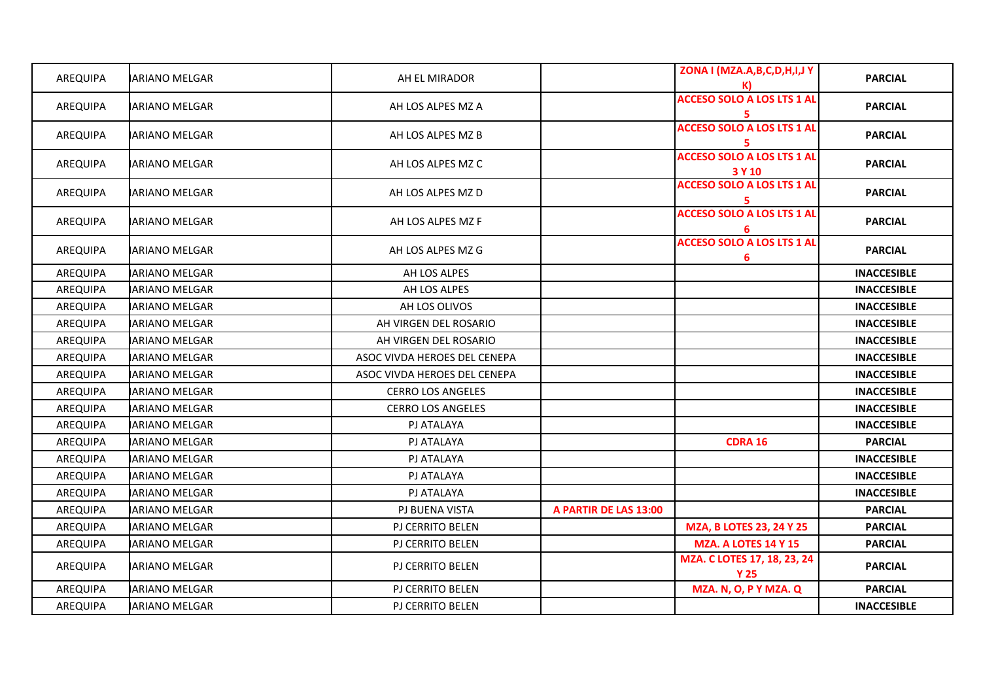| AREQUIPA        | IARIANO MELGAR       | AH EL MIRADOR                |                       | ZONA I (MZA.A,B,C,D,H,I,J Y                 | <b>PARCIAL</b>     |
|-----------------|----------------------|------------------------------|-----------------------|---------------------------------------------|--------------------|
| AREQUIPA        | IARIANO MELGAR       | AH LOS ALPES MZ A            |                       | <b>ACCESO SOLO A LOS LTS 1 AL</b><br>5.     | <b>PARCIAL</b>     |
| AREQUIPA        | <b>ARIANO MELGAR</b> | AH LOS ALPES MZ B            |                       | <b>ACCESO SOLO A LOS LTS 1 AL</b><br>5.     | <b>PARCIAL</b>     |
| AREQUIPA        | IARIANO MELGAR       | AH LOS ALPES MZ C            |                       | <b>ACCESO SOLO A LOS LTS 1 AL</b><br>3 Y 10 | <b>PARCIAL</b>     |
| AREQUIPA        | <b>ARIANO MELGAR</b> | AH LOS ALPES MZ D            |                       | <b>ACCESO SOLO A LOS LTS 1 AL</b><br>5      | <b>PARCIAL</b>     |
| AREQUIPA        | <b>ARIANO MELGAR</b> | AH LOS ALPES MZ F            |                       | <b>ACCESO SOLO A LOS LTS 1 AL</b><br>6      | <b>PARCIAL</b>     |
| AREQUIPA        | <b>ARIANO MELGAR</b> | AH LOS ALPES MZ G            |                       | <b>ACCESO SOLO A LOS LTS 1 AL</b><br>6      | <b>PARCIAL</b>     |
| AREQUIPA        | <b>ARIANO MELGAR</b> | AH LOS ALPES                 |                       |                                             | <b>INACCESIBLE</b> |
| AREQUIPA        | <b>ARIANO MELGAR</b> | AH LOS ALPES                 |                       |                                             | <b>INACCESIBLE</b> |
| AREQUIPA        | <b>ARIANO MELGAR</b> | AH LOS OLIVOS                |                       |                                             | <b>INACCESIBLE</b> |
| AREQUIPA        | <b>ARIANO MELGAR</b> | AH VIRGEN DEL ROSARIO        |                       |                                             | <b>INACCESIBLE</b> |
| <b>AREQUIPA</b> | <b>ARIANO MELGAR</b> | AH VIRGEN DEL ROSARIO        |                       |                                             | <b>INACCESIBLE</b> |
| AREQUIPA        | <b>ARIANO MELGAR</b> | ASOC VIVDA HEROES DEL CENEPA |                       |                                             | <b>INACCESIBLE</b> |
| AREQUIPA        | <b>ARIANO MELGAR</b> | ASOC VIVDA HEROES DEL CENEPA |                       |                                             | <b>INACCESIBLE</b> |
| AREQUIPA        | ARIANO MELGAR        | <b>CERRO LOS ANGELES</b>     |                       |                                             | <b>INACCESIBLE</b> |
| AREQUIPA        | <b>ARIANO MELGAR</b> | <b>CERRO LOS ANGELES</b>     |                       |                                             | <b>INACCESIBLE</b> |
| AREQUIPA        | <b>ARIANO MELGAR</b> | PJ ATALAYA                   |                       |                                             | <b>INACCESIBLE</b> |
| AREQUIPA        | <b>ARIANO MELGAR</b> | PJ ATALAYA                   |                       | <b>CDRA 16</b>                              | <b>PARCIAL</b>     |
| AREQUIPA        | <b>ARIANO MELGAR</b> | PJ ATALAYA                   |                       |                                             | <b>INACCESIBLE</b> |
| AREQUIPA        | IARIANO MELGAR       | PJ ATALAYA                   |                       |                                             | <b>INACCESIBLE</b> |
| AREQUIPA        | <b>ARIANO MELGAR</b> | PJ ATALAYA                   |                       |                                             | <b>INACCESIBLE</b> |
| AREQUIPA        | <b>ARIANO MELGAR</b> | PJ BUENA VISTA               | A PARTIR DE LAS 13:00 |                                             | <b>PARCIAL</b>     |
| AREQUIPA        | <b>ARIANO MELGAR</b> | PJ CERRITO BELEN             |                       | MZA, B LOTES 23, 24 Y 25                    | <b>PARCIAL</b>     |
| AREQUIPA        | <b>ARIANO MELGAR</b> | PJ CERRITO BELEN             |                       | <b>MZA. A LOTES 14 Y 15</b>                 | <b>PARCIAL</b>     |
| AREQUIPA        | <b>ARIANO MELGAR</b> | PJ CERRITO BELEN             |                       | MZA. C LOTES 17, 18, 23, 24<br><b>Y 25</b>  | <b>PARCIAL</b>     |
| AREQUIPA        | <b>ARIANO MELGAR</b> | PJ CERRITO BELEN             |                       | MZA. N, O, P Y MZA. Q                       | <b>PARCIAL</b>     |
| AREQUIPA        | <b>ARIANO MELGAR</b> | PJ CERRITO BELEN             |                       |                                             | <b>INACCESIBLE</b> |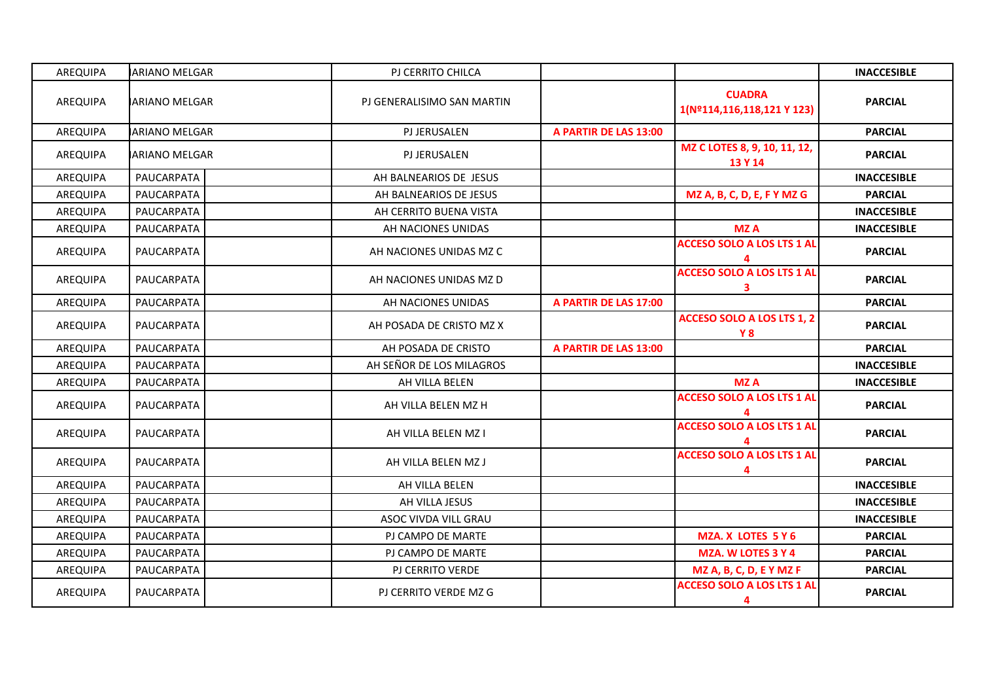| AREQUIPA | <b>ARIANO MELGAR</b> | PJ CERRITO CHILCA          |                       |                                                 | <b>INACCESIBLE</b> |
|----------|----------------------|----------------------------|-----------------------|-------------------------------------------------|--------------------|
| AREQUIPA | IARIANO MELGAR       | PJ GENERALISIMO SAN MARTIN |                       | <b>CUADRA</b><br>1(Nº114,116,118,121 Y 123)     | <b>PARCIAL</b>     |
| AREQUIPA | <b>ARIANO MELGAR</b> | PJ JERUSALEN               | A PARTIR DE LAS 13:00 |                                                 | <b>PARCIAL</b>     |
| AREQUIPA | <b>ARIANO MELGAR</b> | <b>PJ JERUSALEN</b>        |                       | MZ C LOTES 8, 9, 10, 11, 12,<br>13 Y 14         | <b>PARCIAL</b>     |
| AREQUIPA | PAUCARPATA           | AH BALNEARIOS DE JESUS     |                       |                                                 | <b>INACCESIBLE</b> |
| AREQUIPA | PAUCARPATA           | AH BALNEARIOS DE JESUS     |                       | MZ A, B, C, D, E, F Y MZ G                      | <b>PARCIAL</b>     |
| AREQUIPA | PAUCARPATA           | AH CERRITO BUENA VISTA     |                       |                                                 | <b>INACCESIBLE</b> |
| AREQUIPA | PAUCARPATA           | AH NACIONES UNIDAS         |                       | <b>MZA</b>                                      | <b>INACCESIBLE</b> |
| AREQUIPA | PAUCARPATA           | AH NACIONES UNIDAS MZ C    |                       | <b>ACCESO SOLO A LOS LTS 1 AL</b>               | <b>PARCIAL</b>     |
| AREQUIPA | PAUCARPATA           | AH NACIONES UNIDAS MZ D    |                       | <b>ACCESO SOLO A LOS LTS 1 AI</b><br>3          | <b>PARCIAL</b>     |
| AREQUIPA | PAUCARPATA           | AH NACIONES UNIDAS         | A PARTIR DE LAS 17:00 |                                                 | <b>PARCIAL</b>     |
| AREQUIPA | PAUCARPATA           | AH POSADA DE CRISTO MZ X   |                       | <b>ACCESO SOLO A LOS LTS 1, 2</b><br><b>Y 8</b> | <b>PARCIAL</b>     |
| AREQUIPA | PAUCARPATA           | AH POSADA DE CRISTO        | A PARTIR DE LAS 13:00 |                                                 | <b>PARCIAL</b>     |
| AREQUIPA | PAUCARPATA           | AH SEÑOR DE LOS MILAGROS   |                       |                                                 | <b>INACCESIBLE</b> |
| AREQUIPA | PAUCARPATA           | AH VILLA BELEN             |                       | <b>MZA</b>                                      | <b>INACCESIBLE</b> |
| AREQUIPA | PAUCARPATA           | AH VILLA BELEN MZ H        |                       | <b>ACCESO SOLO A LOS LTS 1 AL</b>               | <b>PARCIAL</b>     |
| AREQUIPA | PAUCARPATA           | AH VILLA BELEN MZ I        |                       | <b>ACCESO SOLO A LOS LTS 1 AL</b>               | <b>PARCIAL</b>     |
| AREQUIPA | PAUCARPATA           | AH VILLA BELEN MZ J        |                       | <b>ACCESO SOLO A LOS LTS 1 AL</b><br>4          | <b>PARCIAL</b>     |
| AREQUIPA | PAUCARPATA           | AH VILLA BELEN             |                       |                                                 | <b>INACCESIBLE</b> |
| AREQUIPA | PAUCARPATA           | AH VILLA JESUS             |                       |                                                 | <b>INACCESIBLE</b> |
| AREQUIPA | PAUCARPATA           | ASOC VIVDA VILL GRAU       |                       |                                                 | <b>INACCESIBLE</b> |
| AREQUIPA | PAUCARPATA           | PJ CAMPO DE MARTE          |                       | <b>MZA. X LOTES 5 Y 6</b>                       | <b>PARCIAL</b>     |
| AREQUIPA | PAUCARPATA           | PJ CAMPO DE MARTE          |                       | MZA. W LOTES 3 Y 4                              | <b>PARCIAL</b>     |
| AREQUIPA | PAUCARPATA           | PJ CERRITO VERDE           |                       | MZ A, B, C, D, E Y MZ F                         | <b>PARCIAL</b>     |
| AREQUIPA | PAUCARPATA           | PJ CERRITO VERDE MZ G      |                       | <b>ACCESO SOLO A LOS LTS 1 AL</b><br>4          | <b>PARCIAL</b>     |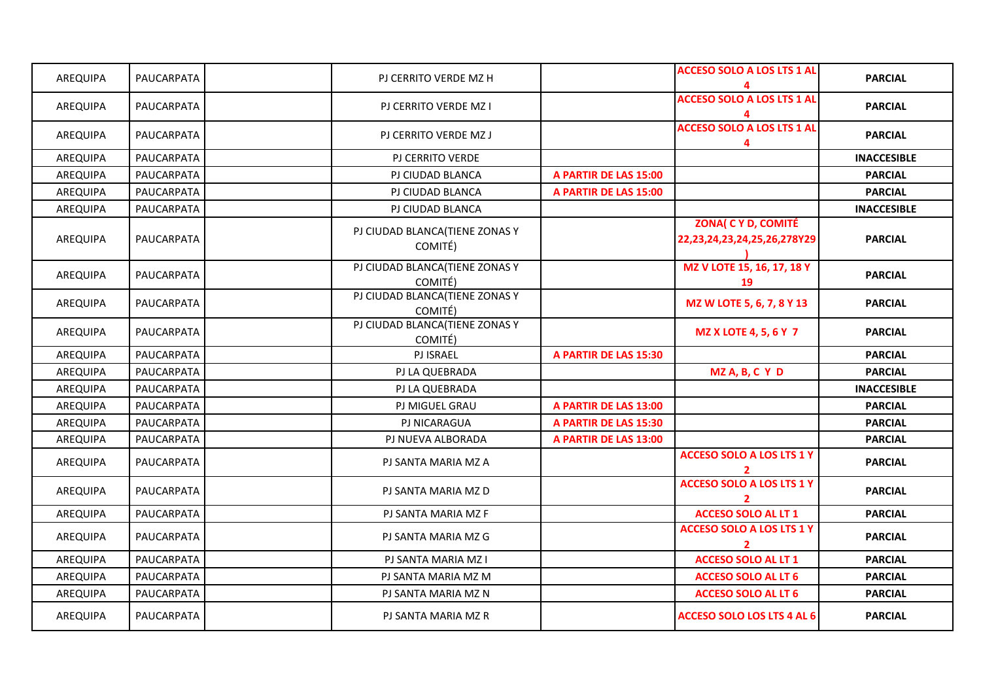| AREQUIPA        | PAUCARPATA | PJ CERRITO VERDE MZ H                     |                       | <b>ACCESO SOLO A LOS LTS 1 AL</b>                         | <b>PARCIAL</b>     |
|-----------------|------------|-------------------------------------------|-----------------------|-----------------------------------------------------------|--------------------|
| AREQUIPA        | PAUCARPATA | PJ CERRITO VERDE MZ I                     |                       | <b>ACCESO SOLO A LOS LTS 1 AL</b>                         | <b>PARCIAL</b>     |
| AREQUIPA        | PAUCARPATA | PJ CERRITO VERDE MZ J                     |                       | <b>ACCESO SOLO A LOS LTS 1 AL</b><br>4                    | <b>PARCIAL</b>     |
| AREQUIPA        | PAUCARPATA | PJ CERRITO VERDE                          |                       |                                                           | <b>INACCESIBLE</b> |
| AREQUIPA        | PAUCARPATA | PJ CIUDAD BLANCA                          | A PARTIR DE LAS 15:00 |                                                           | <b>PARCIAL</b>     |
| <b>AREQUIPA</b> | PAUCARPATA | PJ CIUDAD BLANCA                          | A PARTIR DE LAS 15:00 |                                                           | <b>PARCIAL</b>     |
| AREQUIPA        | PAUCARPATA | PJ CIUDAD BLANCA                          |                       |                                                           | <b>INACCESIBLE</b> |
| AREQUIPA        | PAUCARPATA | PJ CIUDAD BLANCA(TIENE ZONAS Y<br>COMITÉ) |                       | <b>ZONA( C Y D, COMITÉ</b><br>22,23,24,23,24,25,26,278Y29 | <b>PARCIAL</b>     |
| AREQUIPA        | PAUCARPATA | PJ CIUDAD BLANCA(TIENE ZONAS Y<br>COMITÉ) |                       | MZ V LOTE 15, 16, 17, 18 Y<br>19                          | <b>PARCIAL</b>     |
| AREQUIPA        | PAUCARPATA | PJ CIUDAD BLANCA(TIENE ZONAS Y<br>COMITÉ) |                       | MZ W LOTE 5, 6, 7, 8 Y 13                                 | <b>PARCIAL</b>     |
| AREQUIPA        | PAUCARPATA | PJ CIUDAD BLANCA(TIENE ZONAS Y<br>COMITÉ) |                       | <b>MZ X LOTE 4, 5, 6 Y 7</b>                              | <b>PARCIAL</b>     |
| AREQUIPA        | PAUCARPATA | <b>PJ ISRAEL</b>                          | A PARTIR DE LAS 15:30 |                                                           | <b>PARCIAL</b>     |
| AREQUIPA        | PAUCARPATA | PJ LA QUEBRADA                            |                       | MZ A, B, C Y D                                            | <b>PARCIAL</b>     |
| AREQUIPA        | PAUCARPATA | PJ LA QUEBRADA                            |                       |                                                           | <b>INACCESIBLE</b> |
| AREQUIPA        | PAUCARPATA | PJ MIGUEL GRAU                            | A PARTIR DE LAS 13:00 |                                                           | <b>PARCIAL</b>     |
| AREQUIPA        | PAUCARPATA | PJ NICARAGUA                              | A PARTIR DE LAS 15:30 |                                                           | <b>PARCIAL</b>     |
| AREQUIPA        | PAUCARPATA | PJ NUEVA ALBORADA                         | A PARTIR DE LAS 13:00 |                                                           | <b>PARCIAL</b>     |
| AREQUIPA        | PAUCARPATA | PJ SANTA MARIA MZ A                       |                       | <b>ACCESO SOLO A LOS LTS 1 Y</b>                          | <b>PARCIAL</b>     |
| AREQUIPA        | PAUCARPATA | PJ SANTA MARIA MZ D                       |                       | <b>ACCESO SOLO A LOS LTS 1 Y</b>                          | <b>PARCIAL</b>     |
| <b>AREQUIPA</b> | PAUCARPATA | PJ SANTA MARIA MZ F                       |                       | <b>ACCESO SOLO AL LT 1</b>                                | <b>PARCIAL</b>     |
| AREQUIPA        | PAUCARPATA | PJ SANTA MARIA MZ G                       |                       | <b>ACCESO SOLO A LOS LTS 1 Y</b>                          | <b>PARCIAL</b>     |
| AREQUIPA        | PAUCARPATA | PJ SANTA MARIA MZ I                       |                       | <b>ACCESO SOLO AL LT 1</b>                                | <b>PARCIAL</b>     |
| AREQUIPA        | PAUCARPATA | PJ SANTA MARIA MZ M                       |                       | <b>ACCESO SOLO AL LT 6</b>                                | <b>PARCIAL</b>     |
| AREQUIPA        | PAUCARPATA | PJ SANTA MARIA MZ N                       |                       | <b>ACCESO SOLO AL LT 6</b>                                | <b>PARCIAL</b>     |
|                 |            |                                           |                       |                                                           |                    |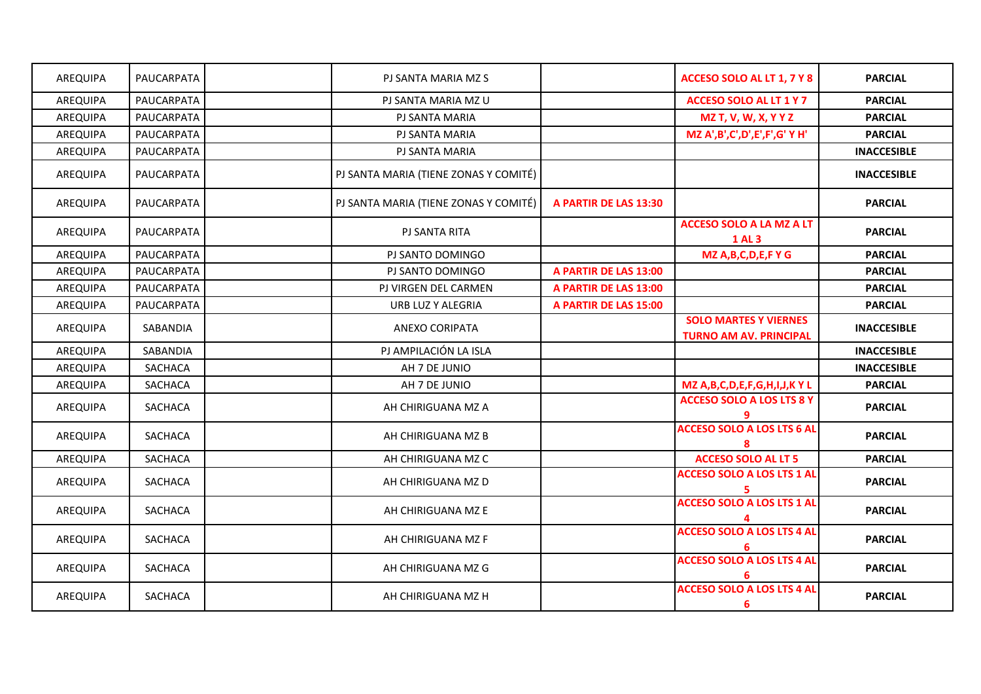| AREQUIPA        | PAUCARPATA     | PJ SANTA MARIA MZ S                   |                       | ACCESO SOLO AL LT 1, 7 Y 8                                    | <b>PARCIAL</b>     |
|-----------------|----------------|---------------------------------------|-----------------------|---------------------------------------------------------------|--------------------|
| AREQUIPA        | PAUCARPATA     | PJ SANTA MARIA MZ U                   |                       | <b>ACCESO SOLO AL LT 1 Y 7</b>                                | <b>PARCIAL</b>     |
| AREQUIPA        | PAUCARPATA     | PJ SANTA MARIA                        |                       | <b>MZ T, V, W, X, Y Y Z</b>                                   | <b>PARCIAL</b>     |
| AREQUIPA        | PAUCARPATA     | PJ SANTA MARIA                        |                       | MZ A',B',C',D',E',F',G' Y H'                                  | <b>PARCIAL</b>     |
| AREQUIPA        | PAUCARPATA     | PJ SANTA MARIA                        |                       |                                                               | <b>INACCESIBLE</b> |
| AREQUIPA        | PAUCARPATA     | PJ SANTA MARIA (TIENE ZONAS Y COMITÉ) |                       |                                                               | <b>INACCESIBLE</b> |
| AREQUIPA        | PAUCARPATA     | PJ SANTA MARIA (TIENE ZONAS Y COMITÉ) | A PARTIR DE LAS 13:30 |                                                               | <b>PARCIAL</b>     |
| AREQUIPA        | PAUCARPATA     | <b>PJ SANTA RITA</b>                  |                       | <b>ACCESO SOLO A LA MZ A LT</b><br><b>1 AL 3</b>              | <b>PARCIAL</b>     |
| AREQUIPA        | PAUCARPATA     | PJ SANTO DOMINGO                      |                       | MZ A, B, C, D, E, F Y G                                       | <b>PARCIAL</b>     |
| AREQUIPA        | PAUCARPATA     | PJ SANTO DOMINGO                      | A PARTIR DE LAS 13:00 |                                                               | <b>PARCIAL</b>     |
| AREQUIPA        | PAUCARPATA     | PJ VIRGEN DEL CARMEN                  | A PARTIR DE LAS 13:00 |                                                               | <b>PARCIAL</b>     |
| AREQUIPA        | PAUCARPATA     | URB LUZ Y ALEGRIA                     | A PARTIR DE LAS 15:00 |                                                               | <b>PARCIAL</b>     |
| AREQUIPA        | SABANDIA       | ANEXO CORIPATA                        |                       | <b>SOLO MARTES Y VIERNES</b><br><b>TURNO AM AV. PRINCIPAL</b> | <b>INACCESIBLE</b> |
| <b>AREQUIPA</b> | SABANDIA       | PJ AMPILACIÓN LA ISLA                 |                       |                                                               | <b>INACCESIBLE</b> |
| AREQUIPA        | SACHACA        | AH 7 DE JUNIO                         |                       |                                                               | <b>INACCESIBLE</b> |
| AREQUIPA        | SACHACA        | AH 7 DE JUNIO                         |                       | MZ A, B, C, D, E, F, G, H, I, J, K Y L                        | <b>PARCIAL</b>     |
| AREQUIPA        | SACHACA        | AH CHIRIGUANA MZ A                    |                       | <b>ACCESO SOLO A LOS LTS 8 Y</b>                              | <b>PARCIAL</b>     |
| AREQUIPA        | <b>SACHACA</b> | AH CHIRIGUANA MZ B                    |                       | <b>ACCESO SOLO A LOS LTS 6 AL</b>                             | <b>PARCIAL</b>     |
| AREQUIPA        | SACHACA        | AH CHIRIGUANA MZ C                    |                       | <b>ACCESO SOLO AL LT 5</b>                                    | <b>PARCIAL</b>     |
| AREQUIPA        | SACHACA        | AH CHIRIGUANA MZ D                    |                       | <b>ACCESO SOLO A LOS LTS 1 AL</b><br>5.                       | <b>PARCIAL</b>     |
| AREQUIPA        | SACHACA        | AH CHIRIGUANA MZ E                    |                       | <b>ACCESO SOLO A LOS LTS 1 AL</b>                             | <b>PARCIAL</b>     |
| AREQUIPA        | SACHACA        | AH CHIRIGUANA MZ F                    |                       | <b>ACCESO SOLO A LOS LTS 4 AL</b>                             | <b>PARCIAL</b>     |
| AREQUIPA        | SACHACA        | AH CHIRIGUANA MZ G                    |                       | <b>ACCESO SOLO A LOS LTS 4 AL</b><br>6                        | <b>PARCIAL</b>     |
| AREQUIPA        | SACHACA        | AH CHIRIGUANA MZ H                    |                       | <b>ACCESO SOLO A LOS LTS 4 AL</b><br>6                        | <b>PARCIAL</b>     |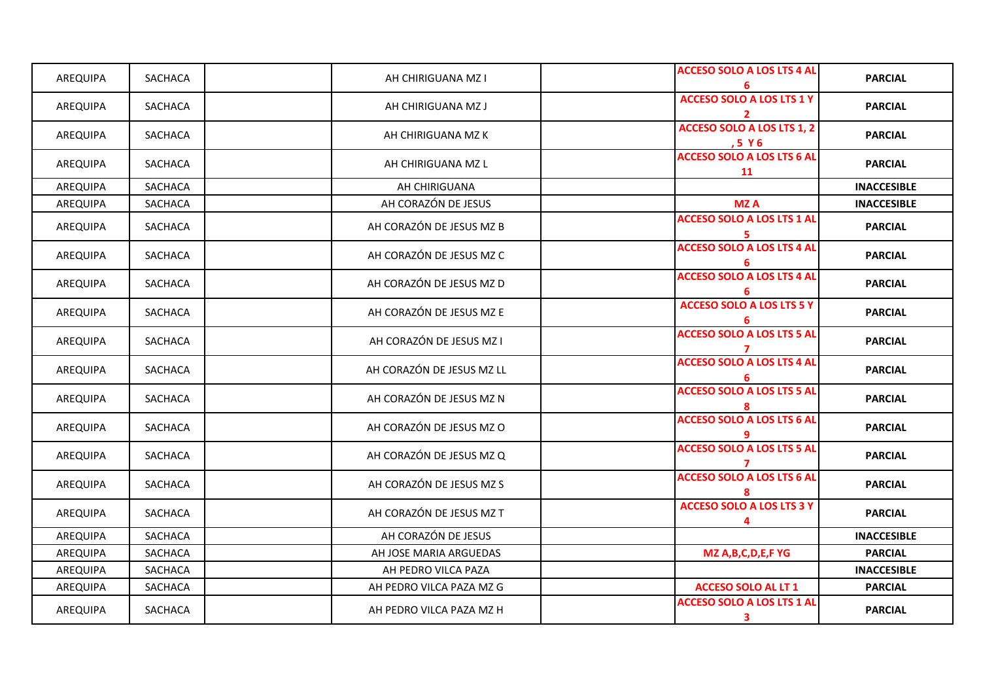| AREQUIPA | SACHACA        | AH CHIRIGUANA MZ I        | <b>ACCESO SOLO A LOS LTS 4 AL</b>       | <b>PARCIAL</b>     |
|----------|----------------|---------------------------|-----------------------------------------|--------------------|
| AREQUIPA | SACHACA        | AH CHIRIGUANA MZ J        | <b>ACCESO SOLO A LOS LTS 1 Y</b>        | <b>PARCIAL</b>     |
| AREQUIPA | SACHACA        | AH CHIRIGUANA MZ K        | ACCESO SOLO A LOS LTS 1, 2<br>,5 Y 6    | <b>PARCIAL</b>     |
| AREQUIPA | <b>SACHACA</b> | AH CHIRIGUANA MZ L        | <b>ACCESO SOLO A LOS LTS 6 AL</b><br>11 | <b>PARCIAL</b>     |
| AREQUIPA | SACHACA        | AH CHIRIGUANA             |                                         | <b>INACCESIBLE</b> |
| AREQUIPA | SACHACA        | AH CORAZÓN DE JESUS       | <b>MZA</b>                              | <b>INACCESIBLE</b> |
| AREQUIPA | SACHACA        | AH CORAZÓN DE JESUS MZ B  | <b>ACCESO SOLO A LOS LTS 1 AL</b>       | <b>PARCIAL</b>     |
| AREQUIPA | SACHACA        | AH CORAZÓN DE JESUS MZ C  | <b>ACCESO SOLO A LOS LTS 4 AL</b><br>6  | <b>PARCIAL</b>     |
| AREQUIPA | <b>SACHACA</b> | AH CORAZÓN DE JESUS MZ D  | <b>ACCESO SOLO A LOS LTS 4 AL</b><br>6  | <b>PARCIAL</b>     |
| AREQUIPA | SACHACA        | AH CORAZÓN DE JESUS MZ E  | <b>ACCESO SOLO A LOS LTS 5 Y</b><br>6   | <b>PARCIAL</b>     |
| AREQUIPA | SACHACA        | AH CORAZÓN DE JESUS MZ I  | <b>ACCESO SOLO A LOS LTS 5 AL</b>       | <b>PARCIAL</b>     |
| AREQUIPA | SACHACA        | AH CORAZÓN DE JESUS MZ LL | <b>ACCESO SOLO A LOS LTS 4 AL</b>       | <b>PARCIAL</b>     |
| AREQUIPA | SACHACA        | AH CORAZÓN DE JESUS MZ N  | <b>ACCESO SOLO A LOS LTS 5 AL</b>       | <b>PARCIAL</b>     |
| AREQUIPA | SACHACA        | AH CORAZÓN DE JESUS MZ O  | <b>ACCESO SOLO A LOS LTS 6 AL</b>       | <b>PARCIAL</b>     |
| AREQUIPA | SACHACA        | AH CORAZÓN DE JESUS MZ Q  | <b>ACCESO SOLO A LOS LTS 5 AL</b>       | <b>PARCIAL</b>     |
| AREQUIPA | SACHACA        | AH CORAZÓN DE JESUS MZ S  | <b>ACCESO SOLO A LOS LTS 6 AL</b>       | <b>PARCIAL</b>     |
| AREQUIPA | SACHACA        | AH CORAZÓN DE JESUS MZ T  | <b>ACCESO SOLO A LOS LTS 3 Y</b><br>4   | <b>PARCIAL</b>     |
| AREQUIPA | SACHACA        | AH CORAZÓN DE JESUS       |                                         | <b>INACCESIBLE</b> |
| AREQUIPA | SACHACA        | AH JOSE MARIA ARGUEDAS    | MZ A, B, C, D, E, F YG                  | <b>PARCIAL</b>     |
| AREQUIPA | SACHACA        | AH PEDRO VILCA PAZA       |                                         | <b>INACCESIBLE</b> |
| AREQUIPA | SACHACA        | AH PEDRO VILCA PAZA MZ G  | <b>ACCESO SOLO AL LT 1</b>              | <b>PARCIAL</b>     |
| AREQUIPA | SACHACA        | AH PEDRO VILCA PAZA MZ H  | <b>ACCESO SOLO A LOS LTS 1 AL</b><br>3  | <b>PARCIAL</b>     |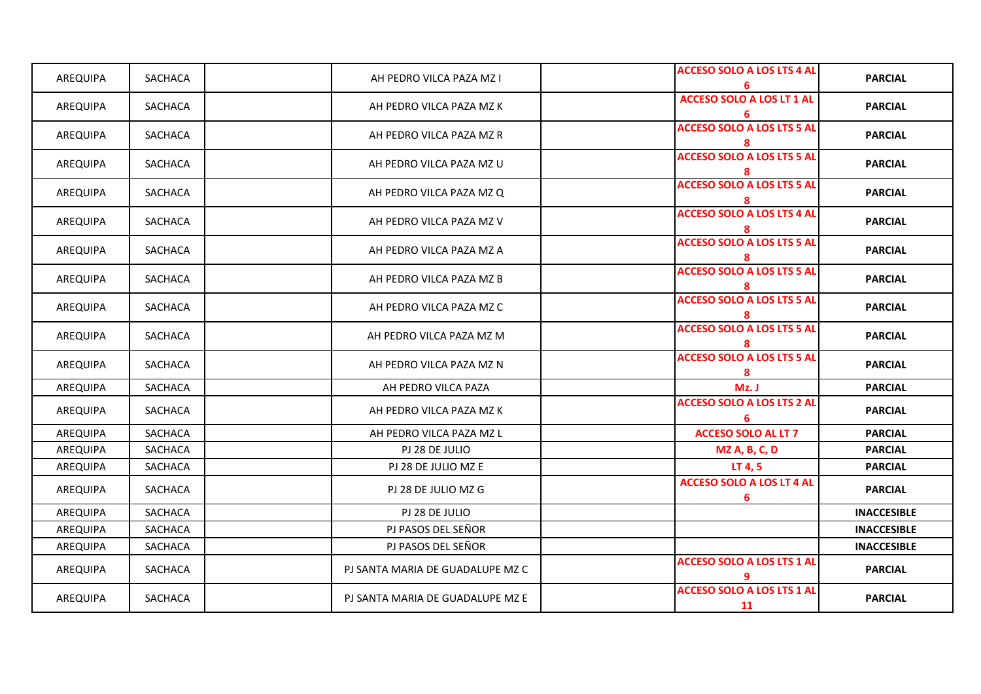| AREQUIPA        | SACHACA        | AH PEDRO VILCA PAZA MZ I         | <b>ACCESO SOLO A LOS LTS 4 AL</b>       | <b>PARCIAL</b>     |
|-----------------|----------------|----------------------------------|-----------------------------------------|--------------------|
| AREQUIPA        | SACHACA        | AH PEDRO VILCA PAZA MZ K         | <b>ACCESO SOLO A LOS LT 1 AL</b><br>6   | <b>PARCIAL</b>     |
| AREQUIPA        | SACHACA        | AH PEDRO VILCA PAZA MZ R         | <b>ACCESO SOLO A LOS LTS 5 AL</b><br>8  | <b>PARCIAL</b>     |
| AREQUIPA        | SACHACA        | AH PEDRO VILCA PAZA MZ U         | <b>ACCESO SOLO A LOS LTS 5 AL</b><br>8  | <b>PARCIAL</b>     |
| AREQUIPA        | SACHACA        | AH PEDRO VILCA PAZA MZ Q         | <b>ACCESO SOLO A LOS LTS 5 AL</b><br>8  | <b>PARCIAL</b>     |
| AREQUIPA        | SACHACA        | AH PEDRO VILCA PAZA MZ V         | <b>ACCESO SOLO A LOS LTS 4 AL</b><br>8  | <b>PARCIAL</b>     |
| AREQUIPA        | <b>SACHACA</b> | AH PEDRO VILCA PAZA MZ A         | <b>ACCESO SOLO A LOS LTS 5 AL</b><br>8  | <b>PARCIAL</b>     |
| AREQUIPA        | SACHACA        | AH PEDRO VILCA PAZA MZ B         | <b>ACCESO SOLO A LOS LTS 5 AL</b><br>8  | <b>PARCIAL</b>     |
| AREQUIPA        | SACHACA        | AH PEDRO VILCA PAZA MZ C         | <b>ACCESO SOLO A LOS LTS 5 AL</b><br>8  | <b>PARCIAL</b>     |
| AREQUIPA        | SACHACA        | AH PEDRO VILCA PAZA MZ M         | <b>ACCESO SOLO A LOS LTS 5 AL</b><br>8  | <b>PARCIAL</b>     |
| AREQUIPA        | SACHACA        | AH PEDRO VILCA PAZA MZ N         | <b>ACCESO SOLO A LOS LTS 5 AL</b><br>8  | <b>PARCIAL</b>     |
| AREQUIPA        | <b>SACHACA</b> | AH PEDRO VILCA PAZA              | Mz. J                                   | <b>PARCIAL</b>     |
| AREQUIPA        | SACHACA        | AH PEDRO VILCA PAZA MZ K         | <b>ACCESO SOLO A LOS LTS 2 AL</b><br>6  | <b>PARCIAL</b>     |
| <b>AREQUIPA</b> | SACHACA        | AH PEDRO VILCA PAZA MZ L         | <b>ACCESO SOLO AL LT 7</b>              | <b>PARCIAL</b>     |
| AREQUIPA        | <b>SACHACA</b> | PJ 28 DE JULIO                   | <b>MZ A, B, C, D</b>                    | <b>PARCIAL</b>     |
| AREQUIPA        | SACHACA        | PJ 28 DE JULIO MZ E              | LT 4, 5                                 | <b>PARCIAL</b>     |
| AREQUIPA        | SACHACA        | PJ 28 DE JULIO MZ G              | <b>ACCESO SOLO A LOS LT 4 AL</b><br>6   | <b>PARCIAL</b>     |
| AREQUIPA        | SACHACA        | PJ 28 DE JULIO                   |                                         | <b>INACCESIBLE</b> |
| AREQUIPA        | SACHACA        | PJ PASOS DEL SEÑOR               |                                         | <b>INACCESIBLE</b> |
| AREQUIPA        | SACHACA        | PJ PASOS DEL SEÑOR               |                                         | <b>INACCESIBLE</b> |
| AREQUIPA        | SACHACA        | PJ SANTA MARIA DE GUADALUPE MZ C | <b>ACCESO SOLO A LOS LTS 1 AL</b><br>9  | <b>PARCIAL</b>     |
| AREQUIPA        | SACHACA        | PJ SANTA MARIA DE GUADALUPE MZ E | <b>ACCESO SOLO A LOS LTS 1 AL</b><br>11 | <b>PARCIAL</b>     |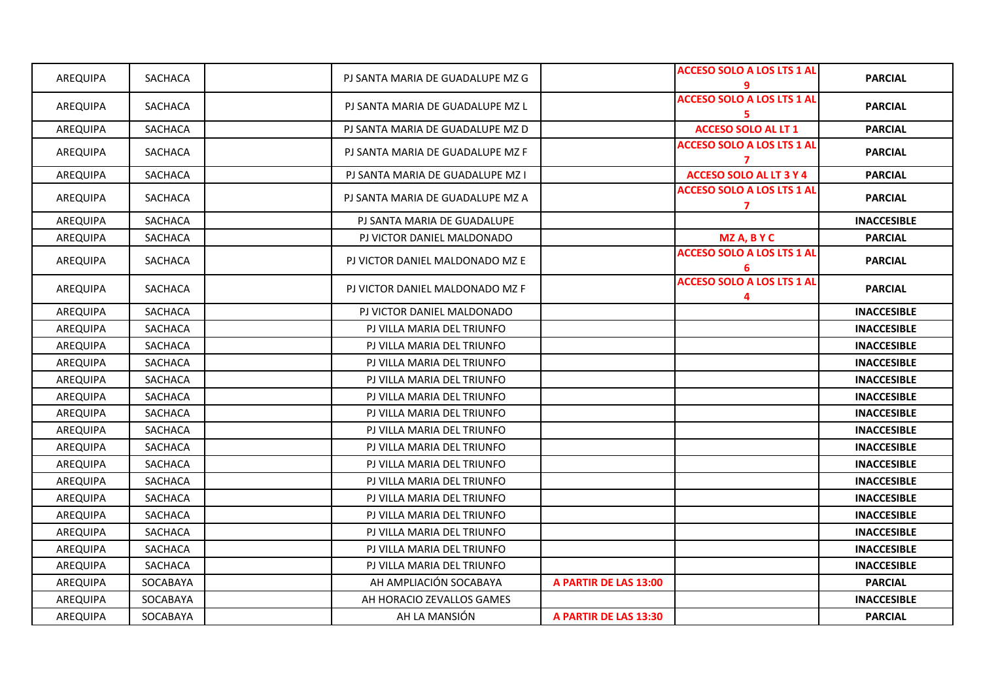| AREQUIPA        | SACHACA        | PJ SANTA MARIA DE GUADALUPE MZ G |                       | <b>ACCESO SOLO A LOS LTS 1 AL</b>       | <b>PARCIAL</b>     |
|-----------------|----------------|----------------------------------|-----------------------|-----------------------------------------|--------------------|
| AREQUIPA        | <b>SACHACA</b> | PJ SANTA MARIA DE GUADALUPE MZ L |                       | <b>ACCESO SOLO A LOS LTS 1 AL</b><br>5. | <b>PARCIAL</b>     |
| AREQUIPA        | SACHACA        | PJ SANTA MARIA DE GUADALUPE MZ D |                       | <b>ACCESO SOLO AL LT 1</b>              | <b>PARCIAL</b>     |
| AREQUIPA        | SACHACA        | PJ SANTA MARIA DE GUADALUPE MZ F |                       | <b>ACCESO SOLO A LOS LTS 1 AL</b><br>7  | <b>PARCIAL</b>     |
| AREQUIPA        | SACHACA        | PJ SANTA MARIA DE GUADALUPE MZ I |                       | <b>ACCESO SOLO AL LT 3 Y 4</b>          | <b>PARCIAL</b>     |
| AREQUIPA        | <b>SACHACA</b> | PJ SANTA MARIA DE GUADALUPE MZ A |                       | <b>ACCESO SOLO A LOS LTS 1 AL</b><br>7  | <b>PARCIAL</b>     |
| AREQUIPA        | <b>SACHACA</b> | PJ SANTA MARIA DE GUADALUPE      |                       |                                         | <b>INACCESIBLE</b> |
| AREQUIPA        | <b>SACHACA</b> | PJ VICTOR DANIEL MALDONADO       |                       | MZ A, B Y C                             | <b>PARCIAL</b>     |
| AREQUIPA        | SACHACA        | PJ VICTOR DANIEL MALDONADO MZ E  |                       | <b>ACCESO SOLO A LOS LTS 1 AL</b><br>6  | <b>PARCIAL</b>     |
| AREQUIPA        | SACHACA        | PJ VICTOR DANIEL MALDONADO MZ F  |                       | <b>ACCESO SOLO A LOS LTS 1 AL</b><br>4  | <b>PARCIAL</b>     |
| AREQUIPA        | SACHACA        | PJ VICTOR DANIEL MALDONADO       |                       |                                         | <b>INACCESIBLE</b> |
| <b>AREQUIPA</b> | <b>SACHACA</b> | PJ VILLA MARIA DEL TRIUNFO       |                       |                                         | <b>INACCESIBLE</b> |
| AREQUIPA        | SACHACA        | PJ VILLA MARIA DEL TRIUNFO       |                       |                                         | <b>INACCESIBLE</b> |
| AREQUIPA        | SACHACA        | PJ VILLA MARIA DEL TRIUNFO       |                       |                                         | <b>INACCESIBLE</b> |
| AREQUIPA        | <b>SACHACA</b> | PJ VILLA MARIA DEL TRIUNFO       |                       |                                         | <b>INACCESIBLE</b> |
| AREQUIPA        | SACHACA        | PJ VILLA MARIA DEL TRIUNFO       |                       |                                         | <b>INACCESIBLE</b> |
| <b>AREQUIPA</b> | <b>SACHACA</b> | PJ VILLA MARIA DEL TRIUNFO       |                       |                                         | <b>INACCESIBLE</b> |
| <b>AREQUIPA</b> | <b>SACHACA</b> | PJ VILLA MARIA DEL TRIUNFO       |                       |                                         | <b>INACCESIBLE</b> |
| AREQUIPA        | <b>SACHACA</b> | PJ VILLA MARIA DEL TRIUNFO       |                       |                                         | <b>INACCESIBLE</b> |
| AREQUIPA        | <b>SACHACA</b> | PJ VILLA MARIA DEL TRIUNFO       |                       |                                         | <b>INACCESIBLE</b> |
| AREQUIPA        | <b>SACHACA</b> | PJ VILLA MARIA DEL TRIUNFO       |                       |                                         | <b>INACCESIBLE</b> |
| AREQUIPA        | SACHACA        | PJ VILLA MARIA DEL TRIUNFO       |                       |                                         | <b>INACCESIBLE</b> |
| <b>AREQUIPA</b> | <b>SACHACA</b> | PJ VILLA MARIA DEL TRIUNFO       |                       |                                         | <b>INACCESIBLE</b> |
| AREQUIPA        | <b>SACHACA</b> | PJ VILLA MARIA DEL TRIUNFO       |                       |                                         | <b>INACCESIBLE</b> |
| <b>AREQUIPA</b> | <b>SACHACA</b> | PJ VILLA MARIA DEL TRIUNFO       |                       |                                         | <b>INACCESIBLE</b> |
| AREQUIPA        | <b>SACHACA</b> | PJ VILLA MARIA DEL TRIUNFO       |                       |                                         | <b>INACCESIBLE</b> |
| AREQUIPA        | SOCABAYA       | AH AMPLIACIÓN SOCABAYA           | A PARTIR DE LAS 13:00 |                                         | <b>PARCIAL</b>     |
| AREQUIPA        | SOCABAYA       | AH HORACIO ZEVALLOS GAMES        |                       |                                         | <b>INACCESIBLE</b> |
| AREQUIPA        | SOCABAYA       | AH LA MANSIÓN                    | A PARTIR DE LAS 13:30 |                                         | <b>PARCIAL</b>     |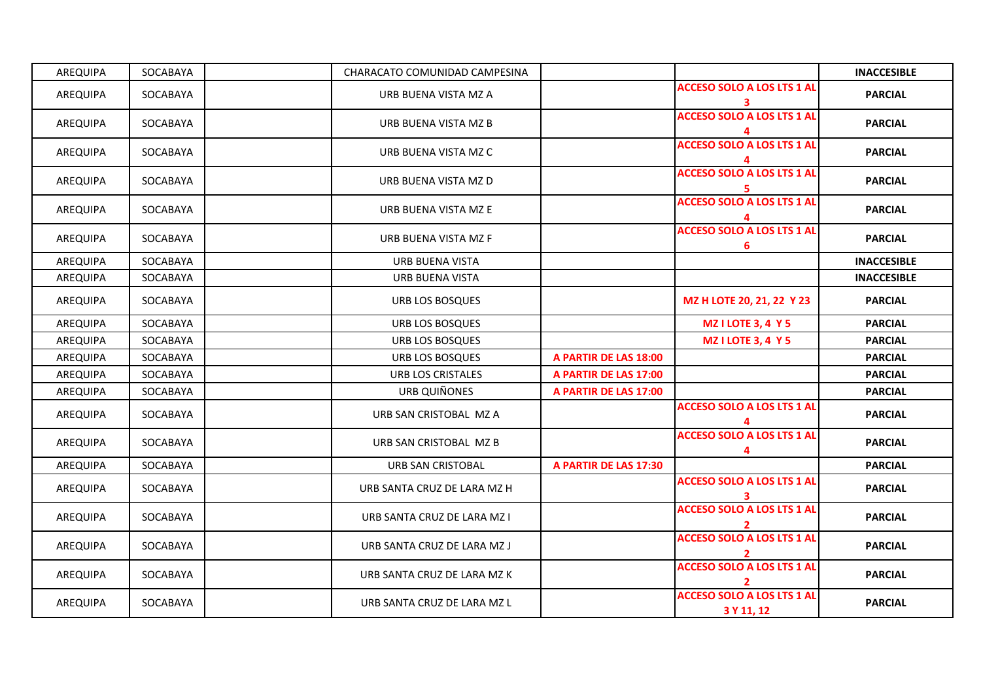| AREQUIPA | SOCABAYA | CHARACATO COMUNIDAD CAMPESINA |                       |                                                   | <b>INACCESIBLE</b> |
|----------|----------|-------------------------------|-----------------------|---------------------------------------------------|--------------------|
| AREQUIPA | SOCABAYA | URB BUENA VISTA MZ A          |                       | <b>ACCESO SOLO A LOS LTS 1 AL</b><br>3            | <b>PARCIAL</b>     |
| AREQUIPA | SOCABAYA | URB BUENA VISTA MZ B          |                       | <b>ACCESO SOLO A LOS LTS 1 AL</b>                 | <b>PARCIAL</b>     |
| AREQUIPA | SOCABAYA | URB BUENA VISTA MZ C          |                       | <b>ACCESO SOLO A LOS LTS 1 AL</b>                 | <b>PARCIAL</b>     |
| AREQUIPA | SOCABAYA | URB BUENA VISTA MZ D          |                       | <b>ACCESO SOLO A LOS LTS 1 AL</b><br>5.           | <b>PARCIAL</b>     |
| AREQUIPA | SOCABAYA | URB BUENA VISTA MZ E          |                       | <b>ACCESO SOLO A LOS LTS 1 AL</b>                 | <b>PARCIAL</b>     |
| AREQUIPA | SOCABAYA | URB BUENA VISTA MZ F          |                       | <b>ACCESO SOLO A LOS LTS 1 AL</b><br>6            | <b>PARCIAL</b>     |
| AREQUIPA | SOCABAYA | <b>URB BUENA VISTA</b>        |                       |                                                   | <b>INACCESIBLE</b> |
| AREQUIPA | SOCABAYA | URB BUENA VISTA               |                       |                                                   | <b>INACCESIBLE</b> |
| AREQUIPA | SOCABAYA | URB LOS BOSQUES               |                       | MZ H LOTE 20, 21, 22 Y 23                         | <b>PARCIAL</b>     |
| AREQUIPA | SOCABAYA | URB LOS BOSQUES               |                       | <b>MZ I LOTE 3, 4 Y 5</b>                         | <b>PARCIAL</b>     |
| AREQUIPA | SOCABAYA | URB LOS BOSQUES               |                       | <b>MZ I LOTE 3, 4 Y 5</b>                         | <b>PARCIAL</b>     |
| AREQUIPA | SOCABAYA | URB LOS BOSQUES               | A PARTIR DE LAS 18:00 |                                                   | <b>PARCIAL</b>     |
| AREQUIPA | SOCABAYA | <b>URB LOS CRISTALES</b>      | A PARTIR DE LAS 17:00 |                                                   | <b>PARCIAL</b>     |
| AREQUIPA | SOCABAYA | URB QUIÑONES                  | A PARTIR DE LAS 17:00 |                                                   | <b>PARCIAL</b>     |
| AREQUIPA | SOCABAYA | URB SAN CRISTOBAL MZ A        |                       | <b>ACCESO SOLO A LOS LTS 1 AL</b>                 | <b>PARCIAL</b>     |
| AREQUIPA | SOCABAYA | URB SAN CRISTOBAL MZ B        |                       | <b>ACCESO SOLO A LOS LTS 1 AL</b><br>4            | <b>PARCIAL</b>     |
| AREQUIPA | SOCABAYA | <b>URB SAN CRISTOBAL</b>      | A PARTIR DE LAS 17:30 |                                                   | <b>PARCIAL</b>     |
| AREQUIPA | SOCABAYA | URB SANTA CRUZ DE LARA MZ H   |                       | <b>ACCESO SOLO A LOS LTS 1 AL</b><br>3            | <b>PARCIAL</b>     |
| AREQUIPA | SOCABAYA | URB SANTA CRUZ DE LARA MZ I   |                       | <b>ACCESO SOLO A LOS LTS 1 AL</b><br>$\mathbf{2}$ | <b>PARCIAL</b>     |
| AREQUIPA | SOCABAYA | URB SANTA CRUZ DE LARA MZ J   |                       | <b>ACCESO SOLO A LOS LTS 1 AL</b><br>$\mathbf{2}$ | <b>PARCIAL</b>     |
| AREQUIPA | SOCABAYA | URB SANTA CRUZ DE LARA MZ K   |                       | <b>ACCESO SOLO A LOS LTS 1 AL</b><br>2            | <b>PARCIAL</b>     |
| AREQUIPA | SOCABAYA | URB SANTA CRUZ DE LARA MZ L   |                       | <b>ACCESO SOLO A LOS LTS 1 AL</b><br>3 Y 11, 12   | <b>PARCIAL</b>     |